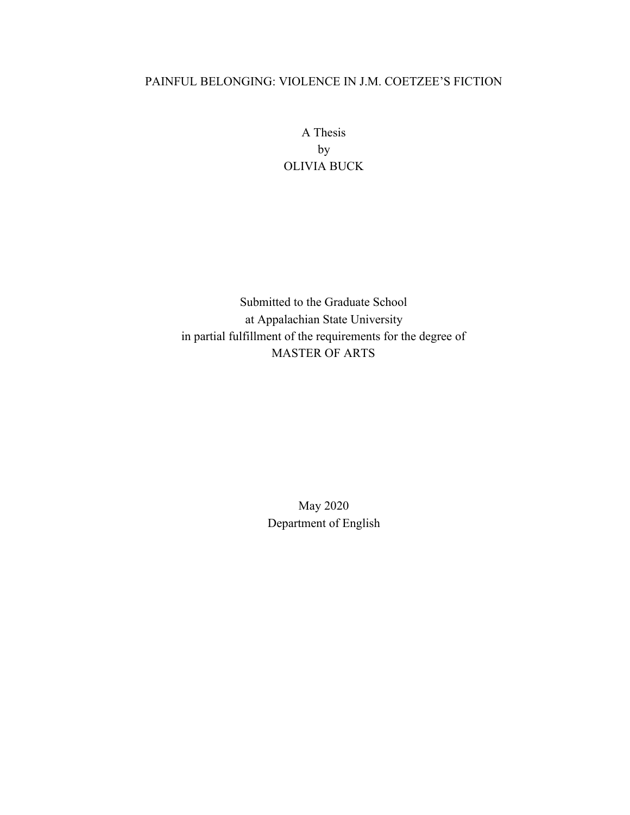### PAINFUL BELONGING: VIOLENCE IN J.M. COETZEE'S FICTION

A Thesis by OLIVIA BUCK

Submitted to the Graduate School at Appalachian State University in partial fulfillment of the requirements for the degree of MASTER OF ARTS

> May 2020 Department of English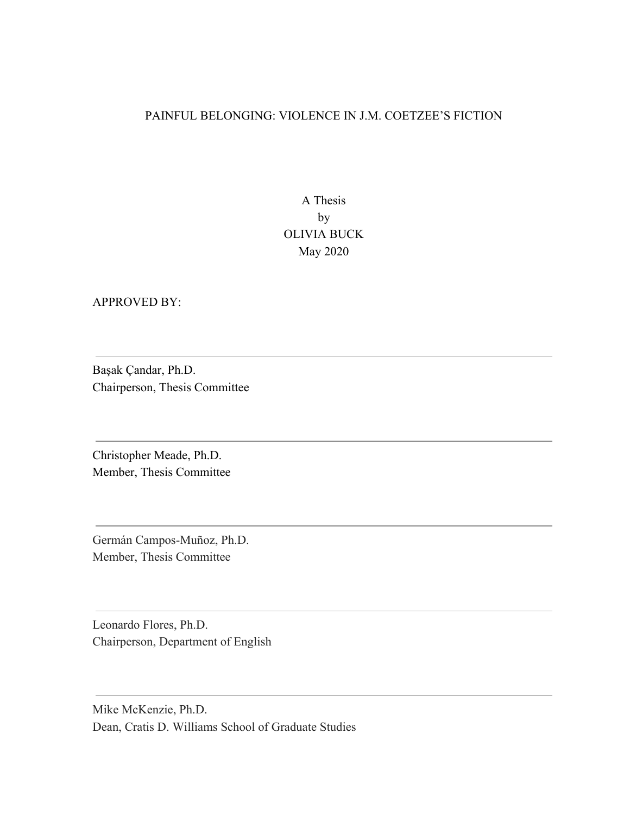#### PAINFUL BELONGING: VIOLENCE IN J.M. COETZEE'S FICTION

A Thesis by OLIVIA BUCK May 2020

APPROVED BY:

Başak Çandar, Ph.D. Chairperson, Thesis Committee

Christopher Meade, Ph.D. Member, Thesis Committee

Germán Campos-Muñoz, Ph.D. Member, Thesis Committee

Leonardo Flores, Ph.D. Chairperson, Department of English

Mike McKenzie, Ph.D. Dean, Cratis D. Williams School of Graduate Studies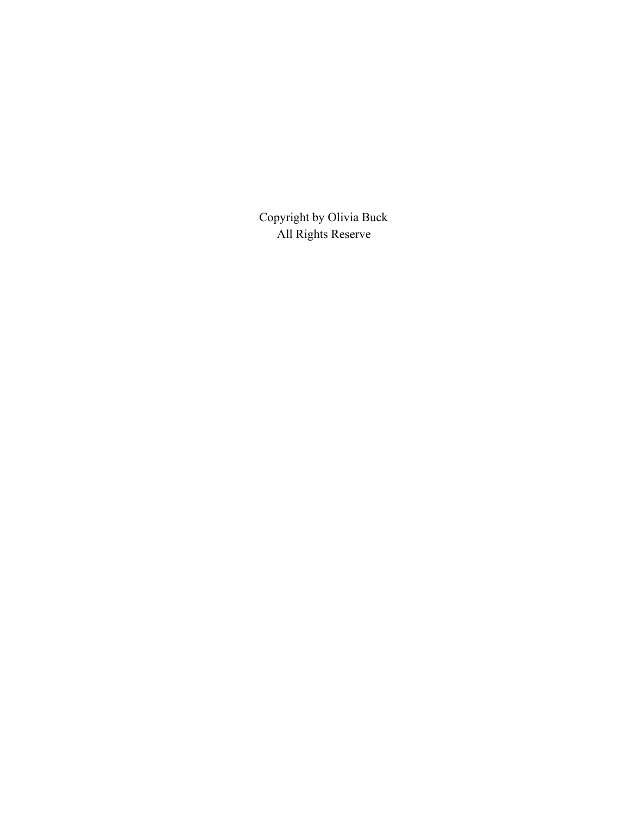Copyright by Olivia Buck All Rights Reserve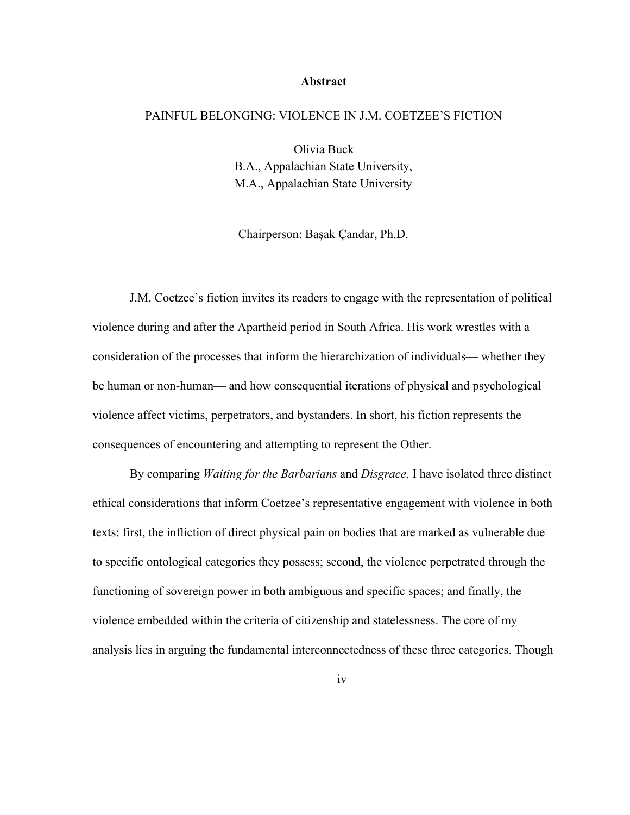#### **Abstract**

#### PAINFUL BELONGING: VIOLENCE IN J.M. COETZEE'S FICTION

Olivia Buck B.A., Appalachian State University, M.A., Appalachian State University

Chairperson: Başak Çandar, Ph.D.

J.M. Coetzee's fiction invites its readers to engage with the representation of political violence during and after the Apartheid period in South Africa. His work wrestles with a consideration of the processes that inform the hierarchization of individuals— whether they be human or non-human— and how consequential iterations of physical and psychological violence affect victims, perpetrators, and bystanders. In short, his fiction represents the consequences of encountering and attempting to represent the Other.

By comparing *Waiting for the Barbarians* and *Disgrace,* I have isolated three distinct ethical considerations that inform Coetzee's representative engagement with violence in both texts: first, the infliction of direct physical pain on bodies that are marked as vulnerable due to specific ontological categories they possess; second, the violence perpetrated through the functioning of sovereign power in both ambiguous and specific spaces; and finally, the violence embedded within the criteria of citizenship and statelessness. The core of my analysis lies in arguing the fundamental interconnectedness of these three categories. Though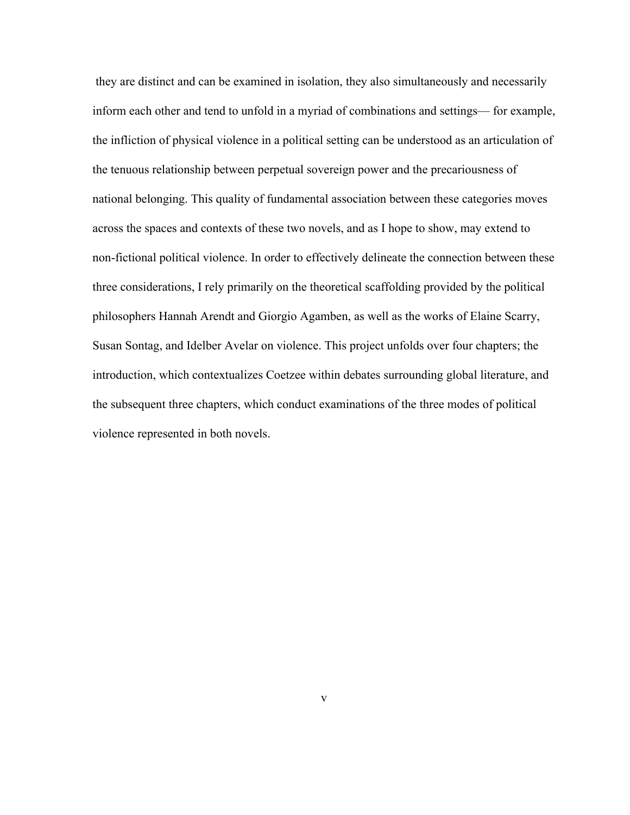they are distinct and can be examined in isolation, they also simultaneously and necessarily inform each other and tend to unfold in a myriad of combinations and settings— for example, the infliction of physical violence in a political setting can be understood as an articulation of the tenuous relationship between perpetual sovereign power and the precariousness of national belonging. This quality of fundamental association between these categories moves across the spaces and contexts of these two novels, and as I hope to show, may extend to non-fictional political violence. In order to effectively delineate the connection between these three considerations, I rely primarily on the theoretical scaffolding provided by the political philosophers Hannah Arendt and Giorgio Agamben, as well as the works of Elaine Scarry, Susan Sontag, and Idelber Avelar on violence. This project unfolds over four chapters; the introduction, which contextualizes Coetzee within debates surrounding global literature, and the subsequent three chapters, which conduct examinations of the three modes of political violence represented in both novels.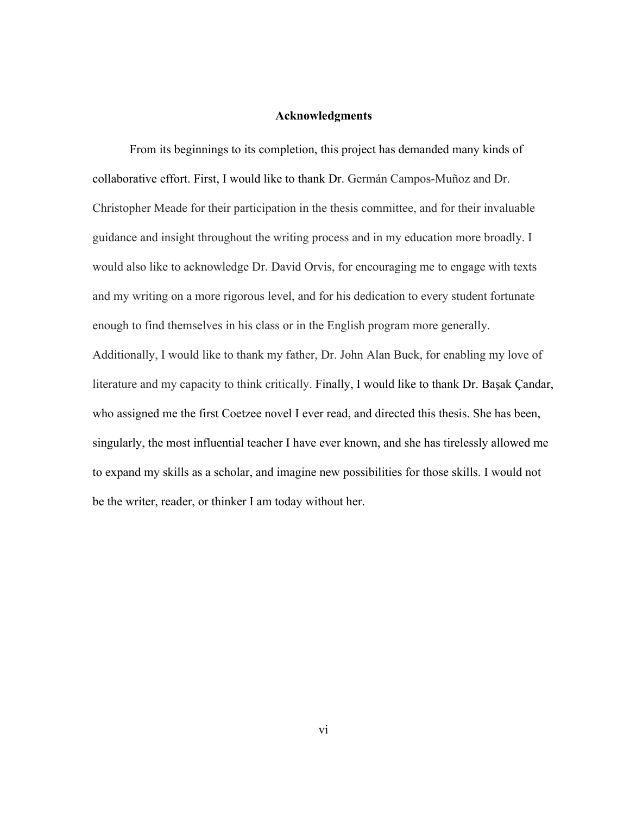#### **Acknowledgments**

From its beginnings to its completion, this project has demanded many kinds of collaborative effort. First, I would like to thank Dr. Germán Campos-Muñoz and Dr. Christopher Meade for their participation in the thesis committee, and for their invaluable guidance and insight throughout the writing process and in my education more broadly. I would also like to acknowledge Dr. David Orvis, for encouraging me to engage with texts and my writing on a more rigorous level, and for his dedication to every student fortunate enough to find themselves in his class or in the English program more generally. Additionally, I would like to thank my father, Dr. John Alan Buck, for enabling my love of literature and my capacity to think critically. Finally, I would like to thank Dr. Başak Çandar, who assigned me the first Coetzee novel I ever read, and directed this thesis. She has been, singularly, the most influential teacher I have ever known, and she has tirelessly allowed me to expand my skills as a scholar, and imagine new possibilities for those skills. I would not be the writer, reader, or thinker I am today without her.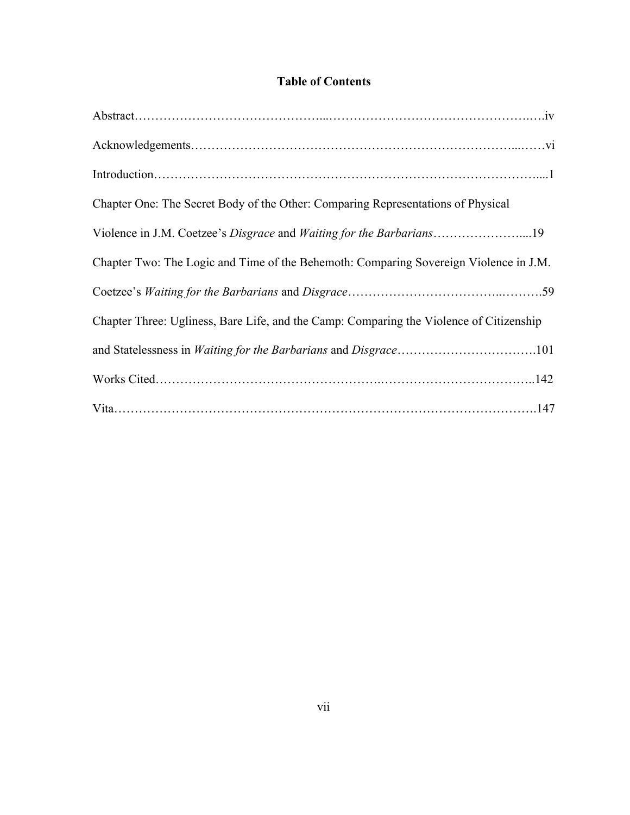### **Table of Contents**

| Chapter One: The Secret Body of the Other: Comparing Representations of Physical        |  |
|-----------------------------------------------------------------------------------------|--|
|                                                                                         |  |
| Chapter Two: The Logic and Time of the Behemoth: Comparing Sovereign Violence in J.M.   |  |
|                                                                                         |  |
| Chapter Three: Ugliness, Bare Life, and the Camp: Comparing the Violence of Citizenship |  |
|                                                                                         |  |
|                                                                                         |  |
|                                                                                         |  |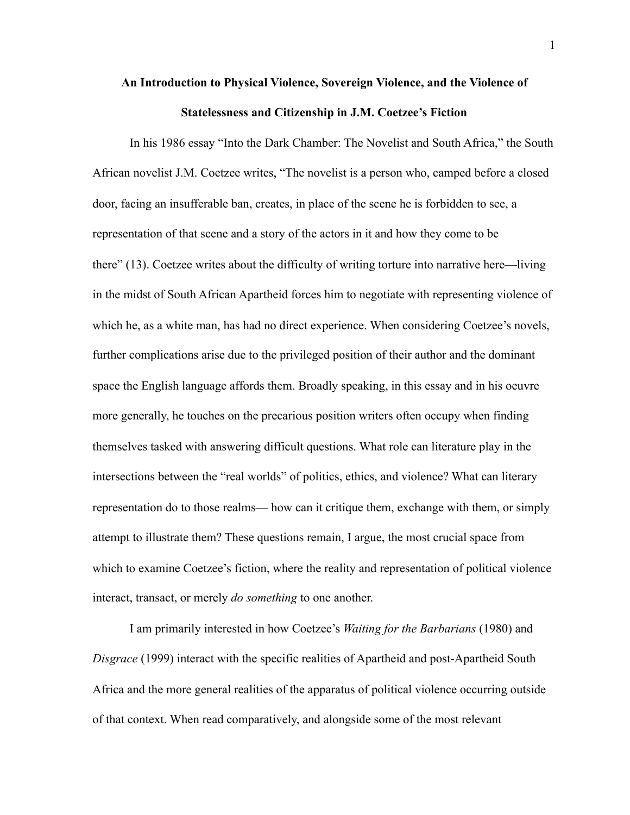## **An Introduction to Physical Violence, Sovereign Violence, and the Violence of Statelessness and Citizenship in J.M. Coetzee's Fiction**

In his 1986 essay "Into the Dark Chamber: The Novelist and South Africa," the South African novelist J.M. Coetzee writes, "The novelist is a person who, camped before a closed door, facing an insufferable ban, creates, in place of the scene he is forbidden to see, a representation of that scene and a story of the actors in it and how they come to be there" (13). Coetzee writes about the difficulty of writing torture into narrative here—living in the midst of South African Apartheid forces him to negotiate with representing violence of which he, as a white man, has had no direct experience. When considering Coetzee's novels, further complications arise due to the privileged position of their author and the dominant space the English language affords them. Broadly speaking, in this essay and in his oeuvre more generally, he touches on the precarious position writers often occupy when finding themselves tasked with answering difficult questions. What role can literature play in the intersections between the "real worlds" of politics, ethics, and violence? What can literary representation do to those realms— how can it critique them, exchange with them, or simply attempt to illustrate them? These questions remain, I argue, the most crucial space from which to examine Coetzee's fiction, where the reality and representation of political violence interact, transact, or merely *do something* to one another.

I am primarily interested in how Coetzee's *Waiting for the Barbarians* (1980) and *Disgrace* (1999) interact with the specific realities of Apartheid and post-Apartheid South Africa and the more general realities of the apparatus of political violence occurring outside of that context. When read comparatively, and alongside some of the most relevant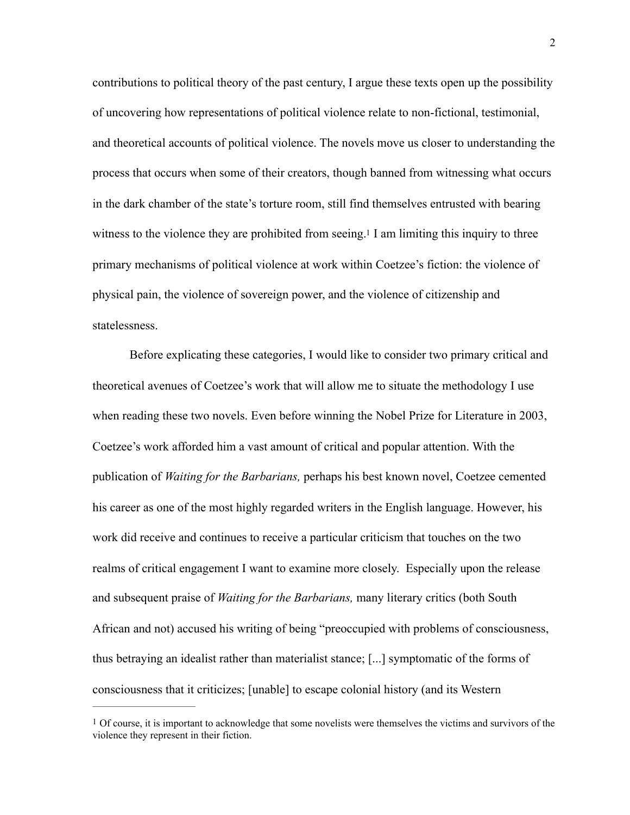contributions to political theory of the past century, I argue these texts open up the possibility of uncovering how representations of political violence relate to non-fictional, testimonial, and theoretical accounts of political violence. The novels move us closer to understanding the process that occurs when some of their creators, though banned from witnessing what occurs in the dark chamber of the state's torture room, still find themselves entrusted with bearing witness to the violence they are prohibited from seeing.<sup>1</sup> I am limiting this inquiry to three primary mechanisms of political violence at work within Coetzee's fiction: the violence of physical pain, the violence of sovereign power, and the violence of citizenship and statelessness.

<span id="page-8-1"></span>Before explicating these categories, I would like to consider two primary critical and theoretical avenues of Coetzee's work that will allow me to situate the methodology I use when reading these two novels. Even before winning the Nobel Prize for Literature in 2003, Coetzee's work afforded him a vast amount of critical and popular attention. With the publication of *Waiting for the Barbarians,* perhaps his best known novel, Coetzee cemented his career as one of the most highly regarded writers in the English language. However, his work did receive and continues to receive a particular criticism that touches on the two realms of critical engagement I want to examine more closely. Especially upon the release and subsequent praise of *Waiting for the Barbarians,* many literary critics (both South African and not) accused his writing of being "preoccupied with problems of consciousness, thus betraying an idealist rather than materialist stance; [...] symptomatic of the forms of consciousness that it criticizes; [unable] to escape colonial history (and its Western

<span id="page-8-0"></span> $1$  Of course, it is important to acknowledge that some novelists were themselves the victims and survivors of the violence they represent in their fiction.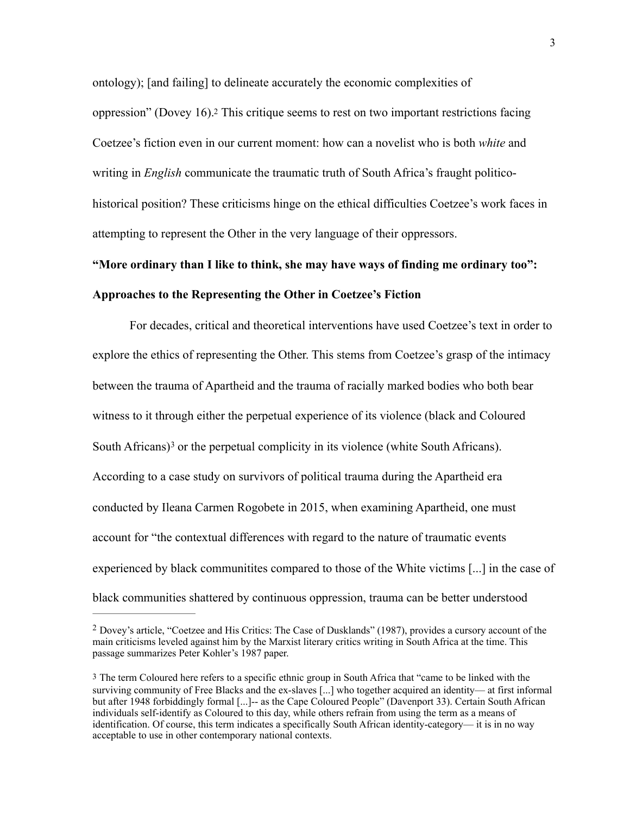<span id="page-9-2"></span>ontology); [and failing] to delineate accurately the economic complexities of oppression" (Dovey 16)[.2](#page-9-0) This critique seems to rest on two important restrictions facing Coetzee's fiction even in our current moment: how can a novelist who is both *white* and writing in *English* communicate the traumatic truth of South Africa's fraught politicohistorical position? These criticisms hinge on the ethical difficulties Coetzee's work faces in attempting to represent the Other in the very language of their oppressors.

# **"More ordinary than I like to think, she may have ways of finding me ordinary too": Approaches to the Representing the Other in Coetzee's Fiction**

<span id="page-9-3"></span> For decades, critical and theoretical interventions have used Coetzee's text in order to explore the ethics of representing the Other. This stems from Coetzee's grasp of the intimacy between the trauma of Apartheid and the trauma of racially marked bodies who both bear witness to it through either the perpetual experience of its violence (black and Coloured SouthAfricans $)$ <sup>[3](#page-9-1)</sup> or the perpetual complicity in its violence (white South Africans). According to a case study on survivors of political trauma during the Apartheid era conducted by Ileana Carmen Rogobete in 2015, when examining Apartheid, one must account for "the contextual differences with regard to the nature of traumatic events experienced by black communitites compared to those of the White victims [...] in the case of black communities shattered by continuous oppression, trauma can be better understood

<span id="page-9-0"></span><sup>&</sup>lt;sup>[2](#page-9-2)</sup> Dovey's article, "Coetzee and His Critics: The Case of Dusklands" (1987), provides a cursory account of the main criticisms leveled against him by the Marxist literary critics writing in South Africa at the time. This passage summarizes Peter Kohler's 1987 paper.

<span id="page-9-1"></span>[<sup>3</sup>](#page-9-3) The term Coloured here refers to a specific ethnic group in South Africa that "came to be linked with the surviving community of Free Blacks and the ex-slaves [...] who together acquired an identity— at first informal but after 1948 forbiddingly formal [...]-- as the Cape Coloured People" (Davenport 33). Certain South African individuals self-identify as Coloured to this day, while others refrain from using the term as a means of identification. Of course, this term indicates a specifically South African identity-category— it is in no way acceptable to use in other contemporary national contexts.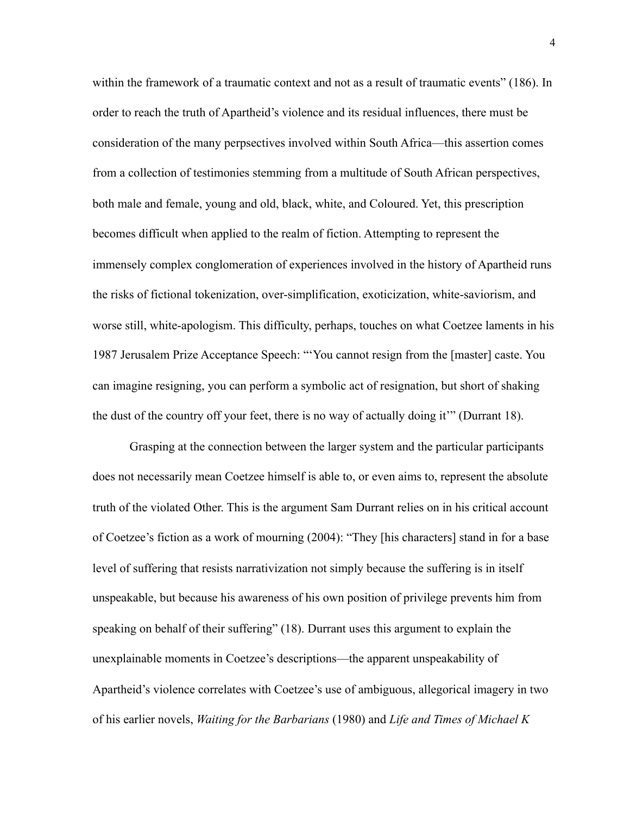within the framework of a traumatic context and not as a result of traumatic events" (186). In order to reach the truth of Apartheid's violence and its residual influences, there must be consideration of the many perpsectives involved within South Africa—this assertion comes from a collection of testimonies stemming from a multitude of South African perspectives, both male and female, young and old, black, white, and Coloured. Yet, this prescription becomes difficult when applied to the realm of fiction. Attempting to represent the immensely complex conglomeration of experiences involved in the history of Apartheid runs the risks of fictional tokenization, over-simplification, exoticization, white-saviorism, and worse still, white-apologism. This difficulty, perhaps, touches on what Coetzee laments in his 1987 Jerusalem Prize Acceptance Speech: "'You cannot resign from the [master] caste. You can imagine resigning, you can perform a symbolic act of resignation, but short of shaking the dust of the country off your feet, there is no way of actually doing it'" (Durrant 18).

Grasping at the connection between the larger system and the particular participants does not necessarily mean Coetzee himself is able to, or even aims to, represent the absolute truth of the violated Other. This is the argument Sam Durrant relies on in his critical account of Coetzee's fiction as a work of mourning (2004): "They [his characters] stand in for a base level of suffering that resists narrativization not simply because the suffering is in itself unspeakable, but because his awareness of his own position of privilege prevents him from speaking on behalf of their suffering" (18). Durrant uses this argument to explain the unexplainable moments in Coetzee's descriptions—the apparent unspeakability of Apartheid's violence correlates with Coetzee's use of ambiguous, allegorical imagery in two of his earlier novels, *Waiting for the Barbarians* (1980) and *Life and Times of Michael K*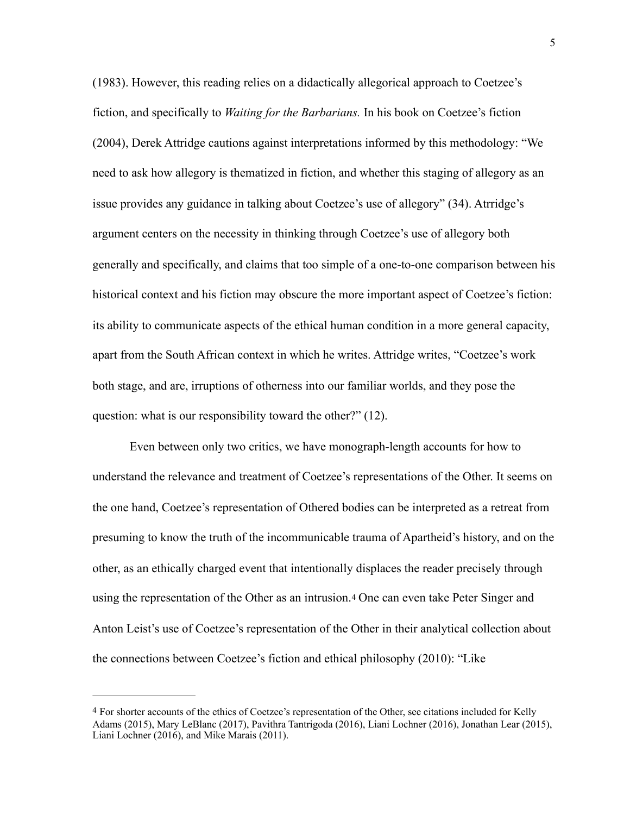(1983). However, this reading relies on a didactically allegorical approach to Coetzee's fiction, and specifically to *Waiting for the Barbarians.* In his book on Coetzee's fiction (2004), Derek Attridge cautions against interpretations informed by this methodology: "We need to ask how allegory is thematized in fiction, and whether this staging of allegory as an issue provides any guidance in talking about Coetzee's use of allegory" (34). Atrridge's argument centers on the necessity in thinking through Coetzee's use of allegory both generally and specifically, and claims that too simple of a one-to-one comparison between his historical context and his fiction may obscure the more important aspect of Coetzee's fiction: its ability to communicate aspects of the ethical human condition in a more general capacity, apart from the South African context in which he writes. Attridge writes, "Coetzee's work both stage, and are, irruptions of otherness into our familiar worlds, and they pose the question: what is our responsibility toward the other?" (12).

Even between only two critics, we have monograph-length accounts for how to understand the relevance and treatment of Coetzee's representations of the Other. It seems on the one hand, Coetzee's representation of Othered bodies can be interpreted as a retreat from presuming to know the truth of the incommunicable trauma of Apartheid's history, and on the other, as an ethically charged event that intentionally displaces the reader precisely through using the representation of the Other as an intrusion.[4](#page-11-0) One can even take Peter Singer and Anton Leist's use of Coetzee's representation of the Other in their analytical collection about the connections between Coetzee's fiction and ethical philosophy (2010): "Like

<span id="page-11-1"></span><span id="page-11-0"></span>[<sup>4</sup>](#page-11-1) For shorter accounts of the ethics of Coetzee's representation of the Other, see citations included for Kelly Adams (2015), Mary LeBlanc (2017), Pavithra Tantrigoda (2016), Liani Lochner (2016), Jonathan Lear (2015), Liani Lochner (2016), and Mike Marais (2011).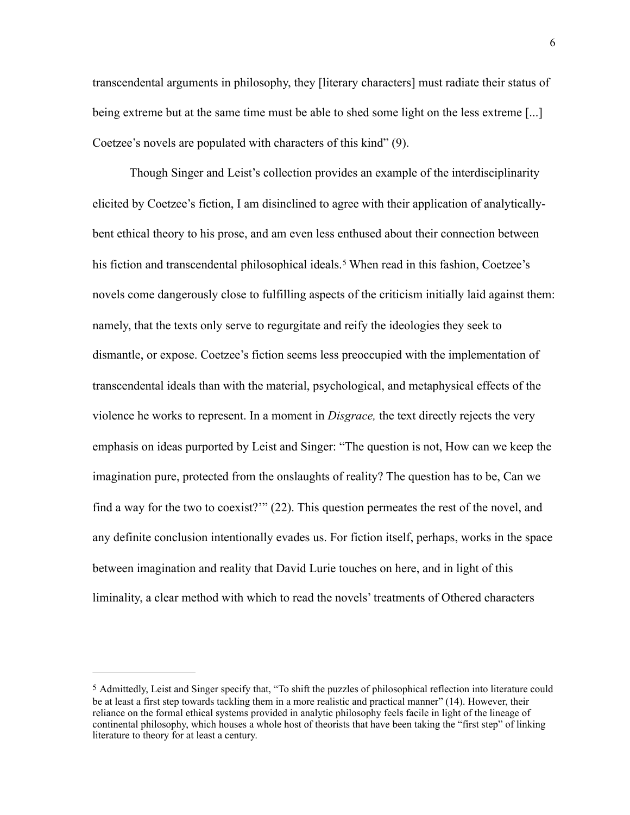transcendental arguments in philosophy, they [literary characters] must radiate their status of being extreme but at the same time must be able to shed some light on the less extreme [...] Coetzee's novels are populated with characters of this kind" (9).

<span id="page-12-1"></span>Though Singer and Leist's collection provides an example of the interdisciplinarity elicited by Coetzee's fiction, I am disinclined to agree with their application of analyticallybent ethical theory to his prose, and am even less enthused about their connection between hisfiction and transcendental philosophical ideals.<sup>[5](#page-12-0)</sup> When read in this fashion, Coetzee's novels come dangerously close to fulfilling aspects of the criticism initially laid against them: namely, that the texts only serve to regurgitate and reify the ideologies they seek to dismantle, or expose. Coetzee's fiction seems less preoccupied with the implementation of transcendental ideals than with the material, psychological, and metaphysical effects of the violence he works to represent. In a moment in *Disgrace,* the text directly rejects the very emphasis on ideas purported by Leist and Singer: "The question is not, How can we keep the imagination pure, protected from the onslaughts of reality? The question has to be, Can we find a way for the two to coexist?'" (22). This question permeates the rest of the novel, and any definite conclusion intentionally evades us. For fiction itself, perhaps, works in the space between imagination and reality that David Lurie touches on here, and in light of this liminality, a clear method with which to read the novels' treatments of Othered characters

<span id="page-12-0"></span>[<sup>5</sup>](#page-12-1) Admittedly, Leist and Singer specify that, "To shift the puzzles of philosophical reflection into literature could be at least a first step towards tackling them in a more realistic and practical manner" (14). However, their reliance on the formal ethical systems provided in analytic philosophy feels facile in light of the lineage of continental philosophy, which houses a whole host of theorists that have been taking the "first step" of linking literature to theory for at least a century.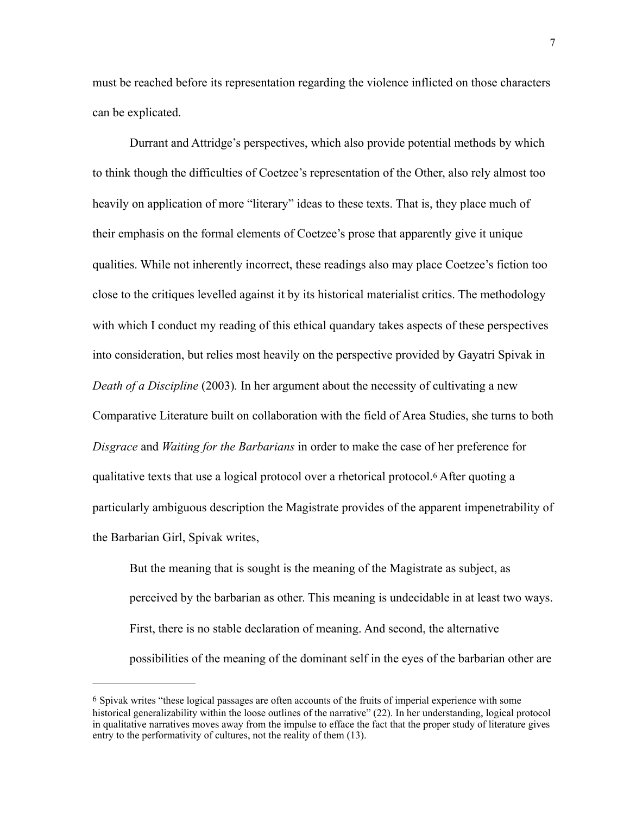must be reached before its representation regarding the violence inflicted on those characters can be explicated.

Durrant and Attridge's perspectives, which also provide potential methods by which to think though the difficulties of Coetzee's representation of the Other, also rely almost too heavily on application of more "literary" ideas to these texts. That is, they place much of their emphasis on the formal elements of Coetzee's prose that apparently give it unique qualities. While not inherently incorrect, these readings also may place Coetzee's fiction too close to the critiques levelled against it by its historical materialist critics. The methodology with which I conduct my reading of this ethical quandary takes aspects of these perspectives into consideration, but relies most heavily on the perspective provided by Gayatri Spivak in *Death of a Discipline* (2003)*.* In her argument about the necessity of cultivating a new Comparative Literature built on collaboration with the field of Area Studies, she turns to both *Disgrace* and *Waiting for the Barbarians* in order to make the case of her preference for qualitative texts that use a logical protocol over a rhetorical protocol.[6](#page-13-0) After quoting a particularly ambiguous description the Magistrate provides of the apparent impenetrability of the Barbarian Girl, Spivak writes,

<span id="page-13-1"></span>But the meaning that is sought is the meaning of the Magistrate as subject, as perceived by the barbarian as other. This meaning is undecidable in at least two ways. First, there is no stable declaration of meaning. And second, the alternative possibilities of the meaning of the dominant self in the eyes of the barbarian other are

<span id="page-13-0"></span>[<sup>6</sup>](#page-13-1) Spivak writes "these logical passages are often accounts of the fruits of imperial experience with some historical generalizability within the loose outlines of the narrative" (22). In her understanding, logical protocol in qualitative narratives moves away from the impulse to efface the fact that the proper study of literature gives entry to the performativity of cultures, not the reality of them (13).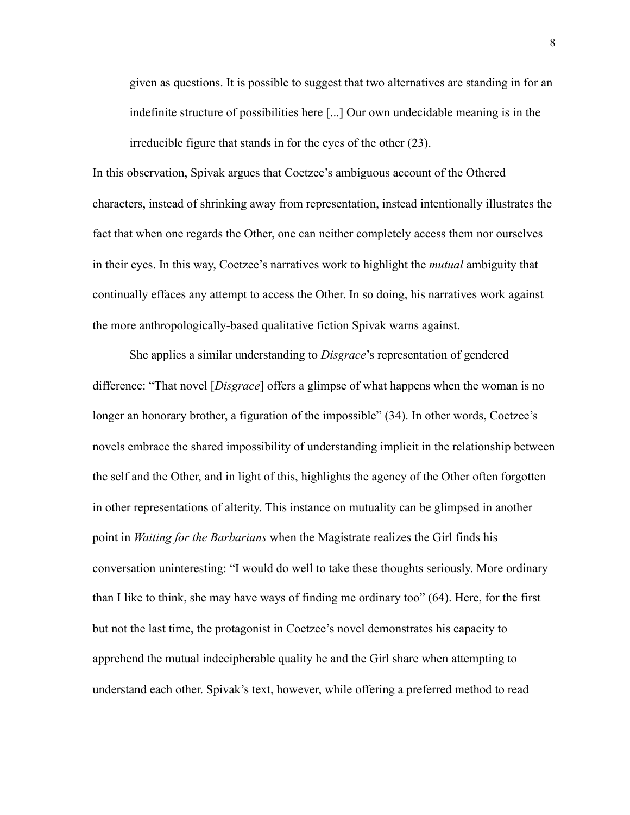given as questions. It is possible to suggest that two alternatives are standing in for an indefinite structure of possibilities here [...] Our own undecidable meaning is in the irreducible figure that stands in for the eyes of the other (23).

In this observation, Spivak argues that Coetzee's ambiguous account of the Othered characters, instead of shrinking away from representation, instead intentionally illustrates the fact that when one regards the Other, one can neither completely access them nor ourselves in their eyes. In this way, Coetzee's narratives work to highlight the *mutual* ambiguity that continually effaces any attempt to access the Other. In so doing, his narratives work against the more anthropologically-based qualitative fiction Spivak warns against.

She applies a similar understanding to *Disgrace*'s representation of gendered difference: "That novel [*Disgrace*] offers a glimpse of what happens when the woman is no longer an honorary brother, a figuration of the impossible" (34). In other words, Coetzee's novels embrace the shared impossibility of understanding implicit in the relationship between the self and the Other, and in light of this, highlights the agency of the Other often forgotten in other representations of alterity. This instance on mutuality can be glimpsed in another point in *Waiting for the Barbarians* when the Magistrate realizes the Girl finds his conversation uninteresting: "I would do well to take these thoughts seriously. More ordinary than I like to think, she may have ways of finding me ordinary too" (64). Here, for the first but not the last time, the protagonist in Coetzee's novel demonstrates his capacity to apprehend the mutual indecipherable quality he and the Girl share when attempting to understand each other. Spivak's text, however, while offering a preferred method to read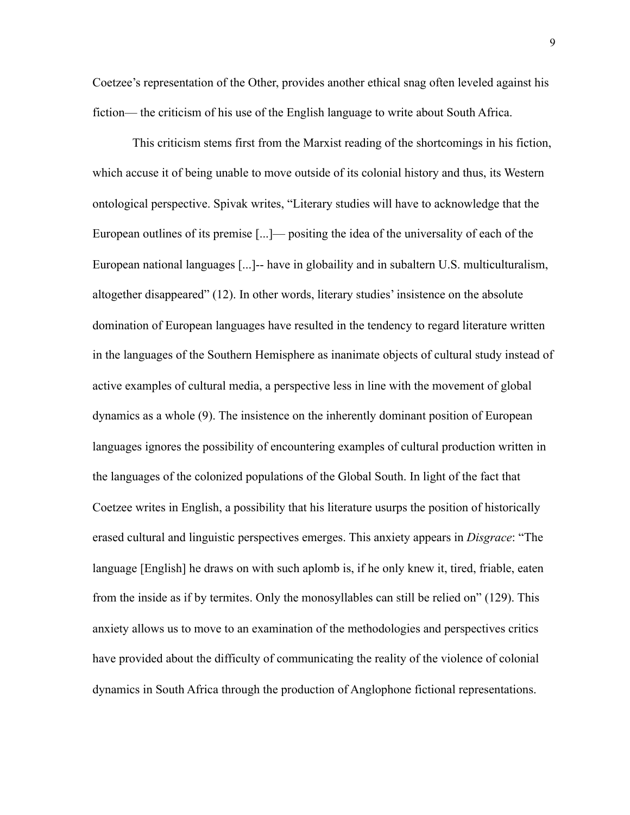Coetzee's representation of the Other, provides another ethical snag often leveled against his fiction— the criticism of his use of the English language to write about South Africa.

 This criticism stems first from the Marxist reading of the shortcomings in his fiction, which accuse it of being unable to move outside of its colonial history and thus, its Western ontological perspective. Spivak writes, "Literary studies will have to acknowledge that the European outlines of its premise [...]— positing the idea of the universality of each of the European national languages [...]-- have in globaility and in subaltern U.S. multiculturalism, altogether disappeared" (12). In other words, literary studies' insistence on the absolute domination of European languages have resulted in the tendency to regard literature written in the languages of the Southern Hemisphere as inanimate objects of cultural study instead of active examples of cultural media, a perspective less in line with the movement of global dynamics as a whole (9). The insistence on the inherently dominant position of European languages ignores the possibility of encountering examples of cultural production written in the languages of the colonized populations of the Global South. In light of the fact that Coetzee writes in English, a possibility that his literature usurps the position of historically erased cultural and linguistic perspectives emerges. This anxiety appears in *Disgrace*: "The language [English] he draws on with such aplomb is, if he only knew it, tired, friable, eaten from the inside as if by termites. Only the monosyllables can still be relied on" (129). This anxiety allows us to move to an examination of the methodologies and perspectives critics have provided about the difficulty of communicating the reality of the violence of colonial dynamics in South Africa through the production of Anglophone fictional representations.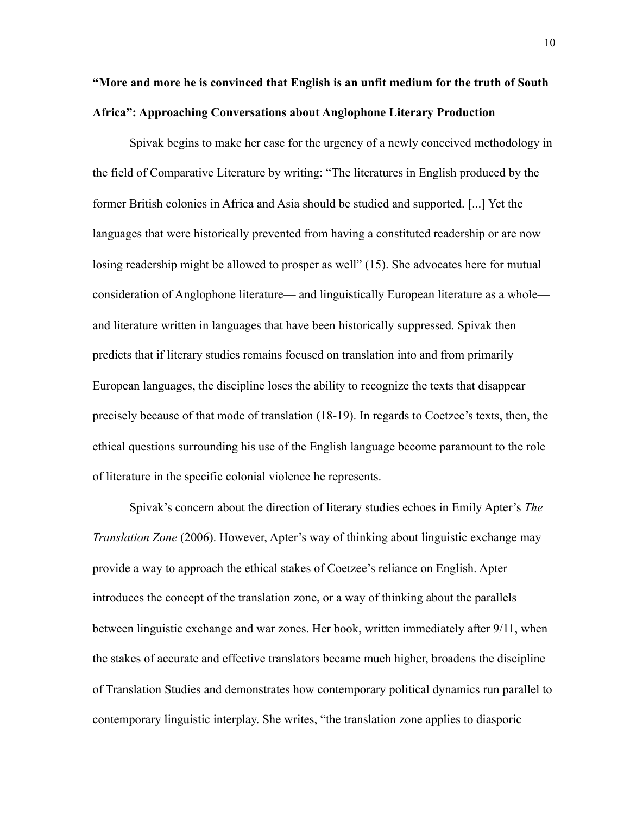## **"More and more he is convinced that English is an unfit medium for the truth of South Africa": Approaching Conversations about Anglophone Literary Production**

Spivak begins to make her case for the urgency of a newly conceived methodology in the field of Comparative Literature by writing: "The literatures in English produced by the former British colonies in Africa and Asia should be studied and supported. [...] Yet the languages that were historically prevented from having a constituted readership or are now losing readership might be allowed to prosper as well" (15). She advocates here for mutual consideration of Anglophone literature— and linguistically European literature as a whole and literature written in languages that have been historically suppressed. Spivak then predicts that if literary studies remains focused on translation into and from primarily European languages, the discipline loses the ability to recognize the texts that disappear precisely because of that mode of translation (18-19). In regards to Coetzee's texts, then, the ethical questions surrounding his use of the English language become paramount to the role of literature in the specific colonial violence he represents.

 Spivak's concern about the direction of literary studies echoes in Emily Apter's *The Translation Zone* (2006). However, Apter's way of thinking about linguistic exchange may provide a way to approach the ethical stakes of Coetzee's reliance on English. Apter introduces the concept of the translation zone, or a way of thinking about the parallels between linguistic exchange and war zones. Her book, written immediately after 9/11, when the stakes of accurate and effective translators became much higher, broadens the discipline of Translation Studies and demonstrates how contemporary political dynamics run parallel to contemporary linguistic interplay. She writes, "the translation zone applies to diasporic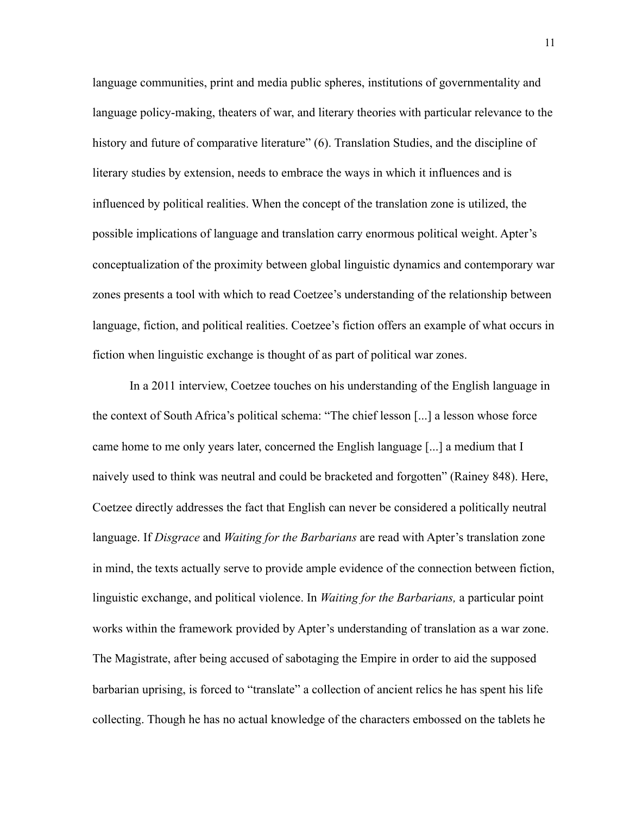language communities, print and media public spheres, institutions of governmentality and language policy-making, theaters of war, and literary theories with particular relevance to the history and future of comparative literature" (6). Translation Studies, and the discipline of literary studies by extension, needs to embrace the ways in which it influences and is influenced by political realities. When the concept of the translation zone is utilized, the possible implications of language and translation carry enormous political weight. Apter's conceptualization of the proximity between global linguistic dynamics and contemporary war zones presents a tool with which to read Coetzee's understanding of the relationship between language, fiction, and political realities. Coetzee's fiction offers an example of what occurs in fiction when linguistic exchange is thought of as part of political war zones.

In a 2011 interview, Coetzee touches on his understanding of the English language in the context of South Africa's political schema: "The chief lesson [...] a lesson whose force came home to me only years later, concerned the English language [...] a medium that I naively used to think was neutral and could be bracketed and forgotten" (Rainey 848). Here, Coetzee directly addresses the fact that English can never be considered a politically neutral language. If *Disgrace* and *Waiting for the Barbarians* are read with Apter's translation zone in mind, the texts actually serve to provide ample evidence of the connection between fiction, linguistic exchange, and political violence. In *Waiting for the Barbarians,* a particular point works within the framework provided by Apter's understanding of translation as a war zone. The Magistrate, after being accused of sabotaging the Empire in order to aid the supposed barbarian uprising, is forced to "translate" a collection of ancient relics he has spent his life collecting. Though he has no actual knowledge of the characters embossed on the tablets he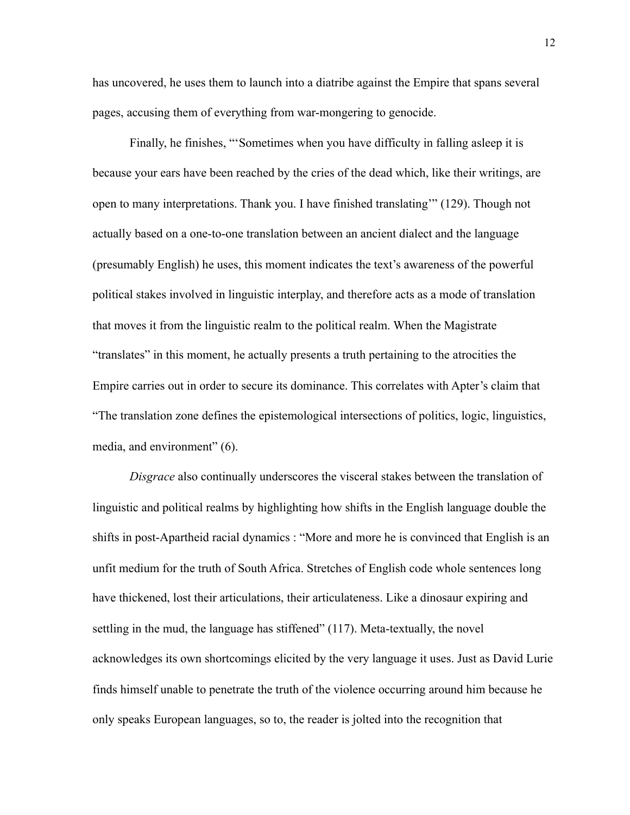has uncovered, he uses them to launch into a diatribe against the Empire that spans several pages, accusing them of everything from war-mongering to genocide.

Finally, he finishes, "'Sometimes when you have difficulty in falling asleep it is because your ears have been reached by the cries of the dead which, like their writings, are open to many interpretations. Thank you. I have finished translating'" (129). Though not actually based on a one-to-one translation between an ancient dialect and the language (presumably English) he uses, this moment indicates the text's awareness of the powerful political stakes involved in linguistic interplay, and therefore acts as a mode of translation that moves it from the linguistic realm to the political realm. When the Magistrate "translates" in this moment, he actually presents a truth pertaining to the atrocities the Empire carries out in order to secure its dominance. This correlates with Apter's claim that "The translation zone defines the epistemological intersections of politics, logic, linguistics, media, and environment" (6).

*Disgrace* also continually underscores the visceral stakes between the translation of linguistic and political realms by highlighting how shifts in the English language double the shifts in post-Apartheid racial dynamics : "More and more he is convinced that English is an unfit medium for the truth of South Africa. Stretches of English code whole sentences long have thickened, lost their articulations, their articulateness. Like a dinosaur expiring and settling in the mud, the language has stiffened" (117). Meta-textually, the novel acknowledges its own shortcomings elicited by the very language it uses. Just as David Lurie finds himself unable to penetrate the truth of the violence occurring around him because he only speaks European languages, so to, the reader is jolted into the recognition that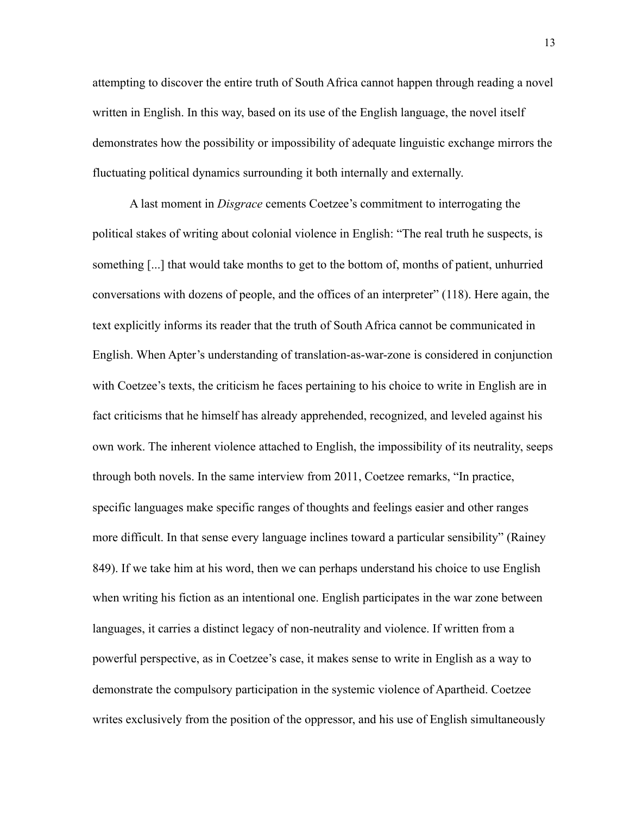attempting to discover the entire truth of South Africa cannot happen through reading a novel written in English. In this way, based on its use of the English language, the novel itself demonstrates how the possibility or impossibility of adequate linguistic exchange mirrors the fluctuating political dynamics surrounding it both internally and externally.

A last moment in *Disgrace* cements Coetzee's commitment to interrogating the political stakes of writing about colonial violence in English: "The real truth he suspects, is something [...] that would take months to get to the bottom of, months of patient, unhurried conversations with dozens of people, and the offices of an interpreter" (118). Here again, the text explicitly informs its reader that the truth of South Africa cannot be communicated in English. When Apter's understanding of translation-as-war-zone is considered in conjunction with Coetzee's texts, the criticism he faces pertaining to his choice to write in English are in fact criticisms that he himself has already apprehended, recognized, and leveled against his own work. The inherent violence attached to English, the impossibility of its neutrality, seeps through both novels. In the same interview from 2011, Coetzee remarks, "In practice, specific languages make specific ranges of thoughts and feelings easier and other ranges more difficult. In that sense every language inclines toward a particular sensibility" (Rainey 849). If we take him at his word, then we can perhaps understand his choice to use English when writing his fiction as an intentional one. English participates in the war zone between languages, it carries a distinct legacy of non-neutrality and violence. If written from a powerful perspective, as in Coetzee's case, it makes sense to write in English as a way to demonstrate the compulsory participation in the systemic violence of Apartheid. Coetzee writes exclusively from the position of the oppressor, and his use of English simultaneously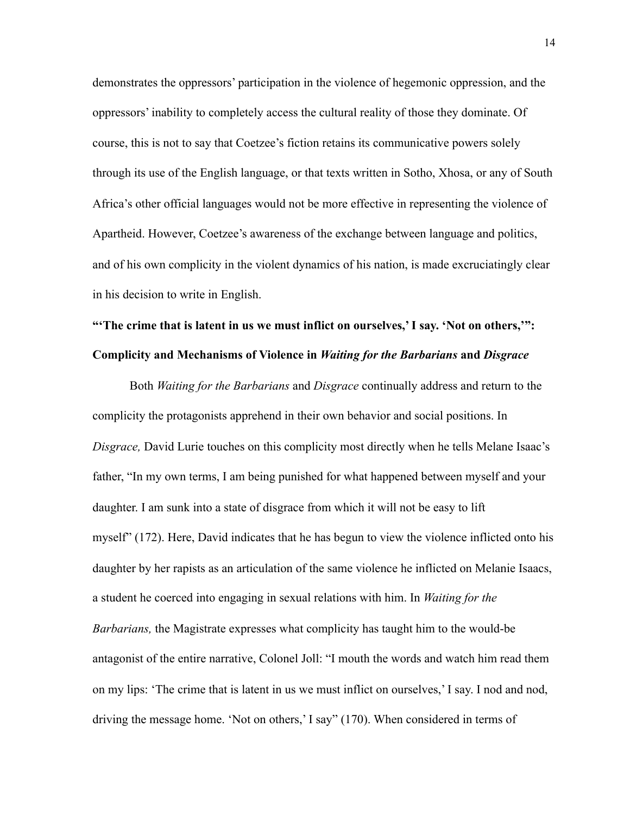demonstrates the oppressors' participation in the violence of hegemonic oppression, and the oppressors' inability to completely access the cultural reality of those they dominate. Of course, this is not to say that Coetzee's fiction retains its communicative powers solely through its use of the English language, or that texts written in Sotho, Xhosa, or any of South Africa's other official languages would not be more effective in representing the violence of Apartheid. However, Coetzee's awareness of the exchange between language and politics, and of his own complicity in the violent dynamics of his nation, is made excruciatingly clear in his decision to write in English.

# **"'The crime that is latent in us we must inflict on ourselves,' I say. 'Not on others,'": Complicity and Mechanisms of Violence in** *Waiting for the Barbarians* **and** *Disgrace*

Both *Waiting for the Barbarians* and *Disgrace* continually address and return to the complicity the protagonists apprehend in their own behavior and social positions. In *Disgrace,* David Lurie touches on this complicity most directly when he tells Melane Isaac's father, "In my own terms, I am being punished for what happened between myself and your daughter. I am sunk into a state of disgrace from which it will not be easy to lift myself" (172). Here, David indicates that he has begun to view the violence inflicted onto his daughter by her rapists as an articulation of the same violence he inflicted on Melanie Isaacs, a student he coerced into engaging in sexual relations with him. In *Waiting for the Barbarians,* the Magistrate expresses what complicity has taught him to the would-be antagonist of the entire narrative, Colonel Joll: "I mouth the words and watch him read them on my lips: 'The crime that is latent in us we must inflict on ourselves,' I say. I nod and nod, driving the message home. 'Not on others,' I say" (170). When considered in terms of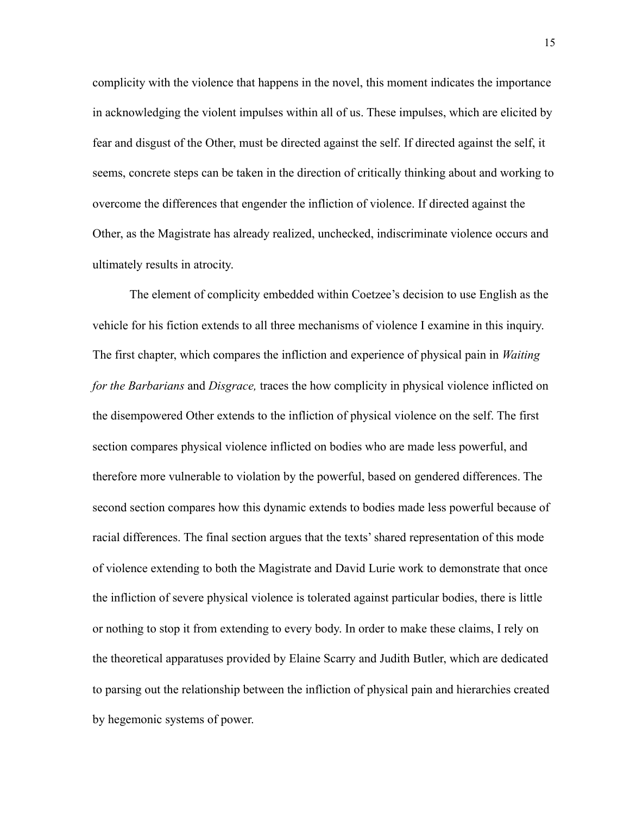complicity with the violence that happens in the novel, this moment indicates the importance in acknowledging the violent impulses within all of us. These impulses, which are elicited by fear and disgust of the Other, must be directed against the self. If directed against the self, it seems, concrete steps can be taken in the direction of critically thinking about and working to overcome the differences that engender the infliction of violence. If directed against the Other, as the Magistrate has already realized, unchecked, indiscriminate violence occurs and ultimately results in atrocity.

The element of complicity embedded within Coetzee's decision to use English as the vehicle for his fiction extends to all three mechanisms of violence I examine in this inquiry. The first chapter, which compares the infliction and experience of physical pain in *Waiting for the Barbarians* and *Disgrace,* traces the how complicity in physical violence inflicted on the disempowered Other extends to the infliction of physical violence on the self. The first section compares physical violence inflicted on bodies who are made less powerful, and therefore more vulnerable to violation by the powerful, based on gendered differences. The second section compares how this dynamic extends to bodies made less powerful because of racial differences. The final section argues that the texts' shared representation of this mode of violence extending to both the Magistrate and David Lurie work to demonstrate that once the infliction of severe physical violence is tolerated against particular bodies, there is little or nothing to stop it from extending to every body. In order to make these claims, I rely on the theoretical apparatuses provided by Elaine Scarry and Judith Butler, which are dedicated to parsing out the relationship between the infliction of physical pain and hierarchies created by hegemonic systems of power.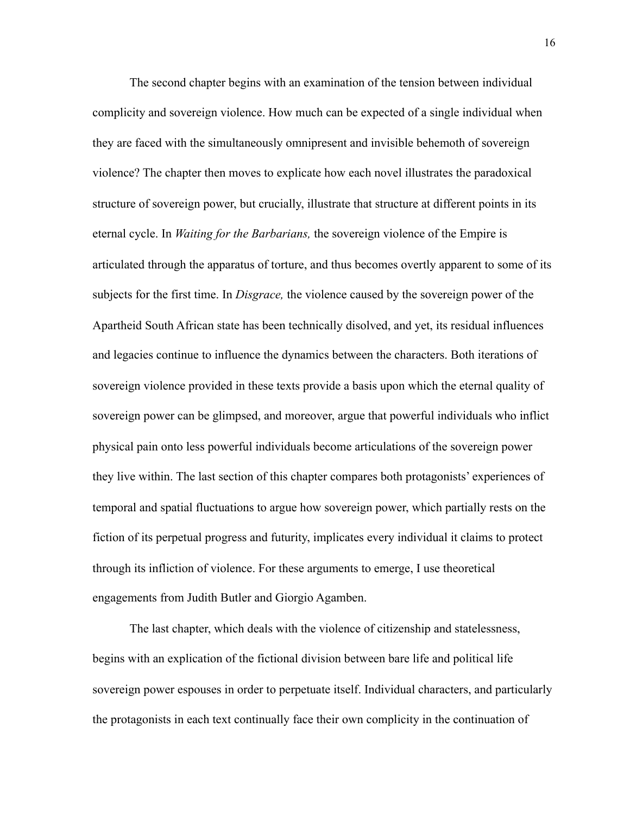The second chapter begins with an examination of the tension between individual complicity and sovereign violence. How much can be expected of a single individual when they are faced with the simultaneously omnipresent and invisible behemoth of sovereign violence? The chapter then moves to explicate how each novel illustrates the paradoxical structure of sovereign power, but crucially, illustrate that structure at different points in its eternal cycle. In *Waiting for the Barbarians,* the sovereign violence of the Empire is articulated through the apparatus of torture, and thus becomes overtly apparent to some of its subjects for the first time. In *Disgrace,* the violence caused by the sovereign power of the Apartheid South African state has been technically disolved, and yet, its residual influences and legacies continue to influence the dynamics between the characters. Both iterations of sovereign violence provided in these texts provide a basis upon which the eternal quality of sovereign power can be glimpsed, and moreover, argue that powerful individuals who inflict physical pain onto less powerful individuals become articulations of the sovereign power they live within. The last section of this chapter compares both protagonists' experiences of temporal and spatial fluctuations to argue how sovereign power, which partially rests on the fiction of its perpetual progress and futurity, implicates every individual it claims to protect through its infliction of violence. For these arguments to emerge, I use theoretical engagements from Judith Butler and Giorgio Agamben.

The last chapter, which deals with the violence of citizenship and statelessness, begins with an explication of the fictional division between bare life and political life sovereign power espouses in order to perpetuate itself. Individual characters, and particularly the protagonists in each text continually face their own complicity in the continuation of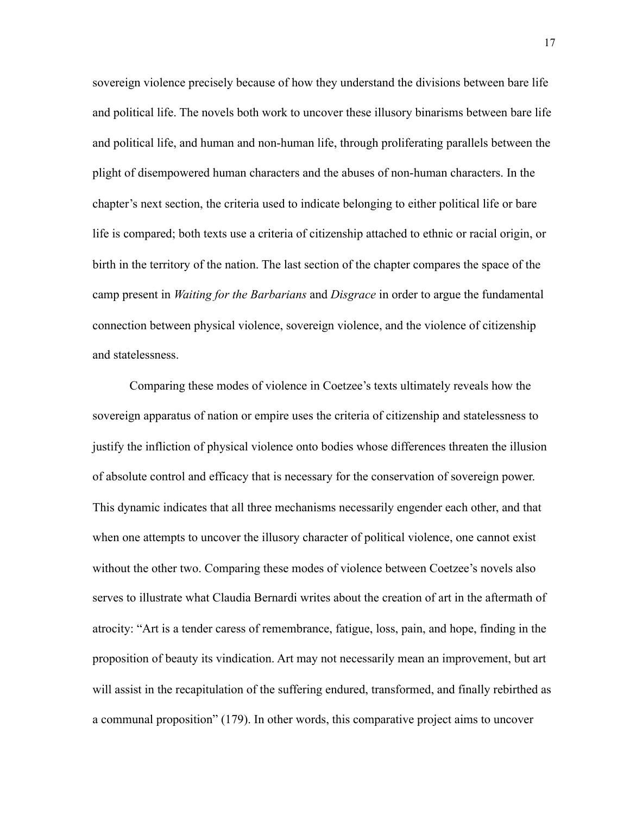sovereign violence precisely because of how they understand the divisions between bare life and political life. The novels both work to uncover these illusory binarisms between bare life and political life, and human and non-human life, through proliferating parallels between the plight of disempowered human characters and the abuses of non-human characters. In the chapter's next section, the criteria used to indicate belonging to either political life or bare life is compared; both texts use a criteria of citizenship attached to ethnic or racial origin, or birth in the territory of the nation. The last section of the chapter compares the space of the camp present in *Waiting for the Barbarians* and *Disgrace* in order to argue the fundamental connection between physical violence, sovereign violence, and the violence of citizenship and statelessness.

Comparing these modes of violence in Coetzee's texts ultimately reveals how the sovereign apparatus of nation or empire uses the criteria of citizenship and statelessness to justify the infliction of physical violence onto bodies whose differences threaten the illusion of absolute control and efficacy that is necessary for the conservation of sovereign power. This dynamic indicates that all three mechanisms necessarily engender each other, and that when one attempts to uncover the illusory character of political violence, one cannot exist without the other two. Comparing these modes of violence between Coetzee's novels also serves to illustrate what Claudia Bernardi writes about the creation of art in the aftermath of atrocity: "Art is a tender caress of remembrance, fatigue, loss, pain, and hope, finding in the proposition of beauty its vindication. Art may not necessarily mean an improvement, but art will assist in the recapitulation of the suffering endured, transformed, and finally rebirthed as a communal proposition" (179). In other words, this comparative project aims to uncover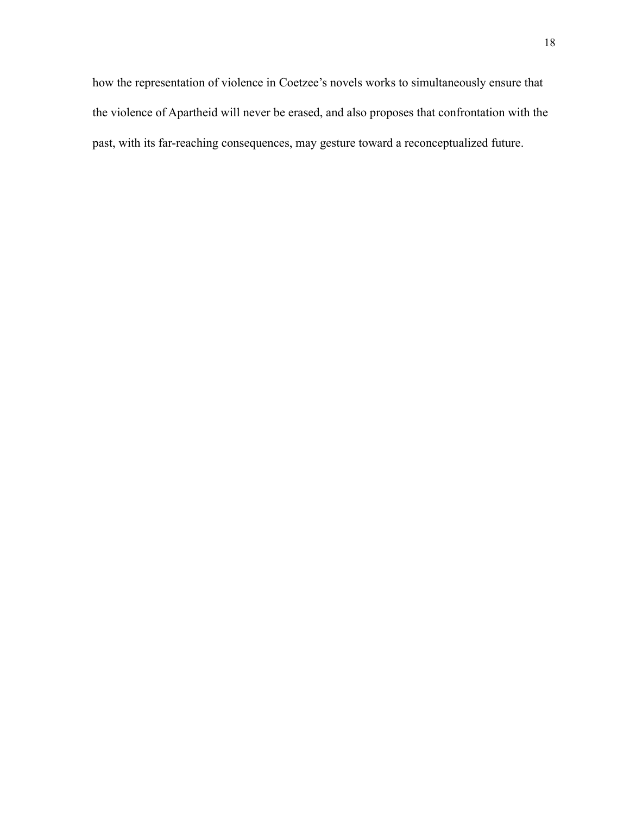how the representation of violence in Coetzee's novels works to simultaneously ensure that the violence of Apartheid will never be erased, and also proposes that confrontation with the past, with its far-reaching consequences, may gesture toward a reconceptualized future.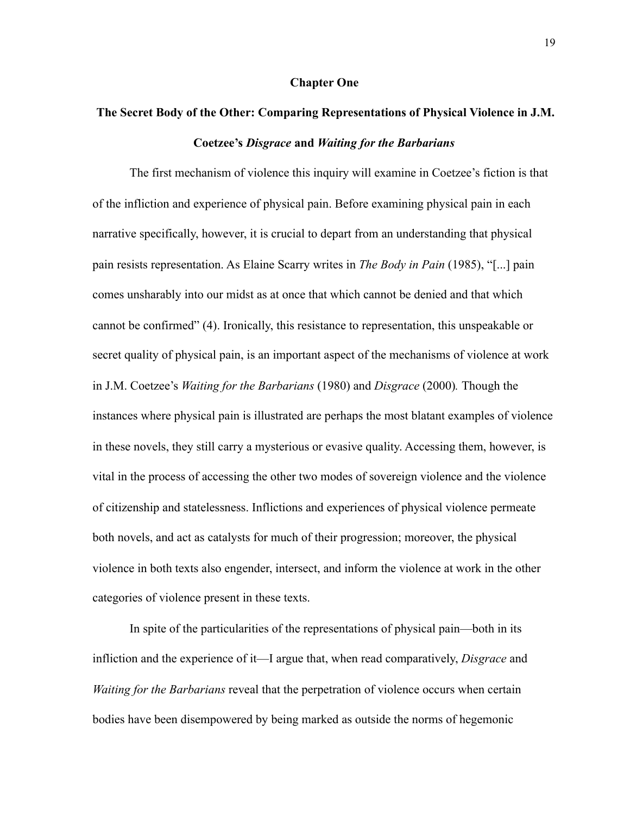#### **Chapter One**

## **The Secret Body of the Other: Comparing Representations of Physical Violence in J.M. Coetzee's** *Disgrace* **and** *Waiting for the Barbarians*

 The first mechanism of violence this inquiry will examine in Coetzee's fiction is that of the infliction and experience of physical pain. Before examining physical pain in each narrative specifically, however, it is crucial to depart from an understanding that physical pain resists representation. As Elaine Scarry writes in *The Body in Pain* (1985), "[...] pain comes unsharably into our midst as at once that which cannot be denied and that which cannot be confirmed" (4). Ironically, this resistance to representation, this unspeakable or secret quality of physical pain, is an important aspect of the mechanisms of violence at work in J.M. Coetzee's *Waiting for the Barbarians* (1980) and *Disgrace* (2000)*.* Though the instances where physical pain is illustrated are perhaps the most blatant examples of violence in these novels, they still carry a mysterious or evasive quality. Accessing them, however, is vital in the process of accessing the other two modes of sovereign violence and the violence of citizenship and statelessness. Inflictions and experiences of physical violence permeate both novels, and act as catalysts for much of their progression; moreover, the physical violence in both texts also engender, intersect, and inform the violence at work in the other categories of violence present in these texts.

 In spite of the particularities of the representations of physical pain—both in its infliction and the experience of it—I argue that, when read comparatively, *Disgrace* and *Waiting for the Barbarians* reveal that the perpetration of violence occurs when certain bodies have been disempowered by being marked as outside the norms of hegemonic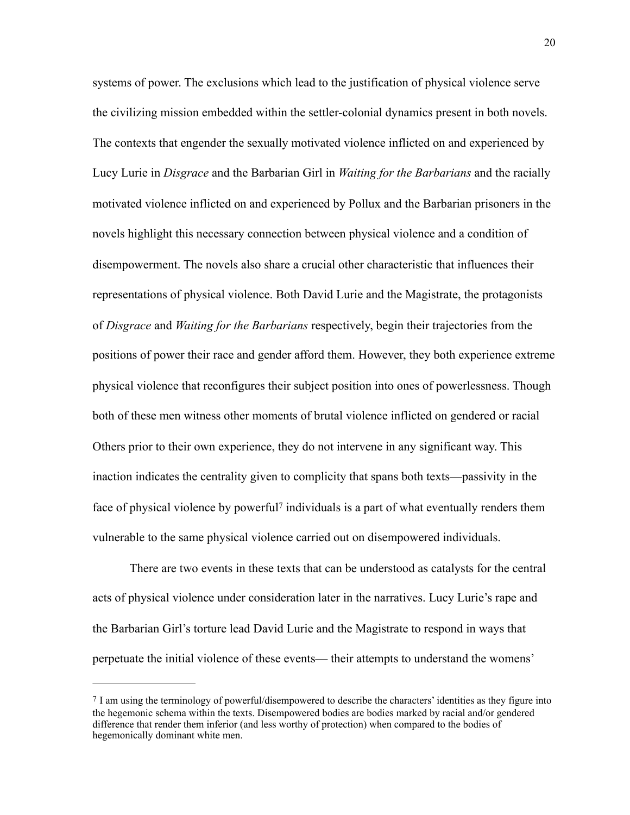systems of power. The exclusions which lead to the justification of physical violence serve the civilizing mission embedded within the settler-colonial dynamics present in both novels. The contexts that engender the sexually motivated violence inflicted on and experienced by Lucy Lurie in *Disgrace* and the Barbarian Girl in *Waiting for the Barbarians* and the racially motivated violence inflicted on and experienced by Pollux and the Barbarian prisoners in the novels highlight this necessary connection between physical violence and a condition of disempowerment. The novels also share a crucial other characteristic that influences their representations of physical violence. Both David Lurie and the Magistrate, the protagonists of *Disgrace* and *Waiting for the Barbarians* respectively, begin their trajectories from the positions of power their race and gender afford them. However, they both experience extreme physical violence that reconfigures their subject position into ones of powerlessness. Though both of these men witness other moments of brutal violence inflicted on gendered or racial Others prior to their own experience, they do not intervene in any significant way. This inaction indicates the centrality given to complicity that spans both texts—passivity in the faceof physical violence by powerful<sup>[7](#page-26-0)</sup> individuals is a part of what eventually renders them vulnerable to the same physical violence carried out on disempowered individuals.

<span id="page-26-1"></span>There are two events in these texts that can be understood as catalysts for the central acts of physical violence under consideration later in the narratives. Lucy Lurie's rape and the Barbarian Girl's torture lead David Lurie and the Magistrate to respond in ways that perpetuate the initial violence of these events— their attempts to understand the womens'

<span id="page-26-0"></span>[<sup>7</sup>](#page-26-1) I am using the terminology of powerful/disempowered to describe the characters' identities as they figure into the hegemonic schema within the texts. Disempowered bodies are bodies marked by racial and/or gendered difference that render them inferior (and less worthy of protection) when compared to the bodies of hegemonically dominant white men.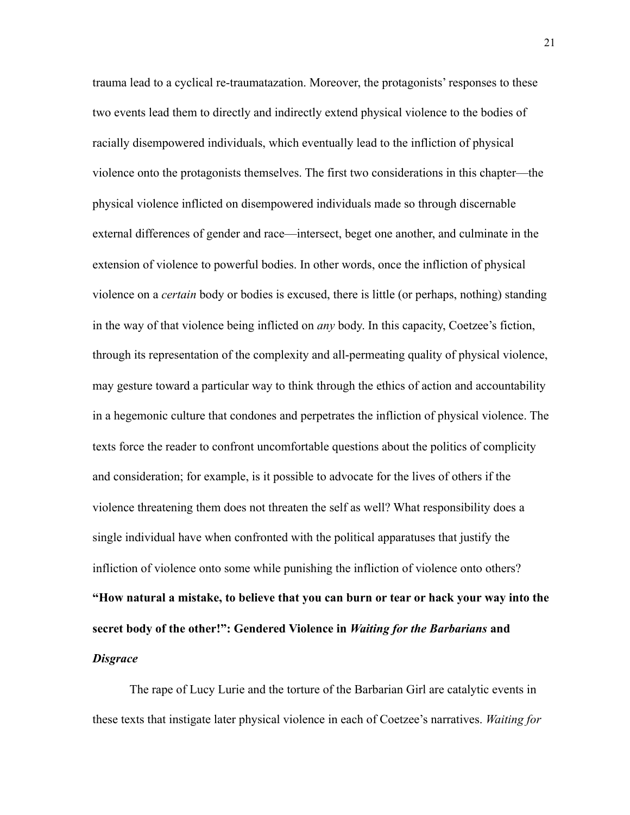trauma lead to a cyclical re-traumatazation. Moreover, the protagonists' responses to these two events lead them to directly and indirectly extend physical violence to the bodies of racially disempowered individuals, which eventually lead to the infliction of physical violence onto the protagonists themselves. The first two considerations in this chapter—the physical violence inflicted on disempowered individuals made so through discernable external differences of gender and race—intersect, beget one another, and culminate in the extension of violence to powerful bodies. In other words, once the infliction of physical violence on a *certain* body or bodies is excused, there is little (or perhaps, nothing) standing in the way of that violence being inflicted on *any* body. In this capacity, Coetzee's fiction, through its representation of the complexity and all-permeating quality of physical violence, may gesture toward a particular way to think through the ethics of action and accountability in a hegemonic culture that condones and perpetrates the infliction of physical violence. The texts force the reader to confront uncomfortable questions about the politics of complicity and consideration; for example, is it possible to advocate for the lives of others if the violence threatening them does not threaten the self as well? What responsibility does a single individual have when confronted with the political apparatuses that justify the infliction of violence onto some while punishing the infliction of violence onto others? **"How natural a mistake, to believe that you can burn or tear or hack your way into the secret body of the other!": Gendered Violence in** *Waiting for the Barbarians* **and**  *Disgrace* 

The rape of Lucy Lurie and the torture of the Barbarian Girl are catalytic events in these texts that instigate later physical violence in each of Coetzee's narratives. *Waiting for*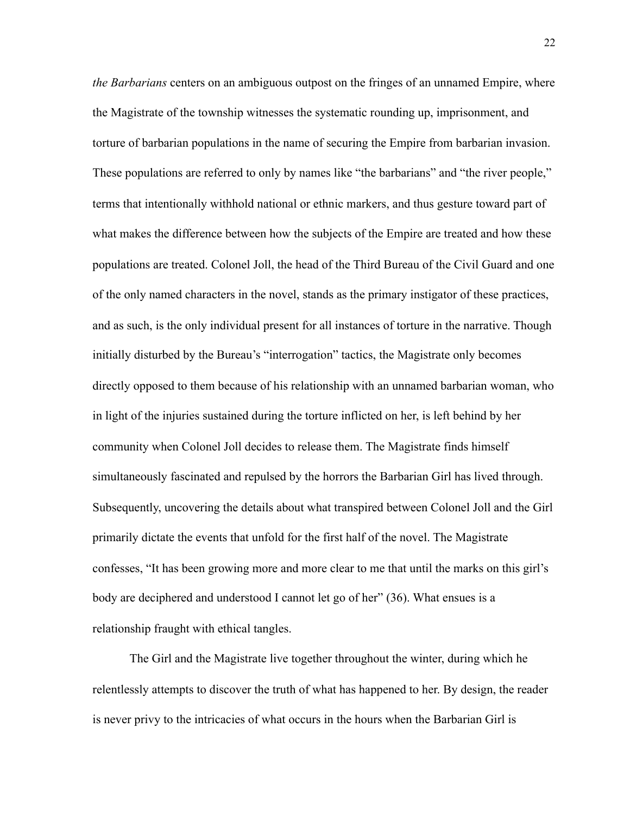*the Barbarians* centers on an ambiguous outpost on the fringes of an unnamed Empire, where the Magistrate of the township witnesses the systematic rounding up, imprisonment, and torture of barbarian populations in the name of securing the Empire from barbarian invasion. These populations are referred to only by names like "the barbarians" and "the river people," terms that intentionally withhold national or ethnic markers, and thus gesture toward part of what makes the difference between how the subjects of the Empire are treated and how these populations are treated. Colonel Joll, the head of the Third Bureau of the Civil Guard and one of the only named characters in the novel, stands as the primary instigator of these practices, and as such, is the only individual present for all instances of torture in the narrative. Though initially disturbed by the Bureau's "interrogation" tactics, the Magistrate only becomes directly opposed to them because of his relationship with an unnamed barbarian woman, who in light of the injuries sustained during the torture inflicted on her, is left behind by her community when Colonel Joll decides to release them. The Magistrate finds himself simultaneously fascinated and repulsed by the horrors the Barbarian Girl has lived through. Subsequently, uncovering the details about what transpired between Colonel Joll and the Girl primarily dictate the events that unfold for the first half of the novel. The Magistrate confesses, "It has been growing more and more clear to me that until the marks on this girl's body are deciphered and understood I cannot let go of her" (36). What ensues is a relationship fraught with ethical tangles.

The Girl and the Magistrate live together throughout the winter, during which he relentlessly attempts to discover the truth of what has happened to her. By design, the reader is never privy to the intricacies of what occurs in the hours when the Barbarian Girl is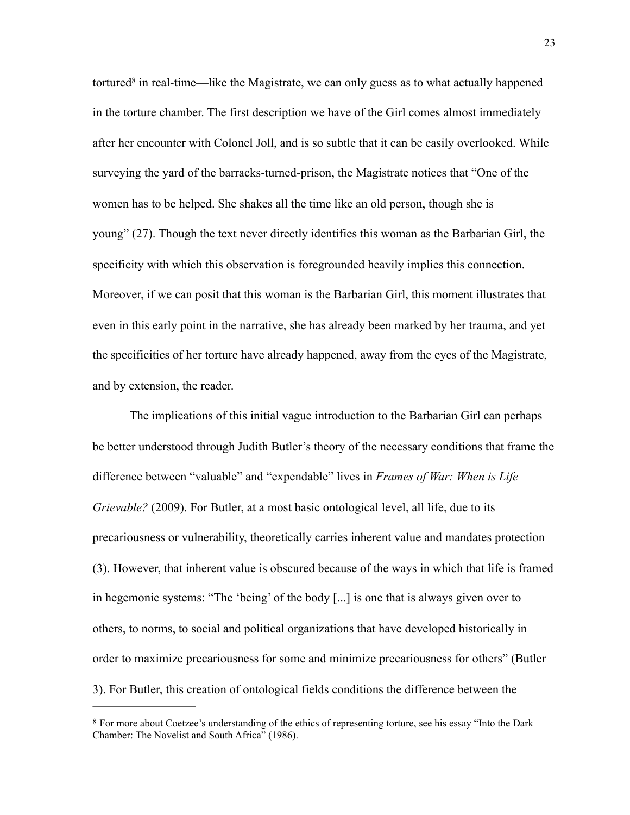<span id="page-29-1"></span>tortured<sup>8</sup>in real-time—like the Magistrate, we can only guess as to what actually happened in the torture chamber. The first description we have of the Girl comes almost immediately after her encounter with Colonel Joll, and is so subtle that it can be easily overlooked. While surveying the yard of the barracks-turned-prison, the Magistrate notices that "One of the women has to be helped. She shakes all the time like an old person, though she is young" (27). Though the text never directly identifies this woman as the Barbarian Girl, the specificity with which this observation is foregrounded heavily implies this connection. Moreover, if we can posit that this woman is the Barbarian Girl, this moment illustrates that even in this early point in the narrative, she has already been marked by her trauma, and yet the specificities of her torture have already happened, away from the eyes of the Magistrate, and by extension, the reader.

The implications of this initial vague introduction to the Barbarian Girl can perhaps be better understood through Judith Butler's theory of the necessary conditions that frame the difference between "valuable" and "expendable" lives in *Frames of War: When is Life Grievable?* (2009). For Butler, at a most basic ontological level, all life, due to its precariousness or vulnerability, theoretically carries inherent value and mandates protection (3). However, that inherent value is obscured because of the ways in which that life is framed in hegemonic systems: "The 'being' of the body [...] is one that is always given over to others, to norms, to social and political organizations that have developed historically in order to maximize precariousness for some and minimize precariousness for others" (Butler 3). For Butler, this creation of ontological fields conditions the difference between the

<span id="page-29-0"></span>[<sup>8</sup>](#page-29-1) For more about Coetzee's understanding of the ethics of representing torture, see his essay "Into the Dark Chamber: The Novelist and South Africa" (1986).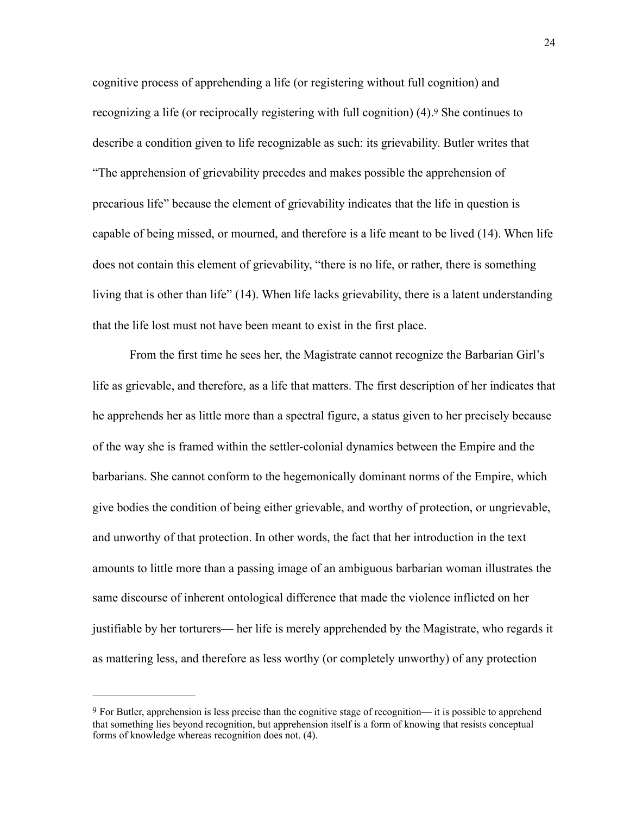<span id="page-30-1"></span>cognitive process of apprehending a life (or registering without full cognition) and recognizing a life (or reciprocally registering with full cognition) (4).[9](#page-30-0) She continues to describe a condition given to life recognizable as such: its grievability. Butler writes that "The apprehension of grievability precedes and makes possible the apprehension of precarious life" because the element of grievability indicates that the life in question is capable of being missed, or mourned, and therefore is a life meant to be lived (14). When life does not contain this element of grievability, "there is no life, or rather, there is something living that is other than life" (14). When life lacks grievability, there is a latent understanding that the life lost must not have been meant to exist in the first place.

From the first time he sees her, the Magistrate cannot recognize the Barbarian Girl's life as grievable, and therefore, as a life that matters. The first description of her indicates that he apprehends her as little more than a spectral figure, a status given to her precisely because of the way she is framed within the settler-colonial dynamics between the Empire and the barbarians. She cannot conform to the hegemonically dominant norms of the Empire, which give bodies the condition of being either grievable, and worthy of protection, or ungrievable, and unworthy of that protection. In other words, the fact that her introduction in the text amounts to little more than a passing image of an ambiguous barbarian woman illustrates the same discourse of inherent ontological difference that made the violence inflicted on her justifiable by her torturers— her life is merely apprehended by the Magistrate, who regards it as mattering less, and therefore as less worthy (or completely unworthy) of any protection

<span id="page-30-0"></span>[<sup>9</sup>](#page-30-1) For Butler, apprehension is less precise than the cognitive stage of recognition— it is possible to apprehend that something lies beyond recognition, but apprehension itself is a form of knowing that resists conceptual forms of knowledge whereas recognition does not. (4).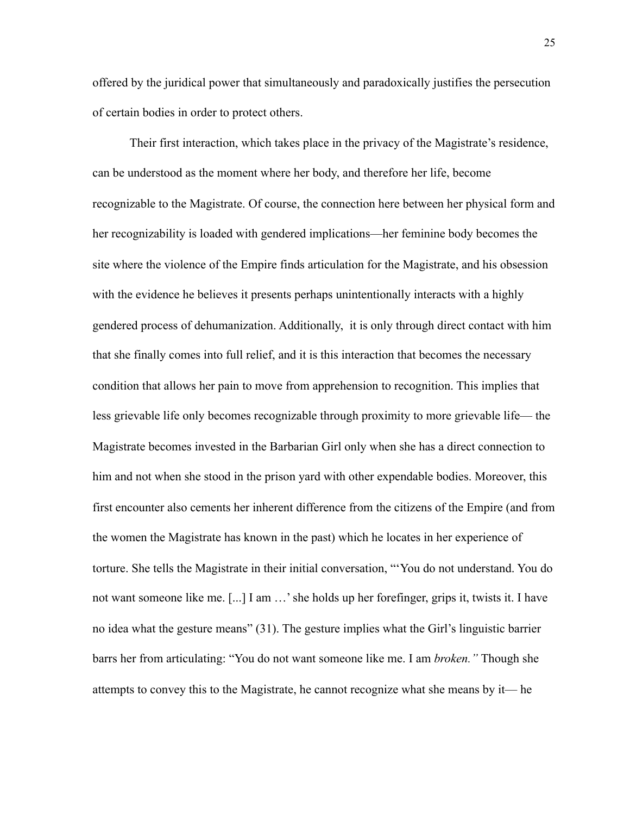offered by the juridical power that simultaneously and paradoxically justifies the persecution of certain bodies in order to protect others.

Their first interaction, which takes place in the privacy of the Magistrate's residence, can be understood as the moment where her body, and therefore her life, become recognizable to the Magistrate. Of course, the connection here between her physical form and her recognizability is loaded with gendered implications—her feminine body becomes the site where the violence of the Empire finds articulation for the Magistrate, and his obsession with the evidence he believes it presents perhaps unintentionally interacts with a highly gendered process of dehumanization. Additionally, it is only through direct contact with him that she finally comes into full relief, and it is this interaction that becomes the necessary condition that allows her pain to move from apprehension to recognition. This implies that less grievable life only becomes recognizable through proximity to more grievable life— the Magistrate becomes invested in the Barbarian Girl only when she has a direct connection to him and not when she stood in the prison yard with other expendable bodies. Moreover, this first encounter also cements her inherent difference from the citizens of the Empire (and from the women the Magistrate has known in the past) which he locates in her experience of torture. She tells the Magistrate in their initial conversation, "'You do not understand. You do not want someone like me. [...] I am …' she holds up her forefinger, grips it, twists it. I have no idea what the gesture means" (31). The gesture implies what the Girl's linguistic barrier barrs her from articulating: "You do not want someone like me. I am *broken."* Though she attempts to convey this to the Magistrate, he cannot recognize what she means by it— he

25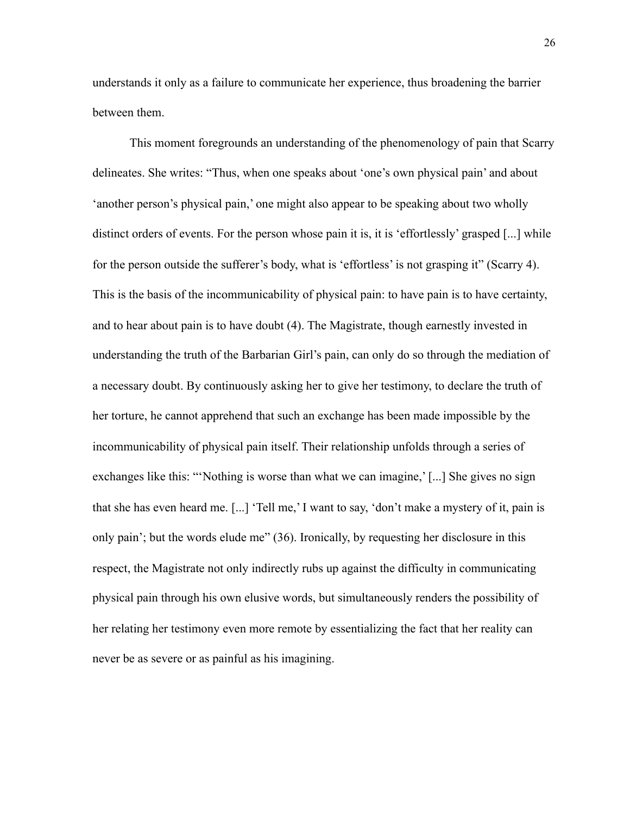understands it only as a failure to communicate her experience, thus broadening the barrier between them.

This moment foregrounds an understanding of the phenomenology of pain that Scarry delineates. She writes: "Thus, when one speaks about 'one's own physical pain' and about 'another person's physical pain,' one might also appear to be speaking about two wholly distinct orders of events. For the person whose pain it is, it is 'effortlessly' grasped [...] while for the person outside the sufferer's body, what is 'effortless' is not grasping it" (Scarry 4). This is the basis of the incommunicability of physical pain: to have pain is to have certainty, and to hear about pain is to have doubt (4). The Magistrate, though earnestly invested in understanding the truth of the Barbarian Girl's pain, can only do so through the mediation of a necessary doubt. By continuously asking her to give her testimony, to declare the truth of her torture, he cannot apprehend that such an exchange has been made impossible by the incommunicability of physical pain itself. Their relationship unfolds through a series of exchanges like this: "'Nothing is worse than what we can imagine,' [...] She gives no sign that she has even heard me. [...] 'Tell me,' I want to say, 'don't make a mystery of it, pain is only pain'; but the words elude me" (36). Ironically, by requesting her disclosure in this respect, the Magistrate not only indirectly rubs up against the difficulty in communicating physical pain through his own elusive words, but simultaneously renders the possibility of her relating her testimony even more remote by essentializing the fact that her reality can never be as severe or as painful as his imagining.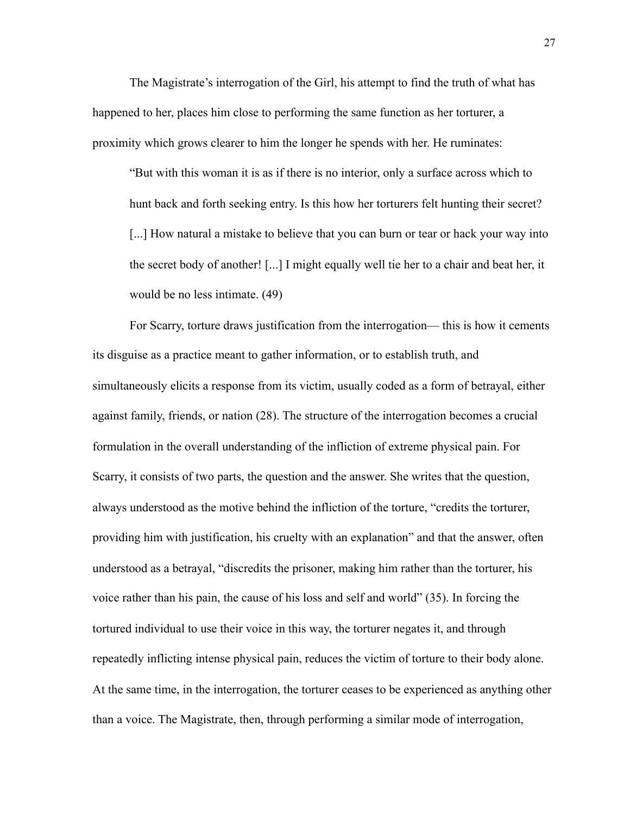The Magistrate's interrogation of the Girl, his attempt to find the truth of what has happened to her, places him close to performing the same function as her torturer, a proximity which grows clearer to him the longer he spends with her. He ruminates:

"But with this woman it is as if there is no interior, only a surface across which to hunt back and forth seeking entry. Is this how her torturers felt hunting their secret? [...] How natural a mistake to believe that you can burn or tear or hack your way into the secret body of another! [...] I might equally well tie her to a chair and beat her, it would be no less intimate. (49)

For Scarry, torture draws justification from the interrogation— this is how it cements its disguise as a practice meant to gather information, or to establish truth, and simultaneously elicits a response from its victim, usually coded as a form of betrayal, either against family, friends, or nation (28). The structure of the interrogation becomes a crucial formulation in the overall understanding of the infliction of extreme physical pain. For Scarry, it consists of two parts, the question and the answer. She writes that the question, always understood as the motive behind the infliction of the torture, "credits the torturer, providing him with justification, his cruelty with an explanation" and that the answer, often understood as a betrayal, "discredits the prisoner, making him rather than the torturer, his voice rather than his pain, the cause of his loss and self and world" (35). In forcing the tortured individual to use their voice in this way, the torturer negates it, and through repeatedly inflicting intense physical pain, reduces the victim of torture to their body alone. At the same time, in the interrogation, the torturer ceases to be experienced as anything other than a voice. The Magistrate, then, through performing a similar mode of interrogation,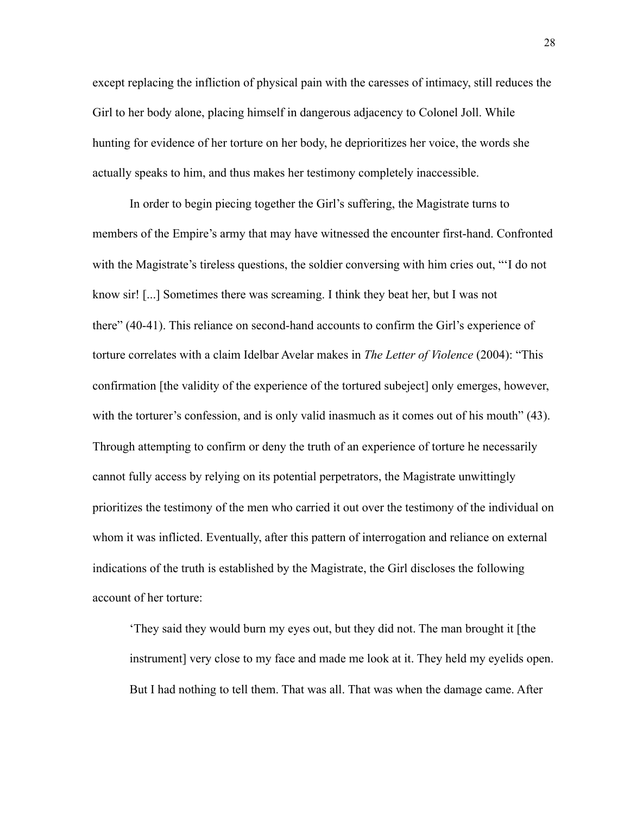except replacing the infliction of physical pain with the caresses of intimacy, still reduces the Girl to her body alone, placing himself in dangerous adjacency to Colonel Joll. While hunting for evidence of her torture on her body, he deprioritizes her voice, the words she actually speaks to him, and thus makes her testimony completely inaccessible.

In order to begin piecing together the Girl's suffering, the Magistrate turns to members of the Empire's army that may have witnessed the encounter first-hand. Confronted with the Magistrate's tireless questions, the soldier conversing with him cries out, "'I do not know sir! [...] Sometimes there was screaming. I think they beat her, but I was not there" (40-41). This reliance on second-hand accounts to confirm the Girl's experience of torture correlates with a claim Idelbar Avelar makes in *The Letter of Violence* (2004): "This confirmation [the validity of the experience of the tortured subeject] only emerges, however, with the torturer's confession, and is only valid inasmuch as it comes out of his mouth" (43). Through attempting to confirm or deny the truth of an experience of torture he necessarily cannot fully access by relying on its potential perpetrators, the Magistrate unwittingly prioritizes the testimony of the men who carried it out over the testimony of the individual on whom it was inflicted. Eventually, after this pattern of interrogation and reliance on external indications of the truth is established by the Magistrate, the Girl discloses the following account of her torture:

'They said they would burn my eyes out, but they did not. The man brought it [the instrument] very close to my face and made me look at it. They held my eyelids open. But I had nothing to tell them. That was all. That was when the damage came. After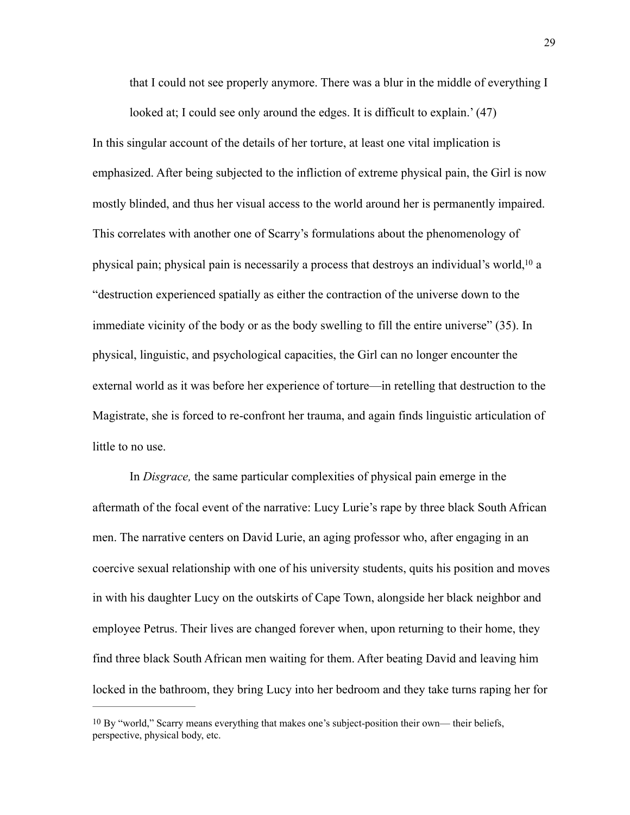<span id="page-35-1"></span>that I could not see properly anymore. There was a blur in the middle of everything I

looked at; I could see only around the edges. It is difficult to explain.' (47) In this singular account of the details of her torture, at least one vital implication is emphasized. After being subjected to the infliction of extreme physical pain, the Girl is now mostly blinded, and thus her visual access to the world around her is permanently impaired. This correlates with another one of Scarry's formulations about the phenomenology of physical pain; physical pain is necessarily a process that destroys an individual's world[,](#page-35-0)  $10a$  $10a$ "destruction experienced spatially as either the contraction of the universe down to the immediate vicinity of the body or as the body swelling to fill the entire universe" (35). In physical, linguistic, and psychological capacities, the Girl can no longer encounter the external world as it was before her experience of torture—in retelling that destruction to the Magistrate, she is forced to re-confront her trauma, and again finds linguistic articulation of little to no use.

 In *Disgrace,* the same particular complexities of physical pain emerge in the aftermath of the focal event of the narrative: Lucy Lurie's rape by three black South African men. The narrative centers on David Lurie, an aging professor who, after engaging in an coercive sexual relationship with one of his university students, quits his position and moves in with his daughter Lucy on the outskirts of Cape Town, alongside her black neighbor and employee Petrus. Their lives are changed forever when, upon returning to their home, they find three black South African men waiting for them. After beating David and leaving him locked in the bathroom, they bring Lucy into her bedroom and they take turns raping her for

<span id="page-35-0"></span>[<sup>10</sup>](#page-35-1) By "world," Scarry means everything that makes one's subject-position their own— their beliefs, perspective, physical body, etc.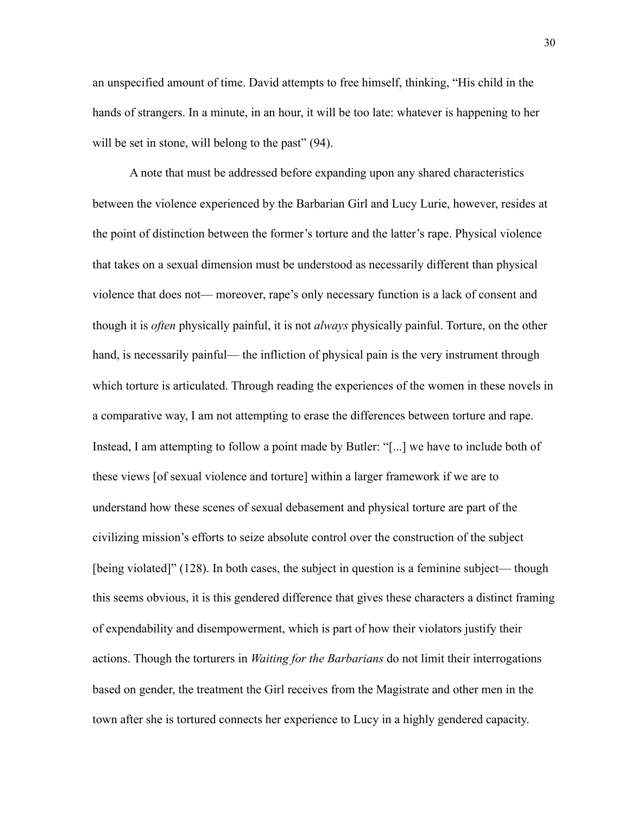an unspecified amount of time. David attempts to free himself, thinking, "His child in the hands of strangers. In a minute, in an hour, it will be too late: whatever is happening to her will be set in stone, will belong to the past" (94).

A note that must be addressed before expanding upon any shared characteristics between the violence experienced by the Barbarian Girl and Lucy Lurie, however, resides at the point of distinction between the former's torture and the latter's rape. Physical violence that takes on a sexual dimension must be understood as necessarily different than physical violence that does not— moreover, rape's only necessary function is a lack of consent and though it is *often* physically painful, it is not *always* physically painful. Torture, on the other hand, is necessarily painful— the infliction of physical pain is the very instrument through which torture is articulated. Through reading the experiences of the women in these novels in a comparative way, I am not attempting to erase the differences between torture and rape. Instead, I am attempting to follow a point made by Butler: "[...] we have to include both of these views [of sexual violence and torture] within a larger framework if we are to understand how these scenes of sexual debasement and physical torture are part of the civilizing mission's efforts to seize absolute control over the construction of the subject [being violated]" (128). In both cases, the subject in question is a feminine subject— though this seems obvious, it is this gendered difference that gives these characters a distinct framing of expendability and disempowerment, which is part of how their violators justify their actions. Though the torturers in *Waiting for the Barbarians* do not limit their interrogations based on gender, the treatment the Girl receives from the Magistrate and other men in the town after she is tortured connects her experience to Lucy in a highly gendered capacity.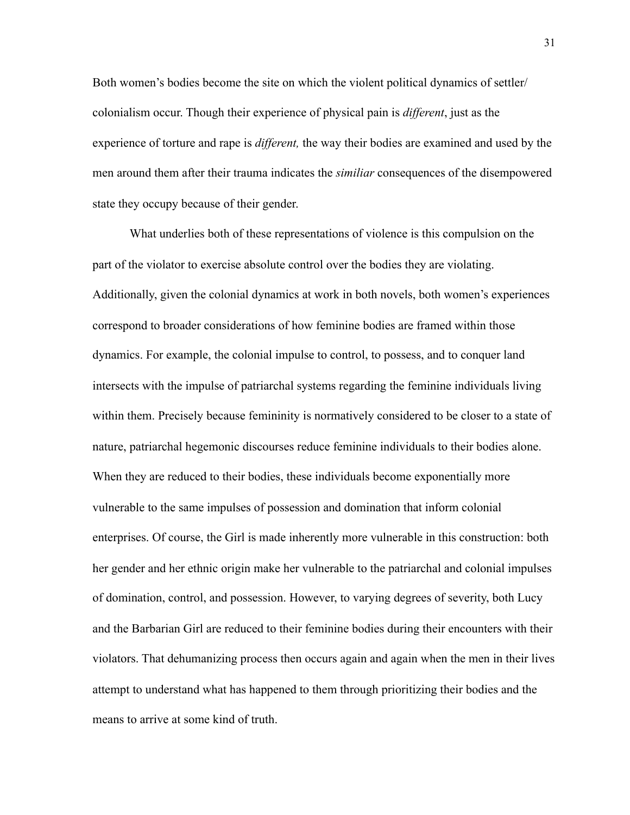Both women's bodies become the site on which the violent political dynamics of settler/ colonialism occur. Though their experience of physical pain is *different*, just as the experience of torture and rape is *different,* the way their bodies are examined and used by the men around them after their trauma indicates the *similiar* consequences of the disempowered state they occupy because of their gender.

What underlies both of these representations of violence is this compulsion on the part of the violator to exercise absolute control over the bodies they are violating. Additionally, given the colonial dynamics at work in both novels, both women's experiences correspond to broader considerations of how feminine bodies are framed within those dynamics. For example, the colonial impulse to control, to possess, and to conquer land intersects with the impulse of patriarchal systems regarding the feminine individuals living within them. Precisely because femininity is normatively considered to be closer to a state of nature, patriarchal hegemonic discourses reduce feminine individuals to their bodies alone. When they are reduced to their bodies, these individuals become exponentially more vulnerable to the same impulses of possession and domination that inform colonial enterprises. Of course, the Girl is made inherently more vulnerable in this construction: both her gender and her ethnic origin make her vulnerable to the patriarchal and colonial impulses of domination, control, and possession. However, to varying degrees of severity, both Lucy and the Barbarian Girl are reduced to their feminine bodies during their encounters with their violators. That dehumanizing process then occurs again and again when the men in their lives attempt to understand what has happened to them through prioritizing their bodies and the means to arrive at some kind of truth.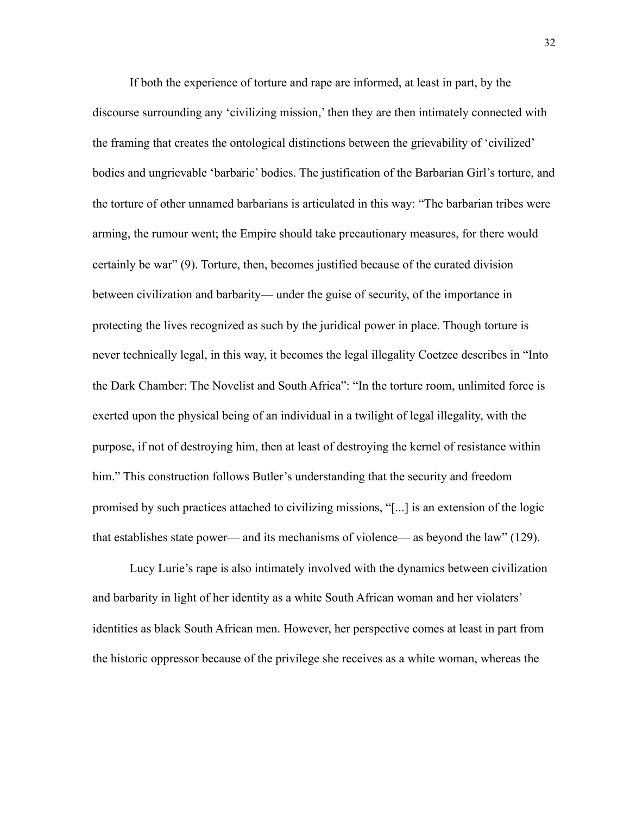If both the experience of torture and rape are informed, at least in part, by the discourse surrounding any 'civilizing mission,' then they are then intimately connected with the framing that creates the ontological distinctions between the grievability of 'civilized' bodies and ungrievable 'barbaric' bodies. The justification of the Barbarian Girl's torture, and the torture of other unnamed barbarians is articulated in this way: "The barbarian tribes were arming, the rumour went; the Empire should take precautionary measures, for there would certainly be war" (9). Torture, then, becomes justified because of the curated division between civilization and barbarity— under the guise of security, of the importance in protecting the lives recognized as such by the juridical power in place. Though torture is never technically legal, in this way, it becomes the legal illegality Coetzee describes in "Into the Dark Chamber: The Novelist and South Africa": "In the torture room, unlimited force is exerted upon the physical being of an individual in a twilight of legal illegality, with the purpose, if not of destroying him, then at least of destroying the kernel of resistance within him." This construction follows Butler's understanding that the security and freedom promised by such practices attached to civilizing missions, "[...] is an extension of the logic that establishes state power— and its mechanisms of violence— as beyond the law" (129).

Lucy Lurie's rape is also intimately involved with the dynamics between civilization and barbarity in light of her identity as a white South African woman and her violaters' identities as black South African men. However, her perspective comes at least in part from the historic oppressor because of the privilege she receives as a white woman, whereas the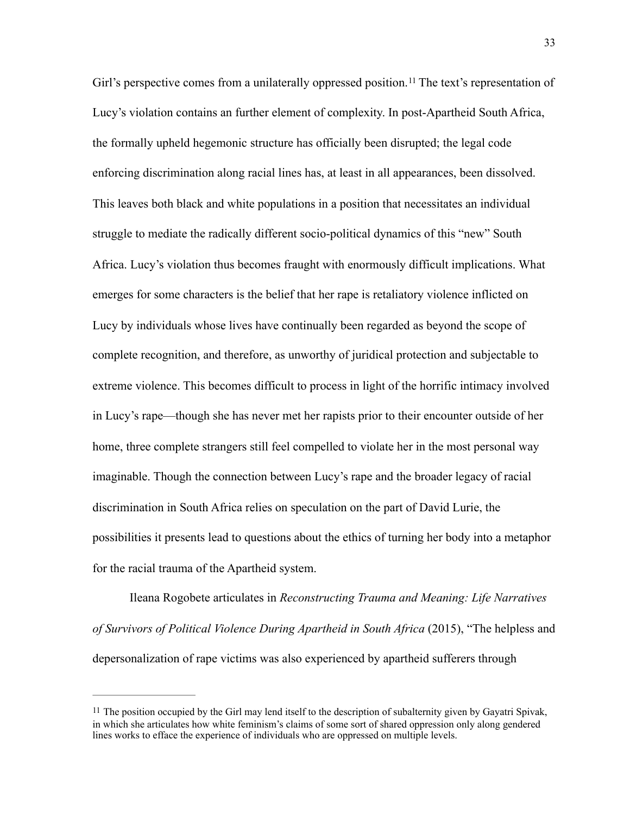<span id="page-39-1"></span>Girl's perspective comes from a unilaterally oppressed position.<sup>[11](#page-39-0)</sup> The text's representation of Lucy's violation contains an further element of complexity. In post-Apartheid South Africa, the formally upheld hegemonic structure has officially been disrupted; the legal code enforcing discrimination along racial lines has, at least in all appearances, been dissolved. This leaves both black and white populations in a position that necessitates an individual struggle to mediate the radically different socio-political dynamics of this "new" South Africa. Lucy's violation thus becomes fraught with enormously difficult implications. What emerges for some characters is the belief that her rape is retaliatory violence inflicted on Lucy by individuals whose lives have continually been regarded as beyond the scope of complete recognition, and therefore, as unworthy of juridical protection and subjectable to extreme violence. This becomes difficult to process in light of the horrific intimacy involved in Lucy's rape—though she has never met her rapists prior to their encounter outside of her home, three complete strangers still feel compelled to violate her in the most personal way imaginable. Though the connection between Lucy's rape and the broader legacy of racial discrimination in South Africa relies on speculation on the part of David Lurie, the possibilities it presents lead to questions about the ethics of turning her body into a metaphor for the racial trauma of the Apartheid system.

Ileana Rogobete articulates in *Reconstructing Trauma and Meaning: Life Narratives of Survivors of Political Violence During Apartheid in South Africa* (2015), "The helpless and depersonalization of rape victims was also experienced by apartheid sufferers through

<span id="page-39-0"></span>[<sup>11</sup>](#page-39-1) The position occupied by the Girl may lend itself to the description of subalternity given by Gayatri Spivak, in which she articulates how white feminism's claims of some sort of shared oppression only along gendered lines works to efface the experience of individuals who are oppressed on multiple levels.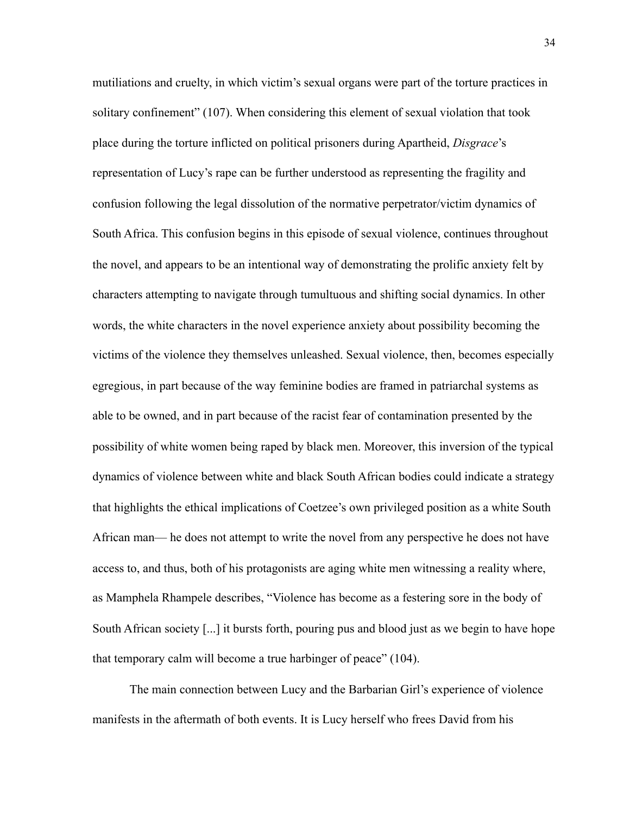mutiliations and cruelty, in which victim's sexual organs were part of the torture practices in solitary confinement" (107). When considering this element of sexual violation that took place during the torture inflicted on political prisoners during Apartheid, *Disgrace*'s representation of Lucy's rape can be further understood as representing the fragility and confusion following the legal dissolution of the normative perpetrator/victim dynamics of South Africa. This confusion begins in this episode of sexual violence, continues throughout the novel, and appears to be an intentional way of demonstrating the prolific anxiety felt by characters attempting to navigate through tumultuous and shifting social dynamics. In other words, the white characters in the novel experience anxiety about possibility becoming the victims of the violence they themselves unleashed. Sexual violence, then, becomes especially egregious, in part because of the way feminine bodies are framed in patriarchal systems as able to be owned, and in part because of the racist fear of contamination presented by the possibility of white women being raped by black men. Moreover, this inversion of the typical dynamics of violence between white and black South African bodies could indicate a strategy that highlights the ethical implications of Coetzee's own privileged position as a white South African man— he does not attempt to write the novel from any perspective he does not have access to, and thus, both of his protagonists are aging white men witnessing a reality where, as Mamphela Rhampele describes, "Violence has become as a festering sore in the body of South African society [...] it bursts forth, pouring pus and blood just as we begin to have hope that temporary calm will become a true harbinger of peace" (104).

 The main connection between Lucy and the Barbarian Girl's experience of violence manifests in the aftermath of both events. It is Lucy herself who frees David from his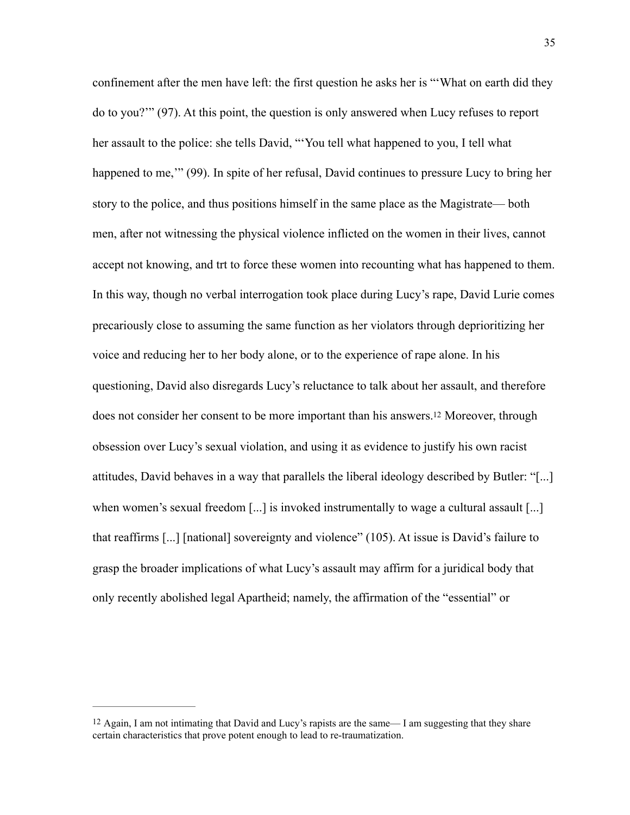confinement after the men have left: the first question he asks her is "'What on earth did they do to you?'" (97). At this point, the question is only answered when Lucy refuses to report her assault to the police: she tells David, "'You tell what happened to you, I tell what happened to me," (99). In spite of her refusal, David continues to pressure Lucy to bring her story to the police, and thus positions himself in the same place as the Magistrate— both men, after not witnessing the physical violence inflicted on the women in their lives, cannot accept not knowing, and trt to force these women into recounting what has happened to them. In this way, though no verbal interrogation took place during Lucy's rape, David Lurie comes precariously close to assuming the same function as her violators through deprioritizing her voice and reducing her to her body alone, or to the experience of rape alone. In his questioning, David also disregards Lucy's reluctance to talk about her assault, and therefore does not consider her consent to be more important than his answers[.12](#page-41-0) Moreover, through obsession over Lucy's sexual violation, and using it as evidence to justify his own racist attitudes, David behaves in a way that parallels the liberal ideology described by Butler: "[...] when women's sexual freedom [...] is invoked instrumentally to wage a cultural assault [...] that reaffirms [...] [national] sovereignty and violence" (105). At issue is David's failure to grasp the broader implications of what Lucy's assault may affirm for a juridical body that only recently abolished legal Apartheid; namely, the affirmation of the "essential" or

<span id="page-41-1"></span><span id="page-41-0"></span>[<sup>12</sup>](#page-41-1) Again, I am not intimating that David and Lucy's rapists are the same— I am suggesting that they share certain characteristics that prove potent enough to lead to re-traumatization.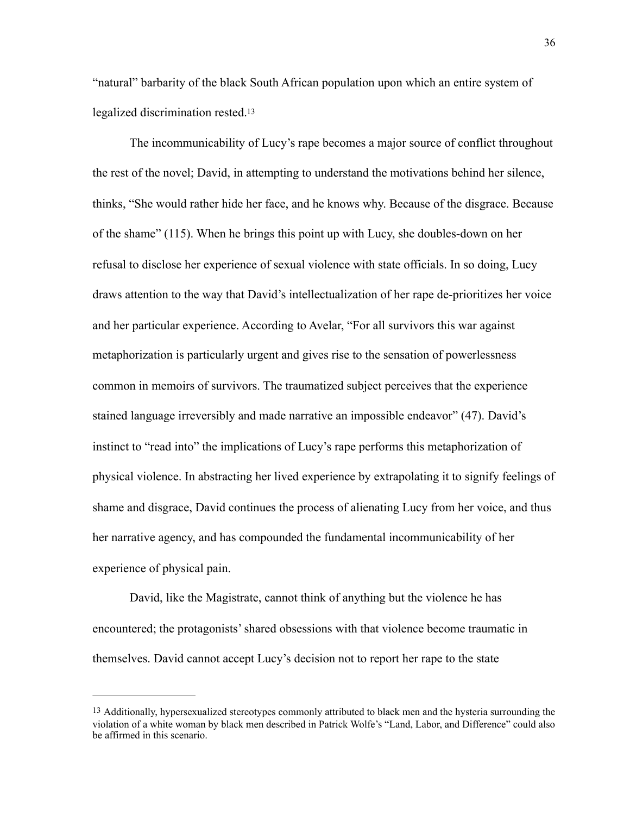<span id="page-42-1"></span>"natural" barbarity of the black South African population upon which an entire system of legalized discrimination rested[.13](#page-42-0)

 The incommunicability of Lucy's rape becomes a major source of conflict throughout the rest of the novel; David, in attempting to understand the motivations behind her silence, thinks, "She would rather hide her face, and he knows why. Because of the disgrace. Because of the shame" (115). When he brings this point up with Lucy, she doubles-down on her refusal to disclose her experience of sexual violence with state officials. In so doing, Lucy draws attention to the way that David's intellectualization of her rape de-prioritizes her voice and her particular experience. According to Avelar, "For all survivors this war against metaphorization is particularly urgent and gives rise to the sensation of powerlessness common in memoirs of survivors. The traumatized subject perceives that the experience stained language irreversibly and made narrative an impossible endeavor" (47). David's instinct to "read into" the implications of Lucy's rape performs this metaphorization of physical violence. In abstracting her lived experience by extrapolating it to signify feelings of shame and disgrace, David continues the process of alienating Lucy from her voice, and thus her narrative agency, and has compounded the fundamental incommunicability of her experience of physical pain.

David, like the Magistrate, cannot think of anything but the violence he has encountered; the protagonists' shared obsessions with that violence become traumatic in themselves. David cannot accept Lucy's decision not to report her rape to the state

<span id="page-42-0"></span>[<sup>13</sup>](#page-42-1) Additionally, hypersexualized stereotypes commonly attributed to black men and the hysteria surrounding the violation of a white woman by black men described in Patrick Wolfe's "Land, Labor, and Difference" could also be affirmed in this scenario.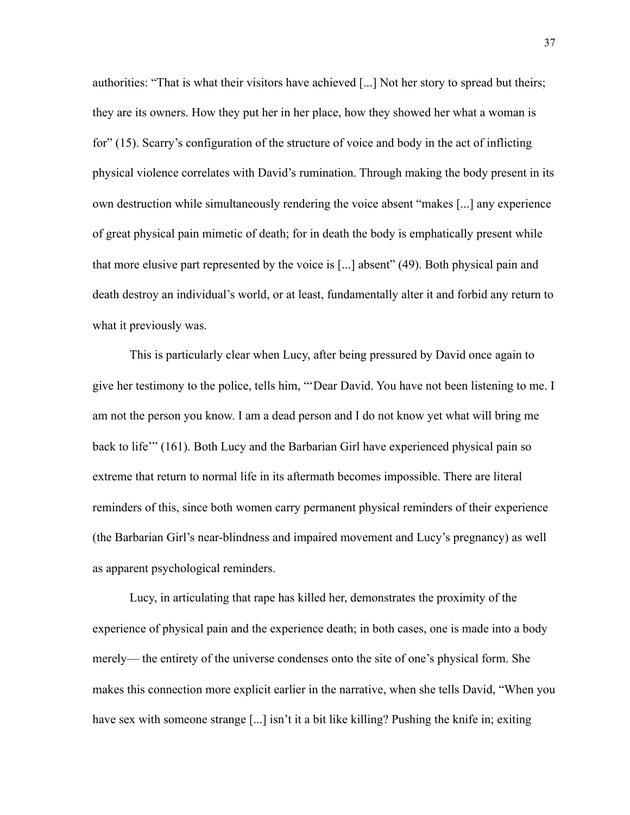authorities: "That is what their visitors have achieved [...] Not her story to spread but theirs; they are its owners. How they put her in her place, how they showed her what a woman is for" (15). Scarry's configuration of the structure of voice and body in the act of inflicting physical violence correlates with David's rumination. Through making the body present in its own destruction while simultaneously rendering the voice absent "makes [...] any experience of great physical pain mimetic of death; for in death the body is emphatically present while that more elusive part represented by the voice is [...] absent" (49). Both physical pain and death destroy an individual's world, or at least, fundamentally alter it and forbid any return to what it previously was.

This is particularly clear when Lucy, after being pressured by David once again to give her testimony to the police, tells him, "'Dear David. You have not been listening to me. I am not the person you know. I am a dead person and I do not know yet what will bring me back to life'" (161). Both Lucy and the Barbarian Girl have experienced physical pain so extreme that return to normal life in its aftermath becomes impossible. There are literal reminders of this, since both women carry permanent physical reminders of their experience (the Barbarian Girl's near-blindness and impaired movement and Lucy's pregnancy) as well as apparent psychological reminders.

Lucy, in articulating that rape has killed her, demonstrates the proximity of the experience of physical pain and the experience death; in both cases, one is made into a body merely— the entirety of the universe condenses onto the site of one's physical form. She makes this connection more explicit earlier in the narrative, when she tells David, "When you have sex with someone strange [...] isn't it a bit like killing? Pushing the knife in; exiting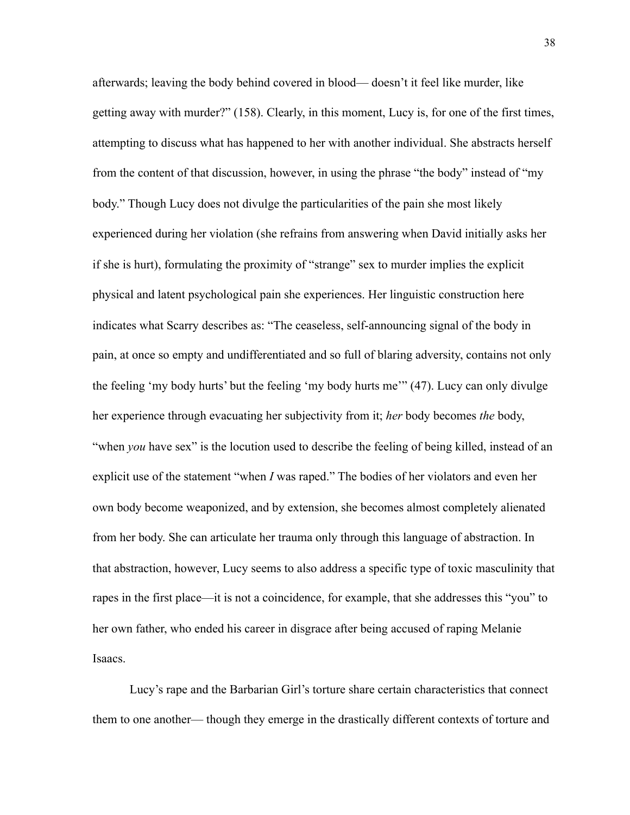afterwards; leaving the body behind covered in blood— doesn't it feel like murder, like getting away with murder?" (158). Clearly, in this moment, Lucy is, for one of the first times, attempting to discuss what has happened to her with another individual. She abstracts herself from the content of that discussion, however, in using the phrase "the body" instead of "my body." Though Lucy does not divulge the particularities of the pain she most likely experienced during her violation (she refrains from answering when David initially asks her if she is hurt), formulating the proximity of "strange" sex to murder implies the explicit physical and latent psychological pain she experiences. Her linguistic construction here indicates what Scarry describes as: "The ceaseless, self-announcing signal of the body in pain, at once so empty and undifferentiated and so full of blaring adversity, contains not only the feeling 'my body hurts' but the feeling 'my body hurts me'" (47). Lucy can only divulge her experience through evacuating her subjectivity from it; *her* body becomes *the* body, "when *you* have sex" is the locution used to describe the feeling of being killed, instead of an explicit use of the statement "when *I* was raped." The bodies of her violators and even her own body become weaponized, and by extension, she becomes almost completely alienated from her body. She can articulate her trauma only through this language of abstraction. In that abstraction, however, Lucy seems to also address a specific type of toxic masculinity that rapes in the first place—it is not a coincidence, for example, that she addresses this "you" to her own father, who ended his career in disgrace after being accused of raping Melanie Isaacs.

Lucy's rape and the Barbarian Girl's torture share certain characteristics that connect them to one another— though they emerge in the drastically different contexts of torture and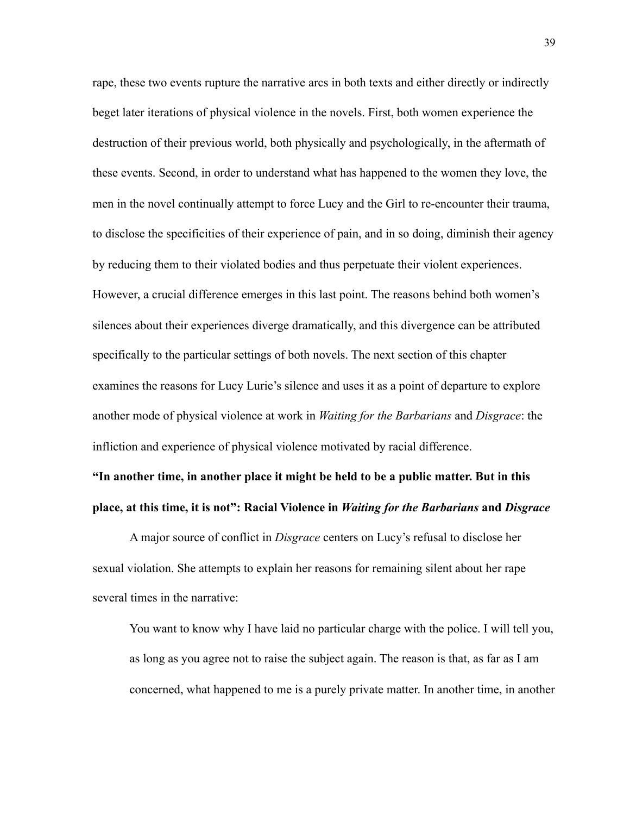rape, these two events rupture the narrative arcs in both texts and either directly or indirectly beget later iterations of physical violence in the novels. First, both women experience the destruction of their previous world, both physically and psychologically, in the aftermath of these events. Second, in order to understand what has happened to the women they love, the men in the novel continually attempt to force Lucy and the Girl to re-encounter their trauma, to disclose the specificities of their experience of pain, and in so doing, diminish their agency by reducing them to their violated bodies and thus perpetuate their violent experiences. However, a crucial difference emerges in this last point. The reasons behind both women's silences about their experiences diverge dramatically, and this divergence can be attributed specifically to the particular settings of both novels. The next section of this chapter examines the reasons for Lucy Lurie's silence and uses it as a point of departure to explore another mode of physical violence at work in *Waiting for the Barbarians* and *Disgrace*: the infliction and experience of physical violence motivated by racial difference.

## **"In another time, in another place it might be held to be a public matter. But in this place, at this time, it is not": Racial Violence in** *Waiting for the Barbarians* **and** *Disgrace*

A major source of conflict in *Disgrace* centers on Lucy's refusal to disclose her sexual violation. She attempts to explain her reasons for remaining silent about her rape several times in the narrative:

You want to know why I have laid no particular charge with the police. I will tell you, as long as you agree not to raise the subject again. The reason is that, as far as I am concerned, what happened to me is a purely private matter. In another time, in another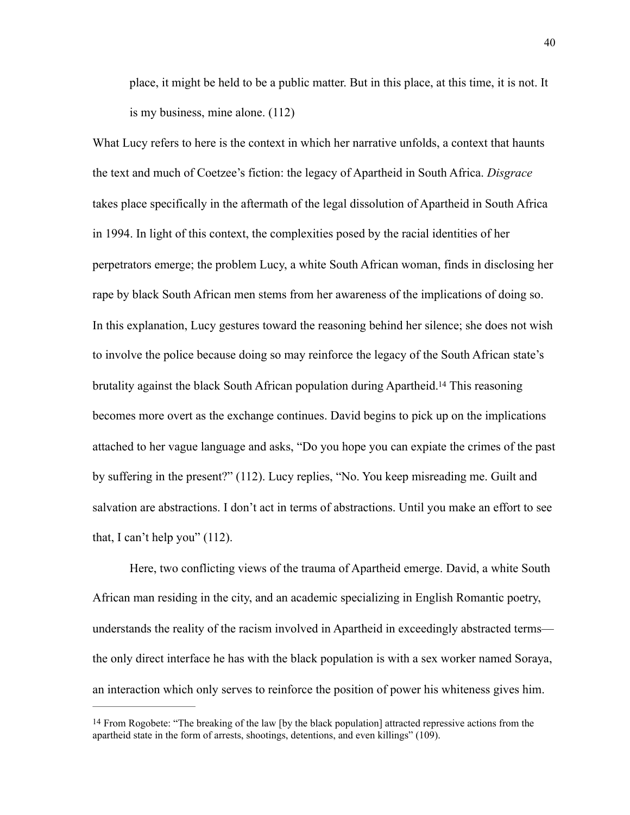place, it might be held to be a public matter. But in this place, at this time, it is not. It is my business, mine alone. (112)

What Lucy refers to here is the context in which her narrative unfolds, a context that haunts the text and much of Coetzee's fiction: the legacy of Apartheid in South Africa. *Disgrace*  takes place specifically in the aftermath of the legal dissolution of Apartheid in South Africa in 1994. In light of this context, the complexities posed by the racial identities of her perpetrators emerge; the problem Lucy, a white South African woman, finds in disclosing her rape by black South African men stems from her awareness of the implications of doing so. In this explanation, Lucy gestures toward the reasoning behind her silence; she does not wish to involve the police because doing so may reinforce the legacy of the South African state's brutality against the black South African population during Apartheid[.](#page-46-0)<sup>[14](#page-46-0)</sup> This reasoning becomes more overt as the exchange continues. David begins to pick up on the implications attached to her vague language and asks, "Do you hope you can expiate the crimes of the past by suffering in the present?" (112). Lucy replies, "No. You keep misreading me. Guilt and salvation are abstractions. I don't act in terms of abstractions. Until you make an effort to see that, I can't help you" (112).

<span id="page-46-1"></span>Here, two conflicting views of the trauma of Apartheid emerge. David, a white South African man residing in the city, and an academic specializing in English Romantic poetry, understands the reality of the racism involved in Apartheid in exceedingly abstracted terms the only direct interface he has with the black population is with a sex worker named Soraya, an interaction which only serves to reinforce the position of power his whiteness gives him.

<span id="page-46-0"></span><sup>&</sup>lt;sup>[14](#page-46-1)</sup> From Rogobete: "The breaking of the law [by the black population] attracted repressive actions from the apartheid state in the form of arrests, shootings, detentions, and even killings" (109).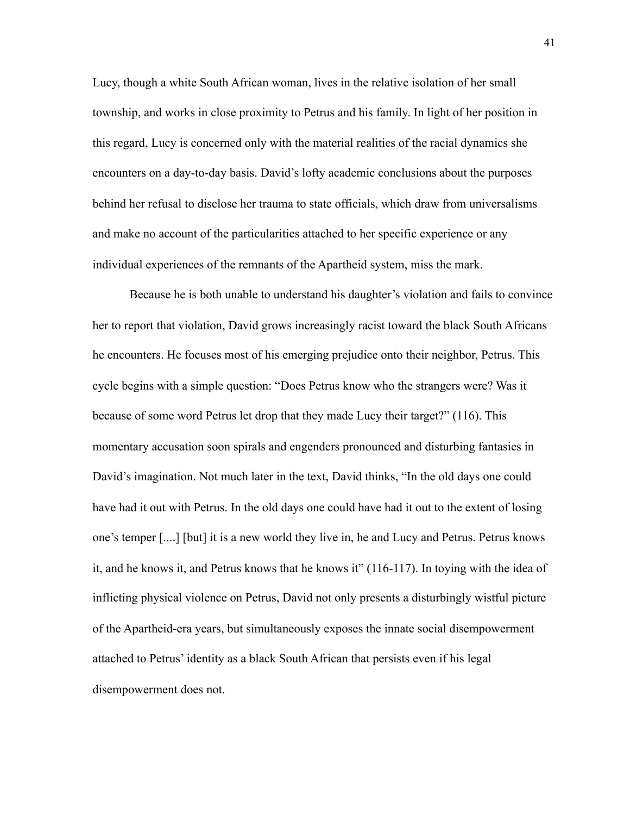Lucy, though a white South African woman, lives in the relative isolation of her small township, and works in close proximity to Petrus and his family. In light of her position in this regard, Lucy is concerned only with the material realities of the racial dynamics she encounters on a day-to-day basis. David's lofty academic conclusions about the purposes behind her refusal to disclose her trauma to state officials, which draw from universalisms and make no account of the particularities attached to her specific experience or any individual experiences of the remnants of the Apartheid system, miss the mark.

 Because he is both unable to understand his daughter's violation and fails to convince her to report that violation, David grows increasingly racist toward the black South Africans he encounters. He focuses most of his emerging prejudice onto their neighbor, Petrus. This cycle begins with a simple question: "Does Petrus know who the strangers were? Was it because of some word Petrus let drop that they made Lucy their target?" (116). This momentary accusation soon spirals and engenders pronounced and disturbing fantasies in David's imagination. Not much later in the text, David thinks, "In the old days one could have had it out with Petrus. In the old days one could have had it out to the extent of losing one's temper [....] [but] it is a new world they live in, he and Lucy and Petrus. Petrus knows it, and he knows it, and Petrus knows that he knows it" (116-117). In toying with the idea of inflicting physical violence on Petrus, David not only presents a disturbingly wistful picture of the Apartheid-era years, but simultaneously exposes the innate social disempowerment attached to Petrus' identity as a black South African that persists even if his legal disempowerment does not.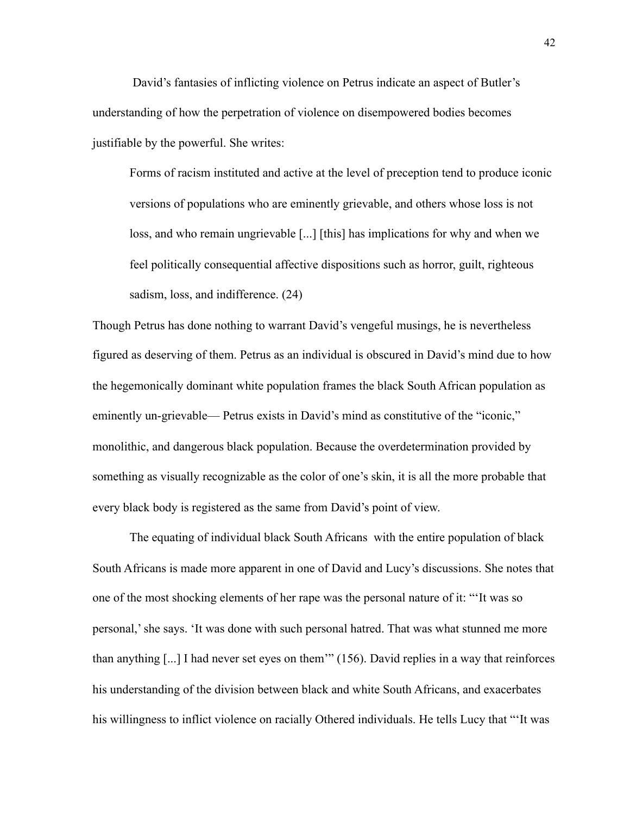David's fantasies of inflicting violence on Petrus indicate an aspect of Butler's understanding of how the perpetration of violence on disempowered bodies becomes justifiable by the powerful. She writes:

Forms of racism instituted and active at the level of preception tend to produce iconic versions of populations who are eminently grievable, and others whose loss is not loss, and who remain ungrievable [...] [this] has implications for why and when we feel politically consequential affective dispositions such as horror, guilt, righteous sadism, loss, and indifference. (24)

Though Petrus has done nothing to warrant David's vengeful musings, he is nevertheless figured as deserving of them. Petrus as an individual is obscured in David's mind due to how the hegemonically dominant white population frames the black South African population as eminently un-grievable— Petrus exists in David's mind as constitutive of the "iconic," monolithic, and dangerous black population. Because the overdetermination provided by something as visually recognizable as the color of one's skin, it is all the more probable that every black body is registered as the same from David's point of view.

The equating of individual black South Africans with the entire population of black South Africans is made more apparent in one of David and Lucy's discussions. She notes that one of the most shocking elements of her rape was the personal nature of it: "'It was so personal,' she says. 'It was done with such personal hatred. That was what stunned me more than anything [...] I had never set eyes on them'" (156). David replies in a way that reinforces his understanding of the division between black and white South Africans, and exacerbates his willingness to inflict violence on racially Othered individuals. He tells Lucy that "'It was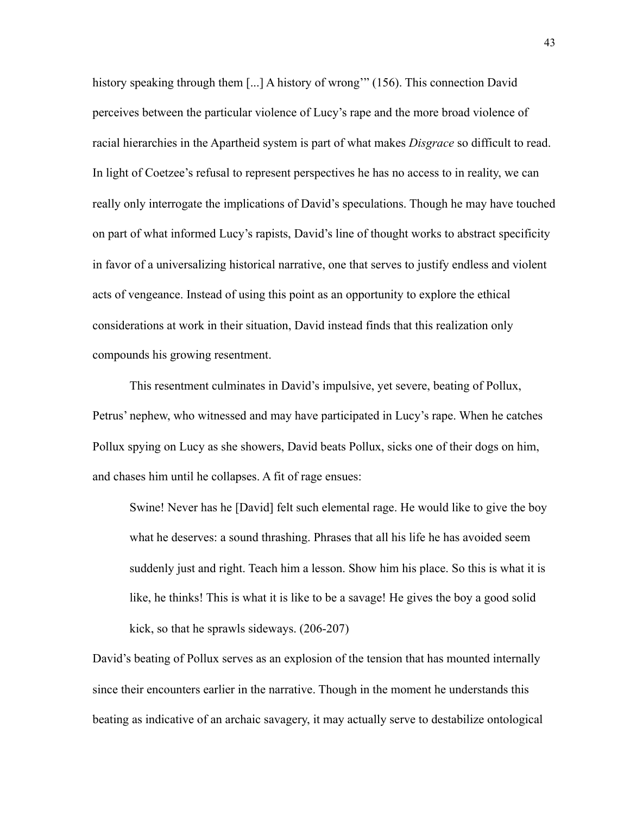history speaking through them [...] A history of wrong'" (156). This connection David perceives between the particular violence of Lucy's rape and the more broad violence of racial hierarchies in the Apartheid system is part of what makes *Disgrace* so difficult to read. In light of Coetzee's refusal to represent perspectives he has no access to in reality, we can really only interrogate the implications of David's speculations. Though he may have touched on part of what informed Lucy's rapists, David's line of thought works to abstract specificity in favor of a universalizing historical narrative, one that serves to justify endless and violent acts of vengeance. Instead of using this point as an opportunity to explore the ethical considerations at work in their situation, David instead finds that this realization only compounds his growing resentment.

 This resentment culminates in David's impulsive, yet severe, beating of Pollux, Petrus' nephew, who witnessed and may have participated in Lucy's rape. When he catches Pollux spying on Lucy as she showers, David beats Pollux, sicks one of their dogs on him, and chases him until he collapses. A fit of rage ensues:

Swine! Never has he [David] felt such elemental rage. He would like to give the boy what he deserves: a sound thrashing. Phrases that all his life he has avoided seem suddenly just and right. Teach him a lesson. Show him his place. So this is what it is like, he thinks! This is what it is like to be a savage! He gives the boy a good solid kick, so that he sprawls sideways. (206-207)

David's beating of Pollux serves as an explosion of the tension that has mounted internally since their encounters earlier in the narrative. Though in the moment he understands this beating as indicative of an archaic savagery, it may actually serve to destabilize ontological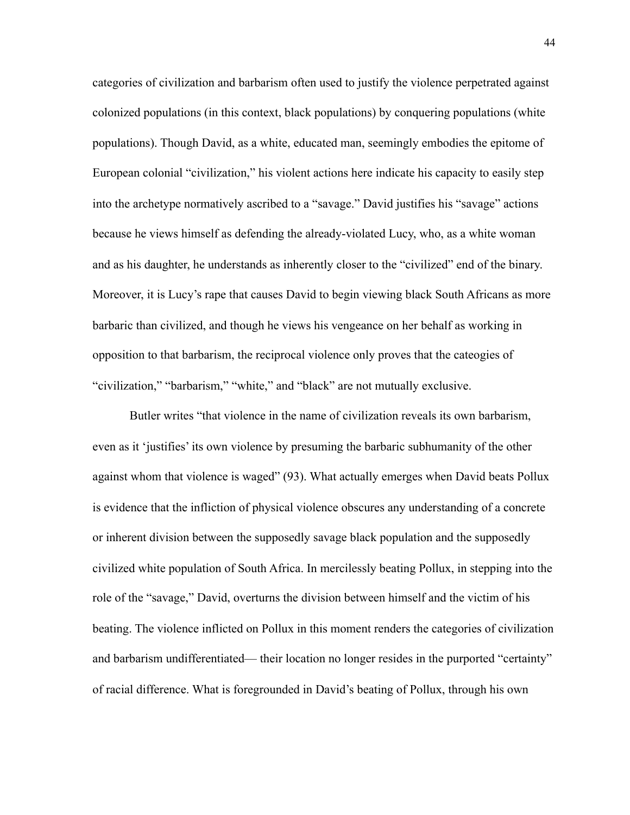categories of civilization and barbarism often used to justify the violence perpetrated against colonized populations (in this context, black populations) by conquering populations (white populations). Though David, as a white, educated man, seemingly embodies the epitome of European colonial "civilization," his violent actions here indicate his capacity to easily step into the archetype normatively ascribed to a "savage." David justifies his "savage" actions because he views himself as defending the already-violated Lucy, who, as a white woman and as his daughter, he understands as inherently closer to the "civilized" end of the binary. Moreover, it is Lucy's rape that causes David to begin viewing black South Africans as more barbaric than civilized, and though he views his vengeance on her behalf as working in opposition to that barbarism, the reciprocal violence only proves that the cateogies of "civilization," "barbarism," "white," and "black" are not mutually exclusive.

Butler writes "that violence in the name of civilization reveals its own barbarism, even as it 'justifies' its own violence by presuming the barbaric subhumanity of the other against whom that violence is waged" (93). What actually emerges when David beats Pollux is evidence that the infliction of physical violence obscures any understanding of a concrete or inherent division between the supposedly savage black population and the supposedly civilized white population of South Africa. In mercilessly beating Pollux, in stepping into the role of the "savage," David, overturns the division between himself and the victim of his beating. The violence inflicted on Pollux in this moment renders the categories of civilization and barbarism undifferentiated— their location no longer resides in the purported "certainty" of racial difference. What is foregrounded in David's beating of Pollux, through his own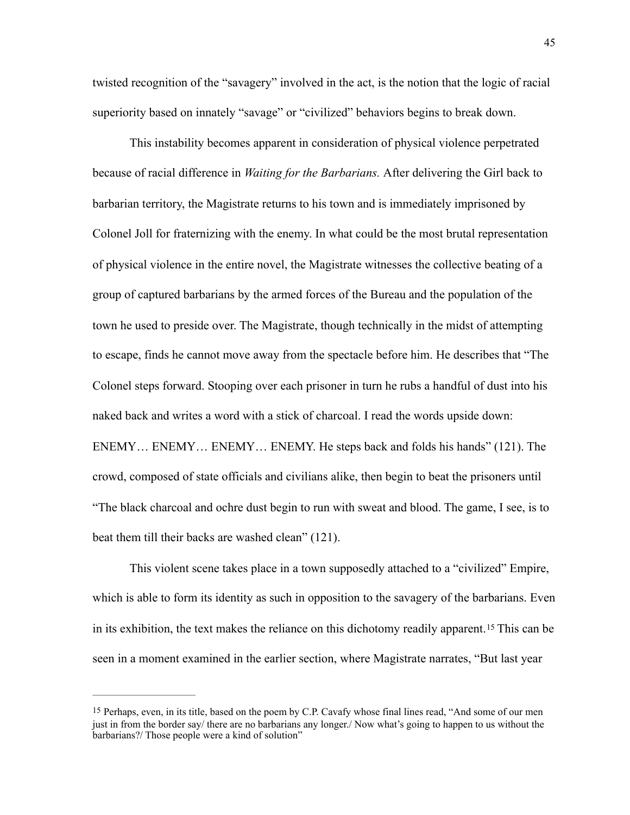twisted recognition of the "savagery" involved in the act, is the notion that the logic of racial superiority based on innately "savage" or "civilized" behaviors begins to break down.

 This instability becomes apparent in consideration of physical violence perpetrated because of racial difference in *Waiting for the Barbarians.* After delivering the Girl back to barbarian territory, the Magistrate returns to his town and is immediately imprisoned by Colonel Joll for fraternizing with the enemy. In what could be the most brutal representation of physical violence in the entire novel, the Magistrate witnesses the collective beating of a group of captured barbarians by the armed forces of the Bureau and the population of the town he used to preside over. The Magistrate, though technically in the midst of attempting to escape, finds he cannot move away from the spectacle before him. He describes that "The Colonel steps forward. Stooping over each prisoner in turn he rubs a handful of dust into his naked back and writes a word with a stick of charcoal. I read the words upside down: ENEMY… ENEMY… ENEMY… ENEMY. He steps back and folds his hands" (121). The crowd, composed of state officials and civilians alike, then begin to beat the prisoners until "The black charcoal and ochre dust begin to run with sweat and blood. The game, I see, is to beat them till their backs are washed clean" (121).

<span id="page-51-1"></span>This violent scene takes place in a town supposedly attached to a "civilized" Empire, which is able to form its identity as such in opposition to the savagery of the barbarians. Even inits exhibition, the text makes the reliance on this dichotomy readily apparent.<sup>[15](#page-51-0)</sup> This can be seen in a moment examined in the earlier section, where Magistrate narrates, "But last year

<span id="page-51-0"></span>[<sup>15</sup>](#page-51-1) Perhaps, even, in its title, based on the poem by C.P. Cavafy whose final lines read, "And some of our men just in from the border say/ there are no barbarians any longer./ Now what's going to happen to us without the barbarians?/ Those people were a kind of solution"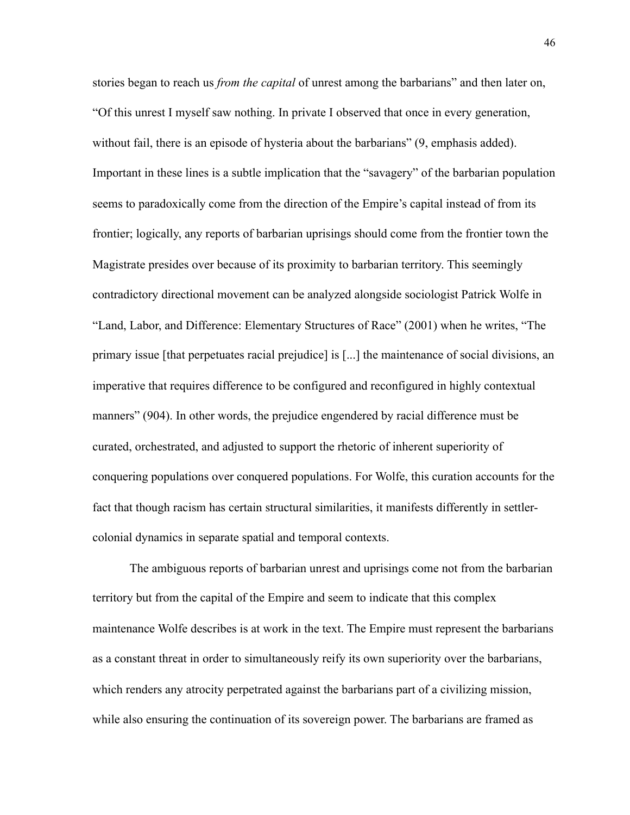stories began to reach us *from the capital* of unrest among the barbarians" and then later on, "Of this unrest I myself saw nothing. In private I observed that once in every generation, without fail, there is an episode of hysteria about the barbarians" (9, emphasis added). Important in these lines is a subtle implication that the "savagery" of the barbarian population seems to paradoxically come from the direction of the Empire's capital instead of from its frontier; logically, any reports of barbarian uprisings should come from the frontier town the Magistrate presides over because of its proximity to barbarian territory. This seemingly contradictory directional movement can be analyzed alongside sociologist Patrick Wolfe in "Land, Labor, and Difference: Elementary Structures of Race" (2001) when he writes, "The primary issue [that perpetuates racial prejudice] is [...] the maintenance of social divisions, an imperative that requires difference to be configured and reconfigured in highly contextual manners" (904). In other words, the prejudice engendered by racial difference must be curated, orchestrated, and adjusted to support the rhetoric of inherent superiority of conquering populations over conquered populations. For Wolfe, this curation accounts for the fact that though racism has certain structural similarities, it manifests differently in settlercolonial dynamics in separate spatial and temporal contexts.

The ambiguous reports of barbarian unrest and uprisings come not from the barbarian territory but from the capital of the Empire and seem to indicate that this complex maintenance Wolfe describes is at work in the text. The Empire must represent the barbarians as a constant threat in order to simultaneously reify its own superiority over the barbarians, which renders any atrocity perpetrated against the barbarians part of a civilizing mission, while also ensuring the continuation of its sovereign power. The barbarians are framed as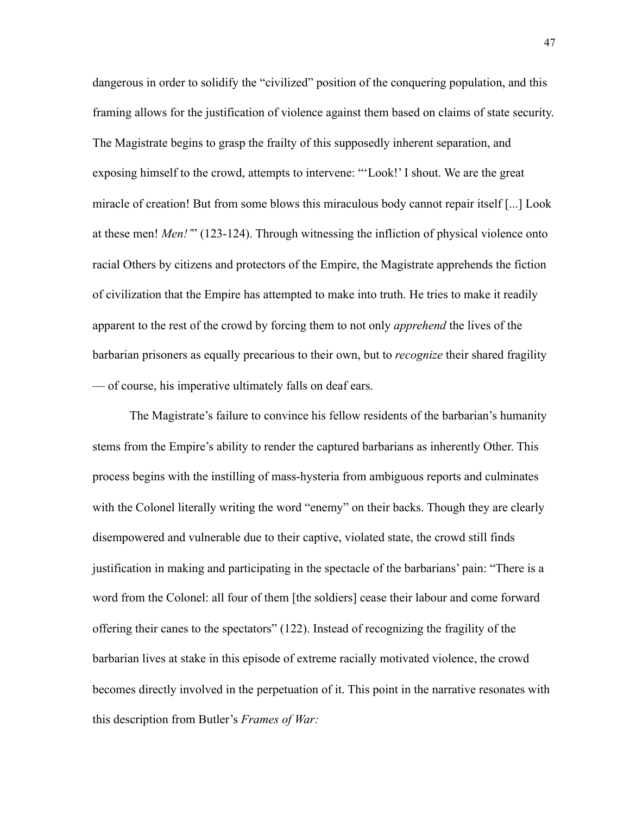dangerous in order to solidify the "civilized" position of the conquering population, and this framing allows for the justification of violence against them based on claims of state security. The Magistrate begins to grasp the frailty of this supposedly inherent separation, and exposing himself to the crowd, attempts to intervene: "'Look!' I shout. We are the great miracle of creation! But from some blows this miraculous body cannot repair itself [...] Look at these men! *Men!'*" (123-124). Through witnessing the infliction of physical violence onto racial Others by citizens and protectors of the Empire, the Magistrate apprehends the fiction of civilization that the Empire has attempted to make into truth. He tries to make it readily apparent to the rest of the crowd by forcing them to not only *apprehend* the lives of the barbarian prisoners as equally precarious to their own, but to *recognize* their shared fragility — of course, his imperative ultimately falls on deaf ears.

The Magistrate's failure to convince his fellow residents of the barbarian's humanity stems from the Empire's ability to render the captured barbarians as inherently Other. This process begins with the instilling of mass-hysteria from ambiguous reports and culminates with the Colonel literally writing the word "enemy" on their backs. Though they are clearly disempowered and vulnerable due to their captive, violated state, the crowd still finds justification in making and participating in the spectacle of the barbarians' pain: "There is a word from the Colonel: all four of them [the soldiers] cease their labour and come forward offering their canes to the spectators" (122). Instead of recognizing the fragility of the barbarian lives at stake in this episode of extreme racially motivated violence, the crowd becomes directly involved in the perpetuation of it. This point in the narrative resonates with this description from Butler's *Frames of War:*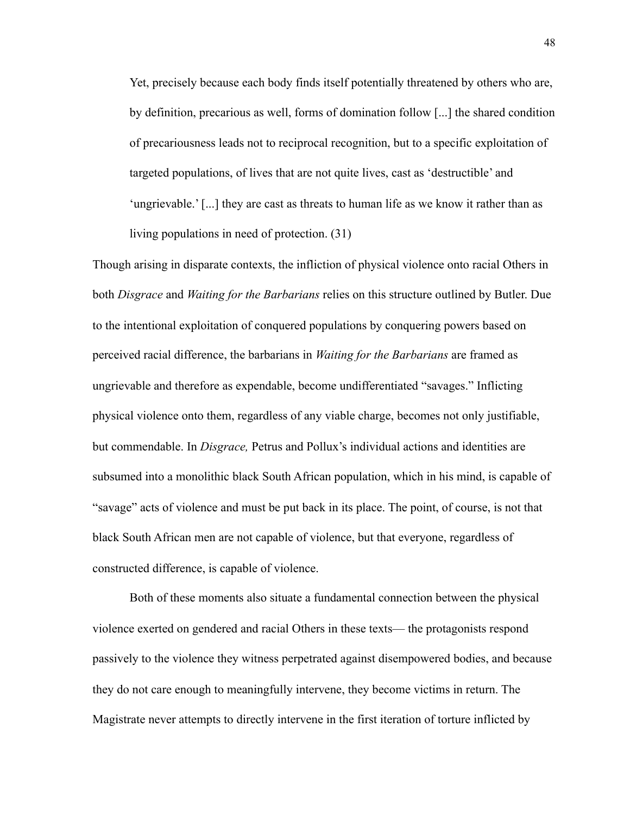Yet, precisely because each body finds itself potentially threatened by others who are, by definition, precarious as well, forms of domination follow [...] the shared condition of precariousness leads not to reciprocal recognition, but to a specific exploitation of targeted populations, of lives that are not quite lives, cast as 'destructible' and 'ungrievable.' [...] they are cast as threats to human life as we know it rather than as living populations in need of protection. (31)

Though arising in disparate contexts, the infliction of physical violence onto racial Others in both *Disgrace* and *Waiting for the Barbarians* relies on this structure outlined by Butler. Due to the intentional exploitation of conquered populations by conquering powers based on perceived racial difference, the barbarians in *Waiting for the Barbarians* are framed as ungrievable and therefore as expendable, become undifferentiated "savages." Inflicting physical violence onto them, regardless of any viable charge, becomes not only justifiable, but commendable. In *Disgrace,* Petrus and Pollux's individual actions and identities are subsumed into a monolithic black South African population, which in his mind, is capable of "savage" acts of violence and must be put back in its place. The point, of course, is not that black South African men are not capable of violence, but that everyone, regardless of constructed difference, is capable of violence.

Both of these moments also situate a fundamental connection between the physical violence exerted on gendered and racial Others in these texts— the protagonists respond passively to the violence they witness perpetrated against disempowered bodies, and because they do not care enough to meaningfully intervene, they become victims in return. The Magistrate never attempts to directly intervene in the first iteration of torture inflicted by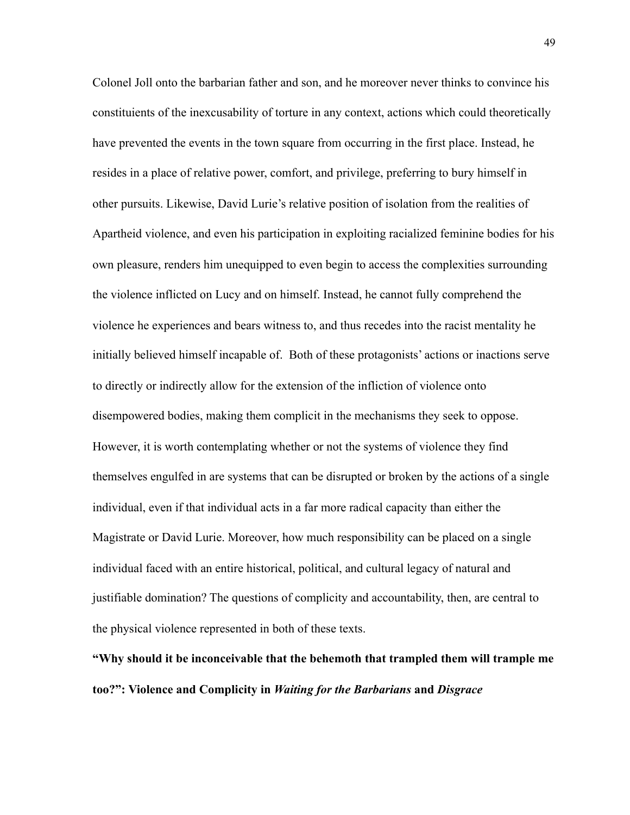Colonel Joll onto the barbarian father and son, and he moreover never thinks to convince his constituients of the inexcusability of torture in any context, actions which could theoretically have prevented the events in the town square from occurring in the first place. Instead, he resides in a place of relative power, comfort, and privilege, preferring to bury himself in other pursuits. Likewise, David Lurie's relative position of isolation from the realities of Apartheid violence, and even his participation in exploiting racialized feminine bodies for his own pleasure, renders him unequipped to even begin to access the complexities surrounding the violence inflicted on Lucy and on himself. Instead, he cannot fully comprehend the violence he experiences and bears witness to, and thus recedes into the racist mentality he initially believed himself incapable of. Both of these protagonists' actions or inactions serve to directly or indirectly allow for the extension of the infliction of violence onto disempowered bodies, making them complicit in the mechanisms they seek to oppose. However, it is worth contemplating whether or not the systems of violence they find themselves engulfed in are systems that can be disrupted or broken by the actions of a single individual, even if that individual acts in a far more radical capacity than either the Magistrate or David Lurie. Moreover, how much responsibility can be placed on a single individual faced with an entire historical, political, and cultural legacy of natural and justifiable domination? The questions of complicity and accountability, then, are central to the physical violence represented in both of these texts.

**"Why should it be inconceivable that the behemoth that trampled them will trample me too?": Violence and Complicity in** *Waiting for the Barbarians* **and** *Disgrace*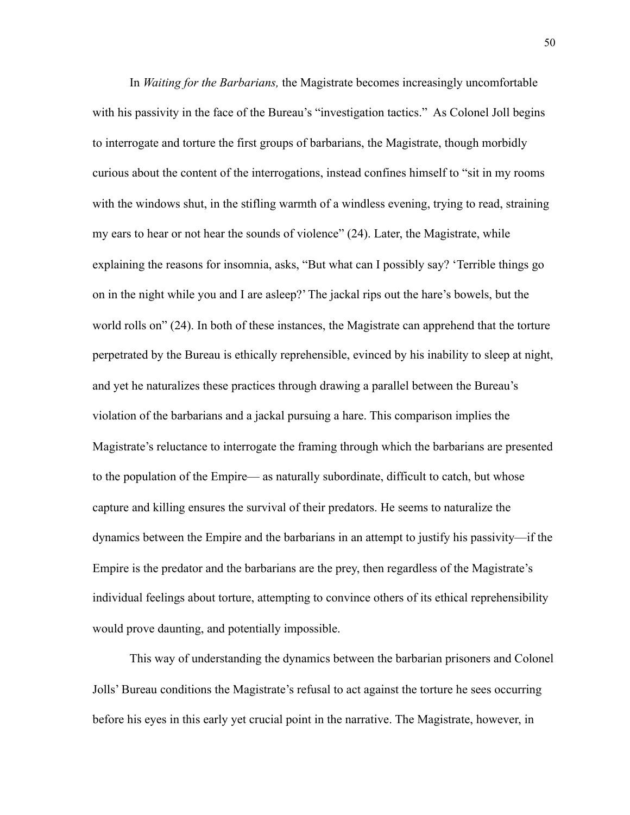In *Waiting for the Barbarians,* the Magistrate becomes increasingly uncomfortable with his passivity in the face of the Bureau's "investigation tactics." As Colonel Joll begins to interrogate and torture the first groups of barbarians, the Magistrate, though morbidly curious about the content of the interrogations, instead confines himself to "sit in my rooms with the windows shut, in the stifling warmth of a windless evening, trying to read, straining my ears to hear or not hear the sounds of violence" (24). Later, the Magistrate, while explaining the reasons for insomnia, asks, "But what can I possibly say? 'Terrible things go on in the night while you and I are asleep?' The jackal rips out the hare's bowels, but the world rolls on" (24). In both of these instances, the Magistrate can apprehend that the torture perpetrated by the Bureau is ethically reprehensible, evinced by his inability to sleep at night, and yet he naturalizes these practices through drawing a parallel between the Bureau's violation of the barbarians and a jackal pursuing a hare. This comparison implies the Magistrate's reluctance to interrogate the framing through which the barbarians are presented to the population of the Empire— as naturally subordinate, difficult to catch, but whose capture and killing ensures the survival of their predators. He seems to naturalize the dynamics between the Empire and the barbarians in an attempt to justify his passivity—if the Empire is the predator and the barbarians are the prey, then regardless of the Magistrate's individual feelings about torture, attempting to convince others of its ethical reprehensibility would prove daunting, and potentially impossible.

This way of understanding the dynamics between the barbarian prisoners and Colonel Jolls' Bureau conditions the Magistrate's refusal to act against the torture he sees occurring before his eyes in this early yet crucial point in the narrative. The Magistrate, however, in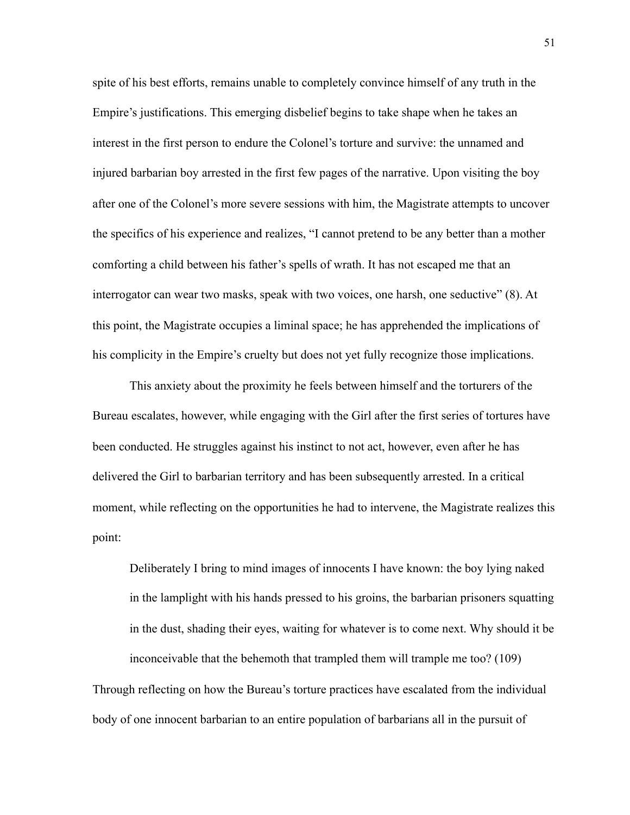spite of his best efforts, remains unable to completely convince himself of any truth in the Empire's justifications. This emerging disbelief begins to take shape when he takes an interest in the first person to endure the Colonel's torture and survive: the unnamed and injured barbarian boy arrested in the first few pages of the narrative. Upon visiting the boy after one of the Colonel's more severe sessions with him, the Magistrate attempts to uncover the specifics of his experience and realizes, "I cannot pretend to be any better than a mother comforting a child between his father's spells of wrath. It has not escaped me that an interrogator can wear two masks, speak with two voices, one harsh, one seductive" (8). At this point, the Magistrate occupies a liminal space; he has apprehended the implications of his complicity in the Empire's cruelty but does not yet fully recognize those implications.

This anxiety about the proximity he feels between himself and the torturers of the Bureau escalates, however, while engaging with the Girl after the first series of tortures have been conducted. He struggles against his instinct to not act, however, even after he has delivered the Girl to barbarian territory and has been subsequently arrested. In a critical moment, while reflecting on the opportunities he had to intervene, the Magistrate realizes this point:

Deliberately I bring to mind images of innocents I have known: the boy lying naked in the lamplight with his hands pressed to his groins, the barbarian prisoners squatting in the dust, shading their eyes, waiting for whatever is to come next. Why should it be inconceivable that the behemoth that trampled them will trample me too? (109) Through reflecting on how the Bureau's torture practices have escalated from the individual body of one innocent barbarian to an entire population of barbarians all in the pursuit of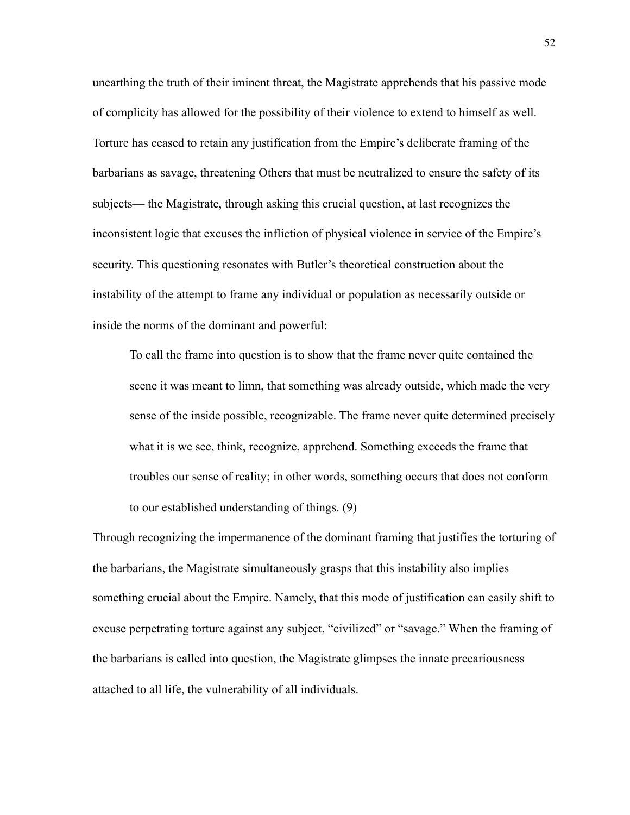unearthing the truth of their iminent threat, the Magistrate apprehends that his passive mode of complicity has allowed for the possibility of their violence to extend to himself as well. Torture has ceased to retain any justification from the Empire's deliberate framing of the barbarians as savage, threatening Others that must be neutralized to ensure the safety of its subjects— the Magistrate, through asking this crucial question, at last recognizes the inconsistent logic that excuses the infliction of physical violence in service of the Empire's security. This questioning resonates with Butler's theoretical construction about the instability of the attempt to frame any individual or population as necessarily outside or inside the norms of the dominant and powerful:

To call the frame into question is to show that the frame never quite contained the scene it was meant to limn, that something was already outside, which made the very sense of the inside possible, recognizable. The frame never quite determined precisely what it is we see, think, recognize, apprehend. Something exceeds the frame that troubles our sense of reality; in other words, something occurs that does not conform to our established understanding of things. (9)

Through recognizing the impermanence of the dominant framing that justifies the torturing of the barbarians, the Magistrate simultaneously grasps that this instability also implies something crucial about the Empire. Namely, that this mode of justification can easily shift to excuse perpetrating torture against any subject, "civilized" or "savage." When the framing of the barbarians is called into question, the Magistrate glimpses the innate precariousness attached to all life, the vulnerability of all individuals.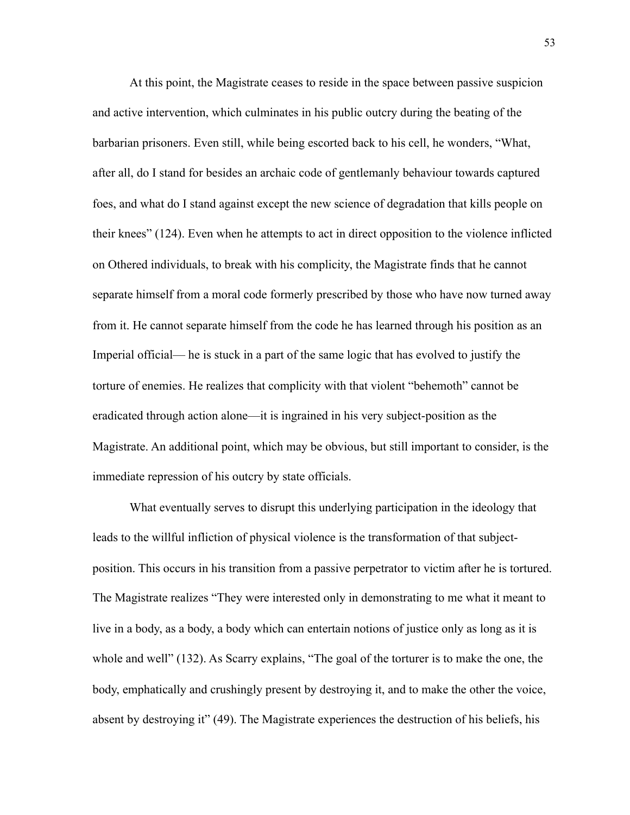At this point, the Magistrate ceases to reside in the space between passive suspicion and active intervention, which culminates in his public outcry during the beating of the barbarian prisoners. Even still, while being escorted back to his cell, he wonders, "What, after all, do I stand for besides an archaic code of gentlemanly behaviour towards captured foes, and what do I stand against except the new science of degradation that kills people on their knees" (124). Even when he attempts to act in direct opposition to the violence inflicted on Othered individuals, to break with his complicity, the Magistrate finds that he cannot separate himself from a moral code formerly prescribed by those who have now turned away from it. He cannot separate himself from the code he has learned through his position as an Imperial official— he is stuck in a part of the same logic that has evolved to justify the torture of enemies. He realizes that complicity with that violent "behemoth" cannot be eradicated through action alone—it is ingrained in his very subject-position as the Magistrate. An additional point, which may be obvious, but still important to consider, is the immediate repression of his outcry by state officials.

 What eventually serves to disrupt this underlying participation in the ideology that leads to the willful infliction of physical violence is the transformation of that subjectposition. This occurs in his transition from a passive perpetrator to victim after he is tortured. The Magistrate realizes "They were interested only in demonstrating to me what it meant to live in a body, as a body, a body which can entertain notions of justice only as long as it is whole and well" (132). As Scarry explains, "The goal of the torturer is to make the one, the body, emphatically and crushingly present by destroying it, and to make the other the voice, absent by destroying it" (49). The Magistrate experiences the destruction of his beliefs, his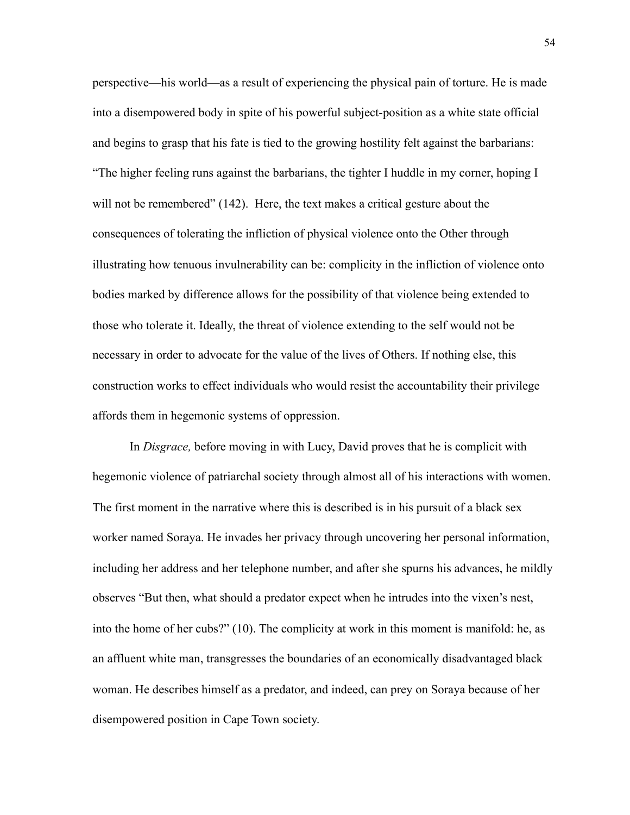perspective—his world—as a result of experiencing the physical pain of torture. He is made into a disempowered body in spite of his powerful subject-position as a white state official and begins to grasp that his fate is tied to the growing hostility felt against the barbarians: "The higher feeling runs against the barbarians, the tighter I huddle in my corner, hoping I will not be remembered" (142). Here, the text makes a critical gesture about the consequences of tolerating the infliction of physical violence onto the Other through illustrating how tenuous invulnerability can be: complicity in the infliction of violence onto bodies marked by difference allows for the possibility of that violence being extended to those who tolerate it. Ideally, the threat of violence extending to the self would not be necessary in order to advocate for the value of the lives of Others. If nothing else, this construction works to effect individuals who would resist the accountability their privilege affords them in hegemonic systems of oppression.

 In *Disgrace,* before moving in with Lucy, David proves that he is complicit with hegemonic violence of patriarchal society through almost all of his interactions with women. The first moment in the narrative where this is described is in his pursuit of a black sex worker named Soraya. He invades her privacy through uncovering her personal information, including her address and her telephone number, and after she spurns his advances, he mildly observes "But then, what should a predator expect when he intrudes into the vixen's nest, into the home of her cubs?" (10). The complicity at work in this moment is manifold: he, as an affluent white man, transgresses the boundaries of an economically disadvantaged black woman. He describes himself as a predator, and indeed, can prey on Soraya because of her disempowered position in Cape Town society.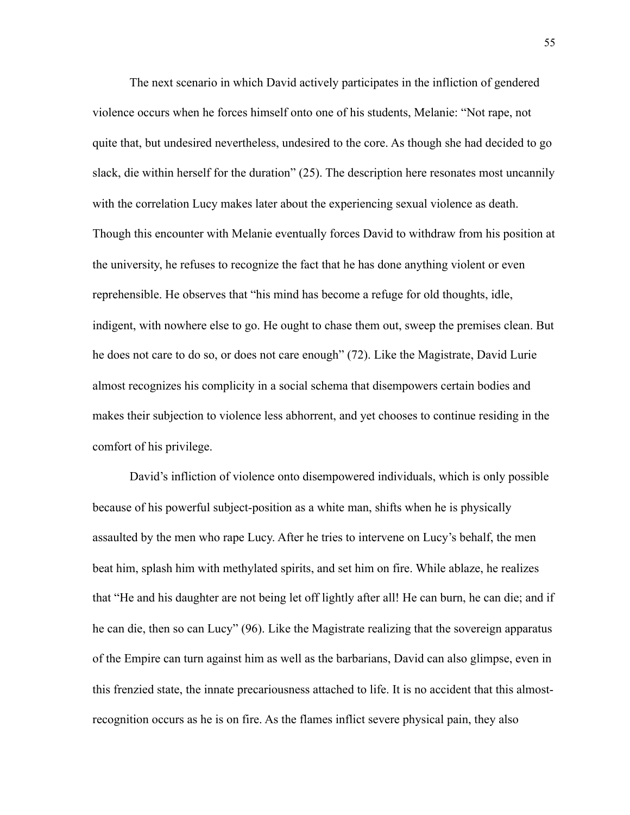The next scenario in which David actively participates in the infliction of gendered violence occurs when he forces himself onto one of his students, Melanie: "Not rape, not quite that, but undesired nevertheless, undesired to the core. As though she had decided to go slack, die within herself for the duration" (25). The description here resonates most uncannily with the correlation Lucy makes later about the experiencing sexual violence as death. Though this encounter with Melanie eventually forces David to withdraw from his position at the university, he refuses to recognize the fact that he has done anything violent or even reprehensible. He observes that "his mind has become a refuge for old thoughts, idle, indigent, with nowhere else to go. He ought to chase them out, sweep the premises clean. But he does not care to do so, or does not care enough" (72). Like the Magistrate, David Lurie almost recognizes his complicity in a social schema that disempowers certain bodies and makes their subjection to violence less abhorrent, and yet chooses to continue residing in the comfort of his privilege.

 David's infliction of violence onto disempowered individuals, which is only possible because of his powerful subject-position as a white man, shifts when he is physically assaulted by the men who rape Lucy. After he tries to intervene on Lucy's behalf, the men beat him, splash him with methylated spirits, and set him on fire. While ablaze, he realizes that "He and his daughter are not being let off lightly after all! He can burn, he can die; and if he can die, then so can Lucy" (96). Like the Magistrate realizing that the sovereign apparatus of the Empire can turn against him as well as the barbarians, David can also glimpse, even in this frenzied state, the innate precariousness attached to life. It is no accident that this almostrecognition occurs as he is on fire. As the flames inflict severe physical pain, they also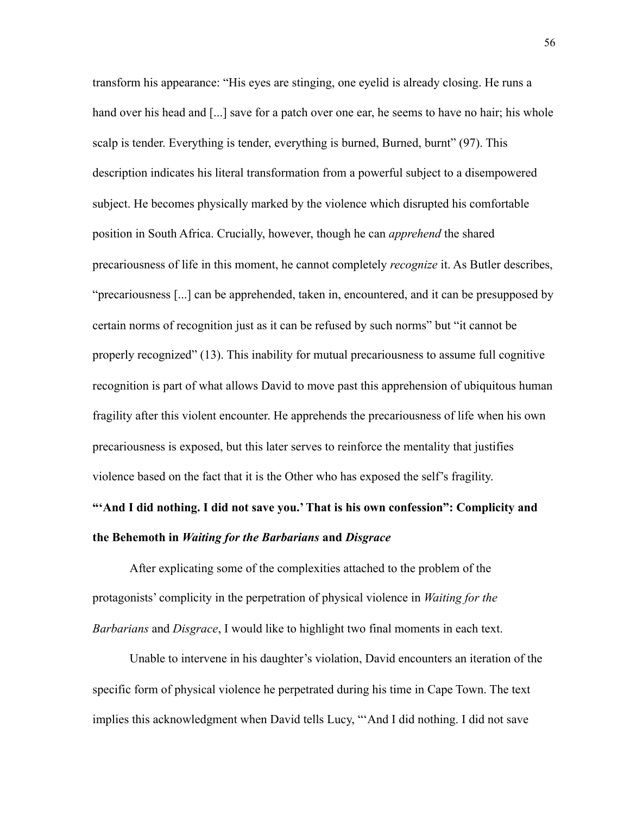transform his appearance: "His eyes are stinging, one eyelid is already closing. He runs a hand over his head and [...] save for a patch over one ear, he seems to have no hair; his whole scalp is tender. Everything is tender, everything is burned, Burned, burnt" (97). This description indicates his literal transformation from a powerful subject to a disempowered subject. He becomes physically marked by the violence which disrupted his comfortable position in South Africa. Crucially, however, though he can *apprehend* the shared precariousness of life in this moment, he cannot completely *recognize* it. As Butler describes, "precariousness [...] can be apprehended, taken in, encountered, and it can be presupposed by certain norms of recognition just as it can be refused by such norms" but "it cannot be properly recognized" (13). This inability for mutual precariousness to assume full cognitive recognition is part of what allows David to move past this apprehension of ubiquitous human fragility after this violent encounter. He apprehends the precariousness of life when his own precariousness is exposed, but this later serves to reinforce the mentality that justifies violence based on the fact that it is the Other who has exposed the self's fragility.

## **"'And I did nothing. I did not save you.' That is his own confession": Complicity and the Behemoth in** *Waiting for the Barbarians* **and** *Disgrace*

After explicating some of the complexities attached to the problem of the protagonists' complicity in the perpetration of physical violence in *Waiting for the Barbarians* and *Disgrace*, I would like to highlight two final moments in each text.

Unable to intervene in his daughter's violation, David encounters an iteration of the specific form of physical violence he perpetrated during his time in Cape Town. The text implies this acknowledgment when David tells Lucy, "'And I did nothing. I did not save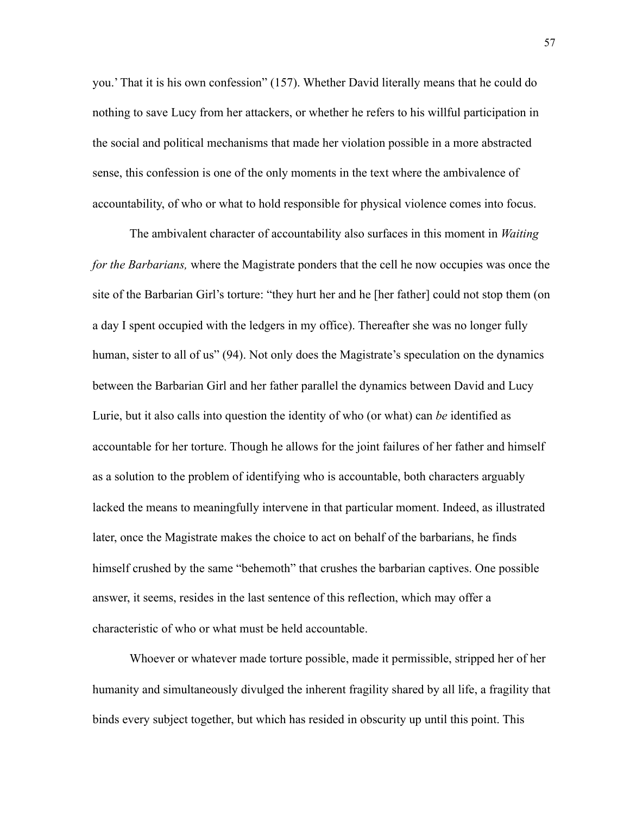you.' That it is his own confession" (157). Whether David literally means that he could do nothing to save Lucy from her attackers, or whether he refers to his willful participation in the social and political mechanisms that made her violation possible in a more abstracted sense, this confession is one of the only moments in the text where the ambivalence of accountability, of who or what to hold responsible for physical violence comes into focus.

The ambivalent character of accountability also surfaces in this moment in *Waiting for the Barbarians,* where the Magistrate ponders that the cell he now occupies was once the site of the Barbarian Girl's torture: "they hurt her and he [her father] could not stop them (on a day I spent occupied with the ledgers in my office). Thereafter she was no longer fully human, sister to all of us" (94). Not only does the Magistrate's speculation on the dynamics between the Barbarian Girl and her father parallel the dynamics between David and Lucy Lurie, but it also calls into question the identity of who (or what) can *be* identified as accountable for her torture. Though he allows for the joint failures of her father and himself as a solution to the problem of identifying who is accountable, both characters arguably lacked the means to meaningfully intervene in that particular moment. Indeed, as illustrated later, once the Magistrate makes the choice to act on behalf of the barbarians, he finds himself crushed by the same "behemoth" that crushes the barbarian captives. One possible answer, it seems, resides in the last sentence of this reflection, which may offer a characteristic of who or what must be held accountable.

Whoever or whatever made torture possible, made it permissible, stripped her of her humanity and simultaneously divulged the inherent fragility shared by all life, a fragility that binds every subject together, but which has resided in obscurity up until this point. This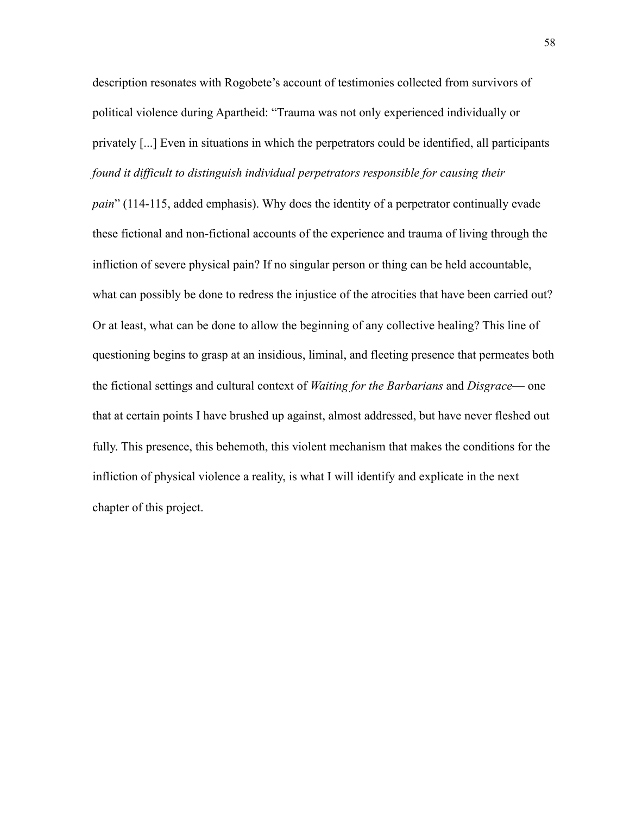description resonates with Rogobete's account of testimonies collected from survivors of political violence during Apartheid: "Trauma was not only experienced individually or privately [...] Even in situations in which the perpetrators could be identified, all participants *found it difficult to distinguish individual perpetrators responsible for causing their* 

*pain*" (114-115, added emphasis). Why does the identity of a perpetrator continually evade these fictional and non-fictional accounts of the experience and trauma of living through the infliction of severe physical pain? If no singular person or thing can be held accountable, what can possibly be done to redress the injustice of the atrocities that have been carried out? Or at least, what can be done to allow the beginning of any collective healing? This line of questioning begins to grasp at an insidious, liminal, and fleeting presence that permeates both the fictional settings and cultural context of *Waiting for the Barbarians* and *Disgrace*— one that at certain points I have brushed up against, almost addressed, but have never fleshed out fully. This presence, this behemoth, this violent mechanism that makes the conditions for the infliction of physical violence a reality, is what I will identify and explicate in the next chapter of this project.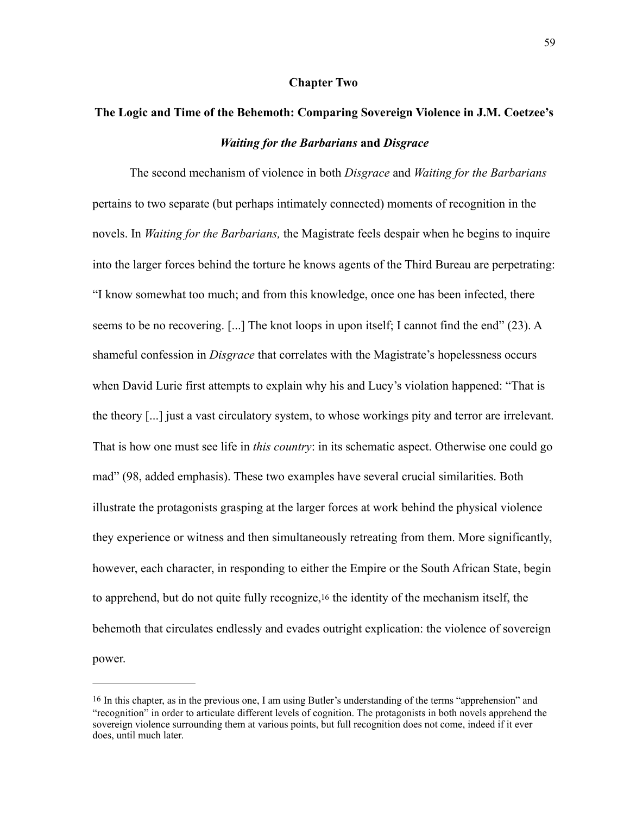## **Chapter Two**

## **The Logic and Time of the Behemoth: Comparing Sovereign Violence in J.M. Coetzee's**  *Waiting for the Barbarians* **and** *Disgrace*

 The second mechanism of violence in both *Disgrace* and *Waiting for the Barbarians*  pertains to two separate (but perhaps intimately connected) moments of recognition in the novels. In *Waiting for the Barbarians,* the Magistrate feels despair when he begins to inquire into the larger forces behind the torture he knows agents of the Third Bureau are perpetrating: "I know somewhat too much; and from this knowledge, once one has been infected, there seems to be no recovering. [...] The knot loops in upon itself; I cannot find the end" (23). A shameful confession in *Disgrace* that correlates with the Magistrate's hopelessness occurs when David Lurie first attempts to explain why his and Lucy's violation happened: "That is the theory [...] just a vast circulatory system, to whose workings pity and terror are irrelevant. That is how one must see life in *this country*: in its schematic aspect. Otherwise one could go mad" (98, added emphasis). These two examples have several crucial similarities. Both illustrate the protagonists grasping at the larger forces at work behind the physical violence they experience or witness and then simultaneously retreating from them. More significantly, however, each character, in responding to either the Empire or the South African State, begin to apprehend, but do not quite fully recognize[,16](#page-65-0) the identity of the mechanism itself, the behemoth that circulates endlessly and evades outright explication: the violence of sovereign power.

<span id="page-65-1"></span><span id="page-65-0"></span>[<sup>16</sup>](#page-65-1) In this chapter, as in the previous one, I am using Butler's understanding of the terms "apprehension" and "recognition" in order to articulate different levels of cognition. The protagonists in both novels apprehend the sovereign violence surrounding them at various points, but full recognition does not come, indeed if it ever does, until much later.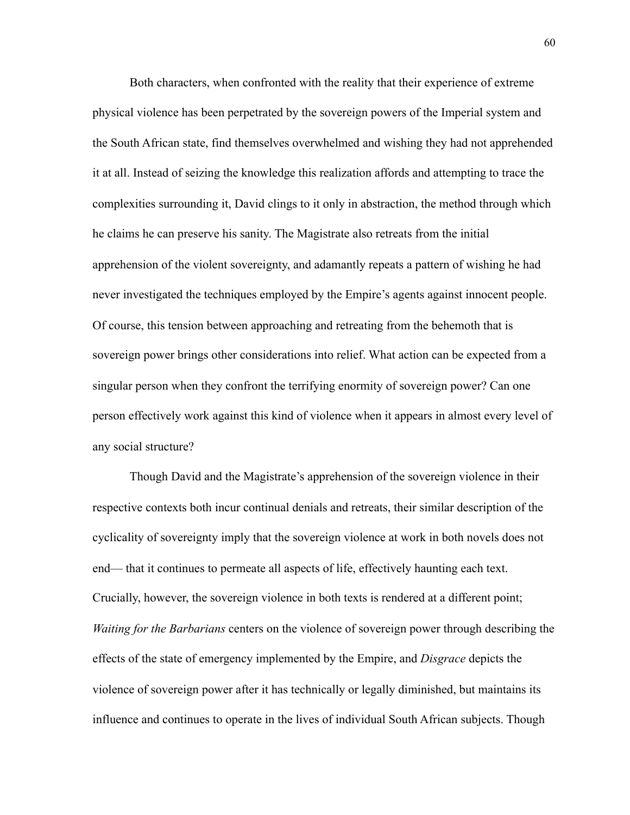Both characters, when confronted with the reality that their experience of extreme physical violence has been perpetrated by the sovereign powers of the Imperial system and the South African state, find themselves overwhelmed and wishing they had not apprehended it at all. Instead of seizing the knowledge this realization affords and attempting to trace the complexities surrounding it, David clings to it only in abstraction, the method through which he claims he can preserve his sanity. The Magistrate also retreats from the initial apprehension of the violent sovereignty, and adamantly repeats a pattern of wishing he had never investigated the techniques employed by the Empire's agents against innocent people. Of course, this tension between approaching and retreating from the behemoth that is sovereign power brings other considerations into relief. What action can be expected from a singular person when they confront the terrifying enormity of sovereign power? Can one person effectively work against this kind of violence when it appears in almost every level of any social structure?

Though David and the Magistrate's apprehension of the sovereign violence in their respective contexts both incur continual denials and retreats, their similar description of the cyclicality of sovereignty imply that the sovereign violence at work in both novels does not end— that it continues to permeate all aspects of life, effectively haunting each text. Crucially, however, the sovereign violence in both texts is rendered at a different point; *Waiting for the Barbarians* centers on the violence of sovereign power through describing the effects of the state of emergency implemented by the Empire, and *Disgrace* depicts the violence of sovereign power after it has technically or legally diminished, but maintains its influence and continues to operate in the lives of individual South African subjects. Though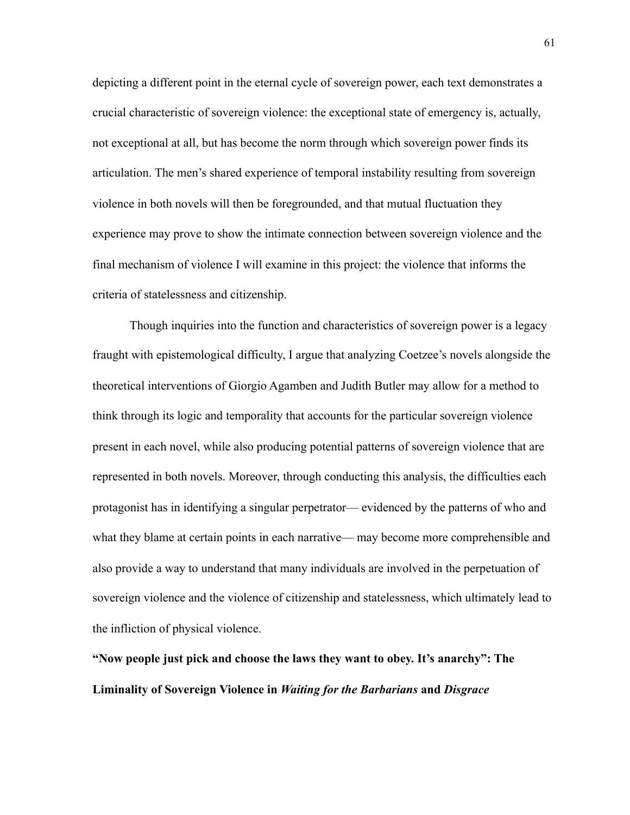depicting a different point in the eternal cycle of sovereign power, each text demonstrates a crucial characteristic of sovereign violence: the exceptional state of emergency is, actually, not exceptional at all, but has become the norm through which sovereign power finds its articulation. The men's shared experience of temporal instability resulting from sovereign violence in both novels will then be foregrounded, and that mutual fluctuation they experience may prove to show the intimate connection between sovereign violence and the final mechanism of violence I will examine in this project: the violence that informs the criteria of statelessness and citizenship.

Though inquiries into the function and characteristics of sovereign power is a legacy fraught with epistemological difficulty, I argue that analyzing Coetzee's novels alongside the theoretical interventions of Giorgio Agamben and Judith Butler may allow for a method to think through its logic and temporality that accounts for the particular sovereign violence present in each novel, while also producing potential patterns of sovereign violence that are represented in both novels. Moreover, through conducting this analysis, the difficulties each protagonist has in identifying a singular perpetrator— evidenced by the patterns of who and what they blame at certain points in each narrative— may become more comprehensible and also provide a way to understand that many individuals are involved in the perpetuation of sovereign violence and the violence of citizenship and statelessness, which ultimately lead to the infliction of physical violence.

**"Now people just pick and choose the laws they want to obey. It's anarchy": The Liminality of Sovereign Violence in** *Waiting for the Barbarians* **and** *Disgrace*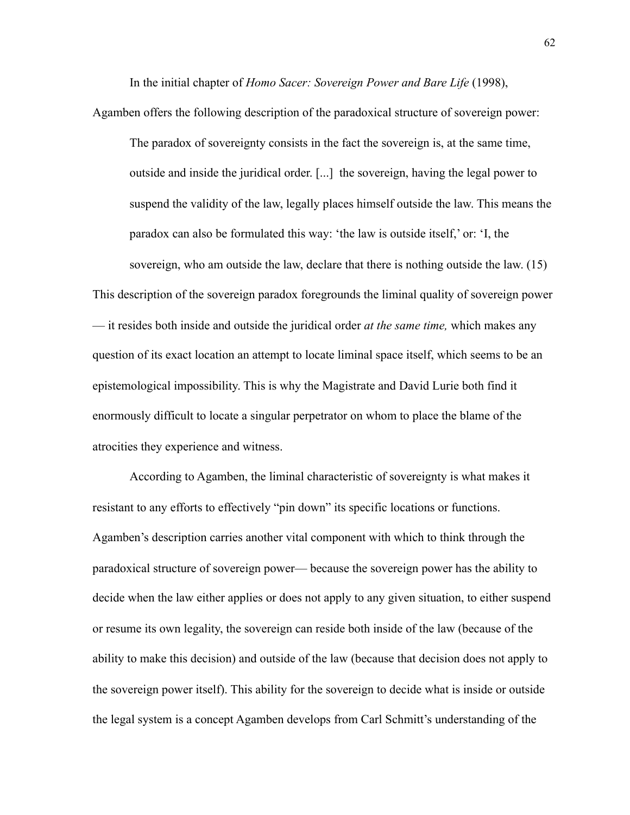In the initial chapter of *Homo Sacer: Sovereign Power and Bare Life* (1998),

Agamben offers the following description of the paradoxical structure of sovereign power:

The paradox of sovereignty consists in the fact the sovereign is, at the same time, outside and inside the juridical order. [...] the sovereign, having the legal power to suspend the validity of the law, legally places himself outside the law. This means the paradox can also be formulated this way: 'the law is outside itself,' or: 'I, the sovereign, who am outside the law, declare that there is nothing outside the law. (15) This description of the sovereign paradox foregrounds the liminal quality of sovereign power — it resides both inside and outside the juridical order *at the same time,* which makes any question of its exact location an attempt to locate liminal space itself, which seems to be an epistemological impossibility. This is why the Magistrate and David Lurie both find it enormously difficult to locate a singular perpetrator on whom to place the blame of the atrocities they experience and witness.

According to Agamben, the liminal characteristic of sovereignty is what makes it resistant to any efforts to effectively "pin down" its specific locations or functions. Agamben's description carries another vital component with which to think through the paradoxical structure of sovereign power— because the sovereign power has the ability to decide when the law either applies or does not apply to any given situation, to either suspend or resume its own legality, the sovereign can reside both inside of the law (because of the ability to make this decision) and outside of the law (because that decision does not apply to the sovereign power itself). This ability for the sovereign to decide what is inside or outside the legal system is a concept Agamben develops from Carl Schmitt's understanding of the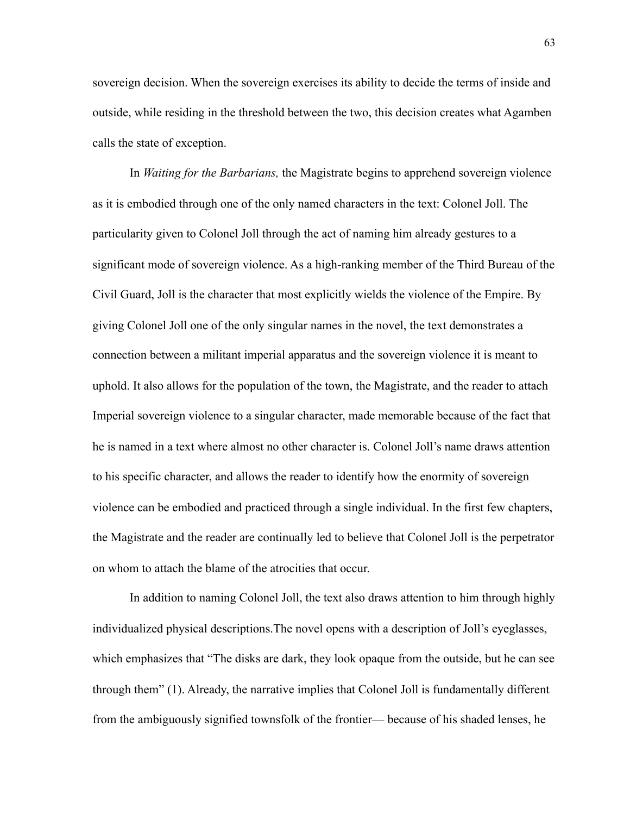sovereign decision. When the sovereign exercises its ability to decide the terms of inside and outside, while residing in the threshold between the two, this decision creates what Agamben calls the state of exception.

 In *Waiting for the Barbarians,* the Magistrate begins to apprehend sovereign violence as it is embodied through one of the only named characters in the text: Colonel Joll. The particularity given to Colonel Joll through the act of naming him already gestures to a significant mode of sovereign violence. As a high-ranking member of the Third Bureau of the Civil Guard, Joll is the character that most explicitly wields the violence of the Empire. By giving Colonel Joll one of the only singular names in the novel, the text demonstrates a connection between a militant imperial apparatus and the sovereign violence it is meant to uphold. It also allows for the population of the town, the Magistrate, and the reader to attach Imperial sovereign violence to a singular character, made memorable because of the fact that he is named in a text where almost no other character is. Colonel Joll's name draws attention to his specific character, and allows the reader to identify how the enormity of sovereign violence can be embodied and practiced through a single individual. In the first few chapters, the Magistrate and the reader are continually led to believe that Colonel Joll is the perpetrator on whom to attach the blame of the atrocities that occur.

In addition to naming Colonel Joll, the text also draws attention to him through highly individualized physical descriptions.The novel opens with a description of Joll's eyeglasses, which emphasizes that "The disks are dark, they look opaque from the outside, but he can see through them" (1). Already, the narrative implies that Colonel Joll is fundamentally different from the ambiguously signified townsfolk of the frontier— because of his shaded lenses, he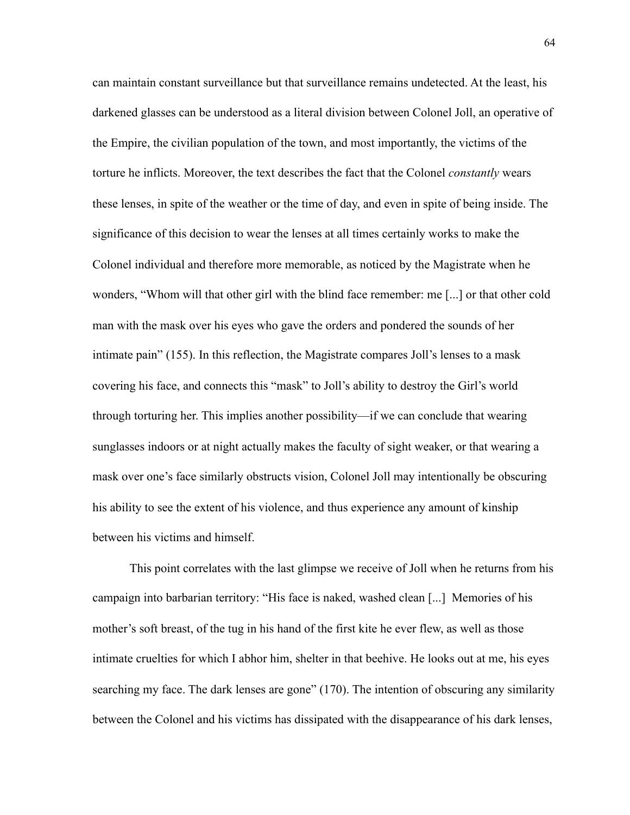can maintain constant surveillance but that surveillance remains undetected. At the least, his darkened glasses can be understood as a literal division between Colonel Joll, an operative of the Empire, the civilian population of the town, and most importantly, the victims of the torture he inflicts. Moreover, the text describes the fact that the Colonel *constantly* wears these lenses, in spite of the weather or the time of day, and even in spite of being inside. The significance of this decision to wear the lenses at all times certainly works to make the Colonel individual and therefore more memorable, as noticed by the Magistrate when he wonders, "Whom will that other girl with the blind face remember: me [...] or that other cold man with the mask over his eyes who gave the orders and pondered the sounds of her intimate pain" (155). In this reflection, the Magistrate compares Joll's lenses to a mask covering his face, and connects this "mask" to Joll's ability to destroy the Girl's world through torturing her. This implies another possibility—if we can conclude that wearing sunglasses indoors or at night actually makes the faculty of sight weaker, or that wearing a mask over one's face similarly obstructs vision, Colonel Joll may intentionally be obscuring his ability to see the extent of his violence, and thus experience any amount of kinship between his victims and himself.

This point correlates with the last glimpse we receive of Joll when he returns from his campaign into barbarian territory: "His face is naked, washed clean [...] Memories of his mother's soft breast, of the tug in his hand of the first kite he ever flew, as well as those intimate cruelties for which I abhor him, shelter in that beehive. He looks out at me, his eyes searching my face. The dark lenses are gone" (170). The intention of obscuring any similarity between the Colonel and his victims has dissipated with the disappearance of his dark lenses,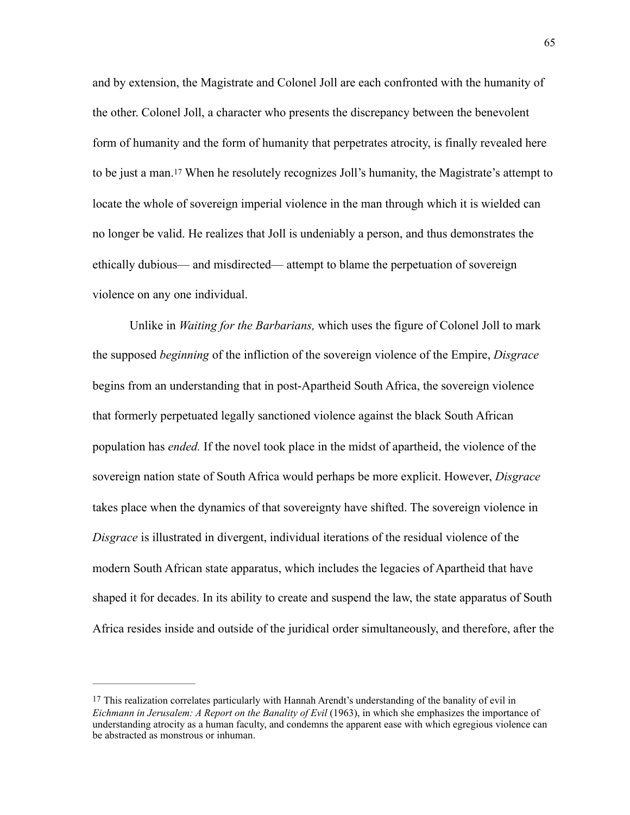<span id="page-71-1"></span>and by extension, the Magistrate and Colonel Joll are each confronted with the humanity of the other. Colonel Joll, a character who presents the discrepancy between the benevolent form of humanity and the form of humanity that perpetrates atrocity, is finally revealed here to be just a man.[17](#page-71-0) When he resolutely recognizes Joll's humanity, the Magistrate's attempt to locate the whole of sovereign imperial violence in the man through which it is wielded can no longer be valid. He realizes that Joll is undeniably a person, and thus demonstrates the ethically dubious— and misdirected— attempt to blame the perpetuation of sovereign violence on any one individual.

Unlike in *Waiting for the Barbarians,* which uses the figure of Colonel Joll to mark the supposed *beginning* of the infliction of the sovereign violence of the Empire, *Disgrace*  begins from an understanding that in post-Apartheid South Africa, the sovereign violence that formerly perpetuated legally sanctioned violence against the black South African population has *ended.* If the novel took place in the midst of apartheid, the violence of the sovereign nation state of South Africa would perhaps be more explicit. However, *Disgrace*  takes place when the dynamics of that sovereignty have shifted. The sovereign violence in *Disgrace* is illustrated in divergent, individual iterations of the residual violence of the modern South African state apparatus, which includes the legacies of Apartheid that have shaped it for decades. In its ability to create and suspend the law, the state apparatus of South Africa resides inside and outside of the juridical order simultaneously, and therefore, after the

<span id="page-71-0"></span>[<sup>17</sup>](#page-71-1) This realization correlates particularly with Hannah Arendt's understanding of the banality of evil in *Eichmann in Jerusalem: A Report on the Banality of Evil* (1963), in which she emphasizes the importance of understanding atrocity as a human faculty, and condemns the apparent ease with which egregious violence can be abstracted as monstrous or inhuman.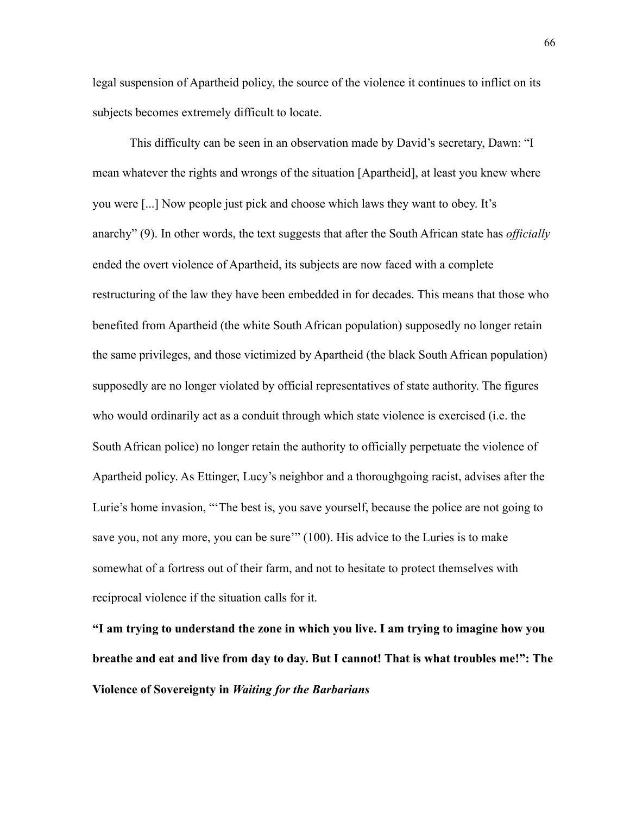legal suspension of Apartheid policy, the source of the violence it continues to inflict on its subjects becomes extremely difficult to locate.

This difficulty can be seen in an observation made by David's secretary, Dawn: "I mean whatever the rights and wrongs of the situation [Apartheid], at least you knew where you were [...] Now people just pick and choose which laws they want to obey. It's anarchy" (9). In other words, the text suggests that after the South African state has *officially*  ended the overt violence of Apartheid, its subjects are now faced with a complete restructuring of the law they have been embedded in for decades. This means that those who benefited from Apartheid (the white South African population) supposedly no longer retain the same privileges, and those victimized by Apartheid (the black South African population) supposedly are no longer violated by official representatives of state authority. The figures who would ordinarily act as a conduit through which state violence is exercised (i.e. the South African police) no longer retain the authority to officially perpetuate the violence of Apartheid policy. As Ettinger, Lucy's neighbor and a thoroughgoing racist, advises after the Lurie's home invasion, "'The best is, you save yourself, because the police are not going to save you, not any more, you can be sure" (100). His advice to the Luries is to make somewhat of a fortress out of their farm, and not to hesitate to protect themselves with reciprocal violence if the situation calls for it.

**"I am trying to understand the zone in which you live. I am trying to imagine how you breathe and eat and live from day to day. But I cannot! That is what troubles me!": The Violence of Sovereignty in** *Waiting for the Barbarians*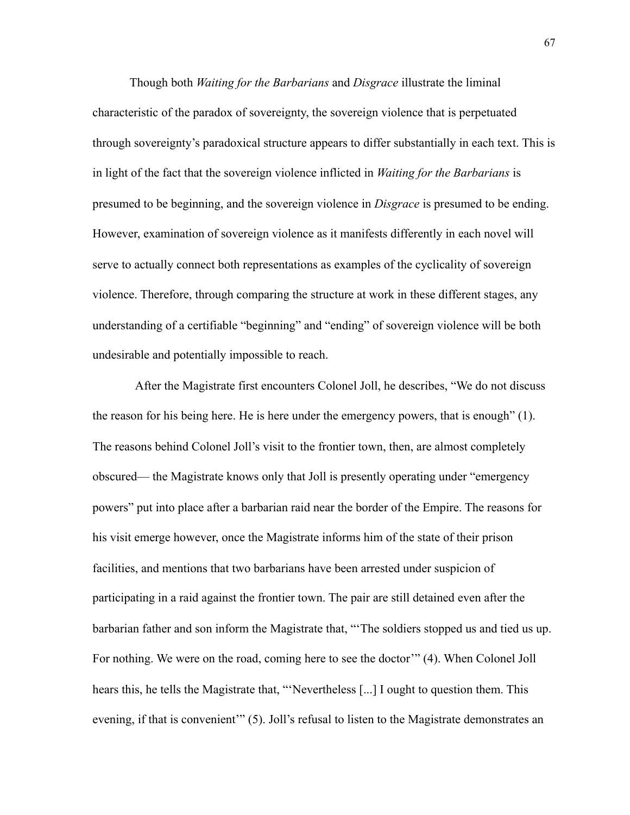Though both *Waiting for the Barbarians* and *Disgrace* illustrate the liminal characteristic of the paradox of sovereignty, the sovereign violence that is perpetuated through sovereignty's paradoxical structure appears to differ substantially in each text. This is in light of the fact that the sovereign violence inflicted in *Waiting for the Barbarians* is presumed to be beginning, and the sovereign violence in *Disgrace* is presumed to be ending. However, examination of sovereign violence as it manifests differently in each novel will serve to actually connect both representations as examples of the cyclicality of sovereign violence. Therefore, through comparing the structure at work in these different stages, any understanding of a certifiable "beginning" and "ending" of sovereign violence will be both undesirable and potentially impossible to reach.

 After the Magistrate first encounters Colonel Joll, he describes, "We do not discuss the reason for his being here. He is here under the emergency powers, that is enough" (1). The reasons behind Colonel Joll's visit to the frontier town, then, are almost completely obscured— the Magistrate knows only that Joll is presently operating under "emergency powers" put into place after a barbarian raid near the border of the Empire. The reasons for his visit emerge however, once the Magistrate informs him of the state of their prison facilities, and mentions that two barbarians have been arrested under suspicion of participating in a raid against the frontier town. The pair are still detained even after the barbarian father and son inform the Magistrate that, "'The soldiers stopped us and tied us up. For nothing. We were on the road, coming here to see the doctor'" (4). When Colonel Joll hears this, he tells the Magistrate that, "'Nevertheless [...] I ought to question them. This evening, if that is convenient" (5). Joll's refusal to listen to the Magistrate demonstrates an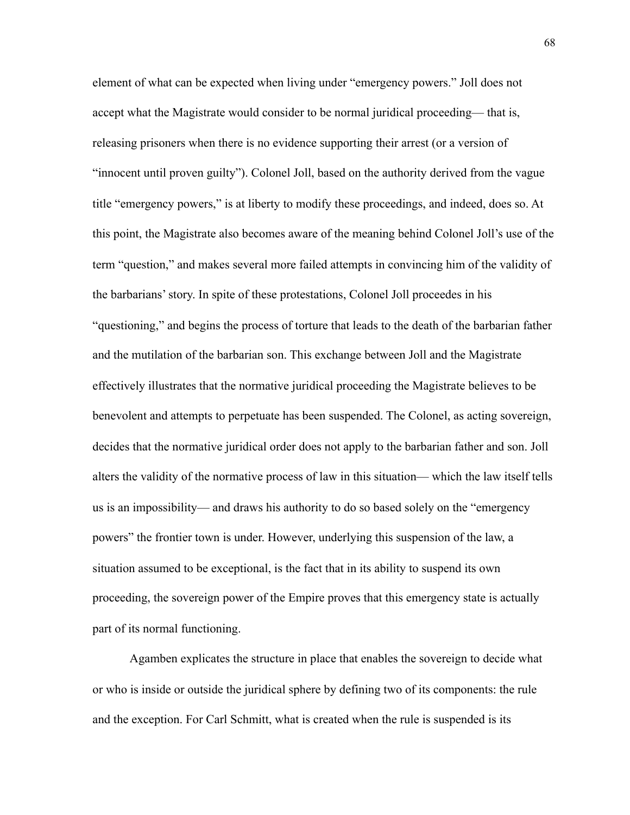element of what can be expected when living under "emergency powers." Joll does not accept what the Magistrate would consider to be normal juridical proceeding— that is, releasing prisoners when there is no evidence supporting their arrest (or a version of "innocent until proven guilty"). Colonel Joll, based on the authority derived from the vague title "emergency powers," is at liberty to modify these proceedings, and indeed, does so. At this point, the Magistrate also becomes aware of the meaning behind Colonel Joll's use of the term "question," and makes several more failed attempts in convincing him of the validity of the barbarians' story. In spite of these protestations, Colonel Joll proceedes in his "questioning," and begins the process of torture that leads to the death of the barbarian father and the mutilation of the barbarian son. This exchange between Joll and the Magistrate effectively illustrates that the normative juridical proceeding the Magistrate believes to be benevolent and attempts to perpetuate has been suspended. The Colonel, as acting sovereign, decides that the normative juridical order does not apply to the barbarian father and son. Joll alters the validity of the normative process of law in this situation— which the law itself tells us is an impossibility— and draws his authority to do so based solely on the "emergency powers" the frontier town is under. However, underlying this suspension of the law, a situation assumed to be exceptional, is the fact that in its ability to suspend its own proceeding, the sovereign power of the Empire proves that this emergency state is actually part of its normal functioning.

Agamben explicates the structure in place that enables the sovereign to decide what or who is inside or outside the juridical sphere by defining two of its components: the rule and the exception. For Carl Schmitt, what is created when the rule is suspended is its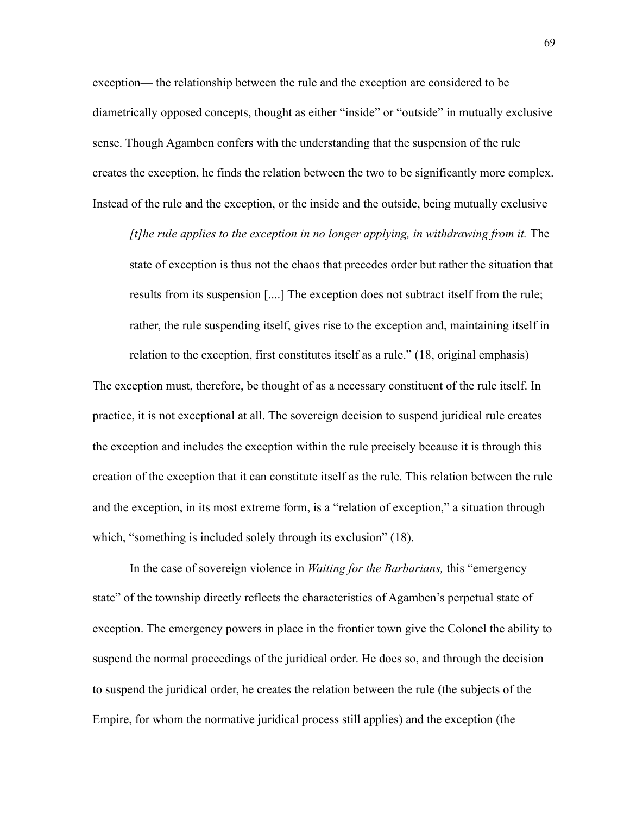exception— the relationship between the rule and the exception are considered to be diametrically opposed concepts, thought as either "inside" or "outside" in mutually exclusive sense. Though Agamben confers with the understanding that the suspension of the rule creates the exception, he finds the relation between the two to be significantly more complex. Instead of the rule and the exception, or the inside and the outside, being mutually exclusive

*[t]he rule applies to the exception in no longer applying, in withdrawing from it. The* state of exception is thus not the chaos that precedes order but rather the situation that results from its suspension [....] The exception does not subtract itself from the rule; rather, the rule suspending itself, gives rise to the exception and, maintaining itself in relation to the exception, first constitutes itself as a rule." (18, original emphasis)

The exception must, therefore, be thought of as a necessary constituent of the rule itself. In practice, it is not exceptional at all. The sovereign decision to suspend juridical rule creates the exception and includes the exception within the rule precisely because it is through this creation of the exception that it can constitute itself as the rule. This relation between the rule and the exception, in its most extreme form, is a "relation of exception," a situation through which, "something is included solely through its exclusion" (18).

In the case of sovereign violence in *Waiting for the Barbarians,* this "emergency state" of the township directly reflects the characteristics of Agamben's perpetual state of exception. The emergency powers in place in the frontier town give the Colonel the ability to suspend the normal proceedings of the juridical order. He does so, and through the decision to suspend the juridical order, he creates the relation between the rule (the subjects of the Empire, for whom the normative juridical process still applies) and the exception (the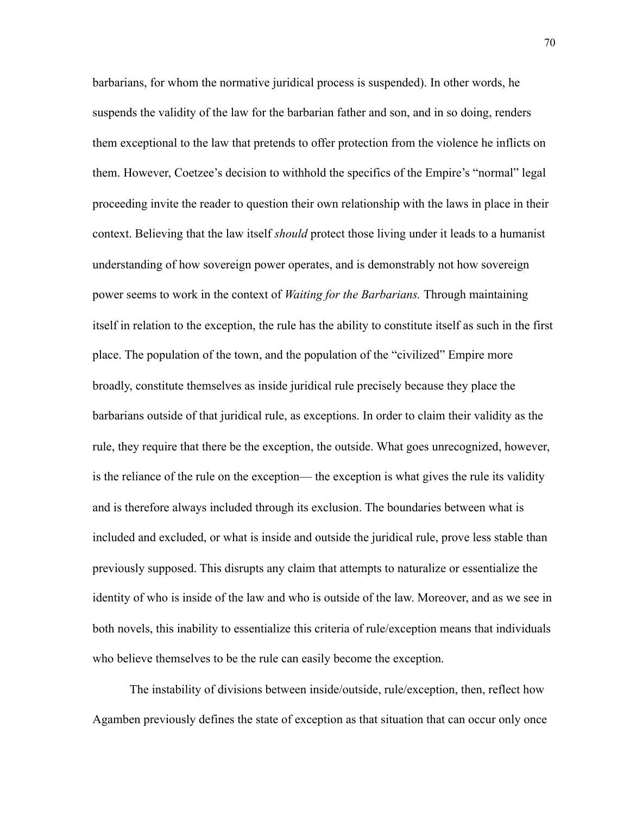barbarians, for whom the normative juridical process is suspended). In other words, he suspends the validity of the law for the barbarian father and son, and in so doing, renders them exceptional to the law that pretends to offer protection from the violence he inflicts on them. However, Coetzee's decision to withhold the specifics of the Empire's "normal" legal proceeding invite the reader to question their own relationship with the laws in place in their context. Believing that the law itself *should* protect those living under it leads to a humanist understanding of how sovereign power operates, and is demonstrably not how sovereign power seems to work in the context of *Waiting for the Barbarians.* Through maintaining itself in relation to the exception, the rule has the ability to constitute itself as such in the first place. The population of the town, and the population of the "civilized" Empire more broadly, constitute themselves as inside juridical rule precisely because they place the barbarians outside of that juridical rule, as exceptions. In order to claim their validity as the rule, they require that there be the exception, the outside. What goes unrecognized, however, is the reliance of the rule on the exception— the exception is what gives the rule its validity and is therefore always included through its exclusion. The boundaries between what is included and excluded, or what is inside and outside the juridical rule, prove less stable than previously supposed. This disrupts any claim that attempts to naturalize or essentialize the identity of who is inside of the law and who is outside of the law. Moreover, and as we see in both novels, this inability to essentialize this criteria of rule/exception means that individuals who believe themselves to be the rule can easily become the exception.

 The instability of divisions between inside/outside, rule/exception, then, reflect how Agamben previously defines the state of exception as that situation that can occur only once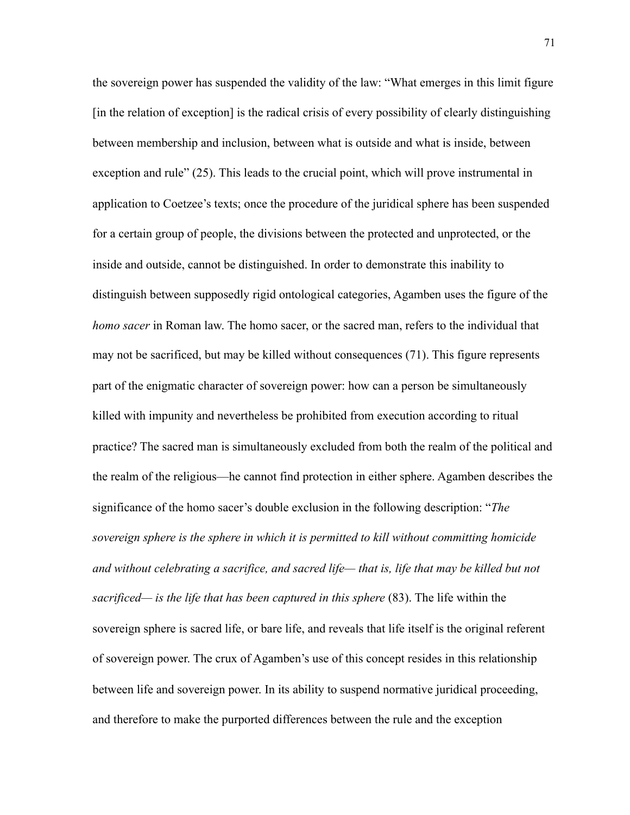the sovereign power has suspended the validity of the law: "What emerges in this limit figure [in the relation of exception] is the radical crisis of every possibility of clearly distinguishing between membership and inclusion, between what is outside and what is inside, between exception and rule" (25). This leads to the crucial point, which will prove instrumental in application to Coetzee's texts; once the procedure of the juridical sphere has been suspended for a certain group of people, the divisions between the protected and unprotected, or the inside and outside, cannot be distinguished. In order to demonstrate this inability to distinguish between supposedly rigid ontological categories, Agamben uses the figure of the *homo sacer* in Roman law. The homo sacer, or the sacred man, refers to the individual that may not be sacrificed, but may be killed without consequences (71). This figure represents part of the enigmatic character of sovereign power: how can a person be simultaneously killed with impunity and nevertheless be prohibited from execution according to ritual practice? The sacred man is simultaneously excluded from both the realm of the political and the realm of the religious—he cannot find protection in either sphere. Agamben describes the significance of the homo sacer's double exclusion in the following description: "*The sovereign sphere is the sphere in which it is permitted to kill without committing homicide and without celebrating a sacrifice, and sacred life— that is, life that may be killed but not sacrificed— is the life that has been captured in this sphere* (83). The life within the sovereign sphere is sacred life, or bare life, and reveals that life itself is the original referent of sovereign power. The crux of Agamben's use of this concept resides in this relationship between life and sovereign power. In its ability to suspend normative juridical proceeding, and therefore to make the purported differences between the rule and the exception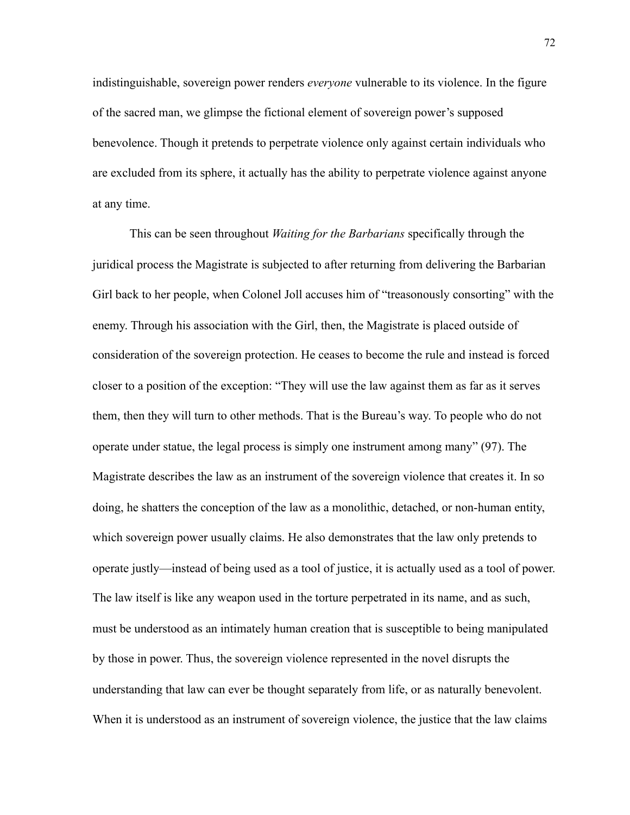indistinguishable, sovereign power renders *everyone* vulnerable to its violence. In the figure of the sacred man, we glimpse the fictional element of sovereign power's supposed benevolence. Though it pretends to perpetrate violence only against certain individuals who are excluded from its sphere, it actually has the ability to perpetrate violence against anyone at any time.

This can be seen throughout *Waiting for the Barbarians* specifically through the juridical process the Magistrate is subjected to after returning from delivering the Barbarian Girl back to her people, when Colonel Joll accuses him of "treasonously consorting" with the enemy. Through his association with the Girl, then, the Magistrate is placed outside of consideration of the sovereign protection. He ceases to become the rule and instead is forced closer to a position of the exception: "They will use the law against them as far as it serves them, then they will turn to other methods. That is the Bureau's way. To people who do not operate under statue, the legal process is simply one instrument among many" (97). The Magistrate describes the law as an instrument of the sovereign violence that creates it. In so doing, he shatters the conception of the law as a monolithic, detached, or non-human entity, which sovereign power usually claims. He also demonstrates that the law only pretends to operate justly—instead of being used as a tool of justice, it is actually used as a tool of power. The law itself is like any weapon used in the torture perpetrated in its name, and as such, must be understood as an intimately human creation that is susceptible to being manipulated by those in power. Thus, the sovereign violence represented in the novel disrupts the understanding that law can ever be thought separately from life, or as naturally benevolent. When it is understood as an instrument of sovereign violence, the justice that the law claims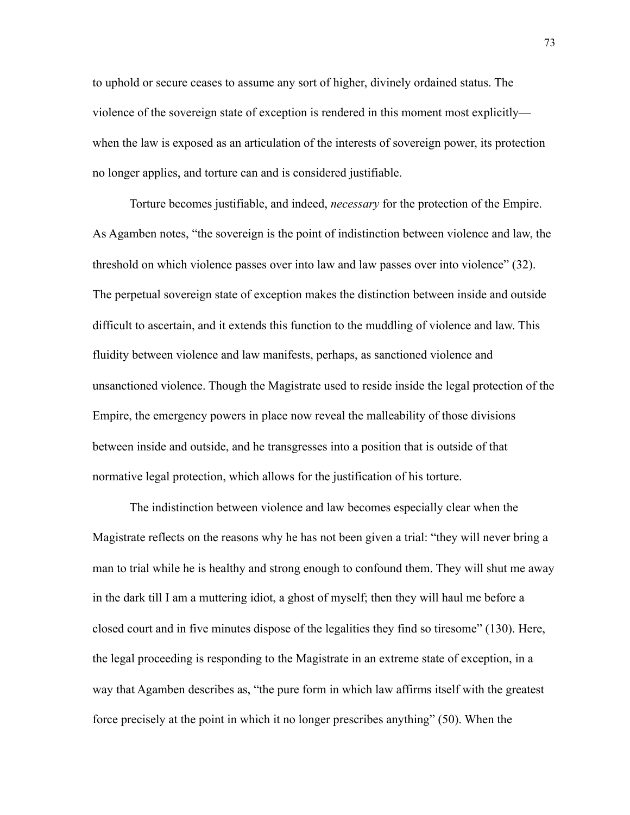to uphold or secure ceases to assume any sort of higher, divinely ordained status. The violence of the sovereign state of exception is rendered in this moment most explicitly when the law is exposed as an articulation of the interests of sovereign power, its protection no longer applies, and torture can and is considered justifiable.

Torture becomes justifiable, and indeed, *necessary* for the protection of the Empire. As Agamben notes, "the sovereign is the point of indistinction between violence and law, the threshold on which violence passes over into law and law passes over into violence" (32). The perpetual sovereign state of exception makes the distinction between inside and outside difficult to ascertain, and it extends this function to the muddling of violence and law. This fluidity between violence and law manifests, perhaps, as sanctioned violence and unsanctioned violence. Though the Magistrate used to reside inside the legal protection of the Empire, the emergency powers in place now reveal the malleability of those divisions between inside and outside, and he transgresses into a position that is outside of that normative legal protection, which allows for the justification of his torture.

The indistinction between violence and law becomes especially clear when the Magistrate reflects on the reasons why he has not been given a trial: "they will never bring a man to trial while he is healthy and strong enough to confound them. They will shut me away in the dark till I am a muttering idiot, a ghost of myself; then they will haul me before a closed court and in five minutes dispose of the legalities they find so tiresome" (130). Here, the legal proceeding is responding to the Magistrate in an extreme state of exception, in a way that Agamben describes as, "the pure form in which law affirms itself with the greatest force precisely at the point in which it no longer prescribes anything" (50). When the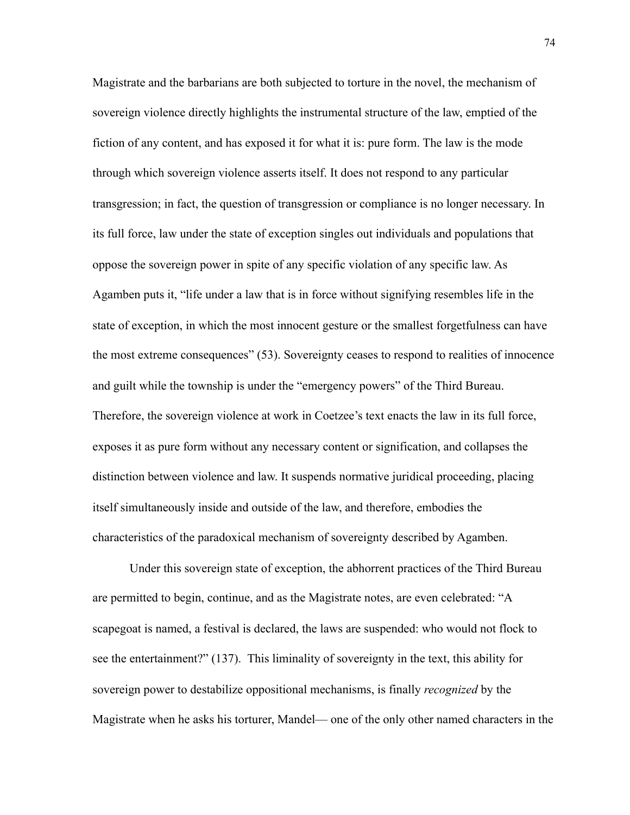Magistrate and the barbarians are both subjected to torture in the novel, the mechanism of sovereign violence directly highlights the instrumental structure of the law, emptied of the fiction of any content, and has exposed it for what it is: pure form. The law is the mode through which sovereign violence asserts itself. It does not respond to any particular transgression; in fact, the question of transgression or compliance is no longer necessary. In its full force, law under the state of exception singles out individuals and populations that oppose the sovereign power in spite of any specific violation of any specific law. As Agamben puts it, "life under a law that is in force without signifying resembles life in the state of exception, in which the most innocent gesture or the smallest forgetfulness can have the most extreme consequences" (53). Sovereignty ceases to respond to realities of innocence and guilt while the township is under the "emergency powers" of the Third Bureau. Therefore, the sovereign violence at work in Coetzee's text enacts the law in its full force, exposes it as pure form without any necessary content or signification, and collapses the distinction between violence and law. It suspends normative juridical proceeding, placing itself simultaneously inside and outside of the law, and therefore, embodies the characteristics of the paradoxical mechanism of sovereignty described by Agamben.

Under this sovereign state of exception, the abhorrent practices of the Third Bureau are permitted to begin, continue, and as the Magistrate notes, are even celebrated: "A scapegoat is named, a festival is declared, the laws are suspended: who would not flock to see the entertainment?" (137). This liminality of sovereignty in the text, this ability for sovereign power to destabilize oppositional mechanisms, is finally *recognized* by the Magistrate when he asks his torturer, Mandel— one of the only other named characters in the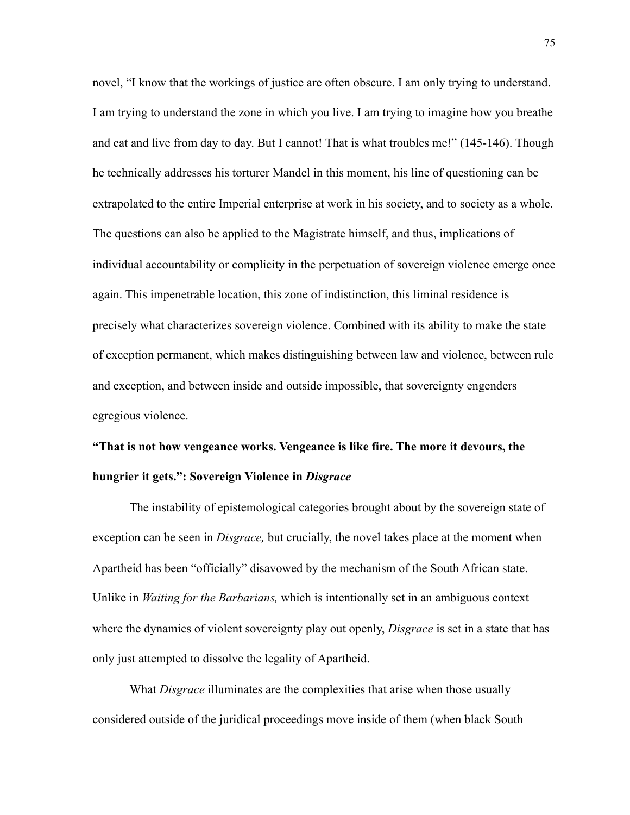novel, "I know that the workings of justice are often obscure. I am only trying to understand. I am trying to understand the zone in which you live. I am trying to imagine how you breathe and eat and live from day to day. But I cannot! That is what troubles me!" (145-146). Though he technically addresses his torturer Mandel in this moment, his line of questioning can be extrapolated to the entire Imperial enterprise at work in his society, and to society as a whole. The questions can also be applied to the Magistrate himself, and thus, implications of individual accountability or complicity in the perpetuation of sovereign violence emerge once again. This impenetrable location, this zone of indistinction, this liminal residence is precisely what characterizes sovereign violence. Combined with its ability to make the state of exception permanent, which makes distinguishing between law and violence, between rule and exception, and between inside and outside impossible, that sovereignty engenders egregious violence.

## **"That is not how vengeance works. Vengeance is like fire. The more it devours, the hungrier it gets.": Sovereign Violence in** *Disgrace*

The instability of epistemological categories brought about by the sovereign state of exception can be seen in *Disgrace,* but crucially, the novel takes place at the moment when Apartheid has been "officially" disavowed by the mechanism of the South African state. Unlike in *Waiting for the Barbarians,* which is intentionally set in an ambiguous context where the dynamics of violent sovereignty play out openly, *Disgrace* is set in a state that has only just attempted to dissolve the legality of Apartheid.

What *Disgrace* illuminates are the complexities that arise when those usually considered outside of the juridical proceedings move inside of them (when black South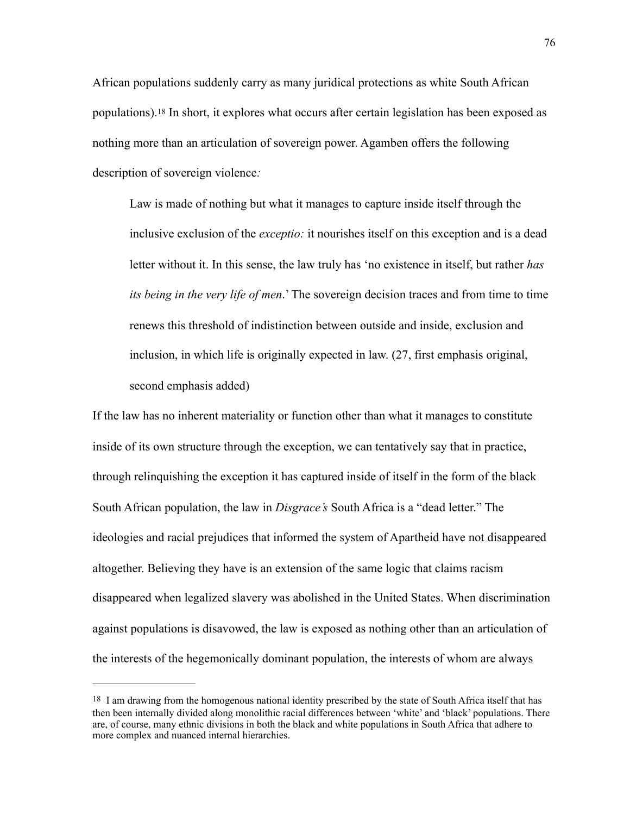<span id="page-82-1"></span>African populations suddenly carry as many juridical protections as white South African populations).[18](#page-82-0) In short, it explores what occurs after certain legislation has been exposed as nothing more than an articulation of sovereign power. Agamben offers the following description of sovereign violence*:* 

Law is made of nothing but what it manages to capture inside itself through the inclusive exclusion of the *exceptio:* it nourishes itself on this exception and is a dead letter without it. In this sense, the law truly has 'no existence in itself, but rather *has its being in the very life of men*.' The sovereign decision traces and from time to time renews this threshold of indistinction between outside and inside, exclusion and inclusion, in which life is originally expected in law. (27, first emphasis original, second emphasis added)

If the law has no inherent materiality or function other than what it manages to constitute inside of its own structure through the exception, we can tentatively say that in practice, through relinquishing the exception it has captured inside of itself in the form of the black South African population, the law in *Disgrace's* South Africa is a "dead letter." The ideologies and racial prejudices that informed the system of Apartheid have not disappeared altogether. Believing they have is an extension of the same logic that claims racism disappeared when legalized slavery was abolished in the United States. When discrimination against populations is disavowed, the law is exposed as nothing other than an articulation of the interests of the hegemonically dominant population, the interests of whom are always

<span id="page-82-0"></span>[<sup>18</sup>](#page-82-1) I am drawing from the homogenous national identity prescribed by the state of South Africa itself that has then been internally divided along monolithic racial differences between 'white' and 'black' populations. There are, of course, many ethnic divisions in both the black and white populations in South Africa that adhere to more complex and nuanced internal hierarchies.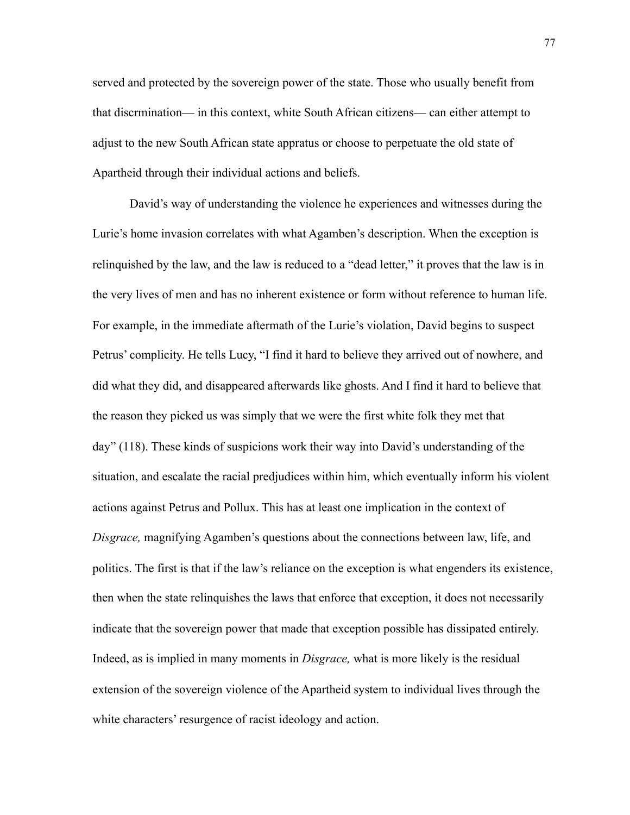served and protected by the sovereign power of the state. Those who usually benefit from that discrmination— in this context, white South African citizens— can either attempt to adjust to the new South African state appratus or choose to perpetuate the old state of Apartheid through their individual actions and beliefs.

David's way of understanding the violence he experiences and witnesses during the Lurie's home invasion correlates with what Agamben's description. When the exception is relinquished by the law, and the law is reduced to a "dead letter," it proves that the law is in the very lives of men and has no inherent existence or form without reference to human life. For example, in the immediate aftermath of the Lurie's violation, David begins to suspect Petrus' complicity. He tells Lucy, "I find it hard to believe they arrived out of nowhere, and did what they did, and disappeared afterwards like ghosts. And I find it hard to believe that the reason they picked us was simply that we were the first white folk they met that day" (118). These kinds of suspicions work their way into David's understanding of the situation, and escalate the racial predjudices within him, which eventually inform his violent actions against Petrus and Pollux. This has at least one implication in the context of *Disgrace,* magnifying Agamben's questions about the connections between law, life, and politics. The first is that if the law's reliance on the exception is what engenders its existence, then when the state relinquishes the laws that enforce that exception, it does not necessarily indicate that the sovereign power that made that exception possible has dissipated entirely. Indeed, as is implied in many moments in *Disgrace,* what is more likely is the residual extension of the sovereign violence of the Apartheid system to individual lives through the white characters' resurgence of racist ideology and action.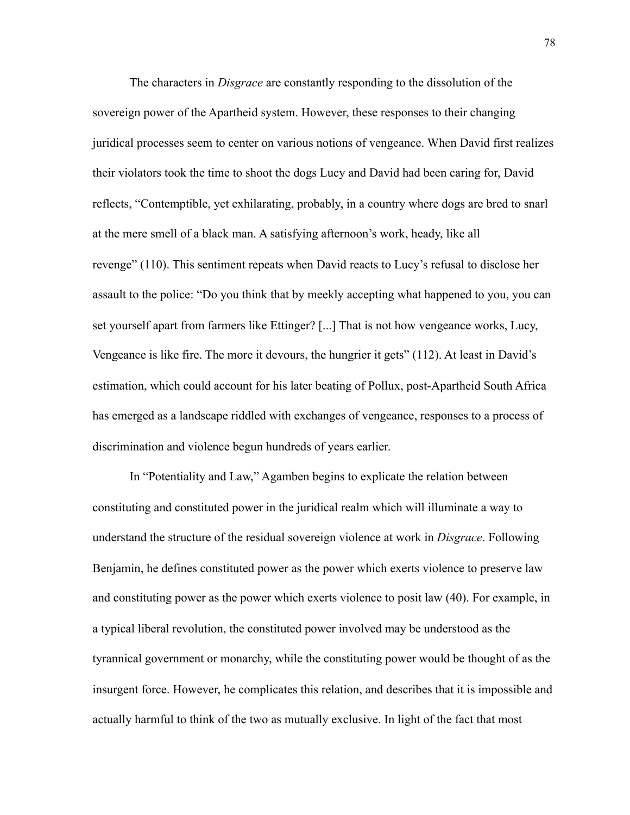The characters in *Disgrace* are constantly responding to the dissolution of the sovereign power of the Apartheid system. However, these responses to their changing juridical processes seem to center on various notions of vengeance. When David first realizes their violators took the time to shoot the dogs Lucy and David had been caring for, David reflects, "Contemptible, yet exhilarating, probably, in a country where dogs are bred to snarl at the mere smell of a black man. A satisfying afternoon's work, heady, like all revenge" (110). This sentiment repeats when David reacts to Lucy's refusal to disclose her assault to the police: "Do you think that by meekly accepting what happened to you, you can set yourself apart from farmers like Ettinger? [...] That is not how vengeance works, Lucy, Vengeance is like fire. The more it devours, the hungrier it gets" (112). At least in David's estimation, which could account for his later beating of Pollux, post-Apartheid South Africa has emerged as a landscape riddled with exchanges of vengeance, responses to a process of discrimination and violence begun hundreds of years earlier.

In "Potentiality and Law," Agamben begins to explicate the relation between constituting and constituted power in the juridical realm which will illuminate a way to understand the structure of the residual sovereign violence at work in *Disgrace*. Following Benjamin, he defines constituted power as the power which exerts violence to preserve law and constituting power as the power which exerts violence to posit law (40). For example, in a typical liberal revolution, the constituted power involved may be understood as the tyrannical government or monarchy, while the constituting power would be thought of as the insurgent force. However, he complicates this relation, and describes that it is impossible and actually harmful to think of the two as mutually exclusive. In light of the fact that most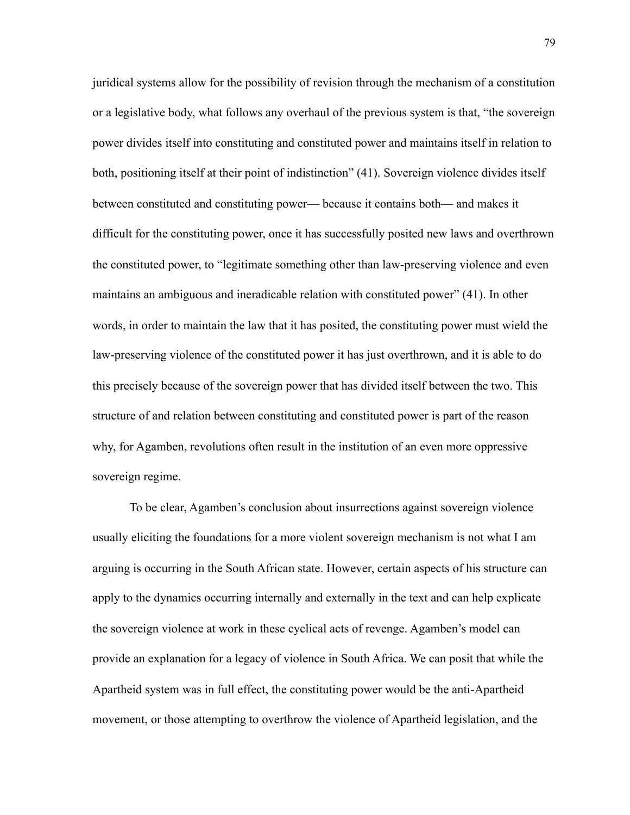juridical systems allow for the possibility of revision through the mechanism of a constitution or a legislative body, what follows any overhaul of the previous system is that, "the sovereign power divides itself into constituting and constituted power and maintains itself in relation to both, positioning itself at their point of indistinction" (41). Sovereign violence divides itself between constituted and constituting power— because it contains both— and makes it difficult for the constituting power, once it has successfully posited new laws and overthrown the constituted power, to "legitimate something other than law-preserving violence and even maintains an ambiguous and ineradicable relation with constituted power" (41). In other words, in order to maintain the law that it has posited, the constituting power must wield the law-preserving violence of the constituted power it has just overthrown, and it is able to do this precisely because of the sovereign power that has divided itself between the two. This structure of and relation between constituting and constituted power is part of the reason why, for Agamben, revolutions often result in the institution of an even more oppressive sovereign regime.

To be clear, Agamben's conclusion about insurrections against sovereign violence usually eliciting the foundations for a more violent sovereign mechanism is not what I am arguing is occurring in the South African state. However, certain aspects of his structure can apply to the dynamics occurring internally and externally in the text and can help explicate the sovereign violence at work in these cyclical acts of revenge. Agamben's model can provide an explanation for a legacy of violence in South Africa. We can posit that while the Apartheid system was in full effect, the constituting power would be the anti-Apartheid movement, or those attempting to overthrow the violence of Apartheid legislation, and the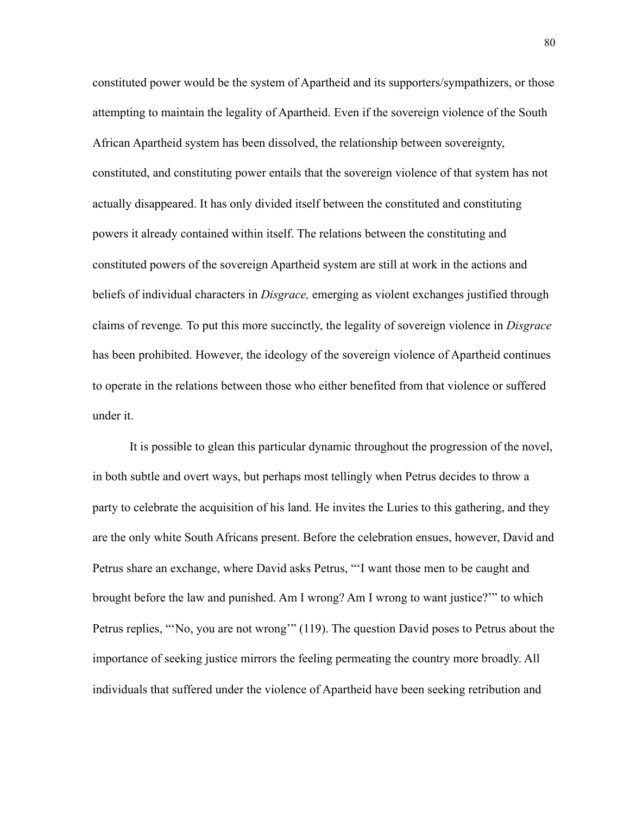constituted power would be the system of Apartheid and its supporters/sympathizers, or those attempting to maintain the legality of Apartheid. Even if the sovereign violence of the South African Apartheid system has been dissolved, the relationship between sovereignty, constituted, and constituting power entails that the sovereign violence of that system has not actually disappeared. It has only divided itself between the constituted and constituting powers it already contained within itself. The relations between the constituting and constituted powers of the sovereign Apartheid system are still at work in the actions and beliefs of individual characters in *Disgrace,* emerging as violent exchanges justified through claims of revenge*.* To put this more succinctly, the legality of sovereign violence in *Disgrace*  has been prohibited. However, the ideology of the sovereign violence of Apartheid continues to operate in the relations between those who either benefited from that violence or suffered under it.

It is possible to glean this particular dynamic throughout the progression of the novel, in both subtle and overt ways, but perhaps most tellingly when Petrus decides to throw a party to celebrate the acquisition of his land. He invites the Luries to this gathering, and they are the only white South Africans present. Before the celebration ensues, however, David and Petrus share an exchange, where David asks Petrus, "'I want those men to be caught and brought before the law and punished. Am I wrong? Am I wrong to want justice?'" to which Petrus replies, "'No, you are not wrong'" (119). The question David poses to Petrus about the importance of seeking justice mirrors the feeling permeating the country more broadly. All individuals that suffered under the violence of Apartheid have been seeking retribution and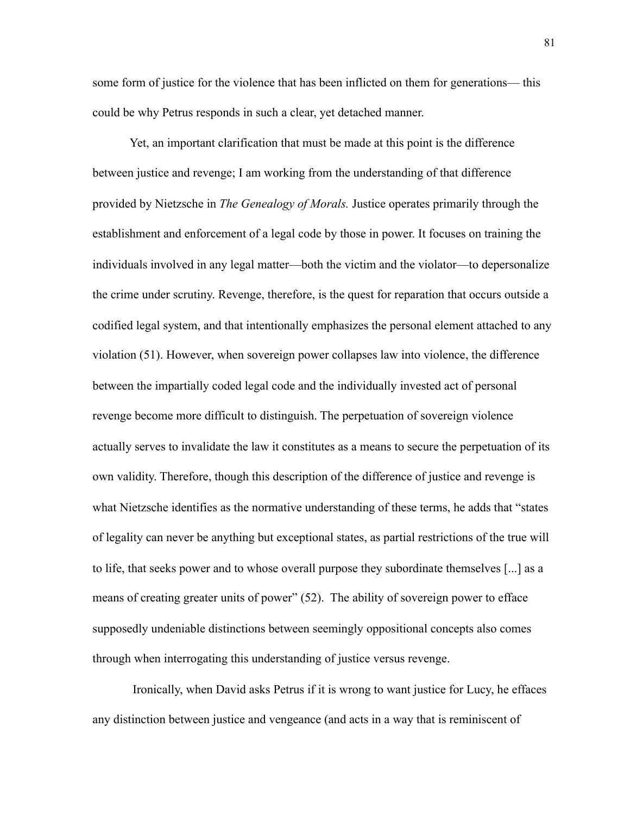some form of justice for the violence that has been inflicted on them for generations— this could be why Petrus responds in such a clear, yet detached manner.

Yet, an important clarification that must be made at this point is the difference between justice and revenge; I am working from the understanding of that difference provided by Nietzsche in *The Genealogy of Morals.* Justice operates primarily through the establishment and enforcement of a legal code by those in power. It focuses on training the individuals involved in any legal matter—both the victim and the violator—to depersonalize the crime under scrutiny. Revenge, therefore, is the quest for reparation that occurs outside a codified legal system, and that intentionally emphasizes the personal element attached to any violation (51). However, when sovereign power collapses law into violence, the difference between the impartially coded legal code and the individually invested act of personal revenge become more difficult to distinguish. The perpetuation of sovereign violence actually serves to invalidate the law it constitutes as a means to secure the perpetuation of its own validity. Therefore, though this description of the difference of justice and revenge is what Nietzsche identifies as the normative understanding of these terms, he adds that "states of legality can never be anything but exceptional states, as partial restrictions of the true will to life, that seeks power and to whose overall purpose they subordinate themselves [...] as a means of creating greater units of power" (52). The ability of sovereign power to efface supposedly undeniable distinctions between seemingly oppositional concepts also comes through when interrogating this understanding of justice versus revenge.

 Ironically, when David asks Petrus if it is wrong to want justice for Lucy, he effaces any distinction between justice and vengeance (and acts in a way that is reminiscent of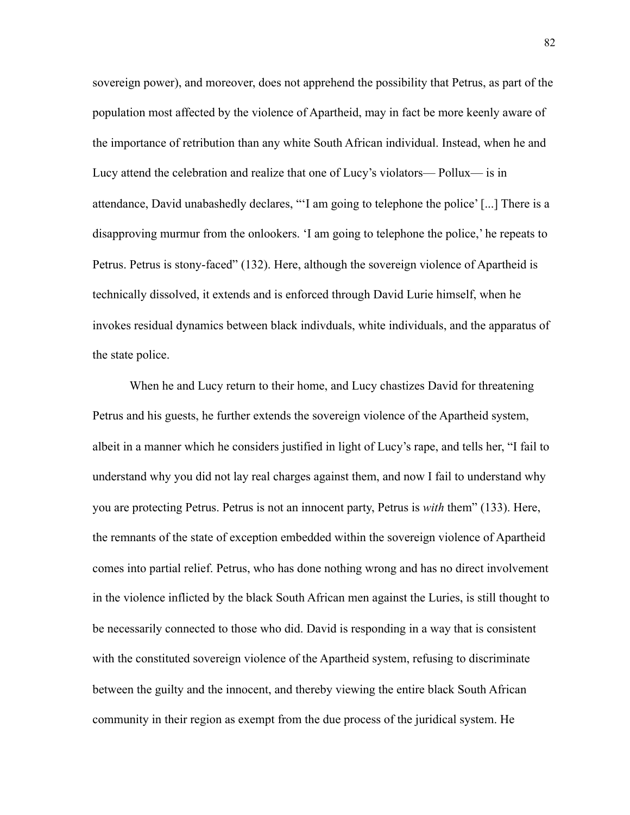sovereign power), and moreover, does not apprehend the possibility that Petrus, as part of the population most affected by the violence of Apartheid, may in fact be more keenly aware of the importance of retribution than any white South African individual. Instead, when he and Lucy attend the celebration and realize that one of Lucy's violators— Pollux— is in attendance, David unabashedly declares, "'I am going to telephone the police' [...] There is a disapproving murmur from the onlookers. 'I am going to telephone the police,' he repeats to Petrus. Petrus is stony-faced" (132). Here, although the sovereign violence of Apartheid is technically dissolved, it extends and is enforced through David Lurie himself, when he invokes residual dynamics between black indivduals, white individuals, and the apparatus of the state police.

When he and Lucy return to their home, and Lucy chastizes David for threatening Petrus and his guests, he further extends the sovereign violence of the Apartheid system, albeit in a manner which he considers justified in light of Lucy's rape, and tells her, "I fail to understand why you did not lay real charges against them, and now I fail to understand why you are protecting Petrus. Petrus is not an innocent party, Petrus is *with* them" (133). Here, the remnants of the state of exception embedded within the sovereign violence of Apartheid comes into partial relief. Petrus, who has done nothing wrong and has no direct involvement in the violence inflicted by the black South African men against the Luries, is still thought to be necessarily connected to those who did. David is responding in a way that is consistent with the constituted sovereign violence of the Apartheid system, refusing to discriminate between the guilty and the innocent, and thereby viewing the entire black South African community in their region as exempt from the due process of the juridical system. He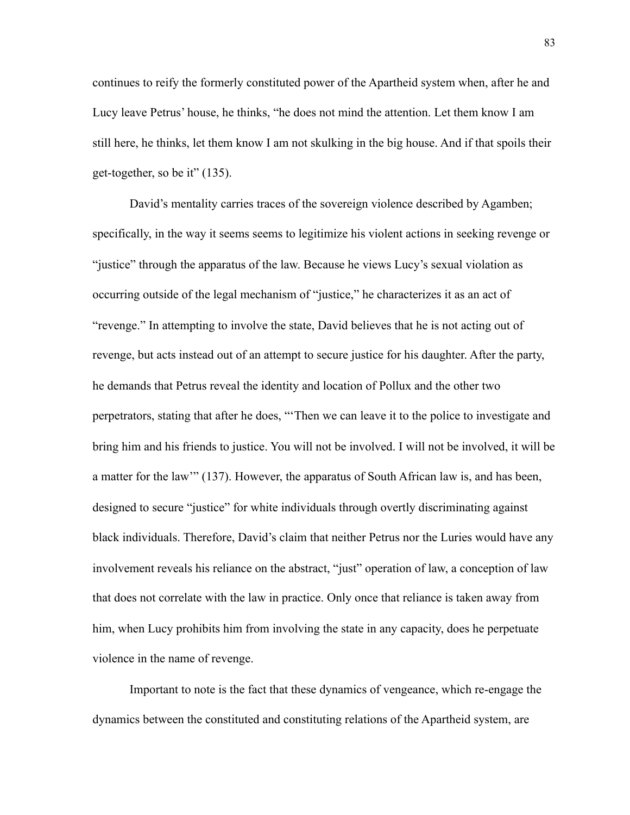continues to reify the formerly constituted power of the Apartheid system when, after he and Lucy leave Petrus' house, he thinks, "he does not mind the attention. Let them know I am still here, he thinks, let them know I am not skulking in the big house. And if that spoils their get-together, so be it" (135).

David's mentality carries traces of the sovereign violence described by Agamben; specifically, in the way it seems seems to legitimize his violent actions in seeking revenge or "justice" through the apparatus of the law. Because he views Lucy's sexual violation as occurring outside of the legal mechanism of "justice," he characterizes it as an act of "revenge." In attempting to involve the state, David believes that he is not acting out of revenge, but acts instead out of an attempt to secure justice for his daughter. After the party, he demands that Petrus reveal the identity and location of Pollux and the other two perpetrators, stating that after he does, "'Then we can leave it to the police to investigate and bring him and his friends to justice. You will not be involved. I will not be involved, it will be a matter for the law'" (137). However, the apparatus of South African law is, and has been, designed to secure "justice" for white individuals through overtly discriminating against black individuals. Therefore, David's claim that neither Petrus nor the Luries would have any involvement reveals his reliance on the abstract, "just" operation of law, a conception of law that does not correlate with the law in practice. Only once that reliance is taken away from him, when Lucy prohibits him from involving the state in any capacity, does he perpetuate violence in the name of revenge.

Important to note is the fact that these dynamics of vengeance, which re-engage the dynamics between the constituted and constituting relations of the Apartheid system, are

83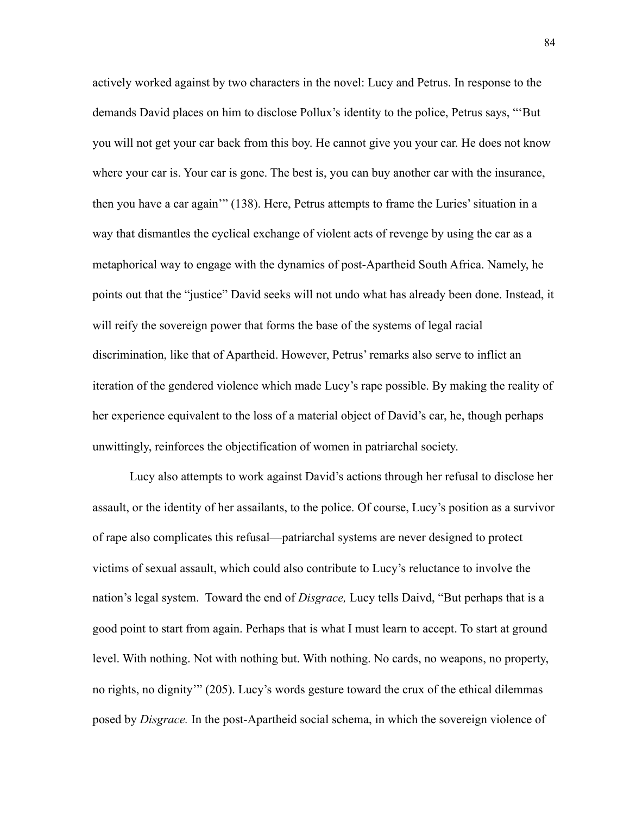actively worked against by two characters in the novel: Lucy and Petrus. In response to the demands David places on him to disclose Pollux's identity to the police, Petrus says, "'But you will not get your car back from this boy. He cannot give you your car. He does not know where your car is. Your car is gone. The best is, you can buy another car with the insurance, then you have a car again'" (138). Here, Petrus attempts to frame the Luries' situation in a way that dismantles the cyclical exchange of violent acts of revenge by using the car as a metaphorical way to engage with the dynamics of post-Apartheid South Africa. Namely, he points out that the "justice" David seeks will not undo what has already been done. Instead, it will reify the sovereign power that forms the base of the systems of legal racial discrimination, like that of Apartheid. However, Petrus' remarks also serve to inflict an iteration of the gendered violence which made Lucy's rape possible. By making the reality of her experience equivalent to the loss of a material object of David's car, he, though perhaps unwittingly, reinforces the objectification of women in patriarchal society.

Lucy also attempts to work against David's actions through her refusal to disclose her assault, or the identity of her assailants, to the police. Of course, Lucy's position as a survivor of rape also complicates this refusal—patriarchal systems are never designed to protect victims of sexual assault, which could also contribute to Lucy's reluctance to involve the nation's legal system. Toward the end of *Disgrace,* Lucy tells Daivd, "But perhaps that is a good point to start from again. Perhaps that is what I must learn to accept. To start at ground level. With nothing. Not with nothing but. With nothing. No cards, no weapons, no property, no rights, no dignity'" (205). Lucy's words gesture toward the crux of the ethical dilemmas posed by *Disgrace.* In the post-Apartheid social schema, in which the sovereign violence of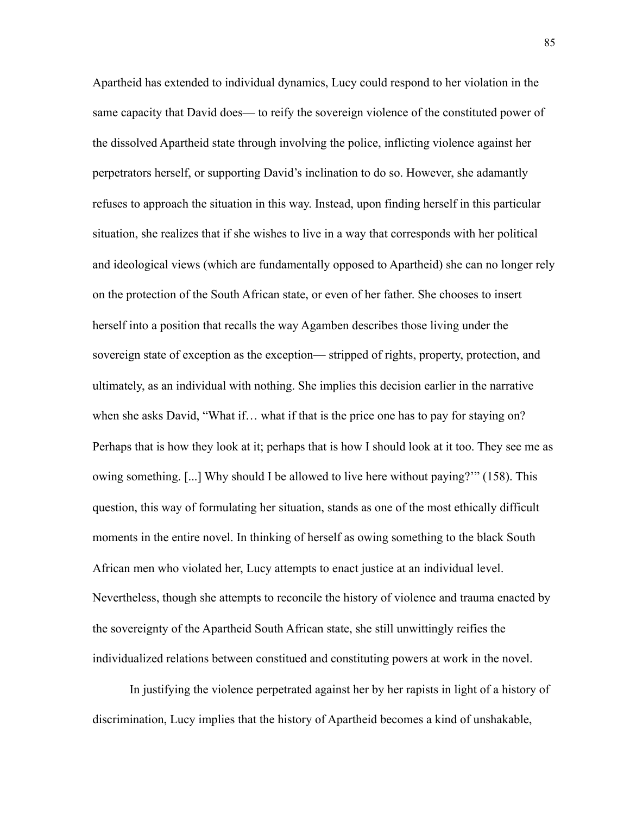Apartheid has extended to individual dynamics, Lucy could respond to her violation in the same capacity that David does— to reify the sovereign violence of the constituted power of the dissolved Apartheid state through involving the police, inflicting violence against her perpetrators herself, or supporting David's inclination to do so. However, she adamantly refuses to approach the situation in this way. Instead, upon finding herself in this particular situation, she realizes that if she wishes to live in a way that corresponds with her political and ideological views (which are fundamentally opposed to Apartheid) she can no longer rely on the protection of the South African state, or even of her father. She chooses to insert herself into a position that recalls the way Agamben describes those living under the sovereign state of exception as the exception— stripped of rights, property, protection, and ultimately, as an individual with nothing. She implies this decision earlier in the narrative when she asks David, "What if... what if that is the price one has to pay for staying on? Perhaps that is how they look at it; perhaps that is how I should look at it too. They see me as owing something. [...] Why should I be allowed to live here without paying?'" (158). This question, this way of formulating her situation, stands as one of the most ethically difficult moments in the entire novel. In thinking of herself as owing something to the black South African men who violated her, Lucy attempts to enact justice at an individual level. Nevertheless, though she attempts to reconcile the history of violence and trauma enacted by the sovereignty of the Apartheid South African state, she still unwittingly reifies the individualized relations between constitued and constituting powers at work in the novel.

In justifying the violence perpetrated against her by her rapists in light of a history of discrimination, Lucy implies that the history of Apartheid becomes a kind of unshakable,

85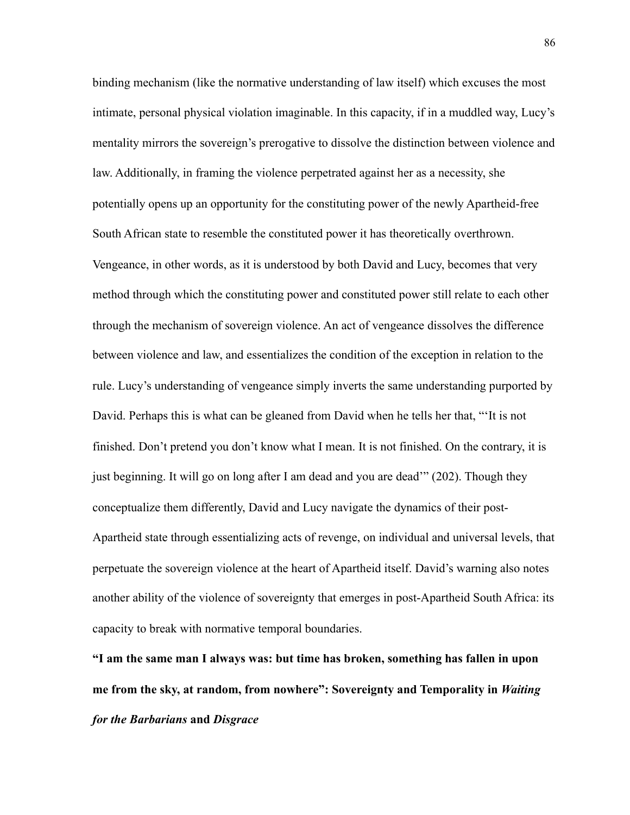binding mechanism (like the normative understanding of law itself) which excuses the most intimate, personal physical violation imaginable. In this capacity, if in a muddled way, Lucy's mentality mirrors the sovereign's prerogative to dissolve the distinction between violence and law. Additionally, in framing the violence perpetrated against her as a necessity, she potentially opens up an opportunity for the constituting power of the newly Apartheid-free South African state to resemble the constituted power it has theoretically overthrown. Vengeance, in other words, as it is understood by both David and Lucy, becomes that very method through which the constituting power and constituted power still relate to each other through the mechanism of sovereign violence. An act of vengeance dissolves the difference between violence and law, and essentializes the condition of the exception in relation to the rule. Lucy's understanding of vengeance simply inverts the same understanding purported by David. Perhaps this is what can be gleaned from David when he tells her that, "'It is not finished. Don't pretend you don't know what I mean. It is not finished. On the contrary, it is just beginning. It will go on long after I am dead and you are dead" (202). Though they conceptualize them differently, David and Lucy navigate the dynamics of their post-Apartheid state through essentializing acts of revenge, on individual and universal levels, that perpetuate the sovereign violence at the heart of Apartheid itself. David's warning also notes another ability of the violence of sovereignty that emerges in post-Apartheid South Africa: its capacity to break with normative temporal boundaries.

**"I am the same man I always was: but time has broken, something has fallen in upon me from the sky, at random, from nowhere": Sovereignty and Temporality in** *Waiting for the Barbarians* **and** *Disgrace*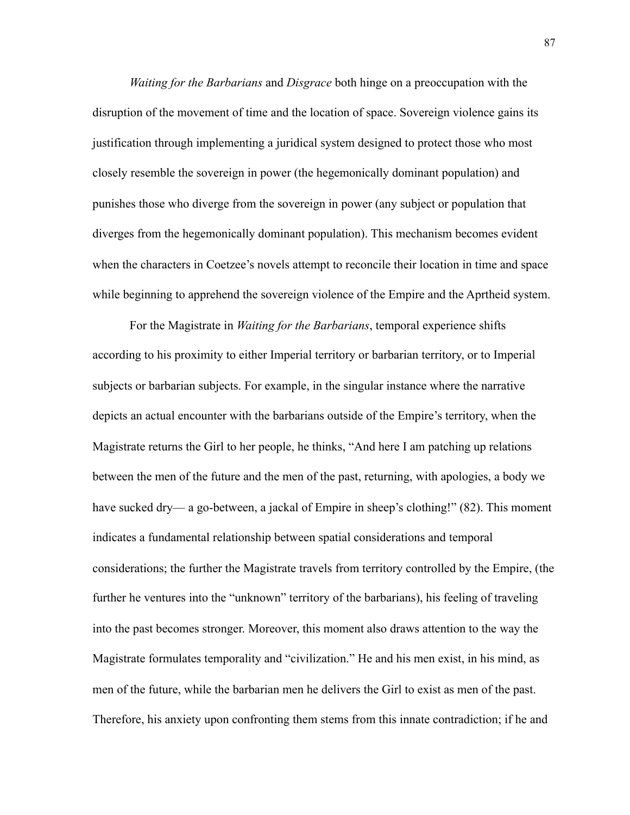*Waiting for the Barbarians* and *Disgrace* both hinge on a preoccupation with the disruption of the movement of time and the location of space. Sovereign violence gains its justification through implementing a juridical system designed to protect those who most closely resemble the sovereign in power (the hegemonically dominant population) and punishes those who diverge from the sovereign in power (any subject or population that diverges from the hegemonically dominant population). This mechanism becomes evident when the characters in Coetzee's novels attempt to reconcile their location in time and space while beginning to apprehend the sovereign violence of the Empire and the Aprtheid system.

For the Magistrate in *Waiting for the Barbarians*, temporal experience shifts according to his proximity to either Imperial territory or barbarian territory, or to Imperial subjects or barbarian subjects. For example, in the singular instance where the narrative depicts an actual encounter with the barbarians outside of the Empire's territory, when the Magistrate returns the Girl to her people, he thinks, "And here I am patching up relations between the men of the future and the men of the past, returning, with apologies, a body we have sucked dry— a go-between, a jackal of Empire in sheep's clothing!" (82). This moment indicates a fundamental relationship between spatial considerations and temporal considerations; the further the Magistrate travels from territory controlled by the Empire, (the further he ventures into the "unknown" territory of the barbarians), his feeling of traveling into the past becomes stronger. Moreover, this moment also draws attention to the way the Magistrate formulates temporality and "civilization." He and his men exist, in his mind, as men of the future, while the barbarian men he delivers the Girl to exist as men of the past. Therefore, his anxiety upon confronting them stems from this innate contradiction; if he and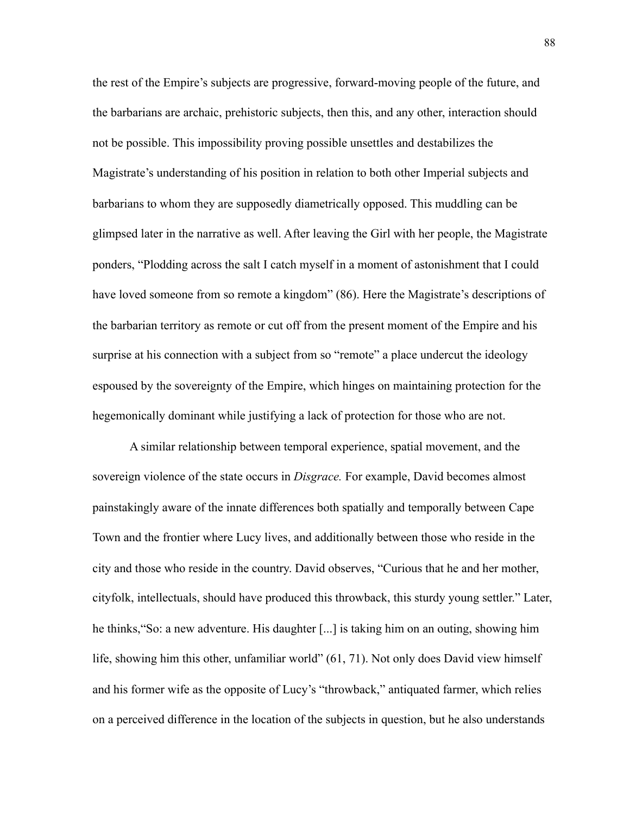the rest of the Empire's subjects are progressive, forward-moving people of the future, and the barbarians are archaic, prehistoric subjects, then this, and any other, interaction should not be possible. This impossibility proving possible unsettles and destabilizes the Magistrate's understanding of his position in relation to both other Imperial subjects and barbarians to whom they are supposedly diametrically opposed. This muddling can be glimpsed later in the narrative as well. After leaving the Girl with her people, the Magistrate ponders, "Plodding across the salt I catch myself in a moment of astonishment that I could have loved someone from so remote a kingdom" (86). Here the Magistrate's descriptions of the barbarian territory as remote or cut off from the present moment of the Empire and his surprise at his connection with a subject from so "remote" a place undercut the ideology espoused by the sovereignty of the Empire, which hinges on maintaining protection for the hegemonically dominant while justifying a lack of protection for those who are not.

A similar relationship between temporal experience, spatial movement, and the sovereign violence of the state occurs in *Disgrace.* For example, David becomes almost painstakingly aware of the innate differences both spatially and temporally between Cape Town and the frontier where Lucy lives, and additionally between those who reside in the city and those who reside in the country. David observes, "Curious that he and her mother, cityfolk, intellectuals, should have produced this throwback, this sturdy young settler." Later, he thinks,"So: a new adventure. His daughter [...] is taking him on an outing, showing him life, showing him this other, unfamiliar world" (61, 71). Not only does David view himself and his former wife as the opposite of Lucy's "throwback," antiquated farmer, which relies on a perceived difference in the location of the subjects in question, but he also understands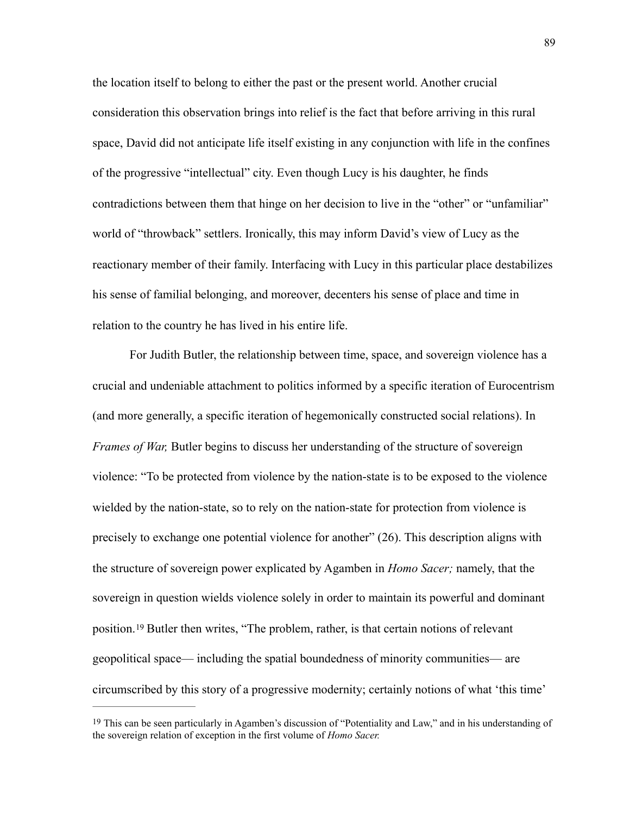the location itself to belong to either the past or the present world. Another crucial consideration this observation brings into relief is the fact that before arriving in this rural space, David did not anticipate life itself existing in any conjunction with life in the confines of the progressive "intellectual" city. Even though Lucy is his daughter, he finds contradictions between them that hinge on her decision to live in the "other" or "unfamiliar" world of "throwback" settlers. Ironically, this may inform David's view of Lucy as the reactionary member of their family. Interfacing with Lucy in this particular place destabilizes his sense of familial belonging, and moreover, decenters his sense of place and time in relation to the country he has lived in his entire life.

For Judith Butler, the relationship between time, space, and sovereign violence has a crucial and undeniable attachment to politics informed by a specific iteration of Eurocentrism (and more generally, a specific iteration of hegemonically constructed social relations). In *Frames of War,* Butler begins to discuss her understanding of the structure of sovereign violence: "To be protected from violence by the nation-state is to be exposed to the violence wielded by the nation-state, so to rely on the nation-state for protection from violence is precisely to exchange one potential violence for another" (26). This description aligns with the structure of sovereign power explicated by Agamben in *Homo Sacer;* namely, that the sovereign in question wields violence solely in order to maintain its powerful and dominant position.<sup>19</sup>Butler then writes, "The problem, rather, is that certain notions of relevant geopolitical space— including the spatial boundedness of minority communities— are circumscribed by this story of a progressive modernity; certainly notions of what 'this time'

<span id="page-95-1"></span><span id="page-95-0"></span>[<sup>19</sup>](#page-95-1) This can be seen particularly in Agamben's discussion of "Potentiality and Law," and in his understanding of the sovereign relation of exception in the first volume of *Homo Sacer.*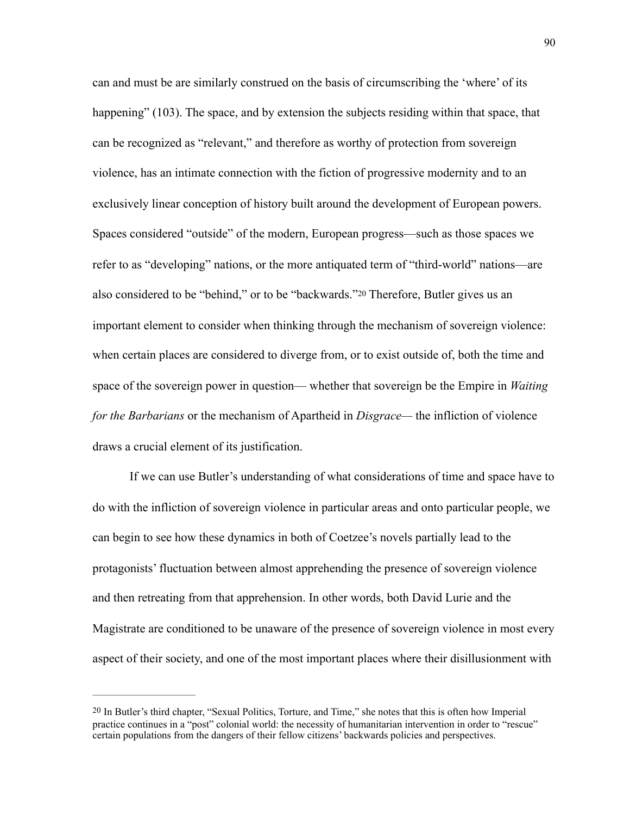can and must be are similarly construed on the basis of circumscribing the 'where' of its happening" (103). The space, and by extension the subjects residing within that space, that can be recognized as "relevant," and therefore as worthy of protection from sovereign violence, has an intimate connection with the fiction of progressive modernity and to an exclusively linear conception of history built around the development of European powers. Spaces considered "outside" of the modern, European progress—such as those spaces we refer to as "developing" nations, or the more antiquated term of "third-world" nations—are also considered to be "behind," or to be "backwards."[20](#page-96-0) Therefore, Butler gives us an important element to consider when thinking through the mechanism of sovereign violence: when certain places are considered to diverge from, or to exist outside of, both the time and space of the sovereign power in question— whether that sovereign be the Empire in *Waiting for the Barbarians* or the mechanism of Apartheid in *Disgrace—* the infliction of violence draws a crucial element of its justification.

<span id="page-96-1"></span> If we can use Butler's understanding of what considerations of time and space have to do with the infliction of sovereign violence in particular areas and onto particular people, we can begin to see how these dynamics in both of Coetzee's novels partially lead to the protagonists' fluctuation between almost apprehending the presence of sovereign violence and then retreating from that apprehension. In other words, both David Lurie and the Magistrate are conditioned to be unaware of the presence of sovereign violence in most every aspect of their society, and one of the most important places where their disillusionment with

<span id="page-96-0"></span>[<sup>20</sup>](#page-96-1) In Butler's third chapter, "Sexual Politics, Torture, and Time," she notes that this is often how Imperial practice continues in a "post" colonial world: the necessity of humanitarian intervention in order to "rescue" certain populations from the dangers of their fellow citizens' backwards policies and perspectives.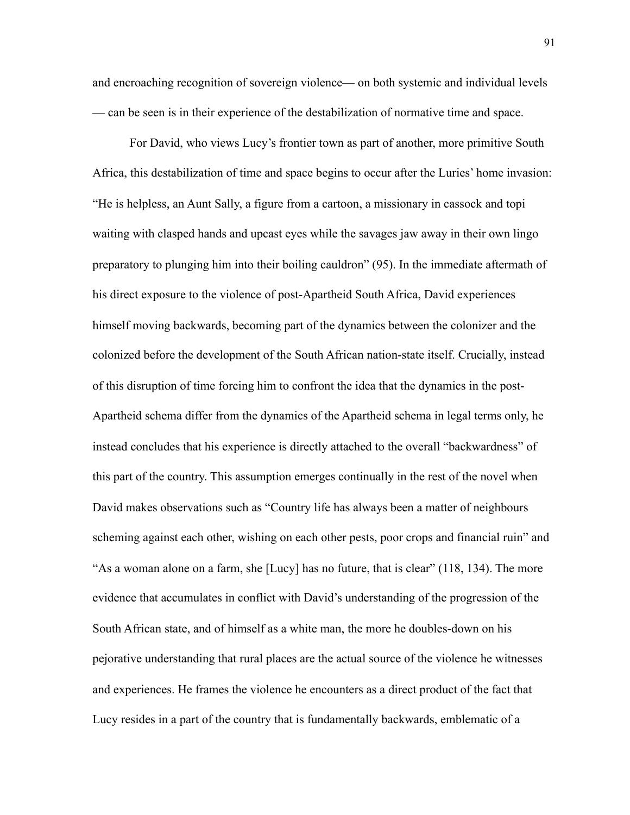and encroaching recognition of sovereign violence— on both systemic and individual levels — can be seen is in their experience of the destabilization of normative time and space.

 For David, who views Lucy's frontier town as part of another, more primitive South Africa, this destabilization of time and space begins to occur after the Luries' home invasion: "He is helpless, an Aunt Sally, a figure from a cartoon, a missionary in cassock and topi waiting with clasped hands and upcast eyes while the savages jaw away in their own lingo preparatory to plunging him into their boiling cauldron" (95). In the immediate aftermath of his direct exposure to the violence of post-Apartheid South Africa, David experiences himself moving backwards, becoming part of the dynamics between the colonizer and the colonized before the development of the South African nation-state itself. Crucially, instead of this disruption of time forcing him to confront the idea that the dynamics in the post-Apartheid schema differ from the dynamics of the Apartheid schema in legal terms only, he instead concludes that his experience is directly attached to the overall "backwardness" of this part of the country. This assumption emerges continually in the rest of the novel when David makes observations such as "Country life has always been a matter of neighbours scheming against each other, wishing on each other pests, poor crops and financial ruin" and "As a woman alone on a farm, she [Lucy] has no future, that is clear" (118, 134). The more evidence that accumulates in conflict with David's understanding of the progression of the South African state, and of himself as a white man, the more he doubles-down on his pejorative understanding that rural places are the actual source of the violence he witnesses and experiences. He frames the violence he encounters as a direct product of the fact that Lucy resides in a part of the country that is fundamentally backwards, emblematic of a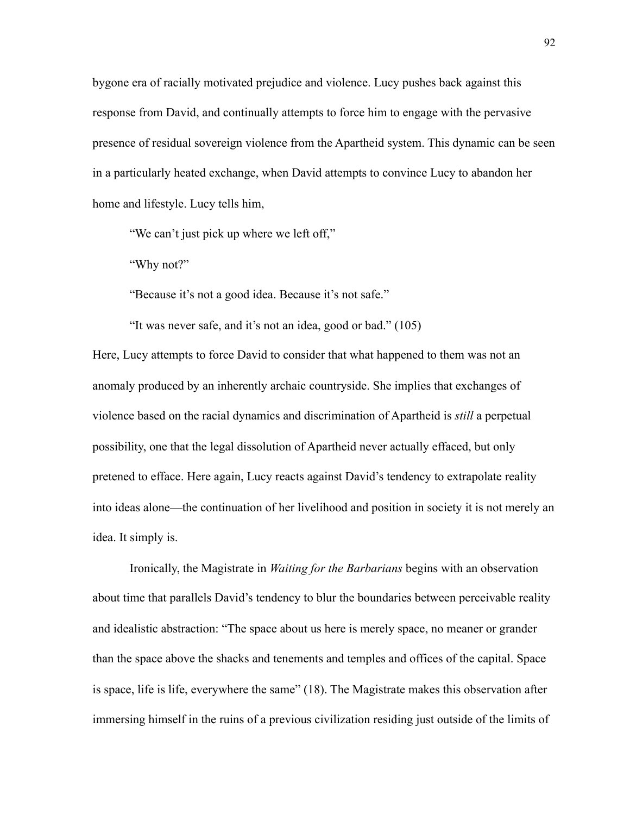bygone era of racially motivated prejudice and violence. Lucy pushes back against this response from David, and continually attempts to force him to engage with the pervasive presence of residual sovereign violence from the Apartheid system. This dynamic can be seen in a particularly heated exchange, when David attempts to convince Lucy to abandon her home and lifestyle. Lucy tells him,

"We can't just pick up where we left off,"

"Why not?"

"Because it's not a good idea. Because it's not safe."

"It was never safe, and it's not an idea, good or bad." (105)

Here, Lucy attempts to force David to consider that what happened to them was not an anomaly produced by an inherently archaic countryside. She implies that exchanges of violence based on the racial dynamics and discrimination of Apartheid is *still* a perpetual possibility, one that the legal dissolution of Apartheid never actually effaced, but only pretened to efface. Here again, Lucy reacts against David's tendency to extrapolate reality into ideas alone—the continuation of her livelihood and position in society it is not merely an idea. It simply is.

Ironically, the Magistrate in *Waiting for the Barbarians* begins with an observation about time that parallels David's tendency to blur the boundaries between perceivable reality and idealistic abstraction: "The space about us here is merely space, no meaner or grander than the space above the shacks and tenements and temples and offices of the capital. Space is space, life is life, everywhere the same" (18). The Magistrate makes this observation after immersing himself in the ruins of a previous civilization residing just outside of the limits of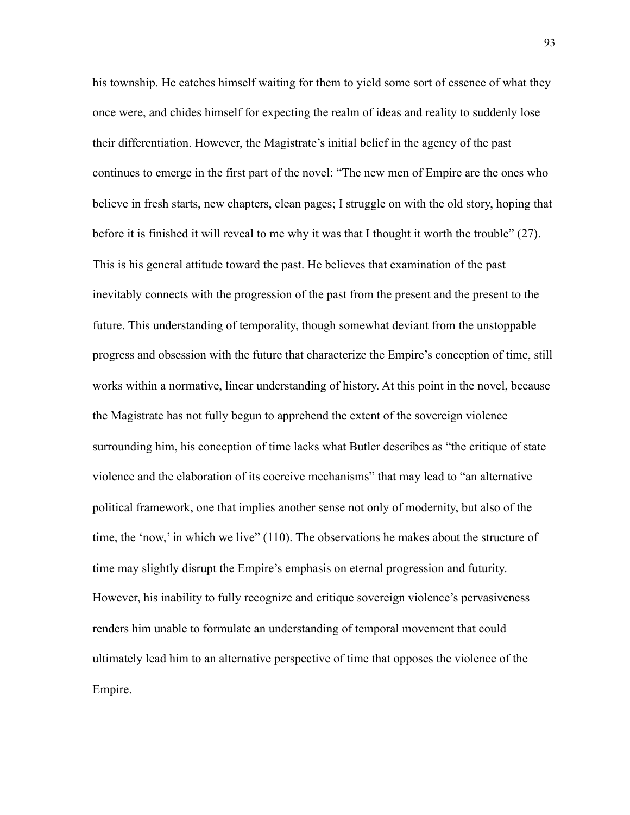his township. He catches himself waiting for them to yield some sort of essence of what they once were, and chides himself for expecting the realm of ideas and reality to suddenly lose their differentiation. However, the Magistrate's initial belief in the agency of the past continues to emerge in the first part of the novel: "The new men of Empire are the ones who believe in fresh starts, new chapters, clean pages; I struggle on with the old story, hoping that before it is finished it will reveal to me why it was that I thought it worth the trouble" (27). This is his general attitude toward the past. He believes that examination of the past inevitably connects with the progression of the past from the present and the present to the future. This understanding of temporality, though somewhat deviant from the unstoppable progress and obsession with the future that characterize the Empire's conception of time, still works within a normative, linear understanding of history. At this point in the novel, because the Magistrate has not fully begun to apprehend the extent of the sovereign violence surrounding him, his conception of time lacks what Butler describes as "the critique of state violence and the elaboration of its coercive mechanisms" that may lead to "an alternative political framework, one that implies another sense not only of modernity, but also of the time, the 'now,' in which we live" (110). The observations he makes about the structure of time may slightly disrupt the Empire's emphasis on eternal progression and futurity. However, his inability to fully recognize and critique sovereign violence's pervasiveness renders him unable to formulate an understanding of temporal movement that could ultimately lead him to an alternative perspective of time that opposes the violence of the Empire.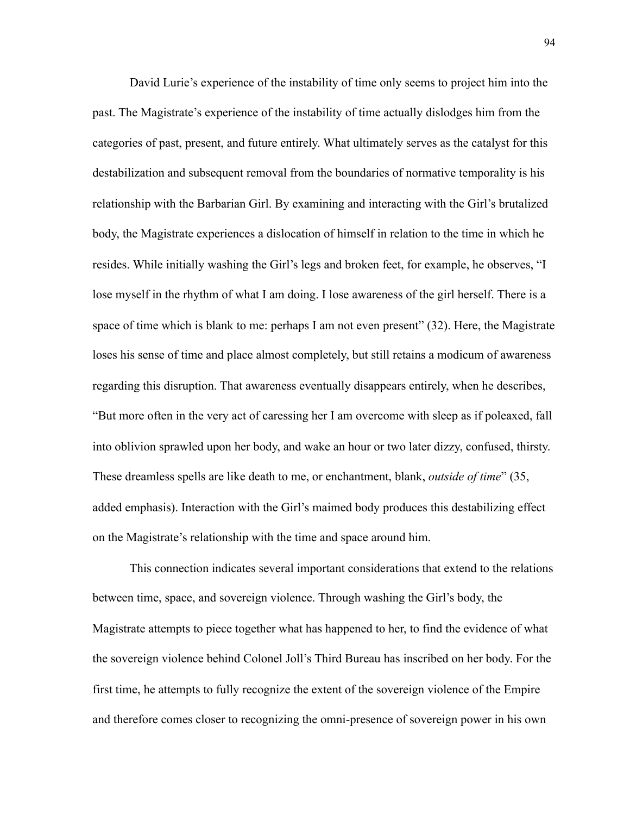David Lurie's experience of the instability of time only seems to project him into the past. The Magistrate's experience of the instability of time actually dislodges him from the categories of past, present, and future entirely. What ultimately serves as the catalyst for this destabilization and subsequent removal from the boundaries of normative temporality is his relationship with the Barbarian Girl. By examining and interacting with the Girl's brutalized body, the Magistrate experiences a dislocation of himself in relation to the time in which he resides. While initially washing the Girl's legs and broken feet, for example, he observes, "I lose myself in the rhythm of what I am doing. I lose awareness of the girl herself. There is a space of time which is blank to me: perhaps I am not even present" (32). Here, the Magistrate loses his sense of time and place almost completely, but still retains a modicum of awareness regarding this disruption. That awareness eventually disappears entirely, when he describes, "But more often in the very act of caressing her I am overcome with sleep as if poleaxed, fall into oblivion sprawled upon her body, and wake an hour or two later dizzy, confused, thirsty. These dreamless spells are like death to me, or enchantment, blank, *outside of time*" (35, added emphasis). Interaction with the Girl's maimed body produces this destabilizing effect on the Magistrate's relationship with the time and space around him.

This connection indicates several important considerations that extend to the relations between time, space, and sovereign violence. Through washing the Girl's body, the Magistrate attempts to piece together what has happened to her, to find the evidence of what the sovereign violence behind Colonel Joll's Third Bureau has inscribed on her body. For the first time, he attempts to fully recognize the extent of the sovereign violence of the Empire and therefore comes closer to recognizing the omni-presence of sovereign power in his own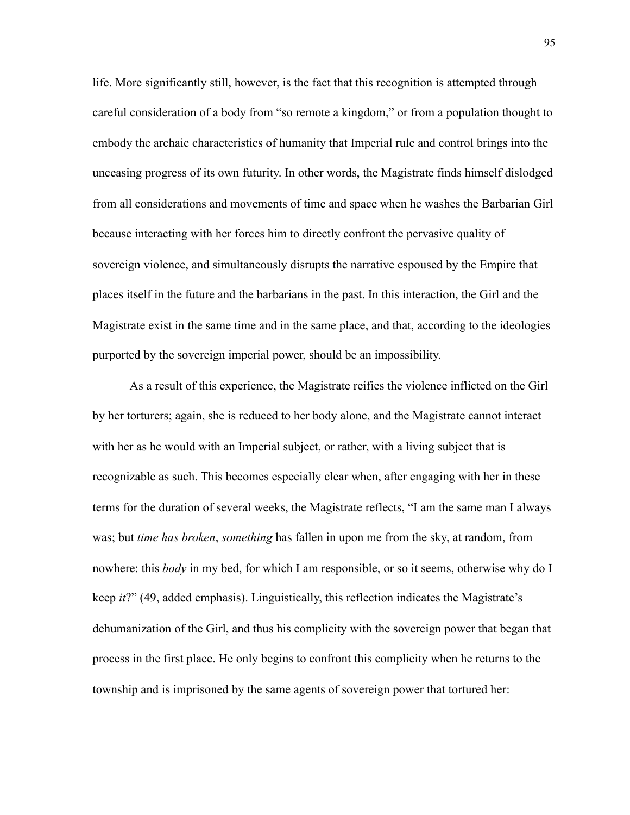life. More significantly still, however, is the fact that this recognition is attempted through careful consideration of a body from "so remote a kingdom," or from a population thought to embody the archaic characteristics of humanity that Imperial rule and control brings into the unceasing progress of its own futurity. In other words, the Magistrate finds himself dislodged from all considerations and movements of time and space when he washes the Barbarian Girl because interacting with her forces him to directly confront the pervasive quality of sovereign violence, and simultaneously disrupts the narrative espoused by the Empire that places itself in the future and the barbarians in the past. In this interaction, the Girl and the Magistrate exist in the same time and in the same place, and that, according to the ideologies purported by the sovereign imperial power, should be an impossibility.

As a result of this experience, the Magistrate reifies the violence inflicted on the Girl by her torturers; again, she is reduced to her body alone, and the Magistrate cannot interact with her as he would with an Imperial subject, or rather, with a living subject that is recognizable as such. This becomes especially clear when, after engaging with her in these terms for the duration of several weeks, the Magistrate reflects, "I am the same man I always was; but *time has broken*, *something* has fallen in upon me from the sky, at random, from nowhere: this *body* in my bed, for which I am responsible, or so it seems, otherwise why do I keep *it*?" (49, added emphasis). Linguistically, this reflection indicates the Magistrate's dehumanization of the Girl, and thus his complicity with the sovereign power that began that process in the first place. He only begins to confront this complicity when he returns to the township and is imprisoned by the same agents of sovereign power that tortured her: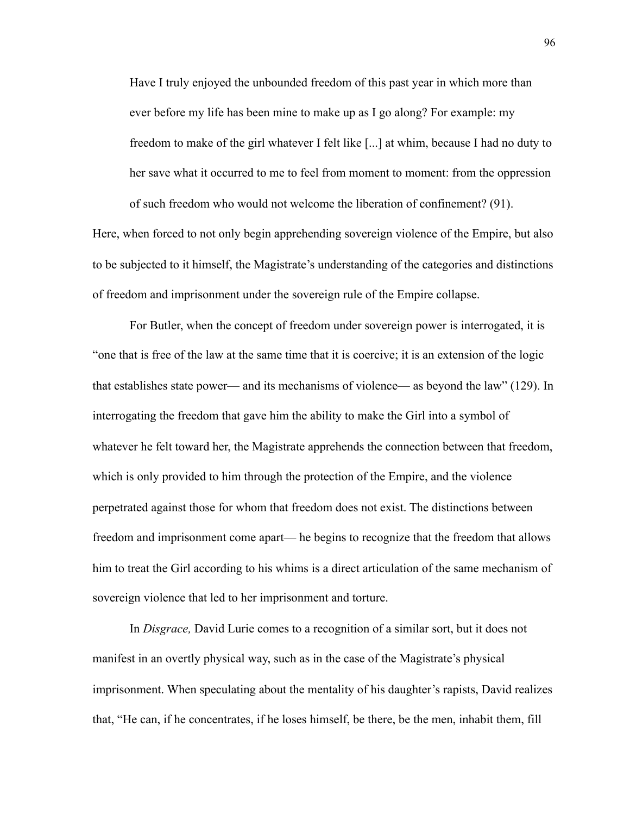Have I truly enjoyed the unbounded freedom of this past year in which more than ever before my life has been mine to make up as I go along? For example: my freedom to make of the girl whatever I felt like [...] at whim, because I had no duty to her save what it occurred to me to feel from moment to moment: from the oppression of such freedom who would not welcome the liberation of confinement? (91).

Here, when forced to not only begin apprehending sovereign violence of the Empire, but also to be subjected to it himself, the Magistrate's understanding of the categories and distinctions of freedom and imprisonment under the sovereign rule of the Empire collapse.

For Butler, when the concept of freedom under sovereign power is interrogated, it is "one that is free of the law at the same time that it is coercive; it is an extension of the logic that establishes state power— and its mechanisms of violence— as beyond the law" (129). In interrogating the freedom that gave him the ability to make the Girl into a symbol of whatever he felt toward her, the Magistrate apprehends the connection between that freedom, which is only provided to him through the protection of the Empire, and the violence perpetrated against those for whom that freedom does not exist. The distinctions between freedom and imprisonment come apart— he begins to recognize that the freedom that allows him to treat the Girl according to his whims is a direct articulation of the same mechanism of sovereign violence that led to her imprisonment and torture.

In *Disgrace,* David Lurie comes to a recognition of a similar sort, but it does not manifest in an overtly physical way, such as in the case of the Magistrate's physical imprisonment. When speculating about the mentality of his daughter's rapists, David realizes that, "He can, if he concentrates, if he loses himself, be there, be the men, inhabit them, fill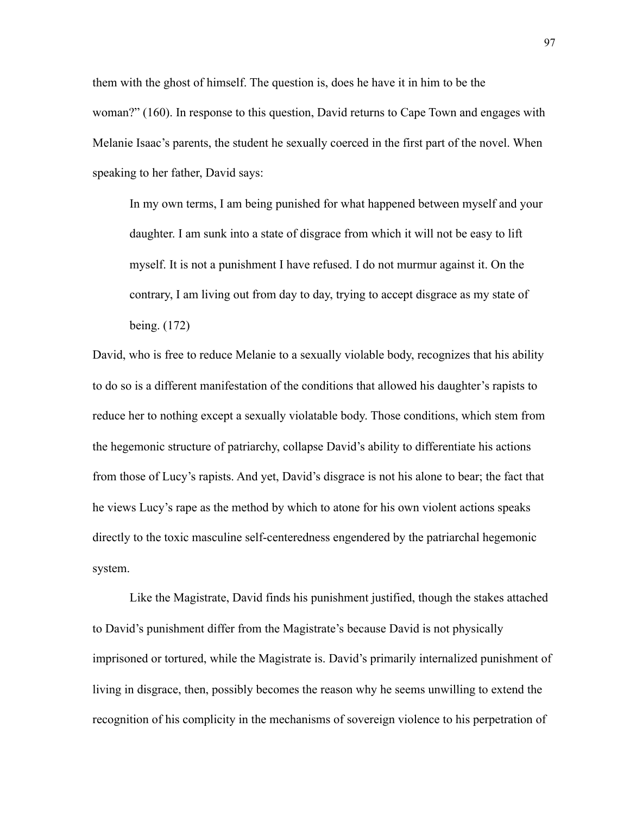them with the ghost of himself. The question is, does he have it in him to be the woman?" (160). In response to this question, David returns to Cape Town and engages with Melanie Isaac's parents, the student he sexually coerced in the first part of the novel. When speaking to her father, David says:

In my own terms, I am being punished for what happened between myself and your daughter. I am sunk into a state of disgrace from which it will not be easy to lift myself. It is not a punishment I have refused. I do not murmur against it. On the contrary, I am living out from day to day, trying to accept disgrace as my state of being. (172)

David, who is free to reduce Melanie to a sexually violable body, recognizes that his ability to do so is a different manifestation of the conditions that allowed his daughter's rapists to reduce her to nothing except a sexually violatable body. Those conditions, which stem from the hegemonic structure of patriarchy, collapse David's ability to differentiate his actions from those of Lucy's rapists. And yet, David's disgrace is not his alone to bear; the fact that he views Lucy's rape as the method by which to atone for his own violent actions speaks directly to the toxic masculine self-centeredness engendered by the patriarchal hegemonic system.

Like the Magistrate, David finds his punishment justified, though the stakes attached to David's punishment differ from the Magistrate's because David is not physically imprisoned or tortured, while the Magistrate is. David's primarily internalized punishment of living in disgrace, then, possibly becomes the reason why he seems unwilling to extend the recognition of his complicity in the mechanisms of sovereign violence to his perpetration of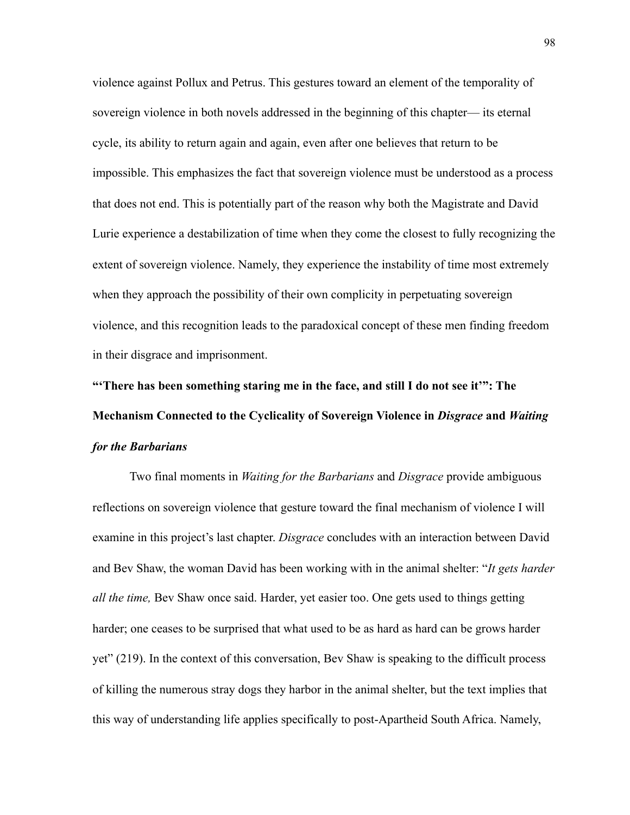violence against Pollux and Petrus. This gestures toward an element of the temporality of sovereign violence in both novels addressed in the beginning of this chapter— its eternal cycle, its ability to return again and again, even after one believes that return to be impossible. This emphasizes the fact that sovereign violence must be understood as a process that does not end. This is potentially part of the reason why both the Magistrate and David Lurie experience a destabilization of time when they come the closest to fully recognizing the extent of sovereign violence. Namely, they experience the instability of time most extremely when they approach the possibility of their own complicity in perpetuating sovereign violence, and this recognition leads to the paradoxical concept of these men finding freedom in their disgrace and imprisonment.

**"'There has been something staring me in the face, and still I do not see it'": The Mechanism Connected to the Cyclicality of Sovereign Violence in** *Disgrace* **and** *Waiting for the Barbarians* 

 Two final moments in *Waiting for the Barbarians* and *Disgrace* provide ambiguous reflections on sovereign violence that gesture toward the final mechanism of violence I will examine in this project's last chapter. *Disgrace* concludes with an interaction between David and Bev Shaw, the woman David has been working with in the animal shelter: "*It gets harder all the time,* Bev Shaw once said. Harder, yet easier too. One gets used to things getting harder; one ceases to be surprised that what used to be as hard as hard can be grows harder yet" (219). In the context of this conversation, Bev Shaw is speaking to the difficult process of killing the numerous stray dogs they harbor in the animal shelter, but the text implies that this way of understanding life applies specifically to post-Apartheid South Africa. Namely,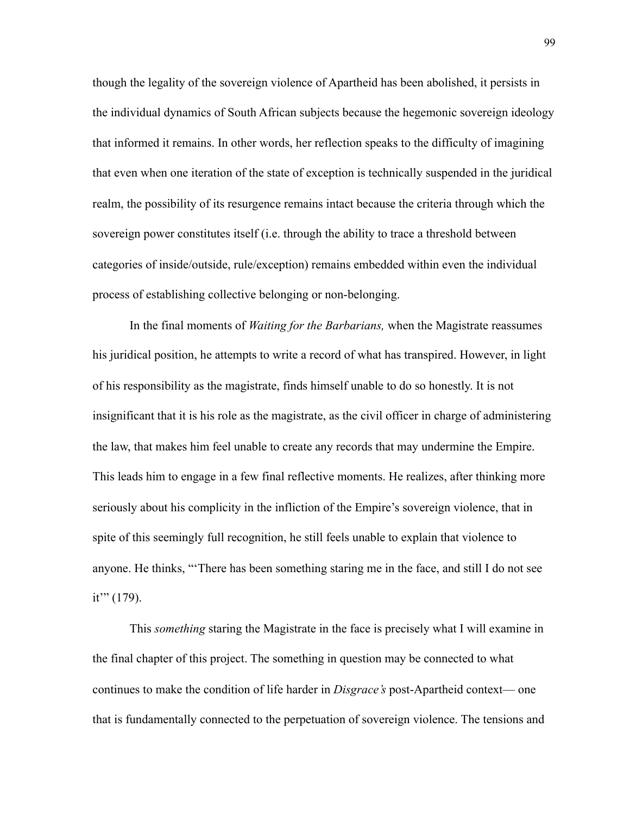though the legality of the sovereign violence of Apartheid has been abolished, it persists in the individual dynamics of South African subjects because the hegemonic sovereign ideology that informed it remains. In other words, her reflection speaks to the difficulty of imagining that even when one iteration of the state of exception is technically suspended in the juridical realm, the possibility of its resurgence remains intact because the criteria through which the sovereign power constitutes itself (i.e. through the ability to trace a threshold between categories of inside/outside, rule/exception) remains embedded within even the individual process of establishing collective belonging or non-belonging.

In the final moments of *Waiting for the Barbarians,* when the Magistrate reassumes his juridical position, he attempts to write a record of what has transpired. However, in light of his responsibility as the magistrate, finds himself unable to do so honestly. It is not insignificant that it is his role as the magistrate, as the civil officer in charge of administering the law, that makes him feel unable to create any records that may undermine the Empire. This leads him to engage in a few final reflective moments. He realizes, after thinking more seriously about his complicity in the infliction of the Empire's sovereign violence, that in spite of this seemingly full recognition, he still feels unable to explain that violence to anyone. He thinks, "'There has been something staring me in the face, and still I do not see it'" (179).

This *something* staring the Magistrate in the face is precisely what I will examine in the final chapter of this project. The something in question may be connected to what continues to make the condition of life harder in *Disgrace's* post-Apartheid context— one that is fundamentally connected to the perpetuation of sovereign violence. The tensions and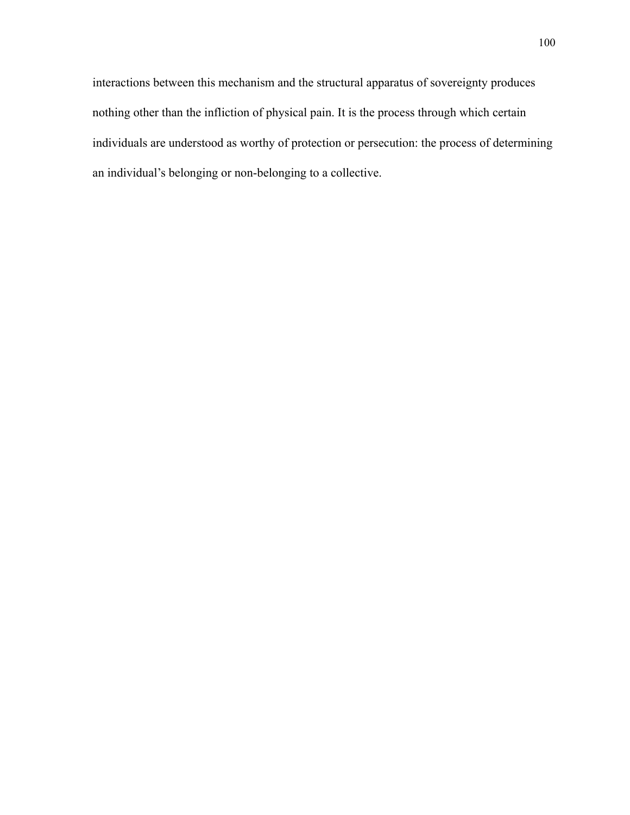interactions between this mechanism and the structural apparatus of sovereignty produces nothing other than the infliction of physical pain. It is the process through which certain individuals are understood as worthy of protection or persecution: the process of determining an individual's belonging or non-belonging to a collective.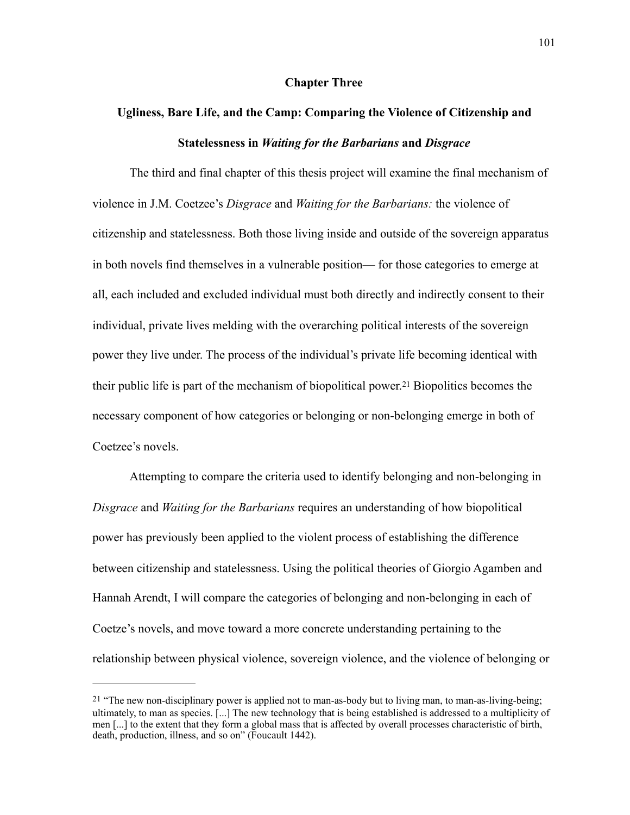## <span id="page-107-1"></span>**Chapter Three**

## **Ugliness, Bare Life, and the Camp: Comparing the Violence of Citizenship and Statelessness in** *Waiting for the Barbarians* **and** *Disgrace*

 The third and final chapter of this thesis project will examine the final mechanism of violence in J.M. Coetzee's *Disgrace* and *Waiting for the Barbarians:* the violence of citizenship and statelessness. Both those living inside and outside of the sovereign apparatus in both novels find themselves in a vulnerable position— for those categories to emerge at all, each included and excluded individual must both directly and indirectly consent to their individual, private lives melding with the overarching political interests of the sovereign power they live under. The process of the individual's private life becoming identical with theirpublic life is part of the mechanism of biopolitical power.<sup>[21](#page-107-0)</sup> Biopolitics becomes the necessary component of how categories or belonging or non-belonging emerge in both of Coetzee's novels.

 Attempting to compare the criteria used to identify belonging and non-belonging in *Disgrace* and *Waiting for the Barbarians* requires an understanding of how biopolitical power has previously been applied to the violent process of establishing the difference between citizenship and statelessness. Using the political theories of Giorgio Agamben and Hannah Arendt, I will compare the categories of belonging and non-belonging in each of Coetze's novels, and move toward a more concrete understanding pertaining to the relationship between physical violence, sovereign violence, and the violence of belonging or

<span id="page-107-0"></span>[<sup>21</sup>](#page-107-1) "The new non-disciplinary power is applied not to man-as-body but to living man, to man-as-living-being; ultimately, to man as species. [...] The new technology that is being established is addressed to a multiplicity of men [...] to the extent that they form a global mass that is affected by overall processes characteristic of birth, death, production, illness, and so on" (Foucault 1442).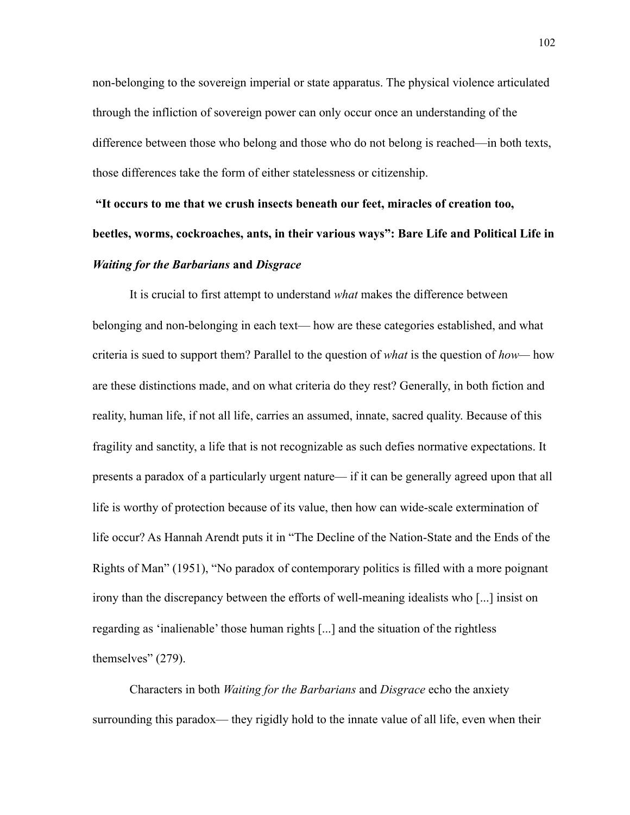non-belonging to the sovereign imperial or state apparatus. The physical violence articulated through the infliction of sovereign power can only occur once an understanding of the difference between those who belong and those who do not belong is reached—in both texts, those differences take the form of either statelessness or citizenship.

## **"It occurs to me that we crush insects beneath our feet, miracles of creation too, beetles, worms, cockroaches, ants, in their various ways": Bare Life and Political Life in**  *Waiting for the Barbarians* **and** *Disgrace*

It is crucial to first attempt to understand *what* makes the difference between belonging and non-belonging in each text— how are these categories established, and what criteria is sued to support them? Parallel to the question of *what* is the question of *how—* how are these distinctions made, and on what criteria do they rest? Generally, in both fiction and reality, human life, if not all life, carries an assumed, innate, sacred quality. Because of this fragility and sanctity, a life that is not recognizable as such defies normative expectations. It presents a paradox of a particularly urgent nature— if it can be generally agreed upon that all life is worthy of protection because of its value, then how can wide-scale extermination of life occur? As Hannah Arendt puts it in "The Decline of the Nation-State and the Ends of the Rights of Man" (1951), "No paradox of contemporary politics is filled with a more poignant irony than the discrepancy between the efforts of well-meaning idealists who [...] insist on regarding as 'inalienable' those human rights [...] and the situation of the rightless themselves" (279).

Characters in both *Waiting for the Barbarians* and *Disgrace* echo the anxiety surrounding this paradox— they rigidly hold to the innate value of all life, even when their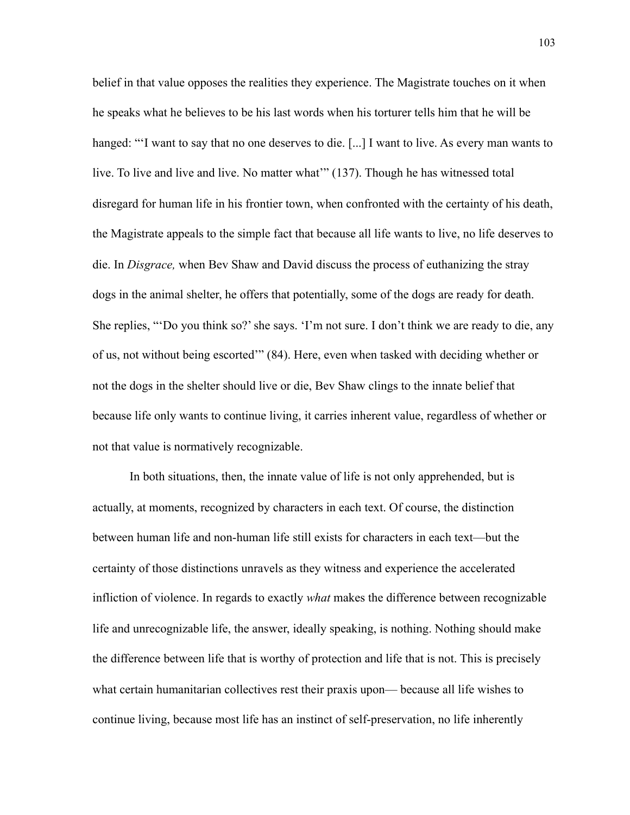belief in that value opposes the realities they experience. The Magistrate touches on it when he speaks what he believes to be his last words when his torturer tells him that he will be hanged: "'I want to say that no one deserves to die. [...] I want to live. As every man wants to live. To live and live and live. No matter what'" (137). Though he has witnessed total disregard for human life in his frontier town, when confronted with the certainty of his death, the Magistrate appeals to the simple fact that because all life wants to live, no life deserves to die. In *Disgrace,* when Bev Shaw and David discuss the process of euthanizing the stray dogs in the animal shelter, he offers that potentially, some of the dogs are ready for death. She replies, "'Do you think so?' she says. 'I'm not sure. I don't think we are ready to die, any of us, not without being escorted'" (84). Here, even when tasked with deciding whether or not the dogs in the shelter should live or die, Bev Shaw clings to the innate belief that because life only wants to continue living, it carries inherent value, regardless of whether or not that value is normatively recognizable.

In both situations, then, the innate value of life is not only apprehended, but is actually, at moments, recognized by characters in each text. Of course, the distinction between human life and non-human life still exists for characters in each text—but the certainty of those distinctions unravels as they witness and experience the accelerated infliction of violence. In regards to exactly *what* makes the difference between recognizable life and unrecognizable life, the answer, ideally speaking, is nothing. Nothing should make the difference between life that is worthy of protection and life that is not. This is precisely what certain humanitarian collectives rest their praxis upon— because all life wishes to continue living, because most life has an instinct of self-preservation, no life inherently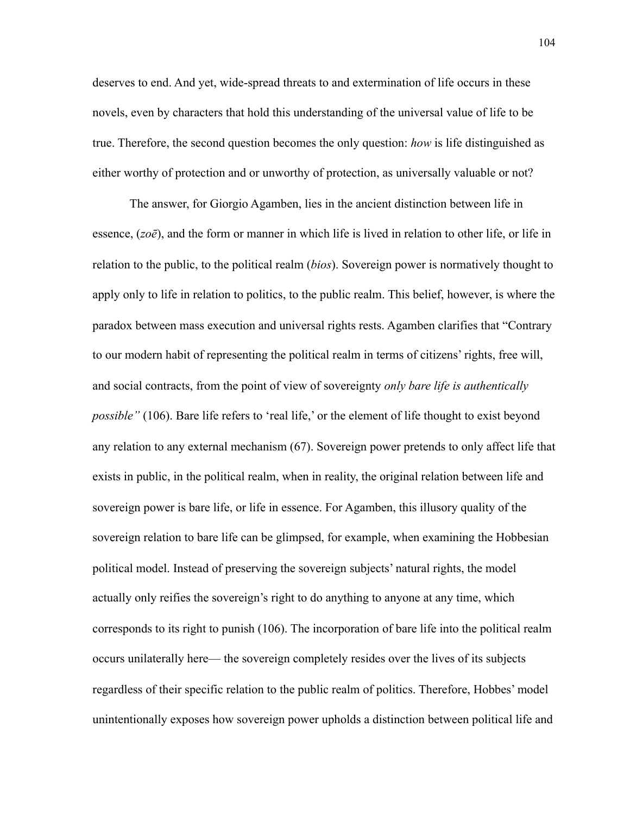deserves to end. And yet, wide-spread threats to and extermination of life occurs in these novels, even by characters that hold this understanding of the universal value of life to be true. Therefore, the second question becomes the only question: *how* is life distinguished as either worthy of protection and or unworthy of protection, as universally valuable or not?

 The answer, for Giorgio Agamben, lies in the ancient distinction between life in essence, (*zoē*), and the form or manner in which life is lived in relation to other life, or life in relation to the public, to the political realm (*bios*). Sovereign power is normatively thought to apply only to life in relation to politics, to the public realm. This belief, however, is where the paradox between mass execution and universal rights rests. Agamben clarifies that "Contrary to our modern habit of representing the political realm in terms of citizens' rights, free will, and social contracts, from the point of view of sovereignty *only bare life is authentically possible"* (106). Bare life refers to 'real life,' or the element of life thought to exist beyond any relation to any external mechanism (67). Sovereign power pretends to only affect life that exists in public, in the political realm, when in reality, the original relation between life and sovereign power is bare life, or life in essence. For Agamben, this illusory quality of the sovereign relation to bare life can be glimpsed, for example, when examining the Hobbesian political model. Instead of preserving the sovereign subjects' natural rights, the model actually only reifies the sovereign's right to do anything to anyone at any time, which corresponds to its right to punish (106). The incorporation of bare life into the political realm occurs unilaterally here— the sovereign completely resides over the lives of its subjects regardless of their specific relation to the public realm of politics. Therefore, Hobbes' model unintentionally exposes how sovereign power upholds a distinction between political life and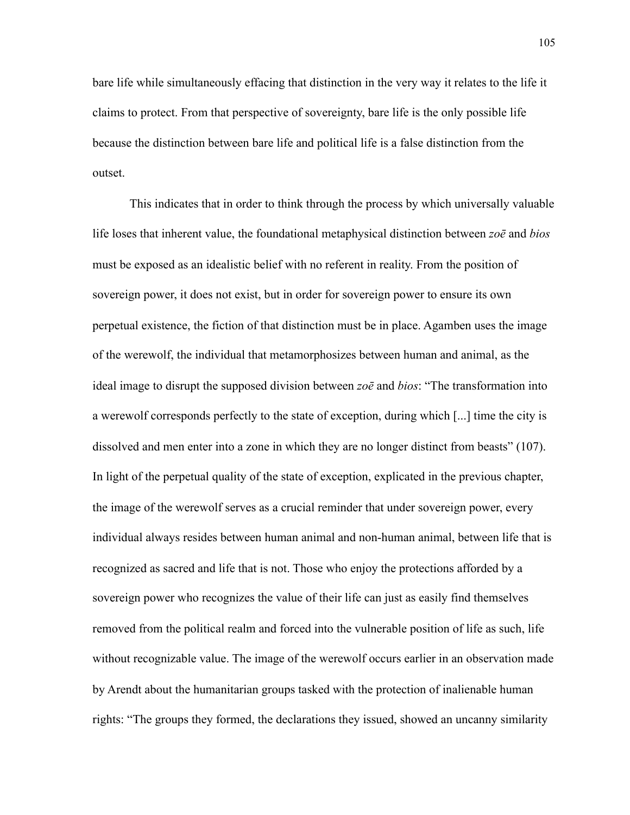bare life while simultaneously effacing that distinction in the very way it relates to the life it claims to protect. From that perspective of sovereignty, bare life is the only possible life because the distinction between bare life and political life is a false distinction from the outset.

This indicates that in order to think through the process by which universally valuable life loses that inherent value, the foundational metaphysical distinction between *zoē* and *bios*  must be exposed as an idealistic belief with no referent in reality. From the position of sovereign power, it does not exist, but in order for sovereign power to ensure its own perpetual existence, the fiction of that distinction must be in place. Agamben uses the image of the werewolf, the individual that metamorphosizes between human and animal, as the ideal image to disrupt the supposed division between *zoē* and *bios*: "The transformation into a werewolf corresponds perfectly to the state of exception, during which [...] time the city is dissolved and men enter into a zone in which they are no longer distinct from beasts" (107). In light of the perpetual quality of the state of exception, explicated in the previous chapter, the image of the werewolf serves as a crucial reminder that under sovereign power, every individual always resides between human animal and non-human animal, between life that is recognized as sacred and life that is not. Those who enjoy the protections afforded by a sovereign power who recognizes the value of their life can just as easily find themselves removed from the political realm and forced into the vulnerable position of life as such, life without recognizable value. The image of the werewolf occurs earlier in an observation made by Arendt about the humanitarian groups tasked with the protection of inalienable human rights: "The groups they formed, the declarations they issued, showed an uncanny similarity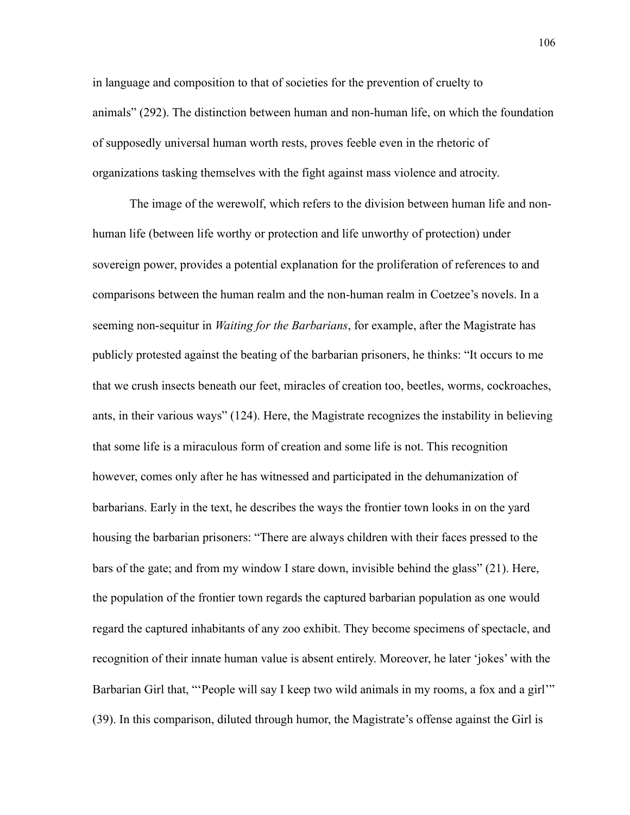in language and composition to that of societies for the prevention of cruelty to animals" (292). The distinction between human and non-human life, on which the foundation of supposedly universal human worth rests, proves feeble even in the rhetoric of organizations tasking themselves with the fight against mass violence and atrocity.

The image of the werewolf, which refers to the division between human life and nonhuman life (between life worthy or protection and life unworthy of protection) under sovereign power, provides a potential explanation for the proliferation of references to and comparisons between the human realm and the non-human realm in Coetzee's novels. In a seeming non-sequitur in *Waiting for the Barbarians*, for example, after the Magistrate has publicly protested against the beating of the barbarian prisoners, he thinks: "It occurs to me that we crush insects beneath our feet, miracles of creation too, beetles, worms, cockroaches, ants, in their various ways" (124). Here, the Magistrate recognizes the instability in believing that some life is a miraculous form of creation and some life is not. This recognition however, comes only after he has witnessed and participated in the dehumanization of barbarians. Early in the text, he describes the ways the frontier town looks in on the yard housing the barbarian prisoners: "There are always children with their faces pressed to the bars of the gate; and from my window I stare down, invisible behind the glass" (21). Here, the population of the frontier town regards the captured barbarian population as one would regard the captured inhabitants of any zoo exhibit. They become specimens of spectacle, and recognition of their innate human value is absent entirely. Moreover, he later 'jokes' with the Barbarian Girl that, "People will say I keep two wild animals in my rooms, a fox and a girl" (39). In this comparison, diluted through humor, the Magistrate's offense against the Girl is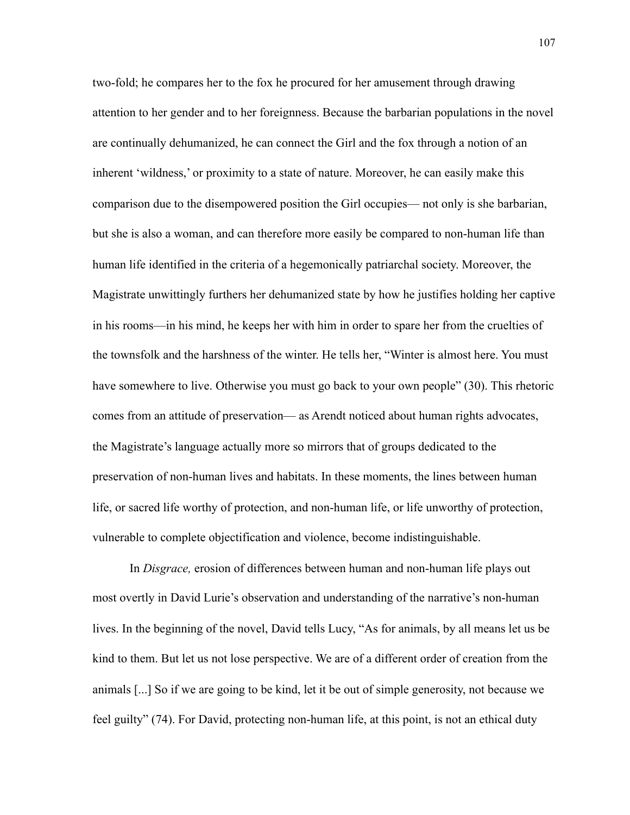two-fold; he compares her to the fox he procured for her amusement through drawing attention to her gender and to her foreignness. Because the barbarian populations in the novel are continually dehumanized, he can connect the Girl and the fox through a notion of an inherent 'wildness,' or proximity to a state of nature. Moreover, he can easily make this comparison due to the disempowered position the Girl occupies— not only is she barbarian, but she is also a woman, and can therefore more easily be compared to non-human life than human life identified in the criteria of a hegemonically patriarchal society. Moreover, the Magistrate unwittingly furthers her dehumanized state by how he justifies holding her captive in his rooms—in his mind, he keeps her with him in order to spare her from the cruelties of the townsfolk and the harshness of the winter. He tells her, "Winter is almost here. You must have somewhere to live. Otherwise you must go back to your own people" (30). This rhetoric comes from an attitude of preservation— as Arendt noticed about human rights advocates, the Magistrate's language actually more so mirrors that of groups dedicated to the preservation of non-human lives and habitats. In these moments, the lines between human life, or sacred life worthy of protection, and non-human life, or life unworthy of protection, vulnerable to complete objectification and violence, become indistinguishable.

In *Disgrace,* erosion of differences between human and non-human life plays out most overtly in David Lurie's observation and understanding of the narrative's non-human lives. In the beginning of the novel, David tells Lucy, "As for animals, by all means let us be kind to them. But let us not lose perspective. We are of a different order of creation from the animals [...] So if we are going to be kind, let it be out of simple generosity, not because we feel guilty" (74). For David, protecting non-human life, at this point, is not an ethical duty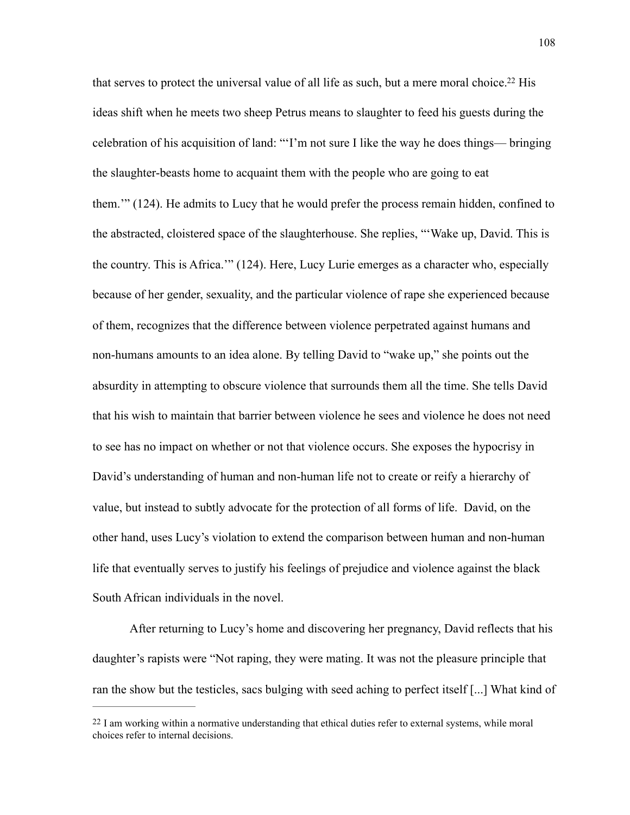<span id="page-114-1"></span>that serves to protect the universal value of all life as such, but a mere moral choice[.](#page-114-0)<sup>[22](#page-114-0)</sup> His ideas shift when he meets two sheep Petrus means to slaughter to feed his guests during the celebration of his acquisition of land: "'I'm not sure I like the way he does things— bringing the slaughter-beasts home to acquaint them with the people who are going to eat them.'" (124). He admits to Lucy that he would prefer the process remain hidden, confined to the abstracted, cloistered space of the slaughterhouse. She replies, "'Wake up, David. This is the country. This is Africa.'" (124). Here, Lucy Lurie emerges as a character who, especially because of her gender, sexuality, and the particular violence of rape she experienced because of them, recognizes that the difference between violence perpetrated against humans and non-humans amounts to an idea alone. By telling David to "wake up," she points out the absurdity in attempting to obscure violence that surrounds them all the time. She tells David that his wish to maintain that barrier between violence he sees and violence he does not need to see has no impact on whether or not that violence occurs. She exposes the hypocrisy in David's understanding of human and non-human life not to create or reify a hierarchy of value, but instead to subtly advocate for the protection of all forms of life. David, on the other hand, uses Lucy's violation to extend the comparison between human and non-human life that eventually serves to justify his feelings of prejudice and violence against the black South African individuals in the novel.

After returning to Lucy's home and discovering her pregnancy, David reflects that his daughter's rapists were "Not raping, they were mating. It was not the pleasure principle that ran the show but the testicles, sacs bulging with seed aching to perfect itself [...] What kind of

<span id="page-114-0"></span> $^{22}$  $^{22}$  $^{22}$  I am working within a normative understanding that ethical duties refer to external systems, while moral choices refer to internal decisions.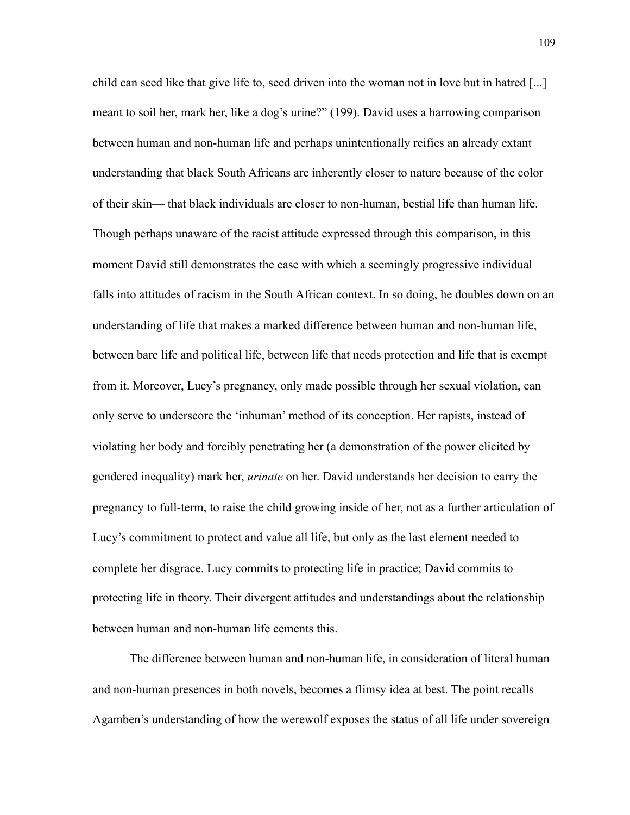child can seed like that give life to, seed driven into the woman not in love but in hatred [...] meant to soil her, mark her, like a dog's urine?" (199). David uses a harrowing comparison between human and non-human life and perhaps unintentionally reifies an already extant understanding that black South Africans are inherently closer to nature because of the color of their skin— that black individuals are closer to non-human, bestial life than human life. Though perhaps unaware of the racist attitude expressed through this comparison, in this moment David still demonstrates the ease with which a seemingly progressive individual falls into attitudes of racism in the South African context. In so doing, he doubles down on an understanding of life that makes a marked difference between human and non-human life, between bare life and political life, between life that needs protection and life that is exempt from it. Moreover, Lucy's pregnancy, only made possible through her sexual violation, can only serve to underscore the 'inhuman' method of its conception. Her rapists, instead of violating her body and forcibly penetrating her (a demonstration of the power elicited by gendered inequality) mark her, *urinate* on her. David understands her decision to carry the pregnancy to full-term, to raise the child growing inside of her, not as a further articulation of Lucy's commitment to protect and value all life, but only as the last element needed to complete her disgrace. Lucy commits to protecting life in practice; David commits to protecting life in theory. Their divergent attitudes and understandings about the relationship between human and non-human life cements this.

The difference between human and non-human life, in consideration of literal human and non-human presences in both novels, becomes a flimsy idea at best. The point recalls Agamben's understanding of how the werewolf exposes the status of all life under sovereign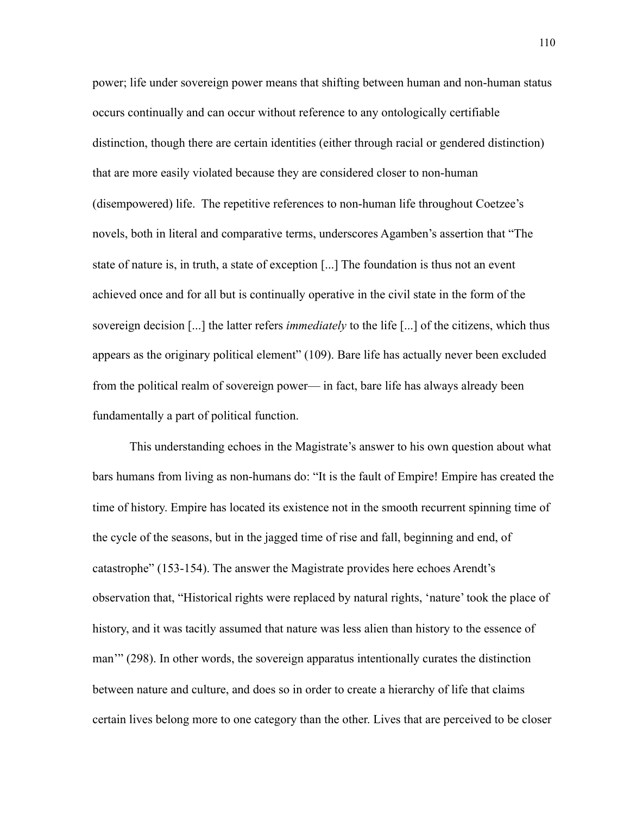power; life under sovereign power means that shifting between human and non-human status occurs continually and can occur without reference to any ontologically certifiable distinction, though there are certain identities (either through racial or gendered distinction) that are more easily violated because they are considered closer to non-human (disempowered) life. The repetitive references to non-human life throughout Coetzee's novels, both in literal and comparative terms, underscores Agamben's assertion that "The state of nature is, in truth, a state of exception [...] The foundation is thus not an event achieved once and for all but is continually operative in the civil state in the form of the sovereign decision [...] the latter refers *immediately* to the life [...] of the citizens, which thus appears as the originary political element" (109). Bare life has actually never been excluded from the political realm of sovereign power— in fact, bare life has always already been fundamentally a part of political function.

This understanding echoes in the Magistrate's answer to his own question about what bars humans from living as non-humans do: "It is the fault of Empire! Empire has created the time of history. Empire has located its existence not in the smooth recurrent spinning time of the cycle of the seasons, but in the jagged time of rise and fall, beginning and end, of catastrophe" (153-154). The answer the Magistrate provides here echoes Arendt's observation that, "Historical rights were replaced by natural rights, 'nature' took the place of history, and it was tacitly assumed that nature was less alien than history to the essence of man'" (298). In other words, the sovereign apparatus intentionally curates the distinction between nature and culture, and does so in order to create a hierarchy of life that claims certain lives belong more to one category than the other. Lives that are perceived to be closer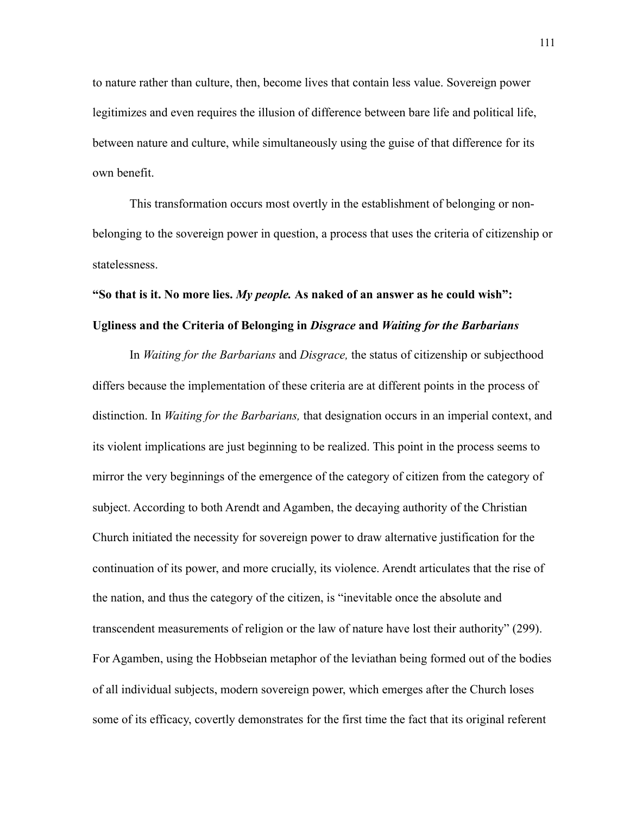to nature rather than culture, then, become lives that contain less value. Sovereign power legitimizes and even requires the illusion of difference between bare life and political life, between nature and culture, while simultaneously using the guise of that difference for its own benefit.

This transformation occurs most overtly in the establishment of belonging or nonbelonging to the sovereign power in question, a process that uses the criteria of citizenship or statelessness.

## **"So that is it. No more lies.** *My people.* **As naked of an answer as he could wish":**

## **Ugliness and the Criteria of Belonging in** *Disgrace* **and** *Waiting for the Barbarians*

In *Waiting for the Barbarians* and *Disgrace,* the status of citizenship or subjecthood differs because the implementation of these criteria are at different points in the process of distinction. In *Waiting for the Barbarians,* that designation occurs in an imperial context, and its violent implications are just beginning to be realized. This point in the process seems to mirror the very beginnings of the emergence of the category of citizen from the category of subject. According to both Arendt and Agamben, the decaying authority of the Christian Church initiated the necessity for sovereign power to draw alternative justification for the continuation of its power, and more crucially, its violence. Arendt articulates that the rise of the nation, and thus the category of the citizen, is "inevitable once the absolute and transcendent measurements of religion or the law of nature have lost their authority" (299). For Agamben, using the Hobbseian metaphor of the leviathan being formed out of the bodies of all individual subjects, modern sovereign power, which emerges after the Church loses some of its efficacy, covertly demonstrates for the first time the fact that its original referent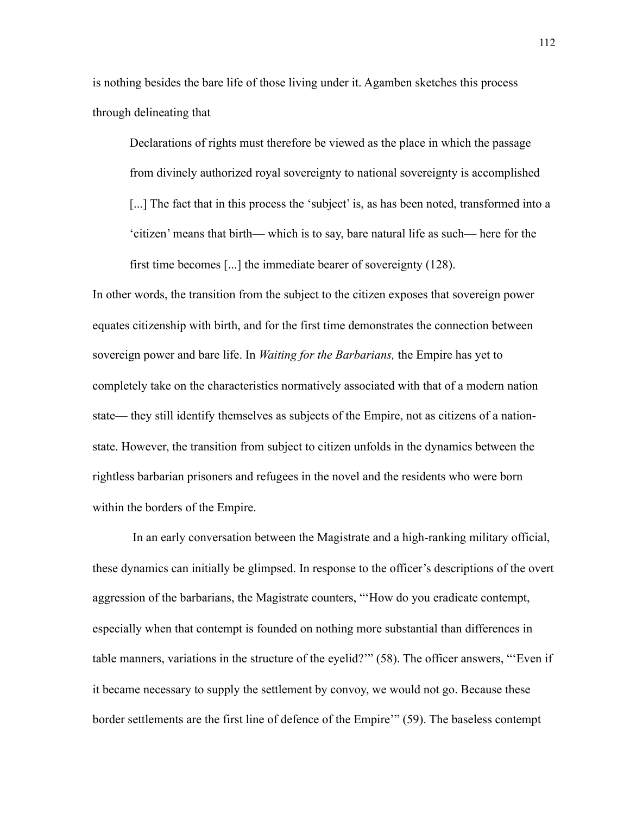is nothing besides the bare life of those living under it. Agamben sketches this process through delineating that

Declarations of rights must therefore be viewed as the place in which the passage from divinely authorized royal sovereignty to national sovereignty is accomplished [...] The fact that in this process the 'subject' is, as has been noted, transformed into a 'citizen' means that birth— which is to say, bare natural life as such— here for the first time becomes [...] the immediate bearer of sovereignty (128).

In other words, the transition from the subject to the citizen exposes that sovereign power equates citizenship with birth, and for the first time demonstrates the connection between sovereign power and bare life. In *Waiting for the Barbarians,* the Empire has yet to completely take on the characteristics normatively associated with that of a modern nation state— they still identify themselves as subjects of the Empire, not as citizens of a nationstate. However, the transition from subject to citizen unfolds in the dynamics between the rightless barbarian prisoners and refugees in the novel and the residents who were born within the borders of the Empire.

 In an early conversation between the Magistrate and a high-ranking military official, these dynamics can initially be glimpsed. In response to the officer's descriptions of the overt aggression of the barbarians, the Magistrate counters, "'How do you eradicate contempt, especially when that contempt is founded on nothing more substantial than differences in table manners, variations in the structure of the eyelid?'" (58). The officer answers, "'Even if it became necessary to supply the settlement by convoy, we would not go. Because these border settlements are the first line of defence of the Empire'" (59). The baseless contempt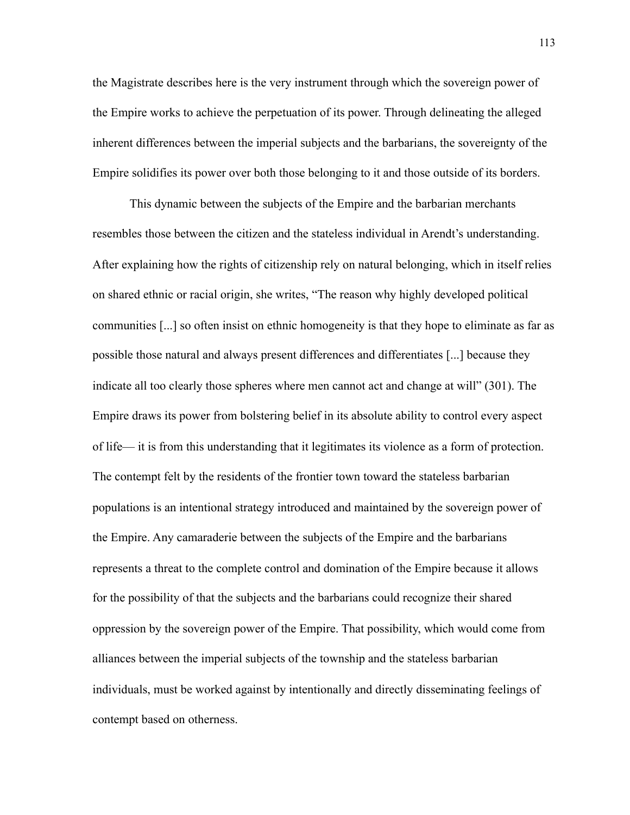the Magistrate describes here is the very instrument through which the sovereign power of the Empire works to achieve the perpetuation of its power. Through delineating the alleged inherent differences between the imperial subjects and the barbarians, the sovereignty of the Empire solidifies its power over both those belonging to it and those outside of its borders.

This dynamic between the subjects of the Empire and the barbarian merchants resembles those between the citizen and the stateless individual in Arendt's understanding. After explaining how the rights of citizenship rely on natural belonging, which in itself relies on shared ethnic or racial origin, she writes, "The reason why highly developed political communities [...] so often insist on ethnic homogeneity is that they hope to eliminate as far as possible those natural and always present differences and differentiates [...] because they indicate all too clearly those spheres where men cannot act and change at will" (301). The Empire draws its power from bolstering belief in its absolute ability to control every aspect of life— it is from this understanding that it legitimates its violence as a form of protection. The contempt felt by the residents of the frontier town toward the stateless barbarian populations is an intentional strategy introduced and maintained by the sovereign power of the Empire. Any camaraderie between the subjects of the Empire and the barbarians represents a threat to the complete control and domination of the Empire because it allows for the possibility of that the subjects and the barbarians could recognize their shared oppression by the sovereign power of the Empire. That possibility, which would come from alliances between the imperial subjects of the township and the stateless barbarian individuals, must be worked against by intentionally and directly disseminating feelings of contempt based on otherness.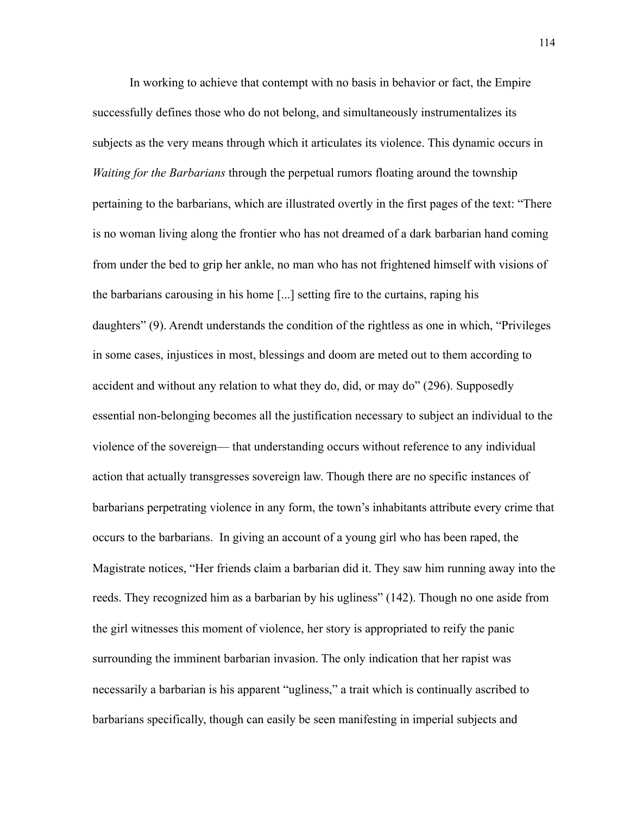In working to achieve that contempt with no basis in behavior or fact, the Empire successfully defines those who do not belong, and simultaneously instrumentalizes its subjects as the very means through which it articulates its violence. This dynamic occurs in *Waiting for the Barbarians* through the perpetual rumors floating around the township pertaining to the barbarians, which are illustrated overtly in the first pages of the text: "There is no woman living along the frontier who has not dreamed of a dark barbarian hand coming from under the bed to grip her ankle, no man who has not frightened himself with visions of the barbarians carousing in his home [...] setting fire to the curtains, raping his daughters" (9). Arendt understands the condition of the rightless as one in which, "Privileges in some cases, injustices in most, blessings and doom are meted out to them according to accident and without any relation to what they do, did, or may do" (296). Supposedly essential non-belonging becomes all the justification necessary to subject an individual to the violence of the sovereign— that understanding occurs without reference to any individual action that actually transgresses sovereign law. Though there are no specific instances of barbarians perpetrating violence in any form, the town's inhabitants attribute every crime that occurs to the barbarians. In giving an account of a young girl who has been raped, the Magistrate notices, "Her friends claim a barbarian did it. They saw him running away into the reeds. They recognized him as a barbarian by his ugliness" (142). Though no one aside from the girl witnesses this moment of violence, her story is appropriated to reify the panic surrounding the imminent barbarian invasion. The only indication that her rapist was necessarily a barbarian is his apparent "ugliness," a trait which is continually ascribed to barbarians specifically, though can easily be seen manifesting in imperial subjects and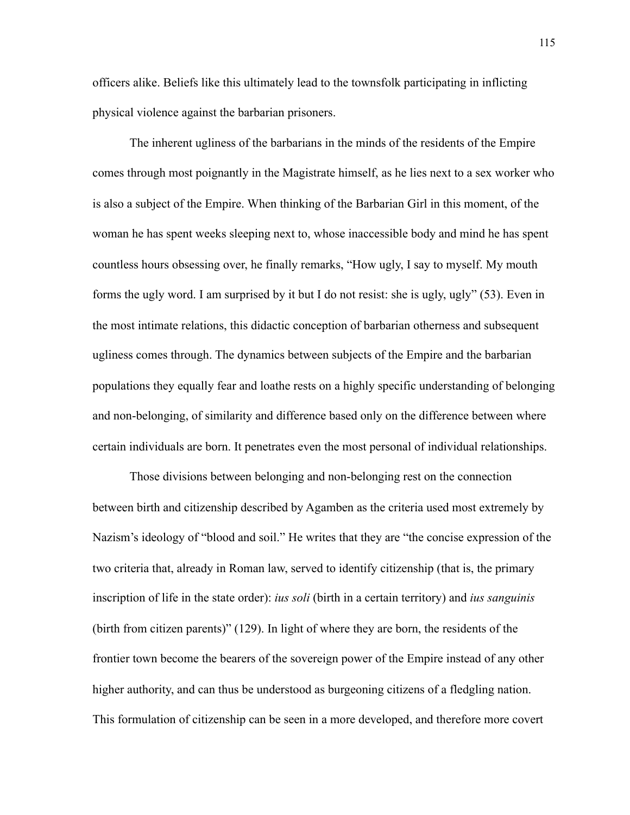officers alike. Beliefs like this ultimately lead to the townsfolk participating in inflicting physical violence against the barbarian prisoners.

The inherent ugliness of the barbarians in the minds of the residents of the Empire comes through most poignantly in the Magistrate himself, as he lies next to a sex worker who is also a subject of the Empire. When thinking of the Barbarian Girl in this moment, of the woman he has spent weeks sleeping next to, whose inaccessible body and mind he has spent countless hours obsessing over, he finally remarks, "How ugly, I say to myself. My mouth forms the ugly word. I am surprised by it but I do not resist: she is ugly, ugly" (53). Even in the most intimate relations, this didactic conception of barbarian otherness and subsequent ugliness comes through. The dynamics between subjects of the Empire and the barbarian populations they equally fear and loathe rests on a highly specific understanding of belonging and non-belonging, of similarity and difference based only on the difference between where certain individuals are born. It penetrates even the most personal of individual relationships.

Those divisions between belonging and non-belonging rest on the connection between birth and citizenship described by Agamben as the criteria used most extremely by Nazism's ideology of "blood and soil." He writes that they are "the concise expression of the two criteria that, already in Roman law, served to identify citizenship (that is, the primary inscription of life in the state order): *ius soli* (birth in a certain territory) and *ius sanguinis*  (birth from citizen parents)" (129). In light of where they are born, the residents of the frontier town become the bearers of the sovereign power of the Empire instead of any other higher authority, and can thus be understood as burgeoning citizens of a fledgling nation. This formulation of citizenship can be seen in a more developed, and therefore more covert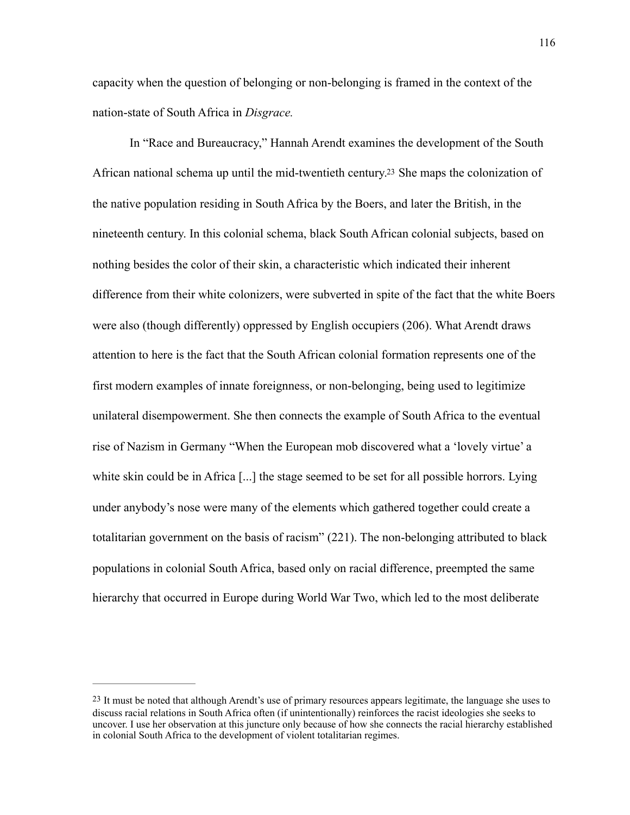capacity when the question of belonging or non-belonging is framed in the context of the nation-state of South Africa in *Disgrace.* 

<span id="page-122-1"></span>In "Race and Bureaucracy," Hannah Arendt examines the development of the South African national schema up until the mid-twentieth century[.23](#page-122-0) She maps the colonization of the native population residing in South Africa by the Boers, and later the British, in the nineteenth century. In this colonial schema, black South African colonial subjects, based on nothing besides the color of their skin, a characteristic which indicated their inherent difference from their white colonizers, were subverted in spite of the fact that the white Boers were also (though differently) oppressed by English occupiers (206). What Arendt draws attention to here is the fact that the South African colonial formation represents one of the first modern examples of innate foreignness, or non-belonging, being used to legitimize unilateral disempowerment. She then connects the example of South Africa to the eventual rise of Nazism in Germany "When the European mob discovered what a 'lovely virtue' a white skin could be in Africa [...] the stage seemed to be set for all possible horrors. Lying under anybody's nose were many of the elements which gathered together could create a totalitarian government on the basis of racism" (221). The non-belonging attributed to black populations in colonial South Africa, based only on racial difference, preempted the same hierarchy that occurred in Europe during World War Two, which led to the most deliberate

<span id="page-122-0"></span><sup>&</sup>lt;sup>[23](#page-122-1)</sup> It must be noted that although Arendt's use of primary resources appears legitimate, the language she uses to discuss racial relations in South Africa often (if unintentionally) reinforces the racist ideologies she seeks to uncover. I use her observation at this juncture only because of how she connects the racial hierarchy established in colonial South Africa to the development of violent totalitarian regimes.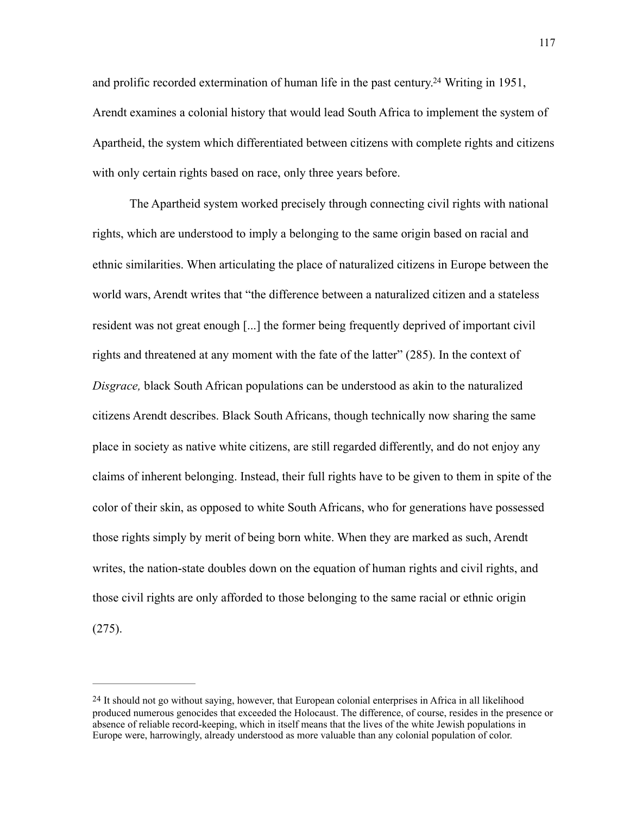<span id="page-123-1"></span>and prolific recorded extermination of human life in the past century[.](#page-123-0)<sup>[24](#page-123-0)</sup> Writing in 1951, Arendt examines a colonial history that would lead South Africa to implement the system of Apartheid, the system which differentiated between citizens with complete rights and citizens with only certain rights based on race, only three years before.

The Apartheid system worked precisely through connecting civil rights with national rights, which are understood to imply a belonging to the same origin based on racial and ethnic similarities. When articulating the place of naturalized citizens in Europe between the world wars, Arendt writes that "the difference between a naturalized citizen and a stateless resident was not great enough [...] the former being frequently deprived of important civil rights and threatened at any moment with the fate of the latter" (285). In the context of *Disgrace,* black South African populations can be understood as akin to the naturalized citizens Arendt describes. Black South Africans, though technically now sharing the same place in society as native white citizens, are still regarded differently, and do not enjoy any claims of inherent belonging. Instead, their full rights have to be given to them in spite of the color of their skin, as opposed to white South Africans, who for generations have possessed those rights simply by merit of being born white. When they are marked as such, Arendt writes, the nation-state doubles down on the equation of human rights and civil rights, and those civil rights are only afforded to those belonging to the same racial or ethnic origin (275).

<span id="page-123-0"></span>[<sup>24</sup>](#page-123-1) It should not go without saying, however, that European colonial enterprises in Africa in all likelihood produced numerous genocides that exceeded the Holocaust. The difference, of course, resides in the presence or absence of reliable record-keeping, which in itself means that the lives of the white Jewish populations in Europe were, harrowingly, already understood as more valuable than any colonial population of color.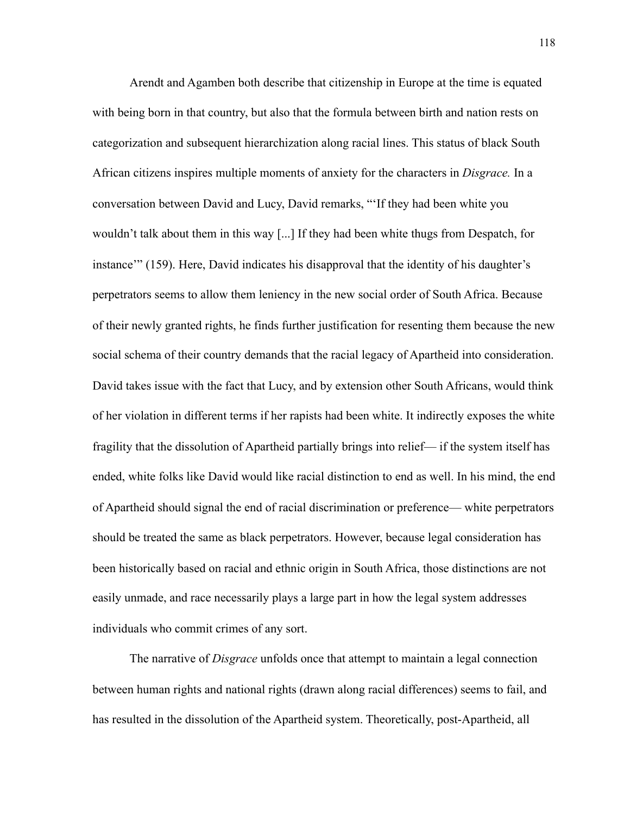Arendt and Agamben both describe that citizenship in Europe at the time is equated with being born in that country, but also that the formula between birth and nation rests on categorization and subsequent hierarchization along racial lines. This status of black South African citizens inspires multiple moments of anxiety for the characters in *Disgrace.* In a conversation between David and Lucy, David remarks, "'If they had been white you wouldn't talk about them in this way [...] If they had been white thugs from Despatch, for instance'" (159). Here, David indicates his disapproval that the identity of his daughter's perpetrators seems to allow them leniency in the new social order of South Africa. Because of their newly granted rights, he finds further justification for resenting them because the new social schema of their country demands that the racial legacy of Apartheid into consideration. David takes issue with the fact that Lucy, and by extension other South Africans, would think of her violation in different terms if her rapists had been white. It indirectly exposes the white fragility that the dissolution of Apartheid partially brings into relief— if the system itself has ended, white folks like David would like racial distinction to end as well. In his mind, the end of Apartheid should signal the end of racial discrimination or preference— white perpetrators should be treated the same as black perpetrators. However, because legal consideration has been historically based on racial and ethnic origin in South Africa, those distinctions are not easily unmade, and race necessarily plays a large part in how the legal system addresses individuals who commit crimes of any sort.

The narrative of *Disgrace* unfolds once that attempt to maintain a legal connection between human rights and national rights (drawn along racial differences) seems to fail, and has resulted in the dissolution of the Apartheid system. Theoretically, post-Apartheid, all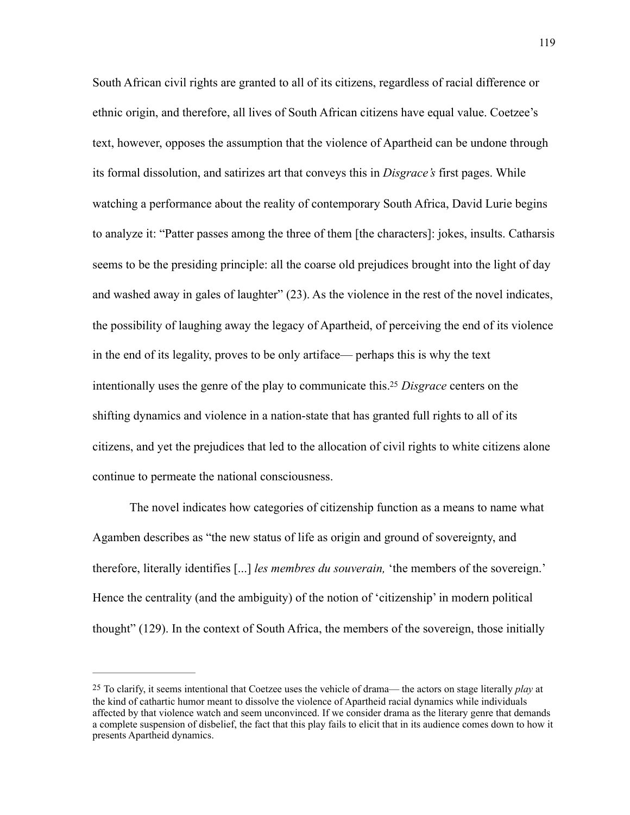South African civil rights are granted to all of its citizens, regardless of racial difference or ethnic origin, and therefore, all lives of South African citizens have equal value. Coetzee's text, however, opposes the assumption that the violence of Apartheid can be undone through its formal dissolution, and satirizes art that conveys this in *Disgrace's* first pages. While watching a performance about the reality of contemporary South Africa, David Lurie begins to analyze it: "Patter passes among the three of them [the characters]: jokes, insults. Catharsis seems to be the presiding principle: all the coarse old prejudices brought into the light of day and washed away in gales of laughter" (23). As the violence in the rest of the novel indicates, the possibility of laughing away the legacy of Apartheid, of perceiving the end of its violence in the end of its legality, proves to be only artiface— perhaps this is why the text intentionally uses the genre of the play to communicate this. *Disgrace* centers on the [25](#page-125-0) shifting dynamics and violence in a nation-state that has granted full rights to all of its citizens, and yet the prejudices that led to the allocation of civil rights to white citizens alone continue to permeate the national consciousness.

<span id="page-125-1"></span>The novel indicates how categories of citizenship function as a means to name what Agamben describes as "the new status of life as origin and ground of sovereignty, and therefore, literally identifies [...] *les membres du souverain,* 'the members of the sovereign.' Hence the centrality (and the ambiguity) of the notion of 'citizenship' in modern political thought" (129). In the context of South Africa, the members of the sovereign, those initially

<span id="page-125-0"></span>[<sup>25</sup>](#page-125-1) To clarify, it seems intentional that Coetzee uses the vehicle of drama— the actors on stage literally *play* at the kind of cathartic humor meant to dissolve the violence of Apartheid racial dynamics while individuals affected by that violence watch and seem unconvinced. If we consider drama as the literary genre that demands a complete suspension of disbelief, the fact that this play fails to elicit that in its audience comes down to how it presents Apartheid dynamics.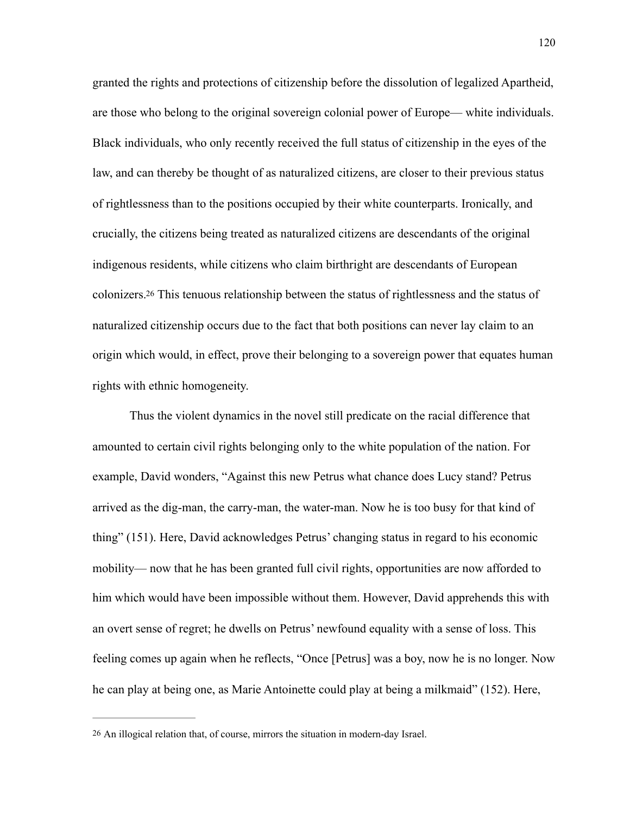granted the rights and protections of citizenship before the dissolution of legalized Apartheid, are those who belong to the original sovereign colonial power of Europe— white individuals. Black individuals, who only recently received the full status of citizenship in the eyes of the law, and can thereby be thought of as naturalized citizens, are closer to their previous status of rightlessness than to the positions occupied by their white counterparts. Ironically, and crucially, the citizens being treated as naturalized citizens are descendants of the original indigenous residents, while citizens who claim birthright are descendants of European colonizers[.26](#page-126-0) This tenuous relationship between the status of rightlessness and the status of naturalized citizenship occurs due to the fact that both positions can never lay claim to an origin which would, in effect, prove their belonging to a sovereign power that equates human rights with ethnic homogeneity.

<span id="page-126-1"></span>Thus the violent dynamics in the novel still predicate on the racial difference that amounted to certain civil rights belonging only to the white population of the nation. For example, David wonders, "Against this new Petrus what chance does Lucy stand? Petrus arrived as the dig-man, the carry-man, the water-man. Now he is too busy for that kind of thing" (151). Here, David acknowledges Petrus' changing status in regard to his economic mobility— now that he has been granted full civil rights, opportunities are now afforded to him which would have been impossible without them. However, David apprehends this with an overt sense of regret; he dwells on Petrus' newfound equality with a sense of loss. This feeling comes up again when he reflects, "Once [Petrus] was a boy, now he is no longer. Now he can play at being one, as Marie Antoinette could play at being a milkmaid" (152). Here,

<span id="page-126-0"></span>[<sup>26</sup>](#page-126-1) An illogical relation that, of course, mirrors the situation in modern-day Israel.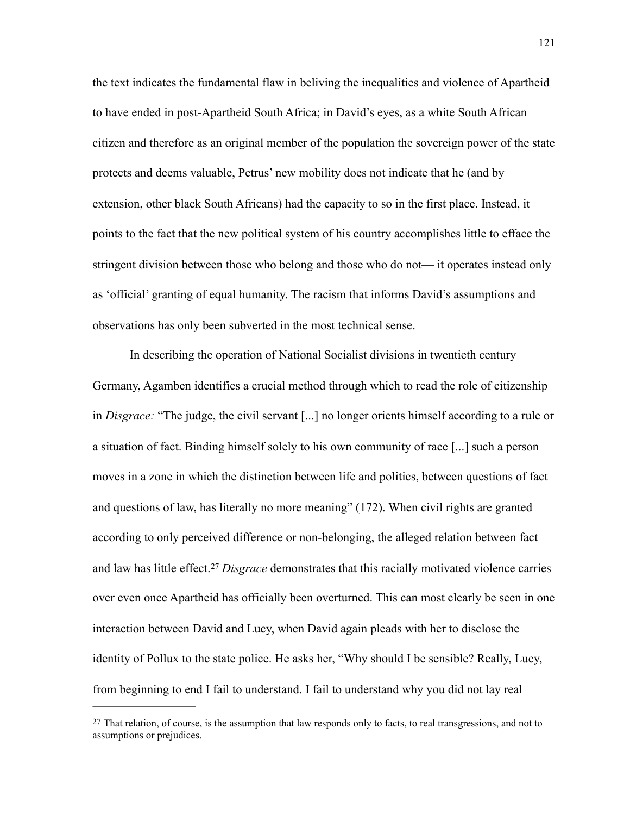the text indicates the fundamental flaw in beliving the inequalities and violence of Apartheid to have ended in post-Apartheid South Africa; in David's eyes, as a white South African citizen and therefore as an original member of the population the sovereign power of the state protects and deems valuable, Petrus' new mobility does not indicate that he (and by extension, other black South Africans) had the capacity to so in the first place. Instead, it points to the fact that the new political system of his country accomplishes little to efface the stringent division between those who belong and those who do not— it operates instead only as 'official' granting of equal humanity. The racism that informs David's assumptions and observations has only been subverted in the most technical sense.

In describing the operation of National Socialist divisions in twentieth century Germany, Agamben identifies a crucial method through which to read the role of citizenship in *Disgrace:* "The judge, the civil servant [...] no longer orients himself according to a rule or a situation of fact. Binding himself solely to his own community of race [...] such a person moves in a zone in which the distinction between life and politics, between questions of fact and questions of law, has literally no more meaning" (172). When civil rights are granted according to only perceived difference or non-belonging, the alleged relation between fact and law has little effect.<sup>[27](#page-127-0)</sup> Disgrace demonstrates that this racially motivated violence carries over even once Apartheid has officially been overturned. This can most clearly be seen in one interaction between David and Lucy, when David again pleads with her to disclose the identity of Pollux to the state police. He asks her, "Why should I be sensible? Really, Lucy, from beginning to end I fail to understand. I fail to understand why you did not lay real

<span id="page-127-1"></span><span id="page-127-0"></span> $27$  That relation, of course, is the assumption that law responds only to facts, to real transgressions, and not to assumptions or prejudices.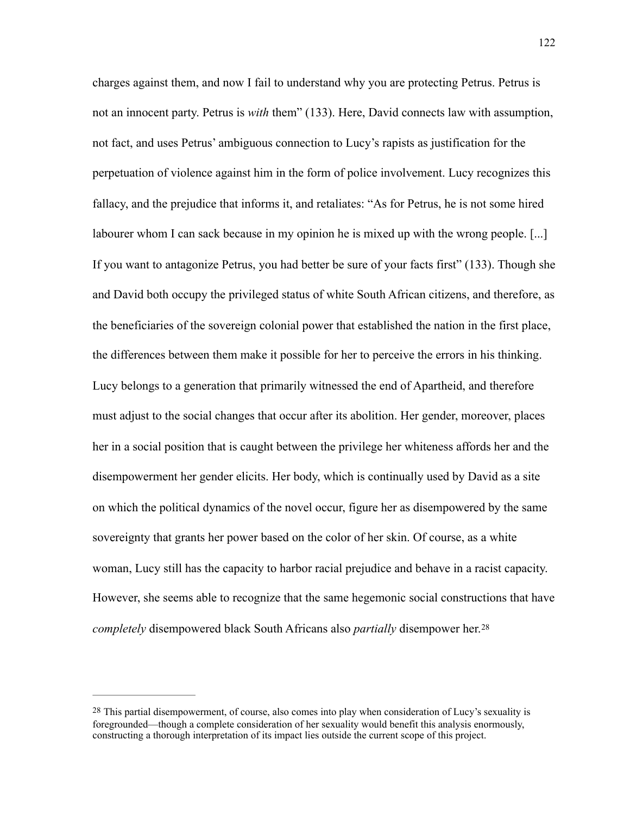charges against them, and now I fail to understand why you are protecting Petrus. Petrus is not an innocent party. Petrus is *with* them" (133). Here, David connects law with assumption, not fact, and uses Petrus' ambiguous connection to Lucy's rapists as justification for the perpetuation of violence against him in the form of police involvement. Lucy recognizes this fallacy, and the prejudice that informs it, and retaliates: "As for Petrus, he is not some hired labourer whom I can sack because in my opinion he is mixed up with the wrong people. [...] If you want to antagonize Petrus, you had better be sure of your facts first" (133). Though she and David both occupy the privileged status of white South African citizens, and therefore, as the beneficiaries of the sovereign colonial power that established the nation in the first place, the differences between them make it possible for her to perceive the errors in his thinking. Lucy belongs to a generation that primarily witnessed the end of Apartheid, and therefore must adjust to the social changes that occur after its abolition. Her gender, moreover, places her in a social position that is caught between the privilege her whiteness affords her and the disempowerment her gender elicits. Her body, which is continually used by David as a site on which the political dynamics of the novel occur, figure her as disempowered by the same sovereignty that grants her power based on the color of her skin. Of course, as a white woman, Lucy still has the capacity to harbor racial prejudice and behave in a racist capacity. However, she seems able to recognize that the same hegemonic social constructions that have *completely* disempowered black South Africans also *partially* disempower her. [28](#page-128-0)

<span id="page-128-1"></span><span id="page-128-0"></span>[<sup>28</sup>](#page-128-1) This partial disempowerment, of course, also comes into play when consideration of Lucy's sexuality is foregrounded—though a complete consideration of her sexuality would benefit this analysis enormously, constructing a thorough interpretation of its impact lies outside the current scope of this project.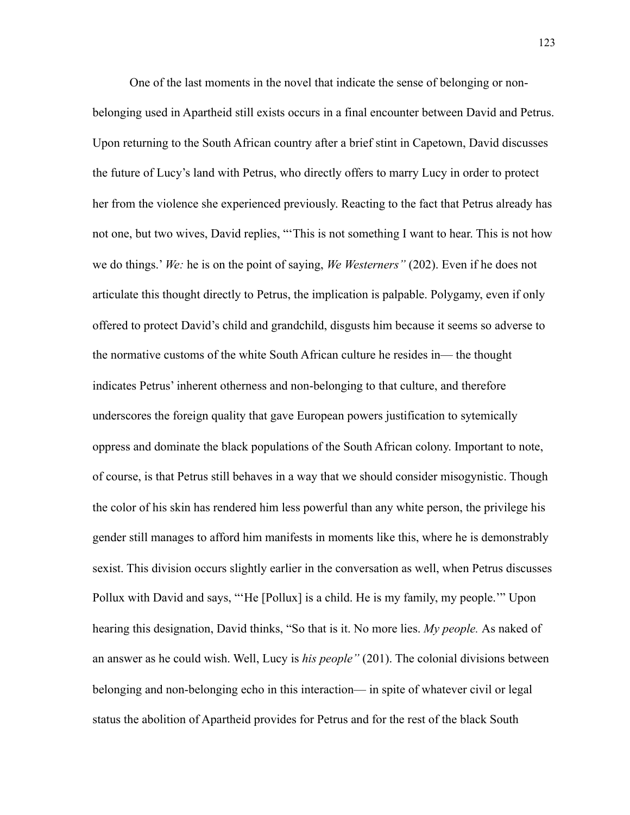One of the last moments in the novel that indicate the sense of belonging or nonbelonging used in Apartheid still exists occurs in a final encounter between David and Petrus. Upon returning to the South African country after a brief stint in Capetown, David discusses the future of Lucy's land with Petrus, who directly offers to marry Lucy in order to protect her from the violence she experienced previously. Reacting to the fact that Petrus already has not one, but two wives, David replies, "'This is not something I want to hear. This is not how we do things.' *We:* he is on the point of saying, *We Westerners"* (202). Even if he does not articulate this thought directly to Petrus, the implication is palpable. Polygamy, even if only offered to protect David's child and grandchild, disgusts him because it seems so adverse to the normative customs of the white South African culture he resides in— the thought indicates Petrus' inherent otherness and non-belonging to that culture, and therefore underscores the foreign quality that gave European powers justification to sytemically oppress and dominate the black populations of the South African colony. Important to note, of course, is that Petrus still behaves in a way that we should consider misogynistic. Though the color of his skin has rendered him less powerful than any white person, the privilege his gender still manages to afford him manifests in moments like this, where he is demonstrably sexist. This division occurs slightly earlier in the conversation as well, when Petrus discusses Pollux with David and says, "'He [Pollux] is a child. He is my family, my people.'" Upon hearing this designation, David thinks, "So that is it. No more lies. *My people.* As naked of an answer as he could wish. Well, Lucy is *his people"* (201). The colonial divisions between belonging and non-belonging echo in this interaction— in spite of whatever civil or legal status the abolition of Apartheid provides for Petrus and for the rest of the black South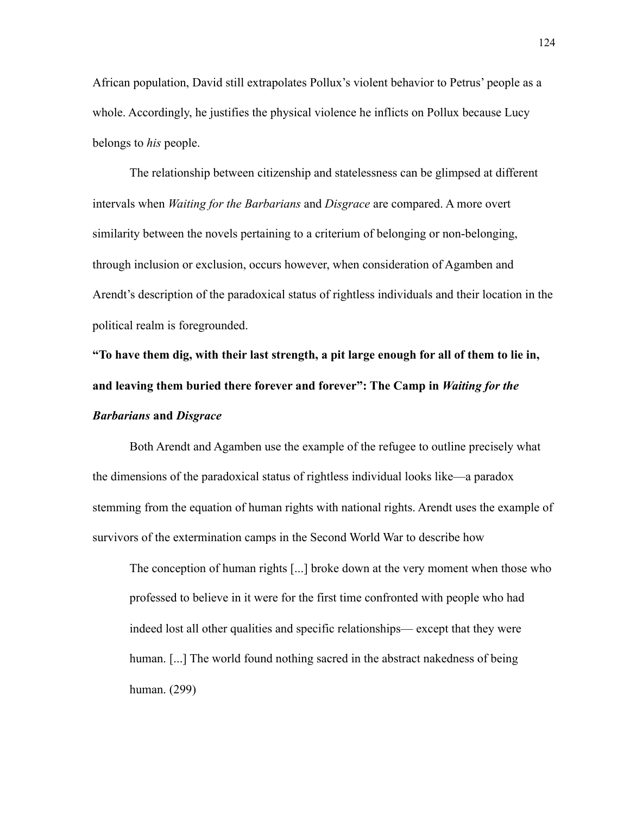African population, David still extrapolates Pollux's violent behavior to Petrus' people as a whole. Accordingly, he justifies the physical violence he inflicts on Pollux because Lucy belongs to *his* people.

The relationship between citizenship and statelessness can be glimpsed at different intervals when *Waiting for the Barbarians* and *Disgrace* are compared. A more overt similarity between the novels pertaining to a criterium of belonging or non-belonging, through inclusion or exclusion, occurs however, when consideration of Agamben and Arendt's description of the paradoxical status of rightless individuals and their location in the political realm is foregrounded.

**"To have them dig, with their last strength, a pit large enough for all of them to lie in, and leaving them buried there forever and forever": The Camp in** *Waiting for the Barbarians* **and** *Disgrace* 

 Both Arendt and Agamben use the example of the refugee to outline precisely what the dimensions of the paradoxical status of rightless individual looks like—a paradox stemming from the equation of human rights with national rights. Arendt uses the example of survivors of the extermination camps in the Second World War to describe how

The conception of human rights [...] broke down at the very moment when those who professed to believe in it were for the first time confronted with people who had indeed lost all other qualities and specific relationships— except that they were human. [...] The world found nothing sacred in the abstract nakedness of being human. (299)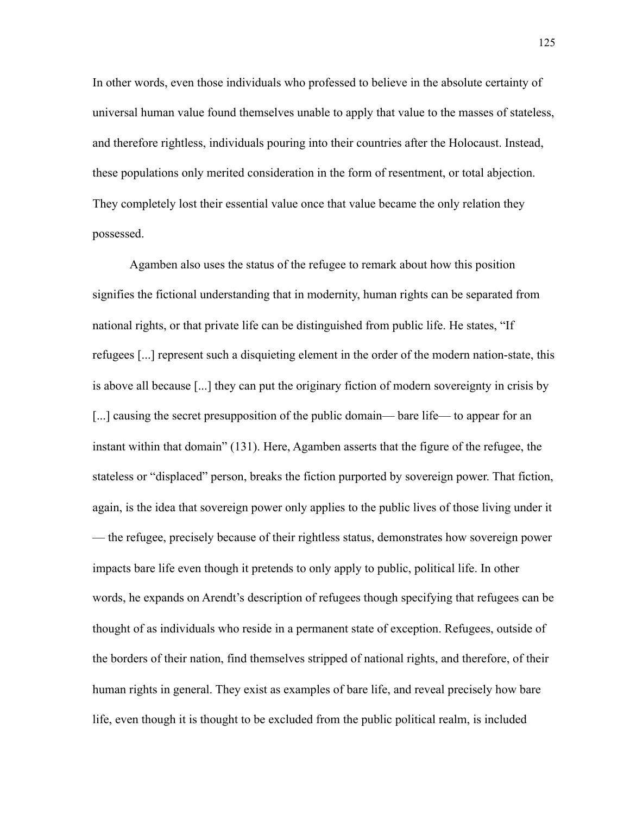In other words, even those individuals who professed to believe in the absolute certainty of universal human value found themselves unable to apply that value to the masses of stateless, and therefore rightless, individuals pouring into their countries after the Holocaust. Instead, these populations only merited consideration in the form of resentment, or total abjection. They completely lost their essential value once that value became the only relation they possessed.

Agamben also uses the status of the refugee to remark about how this position signifies the fictional understanding that in modernity, human rights can be separated from national rights, or that private life can be distinguished from public life. He states, "If refugees [...] represent such a disquieting element in the order of the modern nation-state, this is above all because [...] they can put the originary fiction of modern sovereignty in crisis by [...] causing the secret presupposition of the public domain— bare life— to appear for an instant within that domain" (131). Here, Agamben asserts that the figure of the refugee, the stateless or "displaced" person, breaks the fiction purported by sovereign power. That fiction, again, is the idea that sovereign power only applies to the public lives of those living under it — the refugee, precisely because of their rightless status, demonstrates how sovereign power impacts bare life even though it pretends to only apply to public, political life. In other words, he expands on Arendt's description of refugees though specifying that refugees can be thought of as individuals who reside in a permanent state of exception. Refugees, outside of the borders of their nation, find themselves stripped of national rights, and therefore, of their human rights in general. They exist as examples of bare life, and reveal precisely how bare life, even though it is thought to be excluded from the public political realm, is included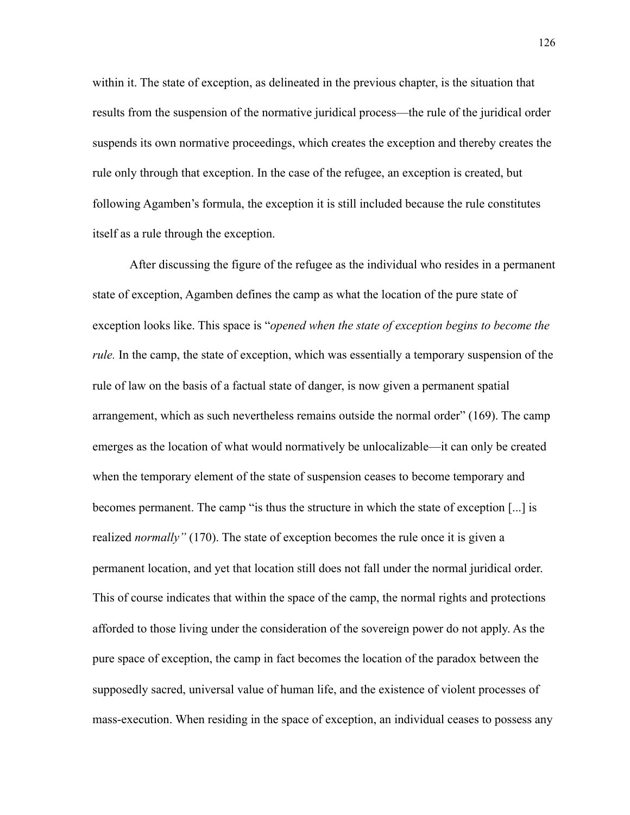within it. The state of exception, as delineated in the previous chapter, is the situation that results from the suspension of the normative juridical process—the rule of the juridical order suspends its own normative proceedings, which creates the exception and thereby creates the rule only through that exception. In the case of the refugee, an exception is created, but following Agamben's formula, the exception it is still included because the rule constitutes itself as a rule through the exception.

After discussing the figure of the refugee as the individual who resides in a permanent state of exception, Agamben defines the camp as what the location of the pure state of exception looks like. This space is "*opened when the state of exception begins to become the rule.* In the camp, the state of exception, which was essentially a temporary suspension of the rule of law on the basis of a factual state of danger, is now given a permanent spatial arrangement, which as such nevertheless remains outside the normal order" (169). The camp emerges as the location of what would normatively be unlocalizable—it can only be created when the temporary element of the state of suspension ceases to become temporary and becomes permanent. The camp "is thus the structure in which the state of exception [...] is realized *normally"* (170). The state of exception becomes the rule once it is given a permanent location, and yet that location still does not fall under the normal juridical order. This of course indicates that within the space of the camp, the normal rights and protections afforded to those living under the consideration of the sovereign power do not apply. As the pure space of exception, the camp in fact becomes the location of the paradox between the supposedly sacred, universal value of human life, and the existence of violent processes of mass-execution. When residing in the space of exception, an individual ceases to possess any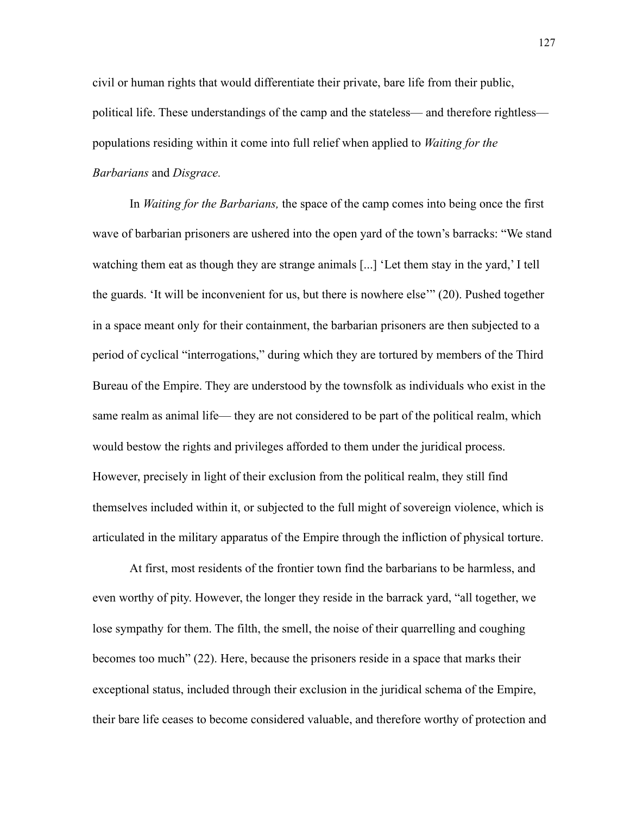civil or human rights that would differentiate their private, bare life from their public, political life. These understandings of the camp and the stateless— and therefore rightless populations residing within it come into full relief when applied to *Waiting for the Barbarians* and *Disgrace.* 

 In *Waiting for the Barbarians,* the space of the camp comes into being once the first wave of barbarian prisoners are ushered into the open yard of the town's barracks: "We stand watching them eat as though they are strange animals [...] 'Let them stay in the yard,' I tell the guards. 'It will be inconvenient for us, but there is nowhere else'" (20). Pushed together in a space meant only for their containment, the barbarian prisoners are then subjected to a period of cyclical "interrogations," during which they are tortured by members of the Third Bureau of the Empire. They are understood by the townsfolk as individuals who exist in the same realm as animal life— they are not considered to be part of the political realm, which would bestow the rights and privileges afforded to them under the juridical process. However, precisely in light of their exclusion from the political realm, they still find themselves included within it, or subjected to the full might of sovereign violence, which is articulated in the military apparatus of the Empire through the infliction of physical torture.

At first, most residents of the frontier town find the barbarians to be harmless, and even worthy of pity. However, the longer they reside in the barrack yard, "all together, we lose sympathy for them. The filth, the smell, the noise of their quarrelling and coughing becomes too much" (22). Here, because the prisoners reside in a space that marks their exceptional status, included through their exclusion in the juridical schema of the Empire, their bare life ceases to become considered valuable, and therefore worthy of protection and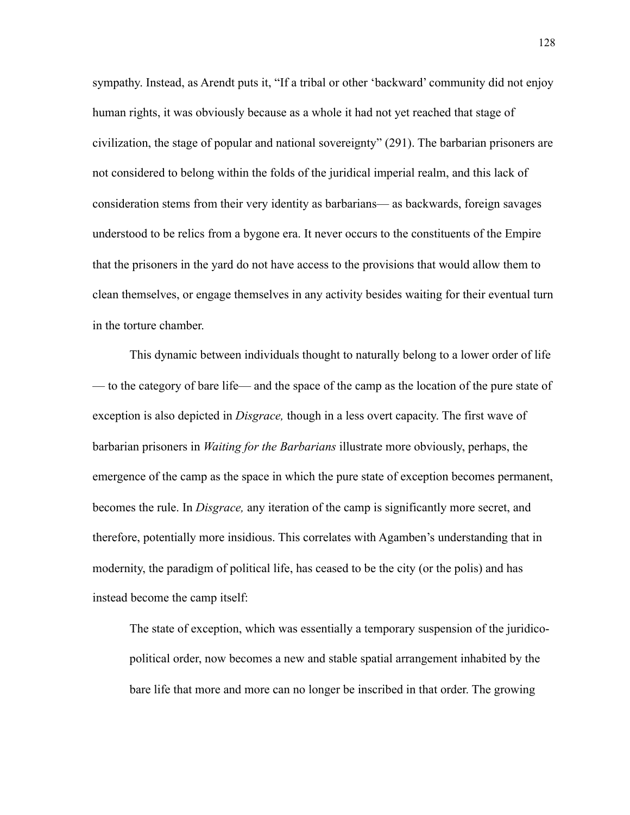sympathy. Instead, as Arendt puts it, "If a tribal or other 'backward' community did not enjoy human rights, it was obviously because as a whole it had not yet reached that stage of civilization, the stage of popular and national sovereignty" (291). The barbarian prisoners are not considered to belong within the folds of the juridical imperial realm, and this lack of consideration stems from their very identity as barbarians— as backwards, foreign savages understood to be relics from a bygone era. It never occurs to the constituents of the Empire that the prisoners in the yard do not have access to the provisions that would allow them to clean themselves, or engage themselves in any activity besides waiting for their eventual turn in the torture chamber.

This dynamic between individuals thought to naturally belong to a lower order of life — to the category of bare life— and the space of the camp as the location of the pure state of exception is also depicted in *Disgrace,* though in a less overt capacity. The first wave of barbarian prisoners in *Waiting for the Barbarians* illustrate more obviously, perhaps, the emergence of the camp as the space in which the pure state of exception becomes permanent, becomes the rule. In *Disgrace,* any iteration of the camp is significantly more secret, and therefore, potentially more insidious. This correlates with Agamben's understanding that in modernity, the paradigm of political life, has ceased to be the city (or the polis) and has instead become the camp itself:

The state of exception, which was essentially a temporary suspension of the juridicopolitical order, now becomes a new and stable spatial arrangement inhabited by the bare life that more and more can no longer be inscribed in that order. The growing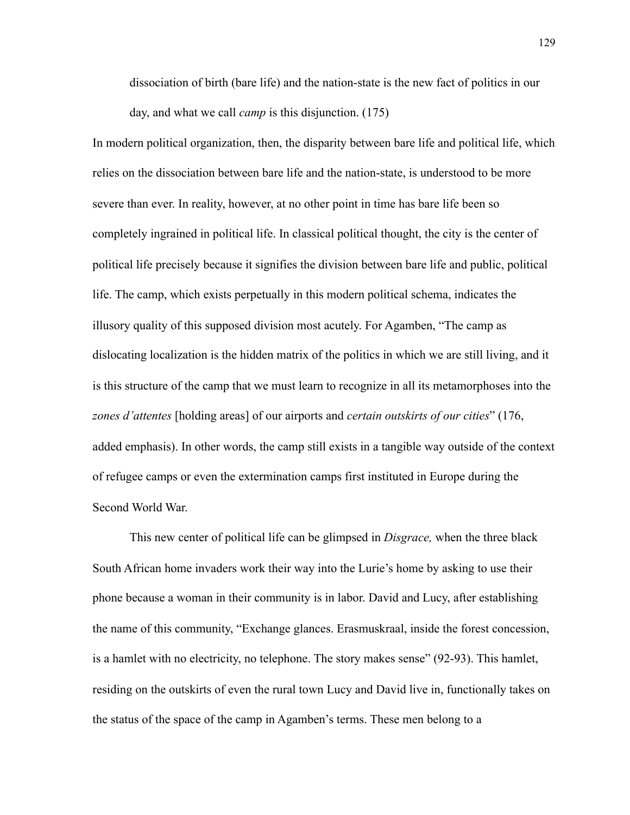dissociation of birth (bare life) and the nation-state is the new fact of politics in our day, and what we call *camp* is this disjunction. (175)

In modern political organization, then, the disparity between bare life and political life, which relies on the dissociation between bare life and the nation-state, is understood to be more severe than ever. In reality, however, at no other point in time has bare life been so completely ingrained in political life. In classical political thought, the city is the center of political life precisely because it signifies the division between bare life and public, political life. The camp, which exists perpetually in this modern political schema, indicates the illusory quality of this supposed division most acutely. For Agamben, "The camp as dislocating localization is the hidden matrix of the politics in which we are still living, and it is this structure of the camp that we must learn to recognize in all its metamorphoses into the *zones d'attentes* [holding areas] of our airports and *certain outskirts of our cities*" (176, added emphasis). In other words, the camp still exists in a tangible way outside of the context of refugee camps or even the extermination camps first instituted in Europe during the Second World War.

This new center of political life can be glimpsed in *Disgrace,* when the three black South African home invaders work their way into the Lurie's home by asking to use their phone because a woman in their community is in labor. David and Lucy, after establishing the name of this community, "Exchange glances. Erasmuskraal, inside the forest concession, is a hamlet with no electricity, no telephone. The story makes sense" (92-93). This hamlet, residing on the outskirts of even the rural town Lucy and David live in, functionally takes on the status of the space of the camp in Agamben's terms. These men belong to a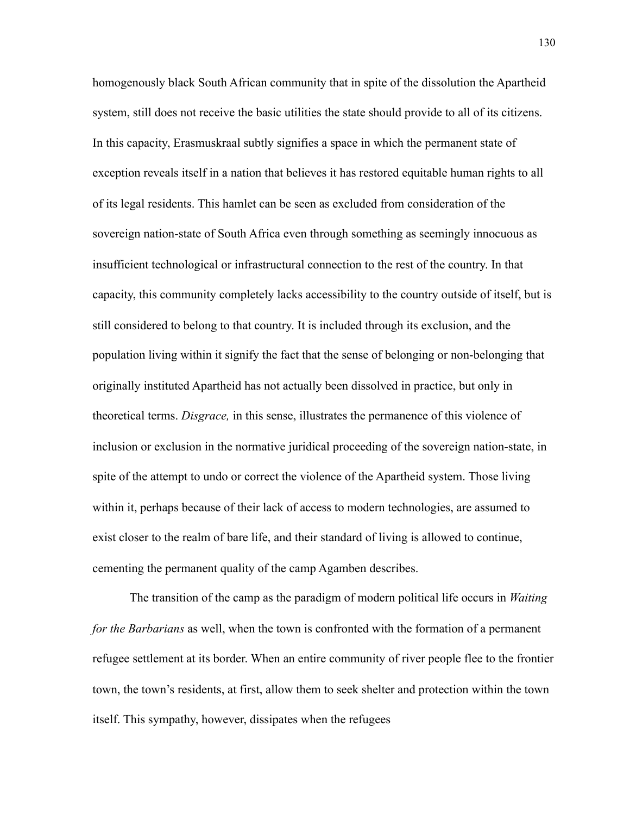homogenously black South African community that in spite of the dissolution the Apartheid system, still does not receive the basic utilities the state should provide to all of its citizens. In this capacity, Erasmuskraal subtly signifies a space in which the permanent state of exception reveals itself in a nation that believes it has restored equitable human rights to all of its legal residents. This hamlet can be seen as excluded from consideration of the sovereign nation-state of South Africa even through something as seemingly innocuous as insufficient technological or infrastructural connection to the rest of the country. In that capacity, this community completely lacks accessibility to the country outside of itself, but is still considered to belong to that country. It is included through its exclusion, and the population living within it signify the fact that the sense of belonging or non-belonging that originally instituted Apartheid has not actually been dissolved in practice, but only in theoretical terms. *Disgrace,* in this sense, illustrates the permanence of this violence of inclusion or exclusion in the normative juridical proceeding of the sovereign nation-state, in spite of the attempt to undo or correct the violence of the Apartheid system. Those living within it, perhaps because of their lack of access to modern technologies, are assumed to exist closer to the realm of bare life, and their standard of living is allowed to continue, cementing the permanent quality of the camp Agamben describes.

The transition of the camp as the paradigm of modern political life occurs in *Waiting for the Barbarians* as well, when the town is confronted with the formation of a permanent refugee settlement at its border. When an entire community of river people flee to the frontier town, the town's residents, at first, allow them to seek shelter and protection within the town itself. This sympathy, however, dissipates when the refugees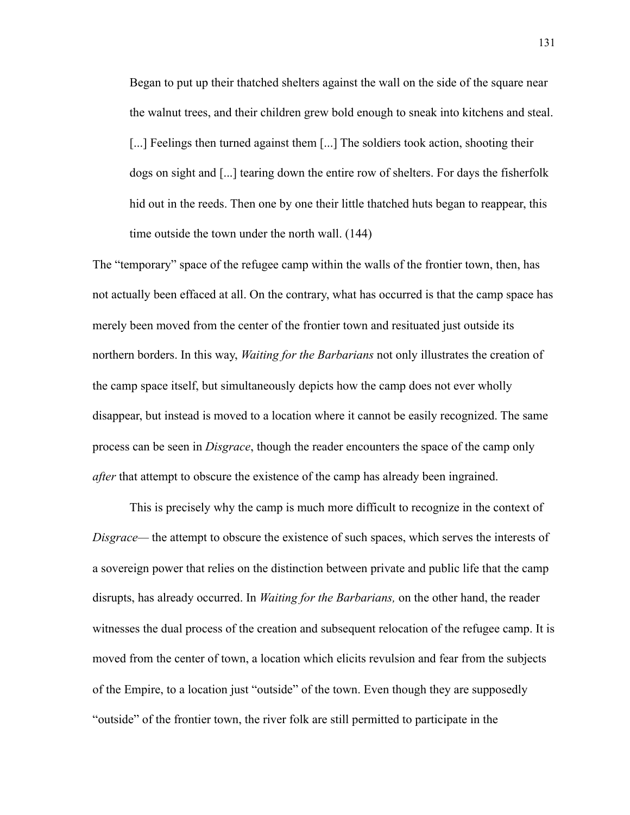Began to put up their thatched shelters against the wall on the side of the square near the walnut trees, and their children grew bold enough to sneak into kitchens and steal. [...] Feelings then turned against them [...] The soldiers took action, shooting their dogs on sight and [...] tearing down the entire row of shelters. For days the fisherfolk hid out in the reeds. Then one by one their little thatched huts began to reappear, this time outside the town under the north wall. (144)

The "temporary" space of the refugee camp within the walls of the frontier town, then, has not actually been effaced at all. On the contrary, what has occurred is that the camp space has merely been moved from the center of the frontier town and resituated just outside its northern borders. In this way, *Waiting for the Barbarians* not only illustrates the creation of the camp space itself, but simultaneously depicts how the camp does not ever wholly disappear, but instead is moved to a location where it cannot be easily recognized. The same process can be seen in *Disgrace*, though the reader encounters the space of the camp only *after* that attempt to obscure the existence of the camp has already been ingrained.

This is precisely why the camp is much more difficult to recognize in the context of *Disgrace—* the attempt to obscure the existence of such spaces, which serves the interests of a sovereign power that relies on the distinction between private and public life that the camp disrupts, has already occurred. In *Waiting for the Barbarians,* on the other hand, the reader witnesses the dual process of the creation and subsequent relocation of the refugee camp. It is moved from the center of town, a location which elicits revulsion and fear from the subjects of the Empire, to a location just "outside" of the town. Even though they are supposedly "outside" of the frontier town, the river folk are still permitted to participate in the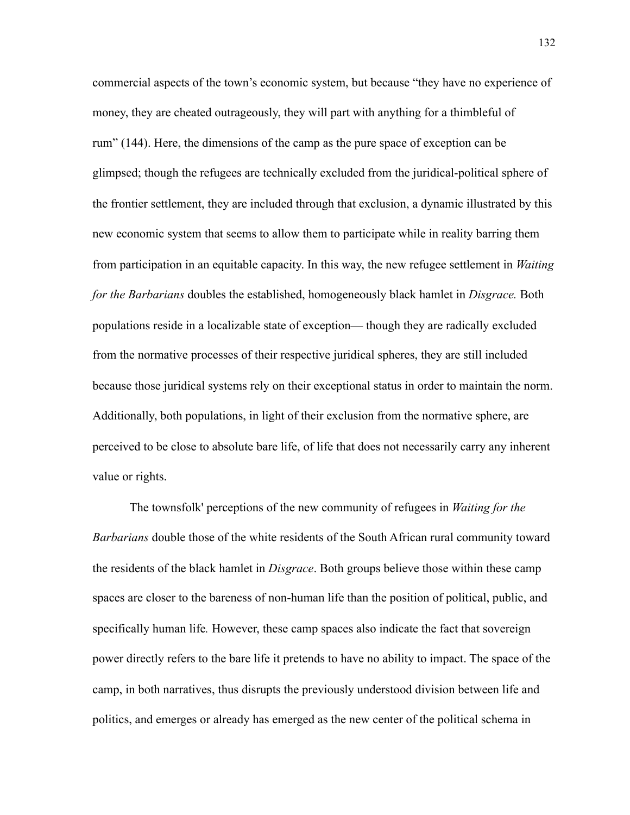commercial aspects of the town's economic system, but because "they have no experience of money, they are cheated outrageously, they will part with anything for a thimbleful of rum" (144). Here, the dimensions of the camp as the pure space of exception can be glimpsed; though the refugees are technically excluded from the juridical-political sphere of the frontier settlement, they are included through that exclusion, a dynamic illustrated by this new economic system that seems to allow them to participate while in reality barring them from participation in an equitable capacity. In this way, the new refugee settlement in *Waiting for the Barbarians* doubles the established, homogeneously black hamlet in *Disgrace.* Both populations reside in a localizable state of exception— though they are radically excluded from the normative processes of their respective juridical spheres, they are still included because those juridical systems rely on their exceptional status in order to maintain the norm. Additionally, both populations, in light of their exclusion from the normative sphere, are perceived to be close to absolute bare life, of life that does not necessarily carry any inherent value or rights.

The townsfolk' perceptions of the new community of refugees in *Waiting for the Barbarians* double those of the white residents of the South African rural community toward the residents of the black hamlet in *Disgrace*. Both groups believe those within these camp spaces are closer to the bareness of non-human life than the position of political, public, and specifically human life*.* However, these camp spaces also indicate the fact that sovereign power directly refers to the bare life it pretends to have no ability to impact. The space of the camp, in both narratives, thus disrupts the previously understood division between life and politics, and emerges or already has emerged as the new center of the political schema in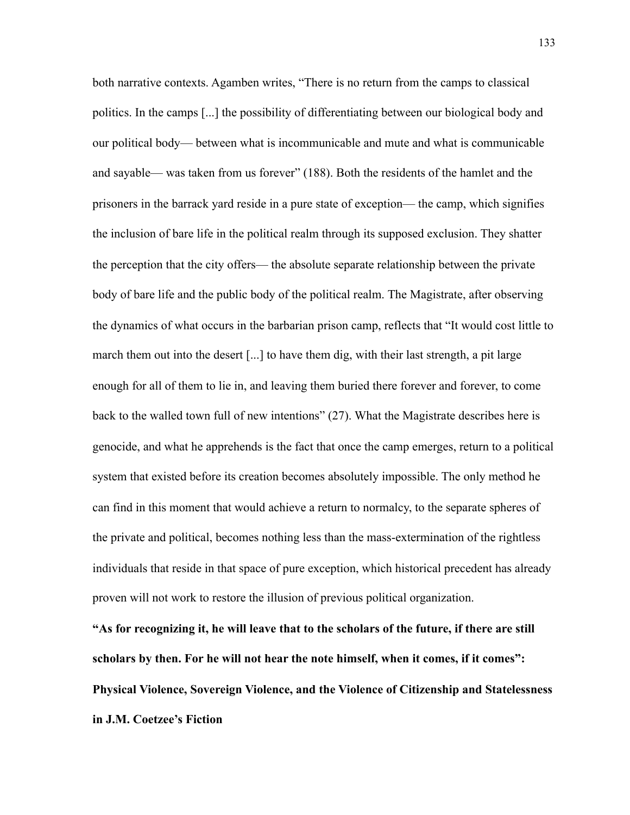both narrative contexts. Agamben writes, "There is no return from the camps to classical politics. In the camps [...] the possibility of differentiating between our biological body and our political body— between what is incommunicable and mute and what is communicable and sayable— was taken from us forever" (188). Both the residents of the hamlet and the prisoners in the barrack yard reside in a pure state of exception— the camp, which signifies the inclusion of bare life in the political realm through its supposed exclusion. They shatter the perception that the city offers— the absolute separate relationship between the private body of bare life and the public body of the political realm. The Magistrate, after observing the dynamics of what occurs in the barbarian prison camp, reflects that "It would cost little to march them out into the desert [...] to have them dig, with their last strength, a pit large enough for all of them to lie in, and leaving them buried there forever and forever, to come back to the walled town full of new intentions" (27). What the Magistrate describes here is genocide, and what he apprehends is the fact that once the camp emerges, return to a political system that existed before its creation becomes absolutely impossible. The only method he can find in this moment that would achieve a return to normalcy, to the separate spheres of the private and political, becomes nothing less than the mass-extermination of the rightless individuals that reside in that space of pure exception, which historical precedent has already proven will not work to restore the illusion of previous political organization.

**"As for recognizing it, he will leave that to the scholars of the future, if there are still scholars by then. For he will not hear the note himself, when it comes, if it comes": Physical Violence, Sovereign Violence, and the Violence of Citizenship and Statelessness in J.M. Coetzee's Fiction**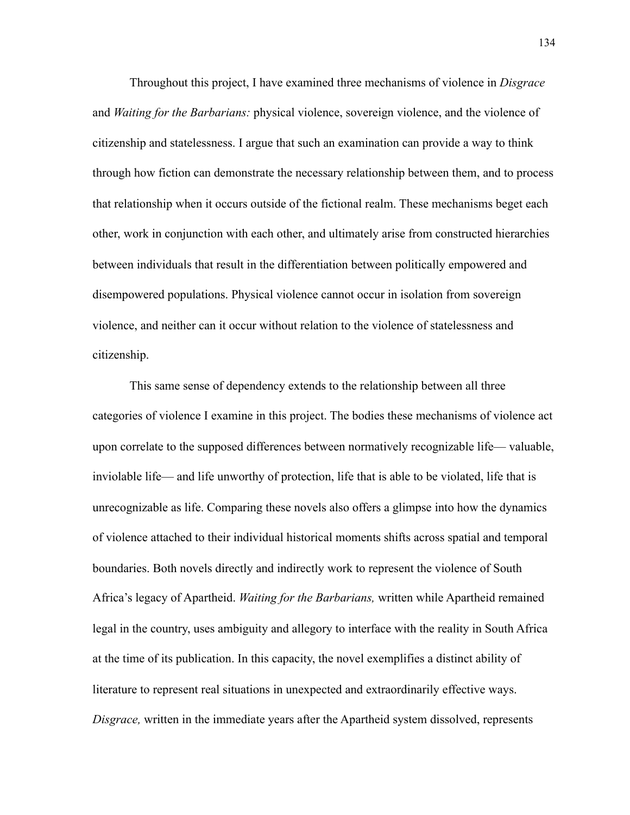Throughout this project, I have examined three mechanisms of violence in *Disgrace*  and *Waiting for the Barbarians:* physical violence, sovereign violence, and the violence of citizenship and statelessness. I argue that such an examination can provide a way to think through how fiction can demonstrate the necessary relationship between them, and to process that relationship when it occurs outside of the fictional realm. These mechanisms beget each other, work in conjunction with each other, and ultimately arise from constructed hierarchies between individuals that result in the differentiation between politically empowered and disempowered populations. Physical violence cannot occur in isolation from sovereign violence, and neither can it occur without relation to the violence of statelessness and citizenship.

This same sense of dependency extends to the relationship between all three categories of violence I examine in this project. The bodies these mechanisms of violence act upon correlate to the supposed differences between normatively recognizable life— valuable, inviolable life— and life unworthy of protection, life that is able to be violated, life that is unrecognizable as life. Comparing these novels also offers a glimpse into how the dynamics of violence attached to their individual historical moments shifts across spatial and temporal boundaries. Both novels directly and indirectly work to represent the violence of South Africa's legacy of Apartheid. *Waiting for the Barbarians,* written while Apartheid remained legal in the country, uses ambiguity and allegory to interface with the reality in South Africa at the time of its publication. In this capacity, the novel exemplifies a distinct ability of literature to represent real situations in unexpected and extraordinarily effective ways. *Disgrace,* written in the immediate years after the Apartheid system dissolved, represents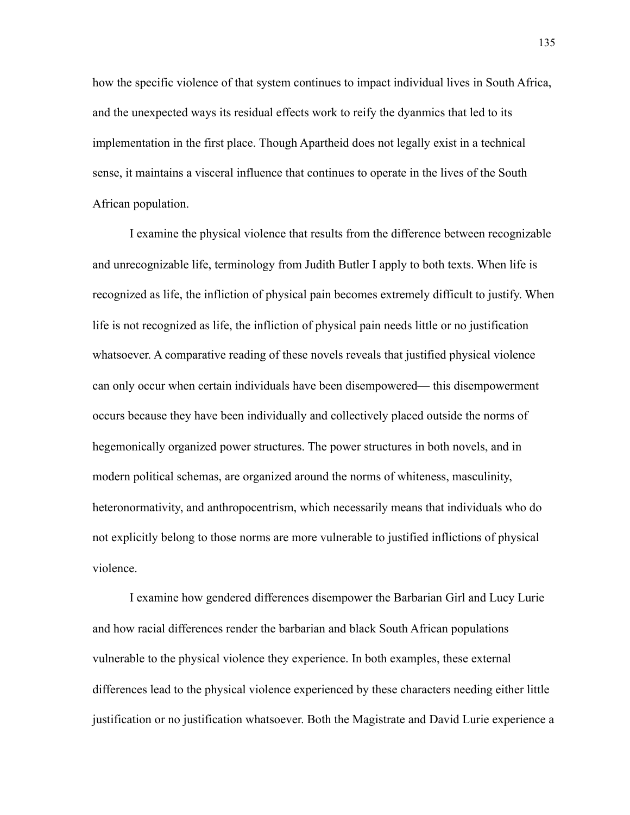how the specific violence of that system continues to impact individual lives in South Africa, and the unexpected ways its residual effects work to reify the dyanmics that led to its implementation in the first place. Though Apartheid does not legally exist in a technical sense, it maintains a visceral influence that continues to operate in the lives of the South African population.

I examine the physical violence that results from the difference between recognizable and unrecognizable life, terminology from Judith Butler I apply to both texts. When life is recognized as life, the infliction of physical pain becomes extremely difficult to justify. When life is not recognized as life, the infliction of physical pain needs little or no justification whatsoever. A comparative reading of these novels reveals that justified physical violence can only occur when certain individuals have been disempowered— this disempowerment occurs because they have been individually and collectively placed outside the norms of hegemonically organized power structures. The power structures in both novels, and in modern political schemas, are organized around the norms of whiteness, masculinity, heteronormativity, and anthropocentrism, which necessarily means that individuals who do not explicitly belong to those norms are more vulnerable to justified inflictions of physical violence.

I examine how gendered differences disempower the Barbarian Girl and Lucy Lurie and how racial differences render the barbarian and black South African populations vulnerable to the physical violence they experience. In both examples, these external differences lead to the physical violence experienced by these characters needing either little justification or no justification whatsoever. Both the Magistrate and David Lurie experience a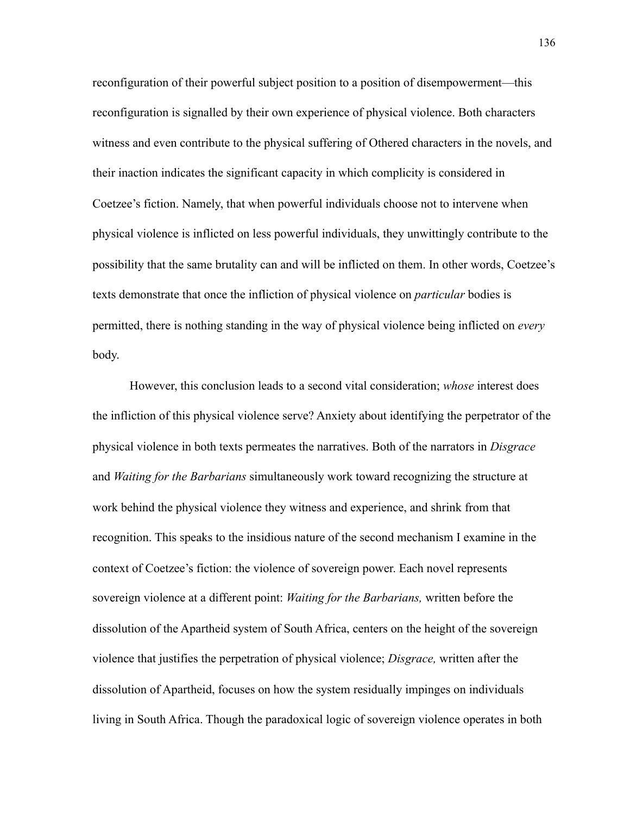reconfiguration of their powerful subject position to a position of disempowerment—this reconfiguration is signalled by their own experience of physical violence. Both characters witness and even contribute to the physical suffering of Othered characters in the novels, and their inaction indicates the significant capacity in which complicity is considered in Coetzee's fiction. Namely, that when powerful individuals choose not to intervene when physical violence is inflicted on less powerful individuals, they unwittingly contribute to the possibility that the same brutality can and will be inflicted on them. In other words, Coetzee's texts demonstrate that once the infliction of physical violence on *particular* bodies is permitted, there is nothing standing in the way of physical violence being inflicted on *every*  body.

However, this conclusion leads to a second vital consideration; *whose* interest does the infliction of this physical violence serve? Anxiety about identifying the perpetrator of the physical violence in both texts permeates the narratives. Both of the narrators in *Disgrace*  and *Waiting for the Barbarians* simultaneously work toward recognizing the structure at work behind the physical violence they witness and experience, and shrink from that recognition. This speaks to the insidious nature of the second mechanism I examine in the context of Coetzee's fiction: the violence of sovereign power. Each novel represents sovereign violence at a different point: *Waiting for the Barbarians,* written before the dissolution of the Apartheid system of South Africa, centers on the height of the sovereign violence that justifies the perpetration of physical violence; *Disgrace,* written after the dissolution of Apartheid, focuses on how the system residually impinges on individuals living in South Africa. Though the paradoxical logic of sovereign violence operates in both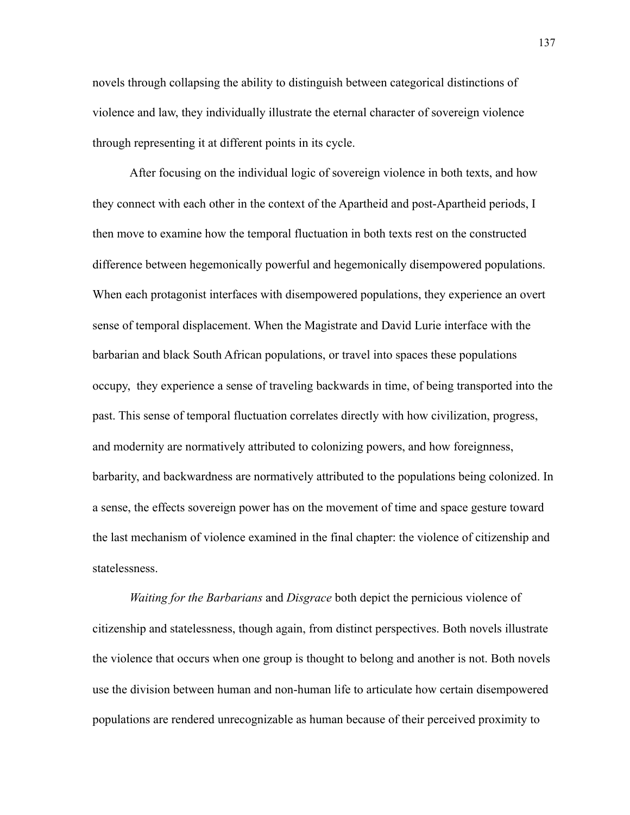novels through collapsing the ability to distinguish between categorical distinctions of violence and law, they individually illustrate the eternal character of sovereign violence through representing it at different points in its cycle.

After focusing on the individual logic of sovereign violence in both texts, and how they connect with each other in the context of the Apartheid and post-Apartheid periods, I then move to examine how the temporal fluctuation in both texts rest on the constructed difference between hegemonically powerful and hegemonically disempowered populations. When each protagonist interfaces with disempowered populations, they experience an overt sense of temporal displacement. When the Magistrate and David Lurie interface with the barbarian and black South African populations, or travel into spaces these populations occupy, they experience a sense of traveling backwards in time, of being transported into the past. This sense of temporal fluctuation correlates directly with how civilization, progress, and modernity are normatively attributed to colonizing powers, and how foreignness, barbarity, and backwardness are normatively attributed to the populations being colonized. In a sense, the effects sovereign power has on the movement of time and space gesture toward the last mechanism of violence examined in the final chapter: the violence of citizenship and statelessness.

*Waiting for the Barbarians* and *Disgrace* both depict the pernicious violence of citizenship and statelessness, though again, from distinct perspectives. Both novels illustrate the violence that occurs when one group is thought to belong and another is not. Both novels use the division between human and non-human life to articulate how certain disempowered populations are rendered unrecognizable as human because of their perceived proximity to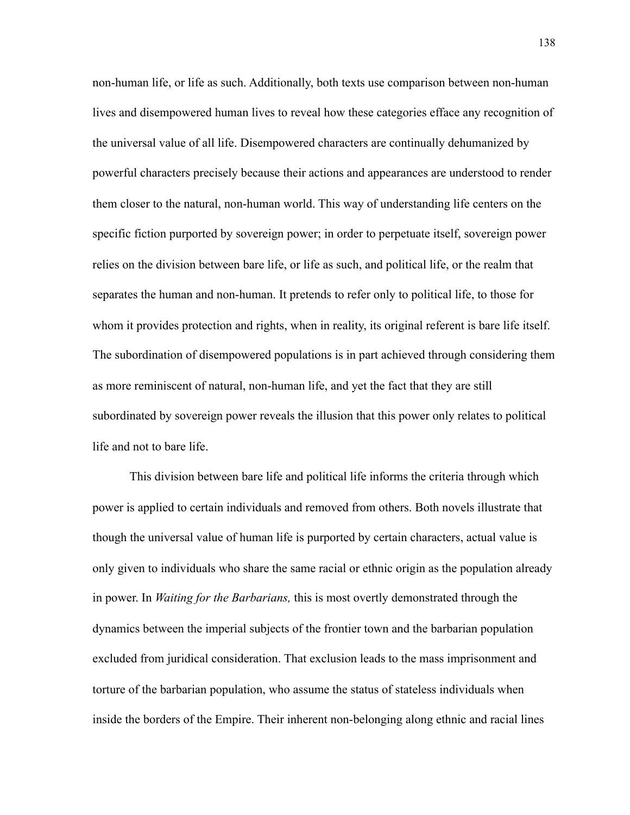non-human life, or life as such. Additionally, both texts use comparison between non-human lives and disempowered human lives to reveal how these categories efface any recognition of the universal value of all life. Disempowered characters are continually dehumanized by powerful characters precisely because their actions and appearances are understood to render them closer to the natural, non-human world. This way of understanding life centers on the specific fiction purported by sovereign power; in order to perpetuate itself, sovereign power relies on the division between bare life, or life as such, and political life, or the realm that separates the human and non-human. It pretends to refer only to political life, to those for whom it provides protection and rights, when in reality, its original referent is bare life itself. The subordination of disempowered populations is in part achieved through considering them as more reminiscent of natural, non-human life, and yet the fact that they are still subordinated by sovereign power reveals the illusion that this power only relates to political life and not to bare life.

This division between bare life and political life informs the criteria through which power is applied to certain individuals and removed from others. Both novels illustrate that though the universal value of human life is purported by certain characters, actual value is only given to individuals who share the same racial or ethnic origin as the population already in power. In *Waiting for the Barbarians,* this is most overtly demonstrated through the dynamics between the imperial subjects of the frontier town and the barbarian population excluded from juridical consideration. That exclusion leads to the mass imprisonment and torture of the barbarian population, who assume the status of stateless individuals when inside the borders of the Empire. Their inherent non-belonging along ethnic and racial lines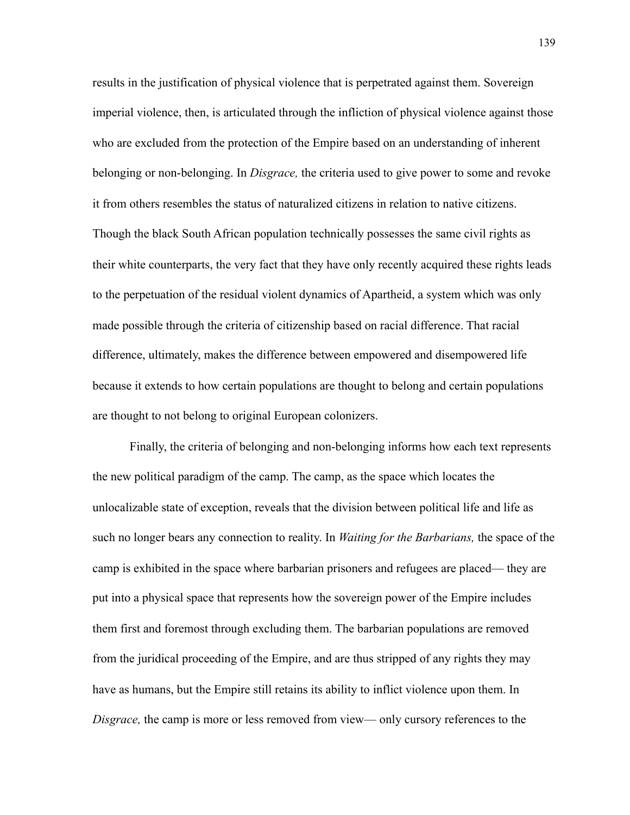results in the justification of physical violence that is perpetrated against them. Sovereign imperial violence, then, is articulated through the infliction of physical violence against those who are excluded from the protection of the Empire based on an understanding of inherent belonging or non-belonging. In *Disgrace,* the criteria used to give power to some and revoke it from others resembles the status of naturalized citizens in relation to native citizens. Though the black South African population technically possesses the same civil rights as their white counterparts, the very fact that they have only recently acquired these rights leads to the perpetuation of the residual violent dynamics of Apartheid, a system which was only made possible through the criteria of citizenship based on racial difference. That racial difference, ultimately, makes the difference between empowered and disempowered life because it extends to how certain populations are thought to belong and certain populations are thought to not belong to original European colonizers.

Finally, the criteria of belonging and non-belonging informs how each text represents the new political paradigm of the camp. The camp, as the space which locates the unlocalizable state of exception, reveals that the division between political life and life as such no longer bears any connection to reality. In *Waiting for the Barbarians,* the space of the camp is exhibited in the space where barbarian prisoners and refugees are placed— they are put into a physical space that represents how the sovereign power of the Empire includes them first and foremost through excluding them. The barbarian populations are removed from the juridical proceeding of the Empire, and are thus stripped of any rights they may have as humans, but the Empire still retains its ability to inflict violence upon them. In *Disgrace,* the camp is more or less removed from view— only cursory references to the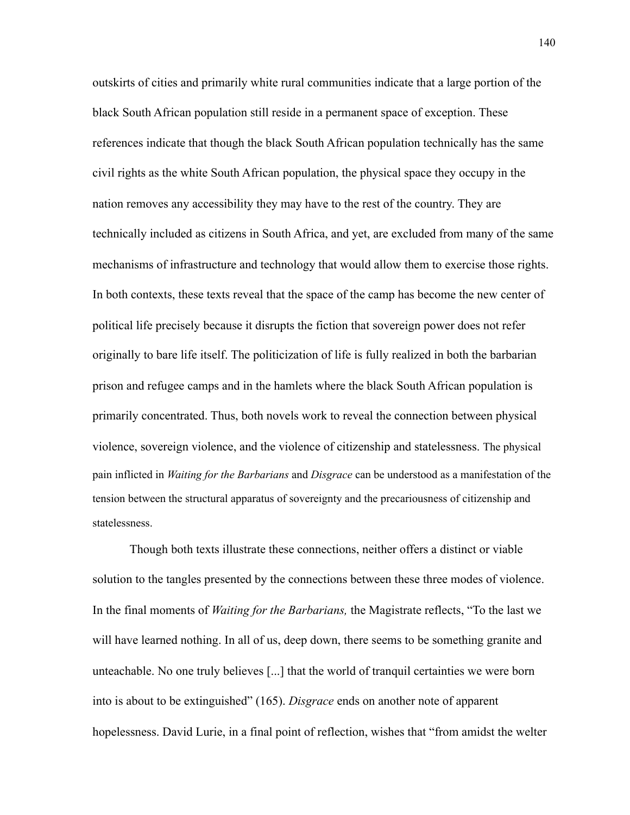outskirts of cities and primarily white rural communities indicate that a large portion of the black South African population still reside in a permanent space of exception. These references indicate that though the black South African population technically has the same civil rights as the white South African population, the physical space they occupy in the nation removes any accessibility they may have to the rest of the country. They are technically included as citizens in South Africa, and yet, are excluded from many of the same mechanisms of infrastructure and technology that would allow them to exercise those rights. In both contexts, these texts reveal that the space of the camp has become the new center of political life precisely because it disrupts the fiction that sovereign power does not refer originally to bare life itself. The politicization of life is fully realized in both the barbarian prison and refugee camps and in the hamlets where the black South African population is primarily concentrated. Thus, both novels work to reveal the connection between physical violence, sovereign violence, and the violence of citizenship and statelessness. The physical pain inflicted in *Waiting for the Barbarians* and *Disgrace* can be understood as a manifestation of the tension between the structural apparatus of sovereignty and the precariousness of citizenship and statelessness.

Though both texts illustrate these connections, neither offers a distinct or viable solution to the tangles presented by the connections between these three modes of violence. In the final moments of *Waiting for the Barbarians,* the Magistrate reflects, "To the last we will have learned nothing. In all of us, deep down, there seems to be something granite and unteachable. No one truly believes [...] that the world of tranquil certainties we were born into is about to be extinguished" (165). *Disgrace* ends on another note of apparent hopelessness. David Lurie, in a final point of reflection, wishes that "from amidst the welter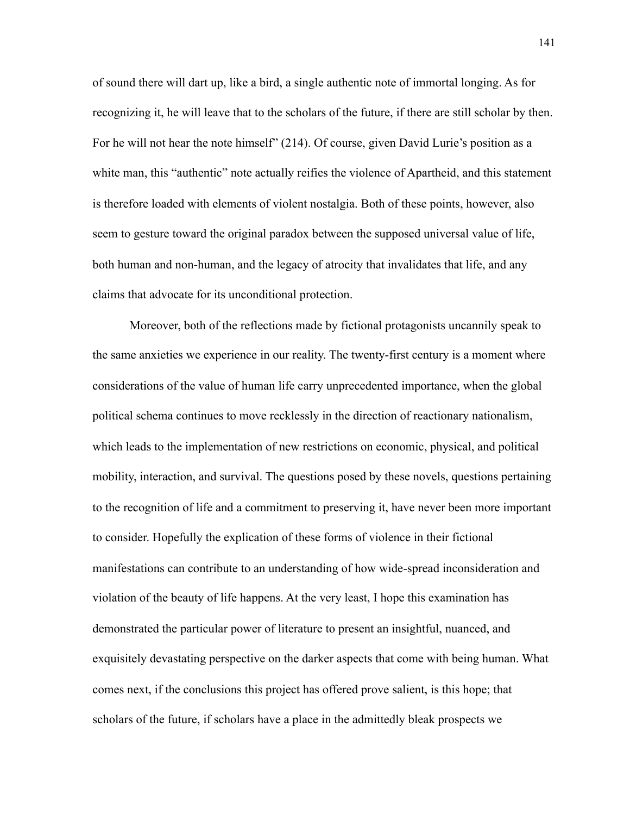of sound there will dart up, like a bird, a single authentic note of immortal longing. As for recognizing it, he will leave that to the scholars of the future, if there are still scholar by then. For he will not hear the note himself" (214). Of course, given David Lurie's position as a white man, this "authentic" note actually reifies the violence of Apartheid, and this statement is therefore loaded with elements of violent nostalgia. Both of these points, however, also seem to gesture toward the original paradox between the supposed universal value of life, both human and non-human, and the legacy of atrocity that invalidates that life, and any claims that advocate for its unconditional protection.

Moreover, both of the reflections made by fictional protagonists uncannily speak to the same anxieties we experience in our reality. The twenty-first century is a moment where considerations of the value of human life carry unprecedented importance, when the global political schema continues to move recklessly in the direction of reactionary nationalism, which leads to the implementation of new restrictions on economic, physical, and political mobility, interaction, and survival. The questions posed by these novels, questions pertaining to the recognition of life and a commitment to preserving it, have never been more important to consider. Hopefully the explication of these forms of violence in their fictional manifestations can contribute to an understanding of how wide-spread inconsideration and violation of the beauty of life happens. At the very least, I hope this examination has demonstrated the particular power of literature to present an insightful, nuanced, and exquisitely devastating perspective on the darker aspects that come with being human. What comes next, if the conclusions this project has offered prove salient, is this hope; that scholars of the future, if scholars have a place in the admittedly bleak prospects we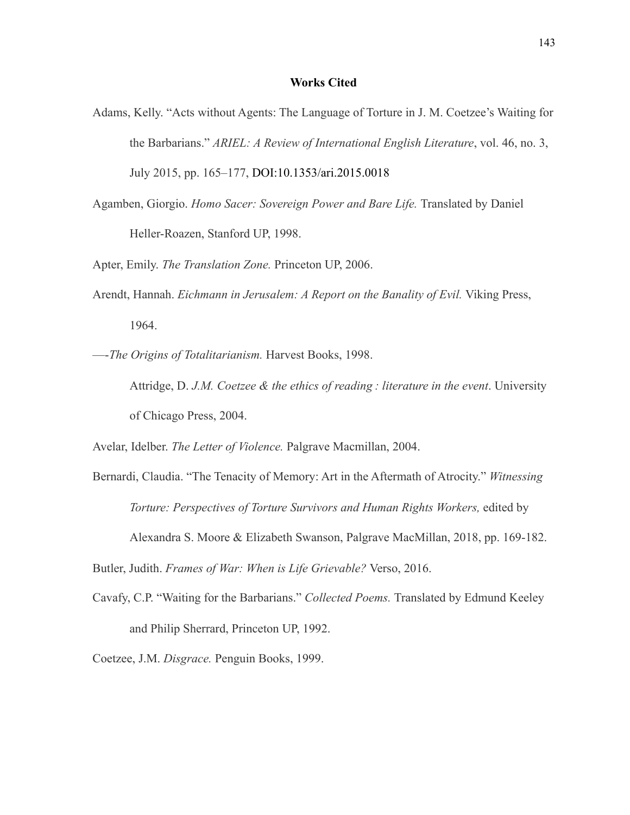## **Works Cited**

- Adams, Kelly. "Acts without Agents: The Language of Torture in J. M. Coetzee's Waiting for the Barbarians." *ARIEL: A Review of International English Literature*, vol. 46, no. 3, July 2015, pp. 165–177, DOI:10.1353/ari.2015.0018
- Agamben, Giorgio. *Homo Sacer: Sovereign Power and Bare Life.* Translated by Daniel Heller-Roazen, Stanford UP, 1998.

Apter, Emily. *The Translation Zone.* Princeton UP, 2006.

Arendt, Hannah. *Eichmann in Jerusalem: A Report on the Banality of Evil.* Viking Press, 1964.

—-*The Origins of Totalitarianism.* Harvest Books, 1998.

Attridge, D. *J.M. Coetzee & the ethics of reading : literature in the event*. University of Chicago Press, 2004.

Avelar, Idelber. *The Letter of Violence.* Palgrave Macmillan, 2004.

Bernardi, Claudia. "The Tenacity of Memory: Art in the Aftermath of Atrocity." *Witnessing Torture: Perspectives of Torture Survivors and Human Rights Workers,* edited by Alexandra S. Moore & Elizabeth Swanson, Palgrave MacMillan, 2018, pp. 169-182.

Butler, Judith. *Frames of War: When is Life Grievable?* Verso, 2016.

Cavafy, C.P. "Waiting for the Barbarians." *Collected Poems.* Translated by Edmund Keeley and Philip Sherrard, Princeton UP, 1992.

Coetzee, J.M. *Disgrace.* Penguin Books, 1999.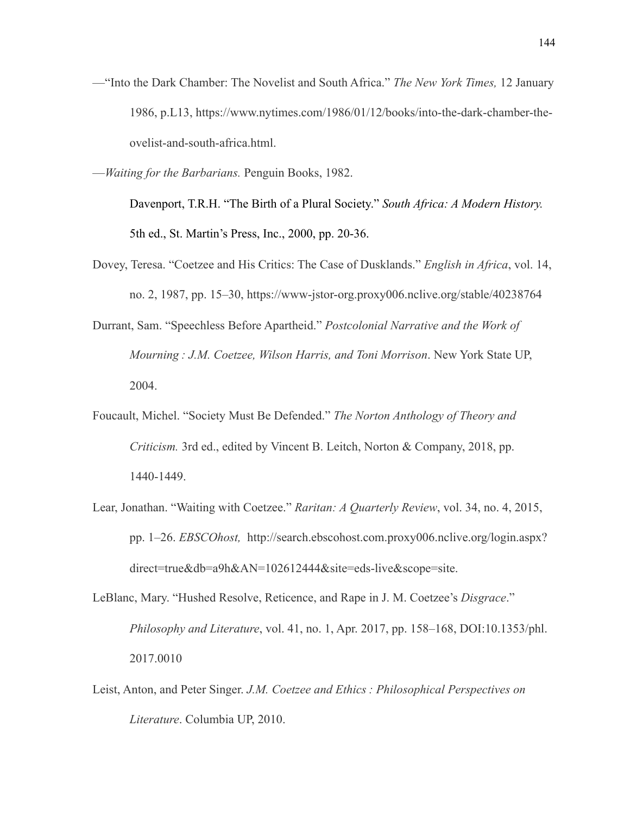- —"Into the Dark Chamber: The Novelist and South Africa." *The New York Times,* 12 January 1986, p.L13, https://www.nytimes.com/1986/01/12/books/into-the-dark-chamber-theovelist-and-south-africa.html.
- —*Waiting for the Barbarians.* Penguin Books, 1982.

Davenport, T.R.H. "The Birth of a Plural Society." *South Africa: A Modern History.*  5th ed., St. Martin's Press, Inc., 2000, pp. 20-36.

- Dovey, Teresa. "Coetzee and His Critics: The Case of Dusklands." *English in Africa*, vol. 14, no. 2, 1987, pp. 15–30, https://www-jstor-org.proxy006.nclive.org/stable/40238764
- Durrant, Sam. "Speechless Before Apartheid." *Postcolonial Narrative and the Work of Mourning : J.M. Coetzee, Wilson Harris, and Toni Morrison*. New York State UP, 2004.
- Foucault, Michel. "Society Must Be Defended." *The Norton Anthology of Theory and Criticism.* 3rd ed., edited by Vincent B. Leitch, Norton & Company, 2018, pp. 1440-1449.
- Lear, Jonathan. "Waiting with Coetzee." *Raritan: A Quarterly Review*, vol. 34, no. 4, 2015, pp. 1–26. *EBSCOhost,* http://search.ebscohost.com.proxy006.nclive.org/login.aspx? direct=true&db=a9h&AN=102612444&site=eds-live&scope=site.
- LeBlanc, Mary. "Hushed Resolve, Reticence, and Rape in J. M. Coetzee's *Disgrace*." *Philosophy and Literature*, vol. 41, no. 1, Apr. 2017, pp. 158–168, DOI:10.1353/phl. 2017.0010
- Leist, Anton, and Peter Singer. *J.M. Coetzee and Ethics : Philosophical Perspectives on Literature*. Columbia UP, 2010.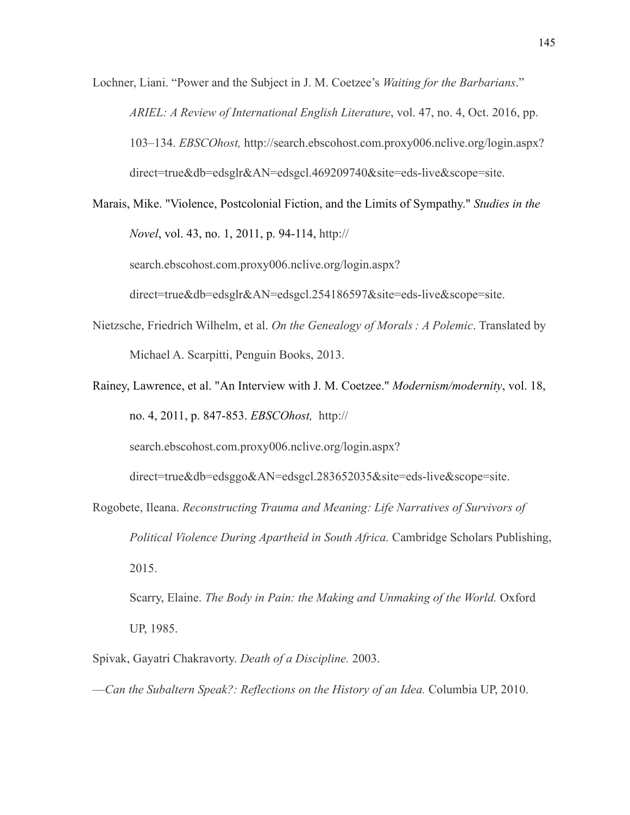Lochner, Liani. "Power and the Subject in J. M. Coetzee's *Waiting for the Barbarians*." *ARIEL: A Review of International English Literature*, vol. 47, no. 4, Oct. 2016, pp. 103–134. *EBSCOhost,* http://search.ebscohost.com.proxy006.nclive.org/login.aspx? direct=true&db=edsglr&AN=edsgcl.469209740&site=eds-live&scope=site.

Marais, Mike. "Violence, Postcolonial Fiction, and the Limits of Sympathy." *Studies in the Novel*, vol. 43, no. 1, 2011, p. 94-114, http://

search.ebscohost.com.proxy006.nclive.org/login.aspx?

direct=true&db=edsglr&AN=edsgcl.254186597&site=eds-live&scope=site.

- Nietzsche, Friedrich Wilhelm, et al. *On the Genealogy of Morals : A Polemic*. Translated by Michael A. Scarpitti, Penguin Books, 2013.
- Rainey, Lawrence, et al. "An Interview with J. M. Coetzee." *Modernism/modernity*, vol. 18, no. 4, 2011, p. 847-853. *EBSCOhost,* http://

search.ebscohost.com.proxy006.nclive.org/login.aspx?

direct=true&db=edsggo&AN=edsgcl.283652035&site=eds-live&scope=site.

Rogobete, Ileana. *Reconstructing Trauma and Meaning: Life Narratives of Survivors of Political Violence During Apartheid in South Africa.* Cambridge Scholars Publishing, 2015.

Scarry, Elaine. *The Body in Pain: the Making and Unmaking of the World*. Oxford UP, 1985.

- Spivak, Gayatri Chakravorty. *Death of a Discipline.* 2003.
- —*Can the Subaltern Speak?: Reflections on the History of an Idea.* Columbia UP, 2010.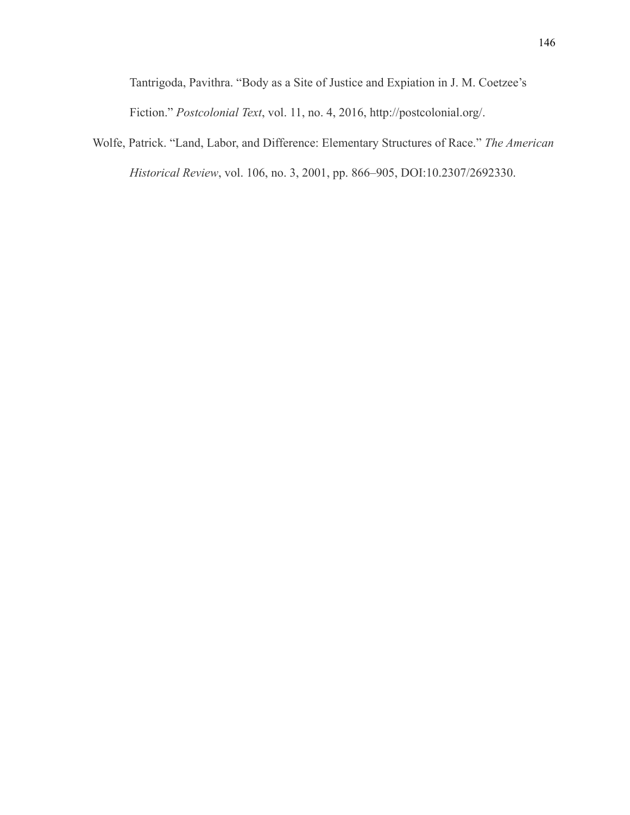Tantrigoda, Pavithra. "Body as a Site of Justice and Expiation in J. M. Coetzee's Fiction." *Postcolonial Text*, vol. 11, no. 4, 2016, http://postcolonial.org/.

Wolfe, Patrick. "Land, Labor, and Difference: Elementary Structures of Race." *The American Historical Review*, vol. 106, no. 3, 2001, pp. 866–905, DOI:10.2307/2692330.